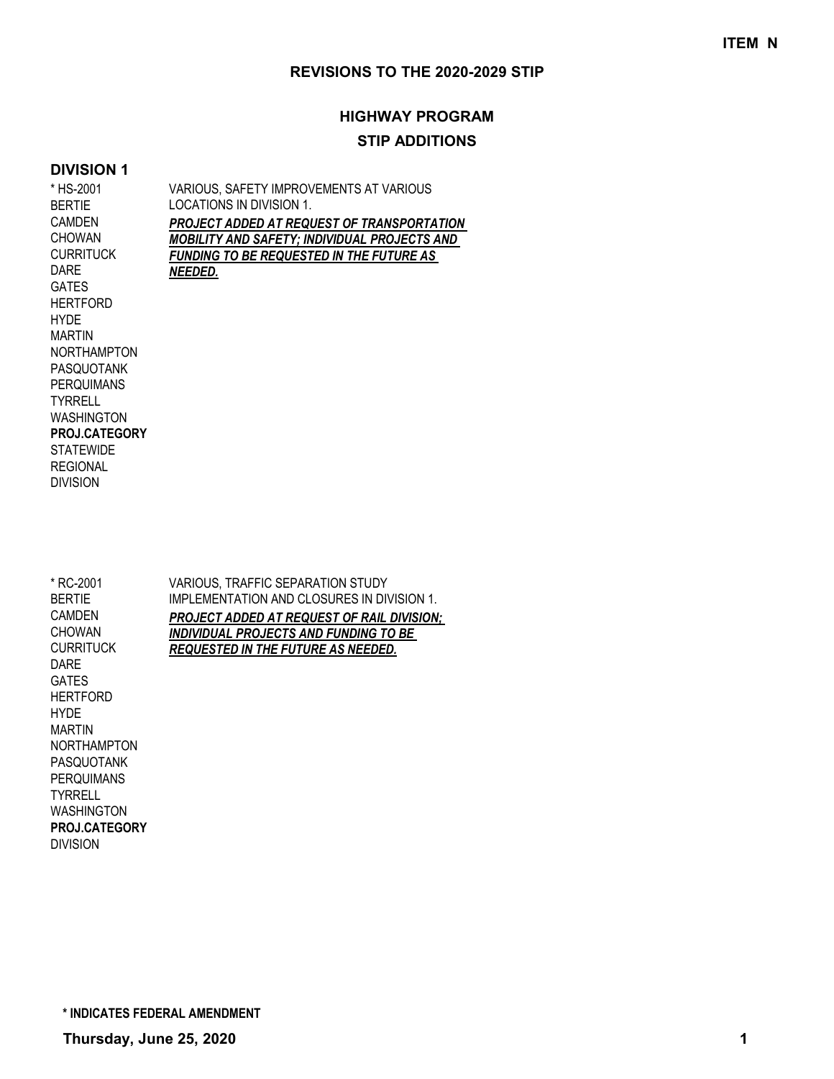## **HIGHWAY PROGRAM STIP ADDITIONS**

### **DIVISION 1**

| * HS-2001            | VARIOUS, SAFETY IMPROVEMENTS AT VARIOUS         |
|----------------------|-------------------------------------------------|
| <b>BERTIE</b>        | LOCATIONS IN DIVISION 1.                        |
| <b>CAMDEN</b>        | PROJECT ADDED AT REQUEST OF TRANSPORTATION      |
| <b>CHOWAN</b>        | MOBILITY AND SAFETY; INDIVIDUAL PROJECTS AND    |
| <b>CURRITUCK</b>     | <b>FUNDING TO BE REQUESTED IN THE FUTURE AS</b> |
| DARE                 | NEEDED.                                         |
| <b>GATES</b>         |                                                 |
| <b>HERTFORD</b>      |                                                 |
| <b>HYDE</b>          |                                                 |
| <b>MARTIN</b>        |                                                 |
| <b>NORTHAMPTON</b>   |                                                 |
| <b>PASQUOTANK</b>    |                                                 |
| <b>PERQUIMANS</b>    |                                                 |
| <b>TYRRELL</b>       |                                                 |
| <b>WASHINGTON</b>    |                                                 |
| <b>PROJ.CATEGORY</b> |                                                 |
| <b>STATEWIDE</b>     |                                                 |
| <b>REGIONAL</b>      |                                                 |
| <b>DIVISION</b>      |                                                 |
|                      |                                                 |
|                      |                                                 |

| * RC-2001<br><b>BERTIE</b><br>CAMDEN | VARIOUS. TRAFFIC SEPARATION STUDY<br><b>IMPLEMENTATION AND CLOSURES IN DIVISION 1.</b> |
|--------------------------------------|----------------------------------------------------------------------------------------|
| <b>CHOWAN</b>                        | <b>PROJECT ADDED AT REQUEST OF RAIL DIVISION;</b>                                      |
| <b>CURRITUCK</b>                     | INDIVIDUAL PROJECTS AND FUNDING TO BE<br><b>REQUESTED IN THE FUTURE AS NEEDED.</b>     |
| DARE                                 |                                                                                        |
| <b>GATES</b>                         |                                                                                        |
| <b>HERTFORD</b>                      |                                                                                        |
| <b>HYDE</b>                          |                                                                                        |
| <b>MARTIN</b>                        |                                                                                        |
| <b>NORTHAMPTON</b>                   |                                                                                        |
| <b>PASQUOTANK</b>                    |                                                                                        |
| <b>PERQUIMANS</b>                    |                                                                                        |
| <b>TYRRELL</b>                       |                                                                                        |
| <b>WASHINGTON</b>                    |                                                                                        |

DIVISION **PROJ.CATEGORY**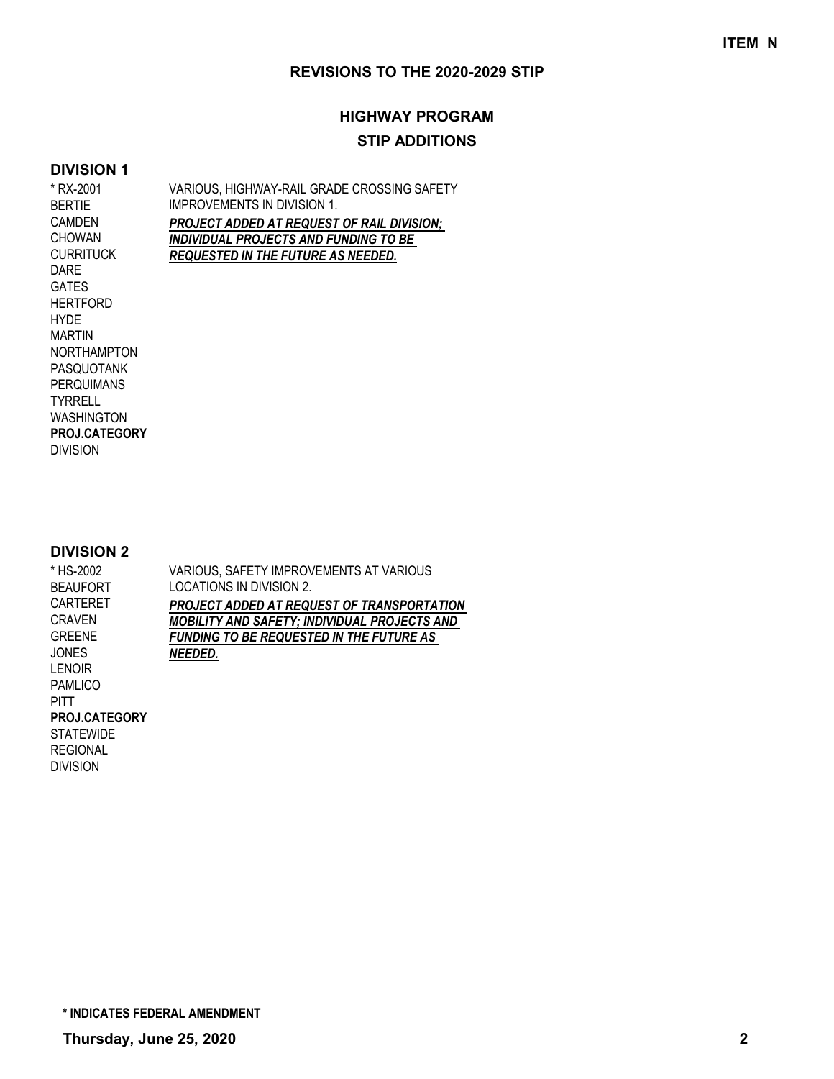# **HIGHWAY PROGRAM STIP ADDITIONS**

#### **DIVISION 1**

VARIOUS, HIGHWAY-RAIL GRADE CROSSING SAFETY IMPROVEMENTS IN DIVISION 1. *PROJECT ADDED AT REQUEST OF RAIL DIVISION; INDIVIDUAL PROJECTS AND FUNDING TO BE REQUESTED IN THE FUTURE AS NEEDED.* \* RX-2001 BERTIE CAMDEN CHOWAN **CURRITUCK** DARE GATES HERTFORD HYDE MARTIN NORTHAMPTON PASQUOTANK PERQUIMANS **TYRRELL** WASHINGTON

**DIVISION 2**

**PROJ.CATEGORY**

DIVISION

| א זושוטויש           |                                                     |
|----------------------|-----------------------------------------------------|
| * HS-2002            | VARIOUS, SAFETY IMPROVEMENTS AT VARIOUS             |
| <b>BEAUFORT</b>      | LOCATIONS IN DIVISION 2.                            |
| CARTERET             | PROJECT ADDED AT REQUEST OF TRANSPORTATION          |
| CRAVEN               | <b>MOBILITY AND SAFETY; INDIVIDUAL PROJECTS AND</b> |
| GREENE               | <b>FUNDING TO BE REQUESTED IN THE FUTURE AS</b>     |
| JONES.               | NEEDED.                                             |
| <b>LENOIR</b>        |                                                     |
| PAMLICO              |                                                     |
| PITT                 |                                                     |
| <b>PROJ.CATEGORY</b> |                                                     |
| STATEWIDE            |                                                     |

REGIONAL DIVISION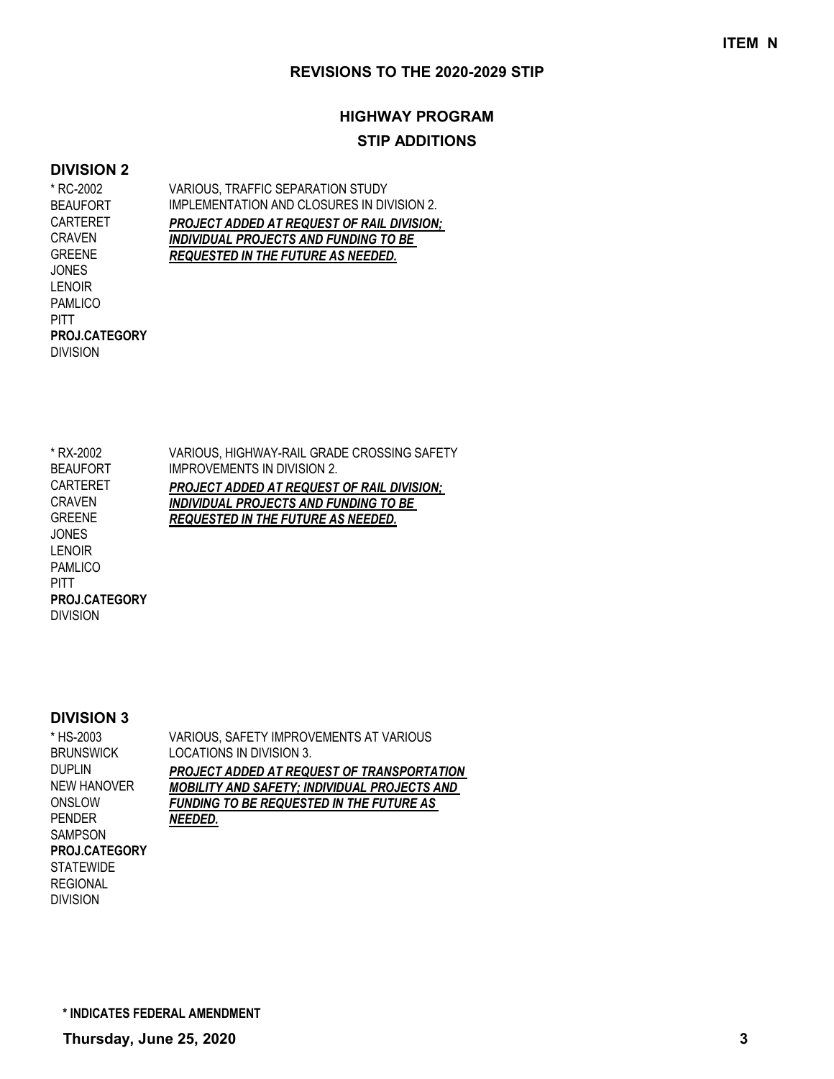# **HIGHWAY PROGRAM STIP ADDITIONS**

#### **DIVISION 2**

VARIOUS, TRAFFIC SEPARATION STUDY IMPLEMENTATION AND CLOSURES IN DIVISION 2. *PROJECT ADDED AT REQUEST OF RAIL DIVISION; INDIVIDUAL PROJECTS AND FUNDING TO BE REQUESTED IN THE FUTURE AS NEEDED.* \* RC-2002 BEAUFORT CARTERET CRAVEN GREENE JONES LENOIR PAMLICO PITT

**PROJ.CATEGORY**

DIVISION

VARIOUS, HIGHWAY-RAIL GRADE CROSSING SAFETY IMPROVEMENTS IN DIVISION 2. *PROJECT ADDED AT REQUEST OF RAIL DIVISION; INDIVIDUAL PROJECTS AND FUNDING TO BE REQUESTED IN THE FUTURE AS NEEDED.* \* RX-2002 BEAUFORT CARTERET CRAVEN GREENE JONES LENOIR PAMLICO **PITT** DIVISION **PROJ.CATEGORY**

#### **DIVISION 3**

| * HS-2003            | VARIOUS, SAFETY IMPROVEMENTS AT VARIOUS             |
|----------------------|-----------------------------------------------------|
| BRUNSWICK            | LOCATIONS IN DIVISION 3.                            |
| Duplin               | <b>PROJECT ADDED AT REQUEST OF TRANSPORTATION</b>   |
| NEW HANOVER          | <b>MOBILITY AND SAFETY; INDIVIDUAL PROJECTS AND</b> |
| ONSLOW               | <b>FUNDING TO BE REQUESTED IN THE FUTURE AS</b>     |
| PENDER               | NEEDED.                                             |
| SAMPSON              |                                                     |
| <b>PROJ.CATEGORY</b> |                                                     |
| STATEWIDE            |                                                     |
| REGIONAL             |                                                     |

REGIONAL DIVISION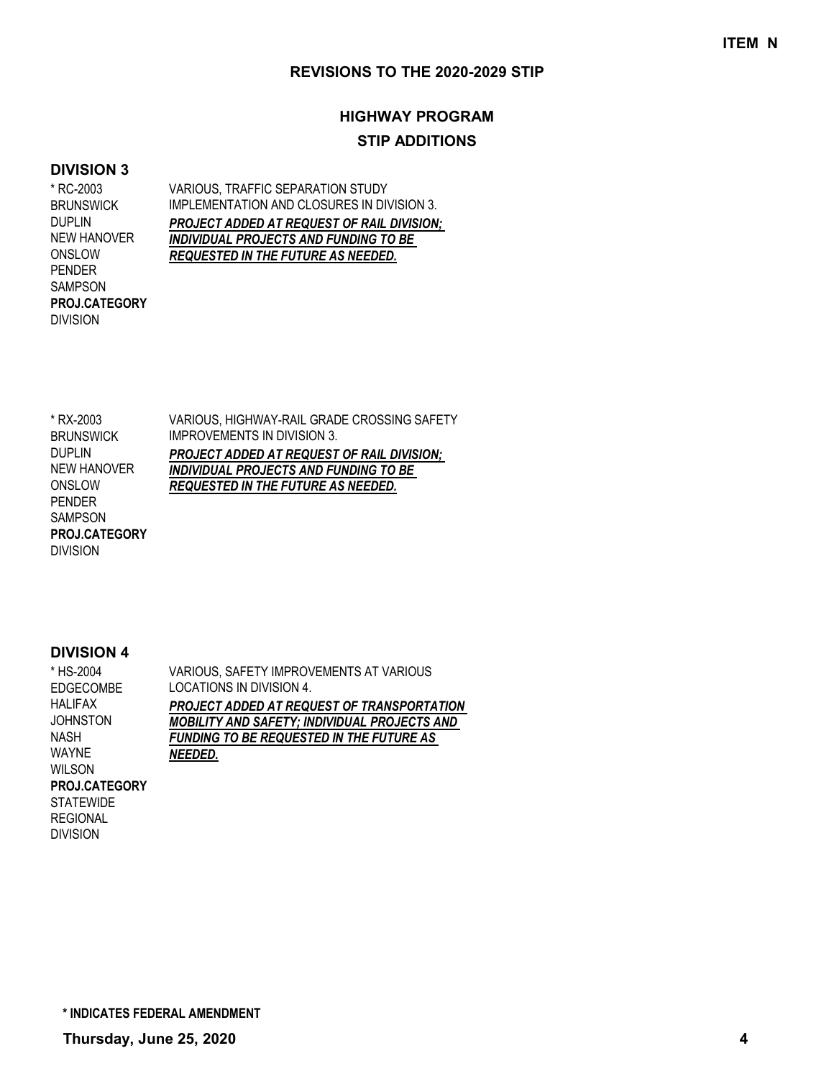## **HIGHWAY PROGRAM STIP ADDITIONS**

### **DIVISION 3**

\* RC-2003 BRUNSWICK DUPLIN NEW HANOVER ONSLOW PENDER SAMPSON DIVISION **PROJ.CATEGORY** VARIOUS, TRAFFIC SEPARATION STUDY IMPLEMENTATION AND CLOSURES IN DIVISION 3. *PROJECT ADDED AT REQUEST OF RAIL DIVISION; INDIVIDUAL PROJECTS AND FUNDING TO BE REQUESTED IN THE FUTURE AS NEEDED.*

\* RX-2003 **BRUNSWICK** DUPLIN NEW HANOVER ONSLOW PENDER SAMPSON DIVISION **PROJ.CATEGORY** VARIOUS, HIGHWAY-RAIL GRADE CROSSING SAFETY IMPROVEMENTS IN DIVISION 3. *PROJECT ADDED AT REQUEST OF RAIL DIVISION; INDIVIDUAL PROJECTS AND FUNDING TO BE REQUESTED IN THE FUTURE AS NEEDED.*

### **DIVISION 4**

| * HS-2004            | VARIOUS, SAFETY IMPROVEMENTS AT VARIOUS             |
|----------------------|-----------------------------------------------------|
| <b>EDGECOMBE</b>     | LOCATIONS IN DIVISION 4.                            |
| <b>HALIFAX</b>       | PROJECT ADDED AT REQUEST OF TRANSPORTATION          |
| <b>JOHNSTON</b>      | <b>MOBILITY AND SAFETY; INDIVIDUAL PROJECTS AND</b> |
| NASH                 | <b>FUNDING TO BE REQUESTED IN THE FUTURE AS</b>     |
| <b>WAYNE</b>         | NEEDED.                                             |
| <b>WILSON</b>        |                                                     |
| <b>PROJ.CATEGORY</b> |                                                     |
| <b>STATEWIDE</b>     |                                                     |
| <b>REGIONAL</b>      |                                                     |
| <b>DIVISION</b>      |                                                     |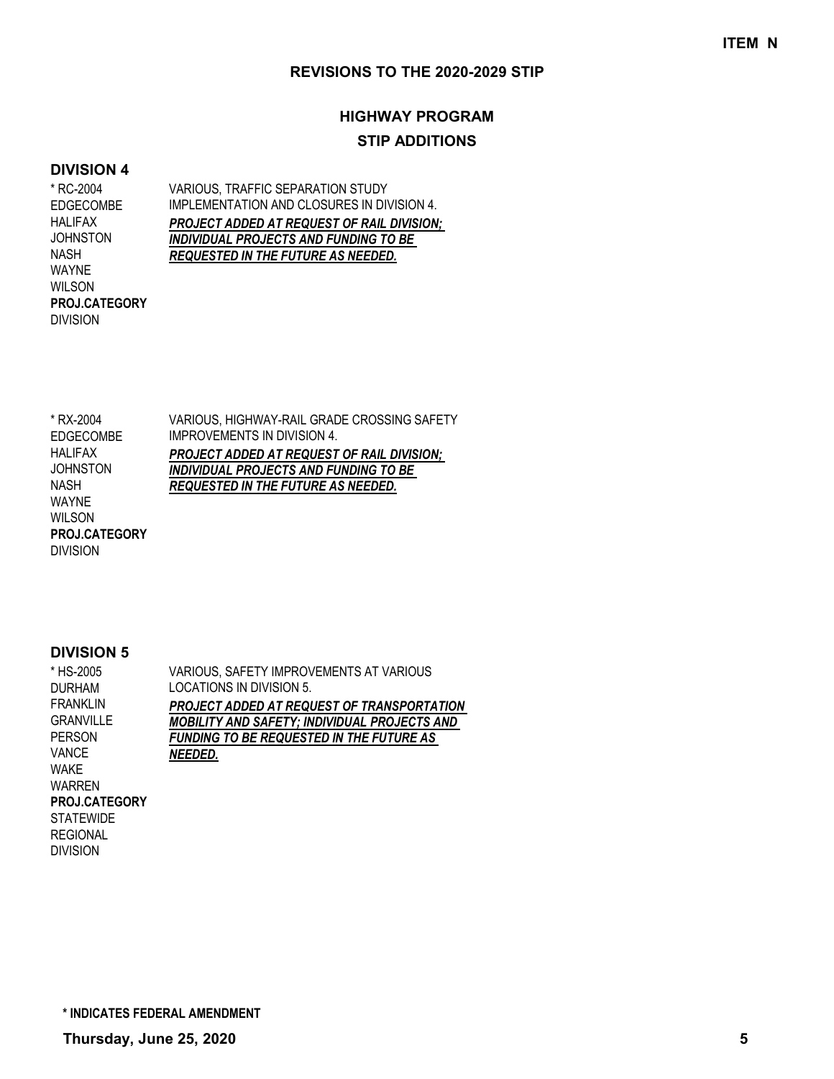# **HIGHWAY PROGRAM STIP ADDITIONS**

#### **DIVISION 4**

\* RC-2004 EDGECOMBE HALIFAX **JOHNSTON** NASH WAYNE WILSON DIVISION **PROJ.CATEGORY** VARIOUS, TRAFFIC SEPARATION STUDY IMPLEMENTATION AND CLOSURES IN DIVISION 4. *PROJECT ADDED AT REQUEST OF RAIL DIVISION; INDIVIDUAL PROJECTS AND FUNDING TO BE REQUESTED IN THE FUTURE AS NEEDED.*

VARIOUS, HIGHWAY-RAIL GRADE CROSSING SAFETY IMPROVEMENTS IN DIVISION 4. *PROJECT ADDED AT REQUEST OF RAIL DIVISION; INDIVIDUAL PROJECTS AND FUNDING TO BE REQUESTED IN THE FUTURE AS NEEDED.* \* RX-2004 EDGECOMBE HALIFAX JOHNSTON NASH WAYNE WILSON DIVISION **PROJ.CATEGORY**

### **DIVISION 5**

| * HS-2005            | VARIOUS, SAFETY IMPROVEMENTS AT VARIOUS             |
|----------------------|-----------------------------------------------------|
| <b>DURHAM</b>        | LOCATIONS IN DIVISION 5.                            |
| <b>FRANKLIN</b>      | PROJECT ADDED AT REQUEST OF TRANSPORTATION          |
| <b>GRANVILLE</b>     | <b>MOBILITY AND SAFETY; INDIVIDUAL PROJECTS AND</b> |
| <b>PERSON</b>        | <b>FUNDING TO BE REQUESTED IN THE FUTURE AS</b>     |
| <b>VANCE</b>         | NEEDED.                                             |
| WAKE                 |                                                     |
| WARREN               |                                                     |
| <b>PROJ.CATEGORY</b> |                                                     |
| <b>STATEWIDE</b>     |                                                     |
| <b>REGIONAL</b>      |                                                     |
| <b>DIVISION</b>      |                                                     |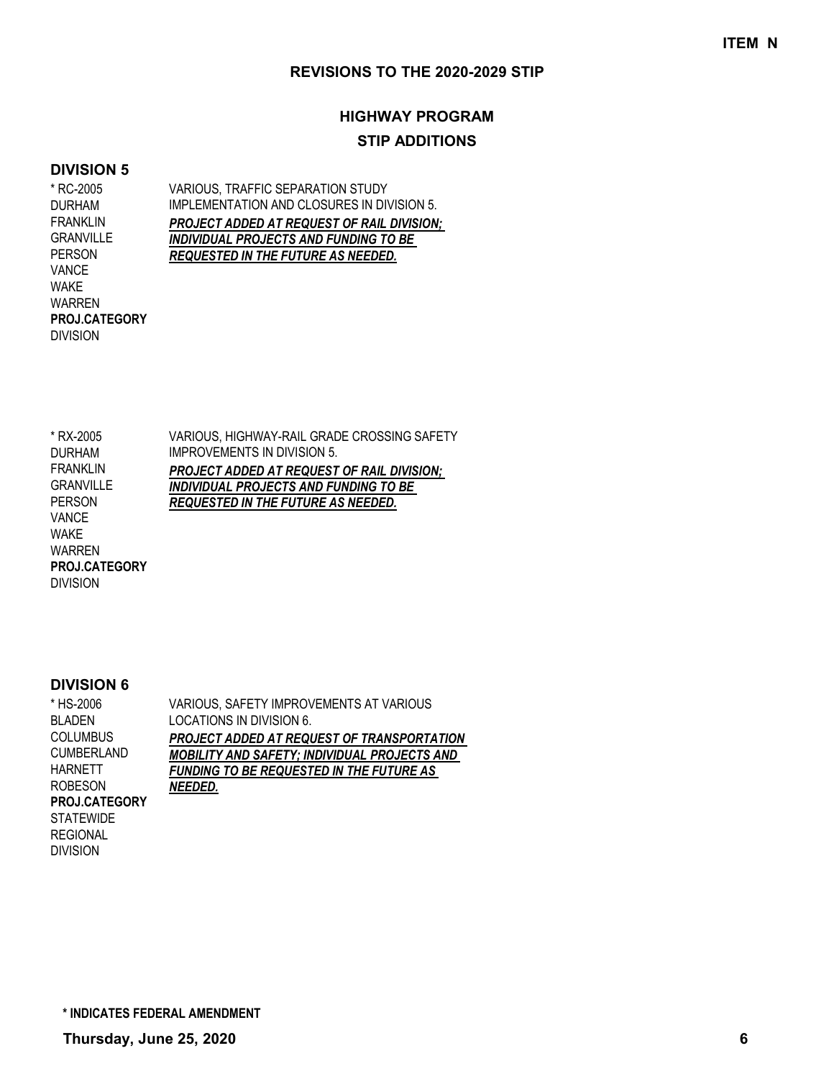# **HIGHWAY PROGRAM STIP ADDITIONS**

#### **DIVISION 5**

\* RC-2005 DURHAM FRANKLIN **GRANVILLE** PERSON VANCE WAKE WARREN DIVISION **PROJ.CATEGORY** VARIOUS, TRAFFIC SEPARATION STUDY IMPLEMENTATION AND CLOSURES IN DIVISION 5. *PROJECT ADDED AT REQUEST OF RAIL DIVISION; INDIVIDUAL PROJECTS AND FUNDING TO BE REQUESTED IN THE FUTURE AS NEEDED.*

VARIOUS, HIGHWAY-RAIL GRADE CROSSING SAFETY IMPROVEMENTS IN DIVISION 5. *PROJECT ADDED AT REQUEST OF RAIL DIVISION; INDIVIDUAL PROJECTS AND FUNDING TO BE REQUESTED IN THE FUTURE AS NEEDED.* \* RX-2005 DURHAM FRANKLIN GRANVILLE PERSON VANCE WAKE WARREN **PROJ.CATEGORY**

#### **DIVISION 6**

DIVISION

DIVISION

VARIOUS, SAFETY IMPROVEMENTS AT VARIOUS LOCATIONS IN DIVISION 6. *PROJECT ADDED AT REQUEST OF TRANSPORTATION MOBILITY AND SAFETY; INDIVIDUAL PROJECTS AND FUNDING TO BE REQUESTED IN THE FUTURE AS NEEDED.* \* HS-2006 BLADEN COLUMBUS CUMBERLAND HARNETT ROBESON **STATEWIDE** REGIONAL **PROJ.CATEGORY**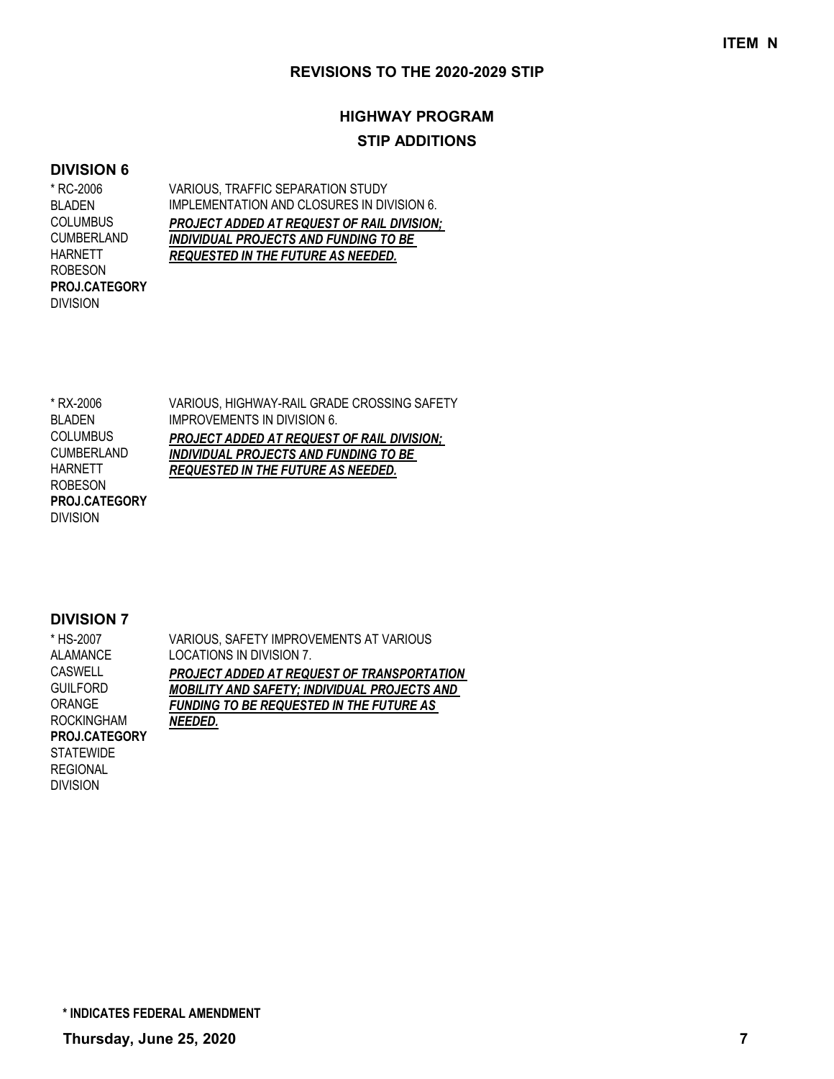# **HIGHWAY PROGRAM STIP ADDITIONS**

#### **DIVISION 6**

\* RC-2006 BLADEN **COLUMBUS** CUMBERLAND HARNETT ROBESON DIVISION **PROJ.CATEGORY** VARIOUS, TRAFFIC SEPARATION STUDY IMPLEMENTATION AND CLOSURES IN DIVISION 6. *PROJECT ADDED AT REQUEST OF RAIL DIVISION; INDIVIDUAL PROJECTS AND FUNDING TO BE REQUESTED IN THE FUTURE AS NEEDED.*

| * RX-2006            | VARIOUS, HIGHWAY-RAIL GRADE CROSSING SAFETY       |
|----------------------|---------------------------------------------------|
| <b>BI ADEN</b>       | <b>IMPROVEMENTS IN DIVISION 6.</b>                |
| <b>COLUMBUS</b>      | <b>PROJECT ADDED AT REQUEST OF RAIL DIVISION:</b> |
| <b>CUMBERLAND</b>    | <b>INDIVIDUAL PROJECTS AND FUNDING TO BE</b>      |
| HARNETT              | <b>REQUESTED IN THE FUTURE AS NEEDED.</b>         |
| <b>ROBESON</b>       |                                                   |
| <b>PROJ.CATEGORY</b> |                                                   |
| <b>DIVISION</b>      |                                                   |

| * HS-2007            | VARIOUS, SAFETY IMPROVEMENTS AT VARIOUS             |
|----------------------|-----------------------------------------------------|
| ALAMANCE             | LOCATIONS IN DIVISION 7.                            |
| <b>CASWELL</b>       | PROJECT ADDED AT REQUEST OF TRANSPORTATION          |
| <b>GUILFORD</b>      | <b>MOBILITY AND SAFETY; INDIVIDUAL PROJECTS AND</b> |
| <b>ORANGE</b>        | <b>FUNDING TO BE REQUESTED IN THE FUTURE AS</b>     |
| <b>ROCKINGHAM</b>    | NEEDED.                                             |
| <b>PROJ.CATEGORY</b> |                                                     |
| <b>STATEWIDE</b>     |                                                     |
| <b>REGIONAL</b>      |                                                     |
| <b>DIVISION</b>      |                                                     |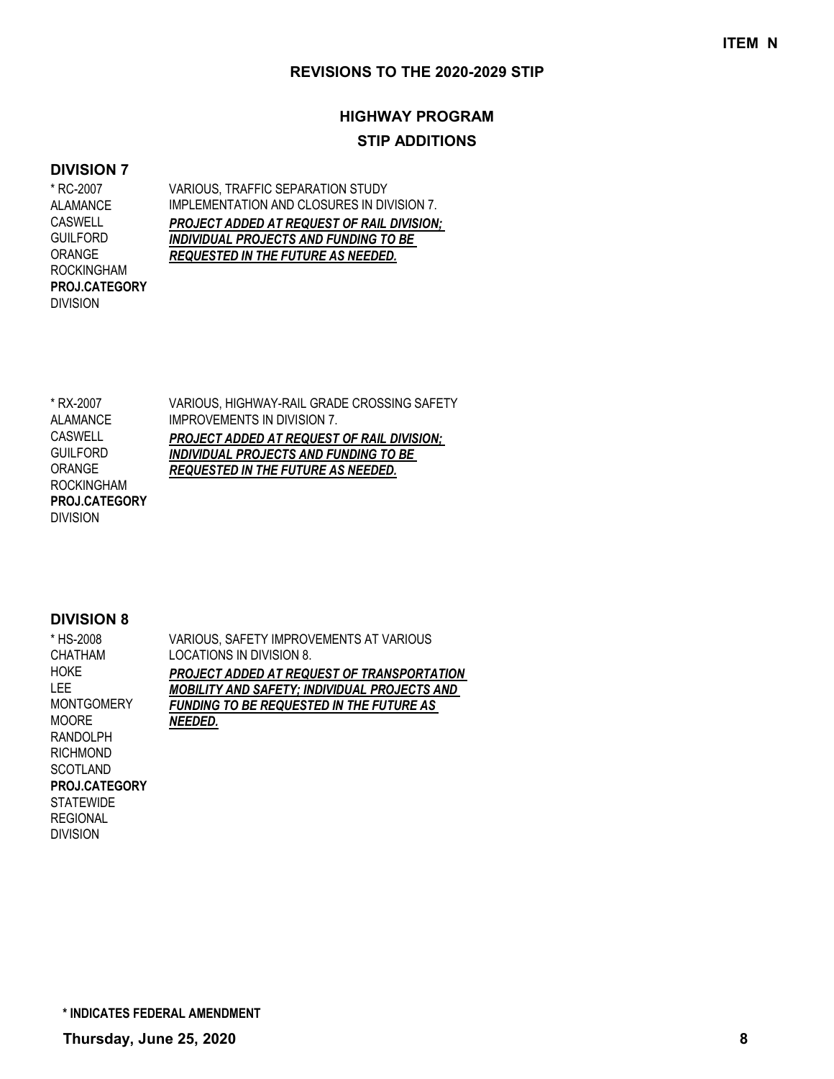# **HIGHWAY PROGRAM STIP ADDITIONS**

### **DIVISION 7**

\* RC-2007 ALAMANCE CASWELL GUILFORD ORANGE ROCKINGHAM DIVISION **PROJ.CATEGORY** VARIOUS, TRAFFIC SEPARATION STUDY IMPLEMENTATION AND CLOSURES IN DIVISION 7. *PROJECT ADDED AT REQUEST OF RAIL DIVISION; INDIVIDUAL PROJECTS AND FUNDING TO BE REQUESTED IN THE FUTURE AS NEEDED.*

| * RX-2007            | VARIOUS, HIGHWAY-RAIL GRADE CROSSING SAFETY  |
|----------------------|----------------------------------------------|
| AI AMANCE            | <b>IMPROVEMENTS IN DIVISION 7.</b>           |
| <b>CASWELL</b>       | PROJECT ADDED AT REQUEST OF RAIL DIVISION;   |
| <b>GUILFORD</b>      | <b>INDIVIDUAL PROJECTS AND FUNDING TO BE</b> |
| ORANGE               | <b>REQUESTED IN THE FUTURE AS NEEDED.</b>    |
| <b>ROCKINGHAM</b>    |                                              |
| <b>PROJ.CATEGORY</b> |                                              |
| <b>DIVISION</b>      |                                              |

#### **DIVISION 8**

| * HS-2008            | VARIOUS, SAFETY IMPROVEMENTS AT VARIOUS         |
|----------------------|-------------------------------------------------|
| CHATHAM              | LOCATIONS IN DIVISION 8.                        |
| HOKE                 | PROJECT ADDED AT REQUEST OF TRANSPORTATION      |
| LEE.                 | MOBILITY AND SAFETY: INDIVIDUAL PROJECTS AND    |
| <b>MONTGOMERY</b>    | <b>FUNDING TO BE REQUESTED IN THE FUTURE AS</b> |
| <b>MOORE</b>         | <b>NEEDED.</b>                                  |
| <b>RANDOLPH</b>      |                                                 |
| <b>RICHMOND</b>      |                                                 |
| <b>SCOTLAND</b>      |                                                 |
| <b>PROJ.CATEGORY</b> |                                                 |
| <b>STATEWIDE</b>     |                                                 |
| <b>REGIONAL</b>      |                                                 |
| <b>DIVISION</b>      |                                                 |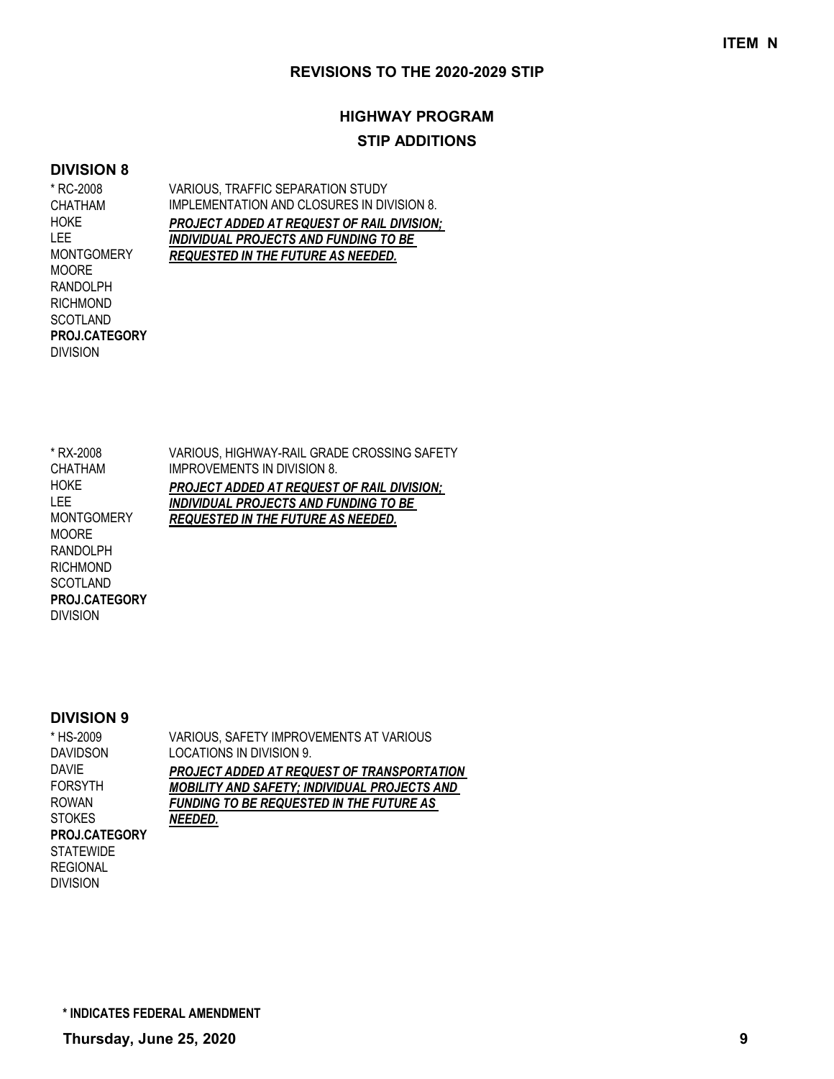# **HIGHWAY PROGRAM STIP ADDITIONS**

#### **DIVISION 8**

\* RC-2008 CHATHAM **HOKE** LEE MONTGOMERY MOORE RANDOLPH RICHMOND **SCOTLAND** DIVISION **PROJ.CATEGORY** VARIOUS, TRAFFIC SEPARATION STUDY IMPLEMENTATION AND CLOSURES IN DIVISION 8. *PROJECT ADDED AT REQUEST OF RAIL DIVISION; INDIVIDUAL PROJECTS AND FUNDING TO BE REQUESTED IN THE FUTURE AS NEEDED.*

\* RX-2008 CHATHAM HOKE LEE MONTGOMERY MOORE RANDOLPH RICHMOND **SCOTLAND** DIVISION **PROJ.CATEGORY**

VARIOUS, HIGHWAY-RAIL GRADE CROSSING SAFETY IMPROVEMENTS IN DIVISION 8. *PROJECT ADDED AT REQUEST OF RAIL DIVISION; INDIVIDUAL PROJECTS AND FUNDING TO BE REQUESTED IN THE FUTURE AS NEEDED.*

#### **DIVISION 9**

DIVISION

| * HS-2009            | VARIOUS, SAFETY IMPROVEMENTS AT VARIOUS             |
|----------------------|-----------------------------------------------------|
| <b>DAVIDSON</b>      | LOCATIONS IN DIVISION 9.                            |
| DAVIE                | <b>PROJECT ADDED AT REQUEST OF TRANSPORTATION</b>   |
| <b>FORSYTH</b>       | <b>MOBILITY AND SAFETY; INDIVIDUAL PROJECTS AND</b> |
| ROWAN                | <b>FUNDING TO BE REQUESTED IN THE FUTURE AS</b>     |
| <b>STOKES</b>        | NEEDED.                                             |
| <b>PROJ.CATEGORY</b> |                                                     |
| STATEWIDE            |                                                     |
| REGIONAL             |                                                     |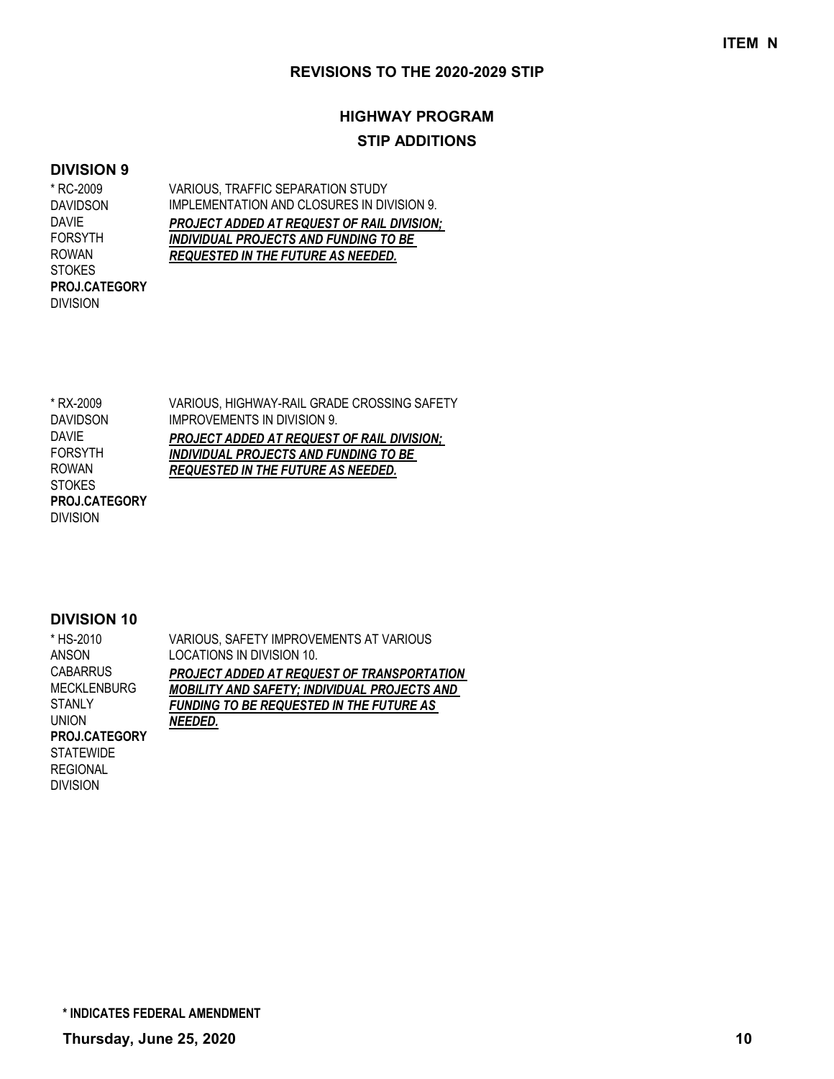# **HIGHWAY PROGRAM STIP ADDITIONS**

#### **DIVISION 9**

\* RC-2009 DAVIDSON DAVIE FORSYTH ROWAN **STOKES** DIVISION **PROJ.CATEGORY**

VARIOUS, TRAFFIC SEPARATION STUDY IMPLEMENTATION AND CLOSURES IN DIVISION 9. *PROJECT ADDED AT REQUEST OF RAIL DIVISION; INDIVIDUAL PROJECTS AND FUNDING TO BE REQUESTED IN THE FUTURE AS NEEDED.*

| * RX-2009       | VARIOUS, HIGHWAY-RAIL GRADE CROSSING SAFETY |
|-----------------|---------------------------------------------|
| <b>DAVIDSON</b> | <b>IMPROVEMENTS IN DIVISION 9.</b>          |
| <b>DAVIE</b>    | PROJECT ADDED AT REQUEST OF RAIL DIVISION;  |
| <b>FORSYTH</b>  | INDIVIDUAL PROJECTS AND FUNDING TO BE       |
| <b>ROWAN</b>    | <b>REQUESTED IN THE FUTURE AS NEEDED.</b>   |
| <b>STOKES</b>   |                                             |
| PROJ.CATEGORY   |                                             |
| <b>DIVISION</b> |                                             |

| * HS-2010            | VARIOUS, SAFETY IMPROVEMENTS AT VARIOUS             |
|----------------------|-----------------------------------------------------|
| ANSON                | LOCATIONS IN DIVISION 10.                           |
| <b>CABARRUS</b>      | PROJECT ADDED AT REQUEST OF TRANSPORTATION          |
| <b>MECKLENBURG</b>   | <b>MOBILITY AND SAFETY; INDIVIDUAL PROJECTS AND</b> |
| <b>STANLY</b>        | <b>FUNDING TO BE REQUESTED IN THE FUTURE AS</b>     |
| UNION                | NEEDED.                                             |
| <b>PROJ.CATEGORY</b> |                                                     |
| <b>STATEWIDE</b>     |                                                     |
| <b>REGIONAL</b>      |                                                     |
| <b>DIVISION</b>      |                                                     |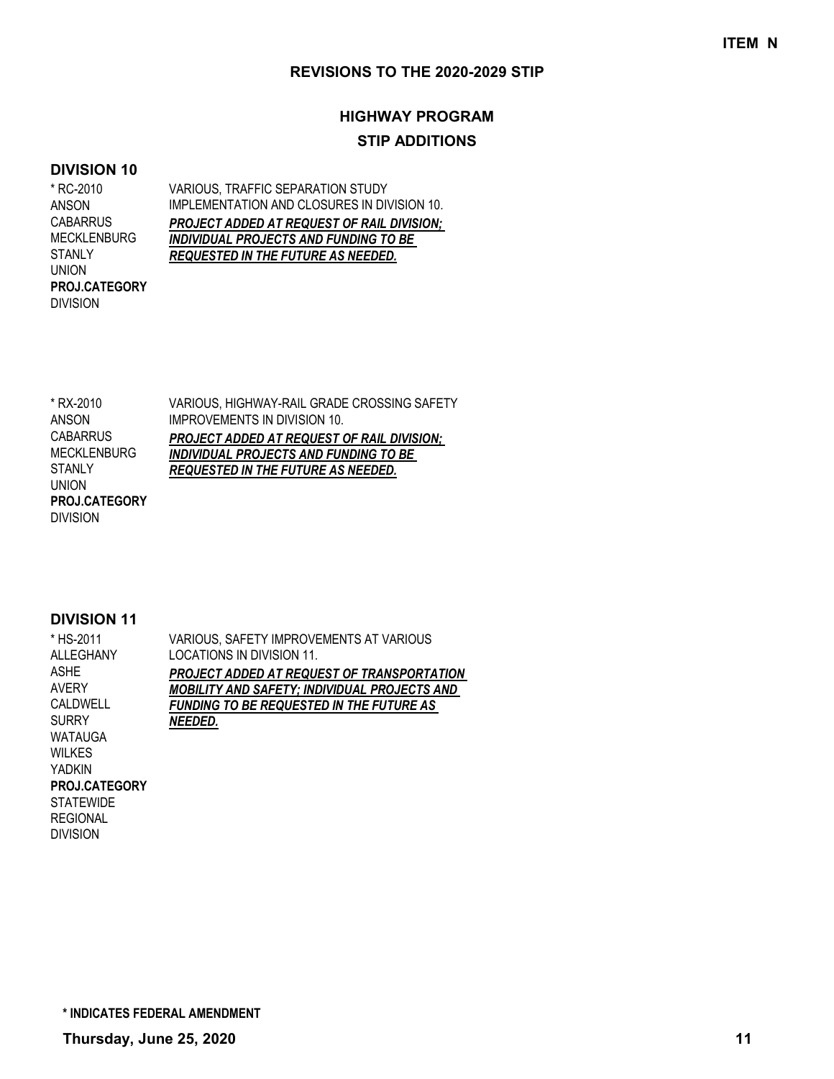# **HIGHWAY PROGRAM STIP ADDITIONS**

#### **DIVISION 10**

\* RC-2010 ANSON **CABARRUS** MECKLENBURG STANLY UNION DIVISION **PROJ.CATEGORY** VARIOUS, TRAFFIC SEPARATION STUDY IMPLEMENTATION AND CLOSURES IN DIVISION 10. *PROJECT ADDED AT REQUEST OF RAIL DIVISION; INDIVIDUAL PROJECTS AND FUNDING TO BE REQUESTED IN THE FUTURE AS NEEDED.*

| * RX-2010            | VARIOUS. HIGHWAY-RAIL GRADE CROSSING SAFETY       |
|----------------------|---------------------------------------------------|
| ANSON                | <b>IMPROVEMENTS IN DIVISION 10.</b>               |
| <b>CABARRUS</b>      | <b>PROJECT ADDED AT REQUEST OF RAIL DIVISION:</b> |
| <b>MECKLENBURG</b>   | <b>INDIVIDUAL PROJECTS AND FUNDING TO BE</b>      |
| <b>STANLY</b>        | <b>REQUESTED IN THE FUTURE AS NEEDED.</b>         |
| <b>UNION</b>         |                                                   |
| <b>PROJ.CATEGORY</b> |                                                   |
| <b>DIVISION</b>      |                                                   |

| * HS-2011            | VARIOUS, SAFETY IMPROVEMENTS AT VARIOUS             |
|----------------------|-----------------------------------------------------|
| ALLEGHANY            | LOCATIONS IN DIVISION 11.                           |
| ASHE                 | PROJECT ADDED AT REQUEST OF TRANSPORTATION          |
| AVERY                | <b>MOBILITY AND SAFETY; INDIVIDUAL PROJECTS AND</b> |
| CAI DWELL            | <b>FUNDING TO BE REQUESTED IN THE FUTURE AS</b>     |
| SURRY                | NEEDED.                                             |
| WATAUGA              |                                                     |
| WII KFS              |                                                     |
| YADKIN               |                                                     |
| <b>PROJ.CATEGORY</b> |                                                     |
| STATEWIDE            |                                                     |
| REGIONAL             |                                                     |
| Division             |                                                     |
|                      |                                                     |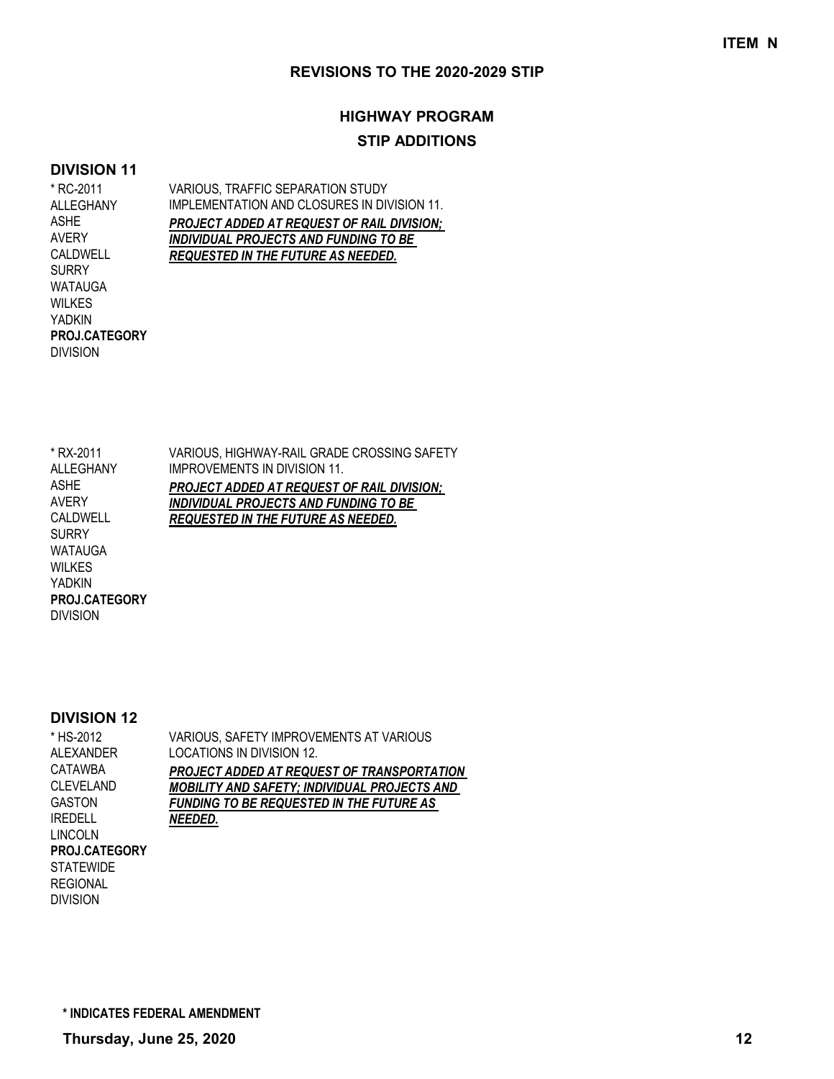# **HIGHWAY PROGRAM STIP ADDITIONS**

#### **DIVISION 11**

\* RC-2011

DIVISION

**PROJ.CATEGORY**

ASHE AVERY CALDWELL SURRY WATAUGA WILKES YADKIN

VARIOUS, TRAFFIC SEPARATION STUDY IMPLEMENTATION AND CLOSURES IN DIVISION 11. *PROJECT ADDED AT REQUEST OF RAIL DIVISION; INDIVIDUAL PROJECTS AND FUNDING TO BE REQUESTED IN THE FUTURE AS NEEDED.* ALLEGHANY

VARIOUS, HIGHWAY-RAIL GRADE CROSSING SAFETY IMPROVEMENTS IN DIVISION 11. *PROJECT ADDED AT REQUEST OF RAIL DIVISION; INDIVIDUAL PROJECTS AND FUNDING TO BE REQUESTED IN THE FUTURE AS NEEDED.* \* RX-2011 ALLEGHANY ASHE AVERY CALDWELL SURRY WATAUGA WILKES YADKIN DIVISION **PROJ.CATEGORY**

#### **DIVISION 12**

| * HS-2012            | VARIOUS, SAFETY IMPROVEMENTS AT VARIOUS             |
|----------------------|-----------------------------------------------------|
| ALEXANDER            | LOCATIONS IN DIVISION 12.                           |
| CATAWBA              | PROJECT ADDED AT REQUEST OF TRANSPORTATION          |
| <b>CLEVELAND</b>     | <b>MOBILITY AND SAFETY; INDIVIDUAL PROJECTS AND</b> |
| <b>GASTON</b>        | <b>FUNDING TO BE REQUESTED IN THE FUTURE AS</b>     |
| <b>IREDELL</b>       | NEEDED.                                             |
| <b>LINCOLN</b>       |                                                     |
| <b>PROJ.CATEGORY</b> |                                                     |
| <b>STATEWIDE</b>     |                                                     |
| <b>REGIONAL</b>      |                                                     |
| <b>DIVISION</b>      |                                                     |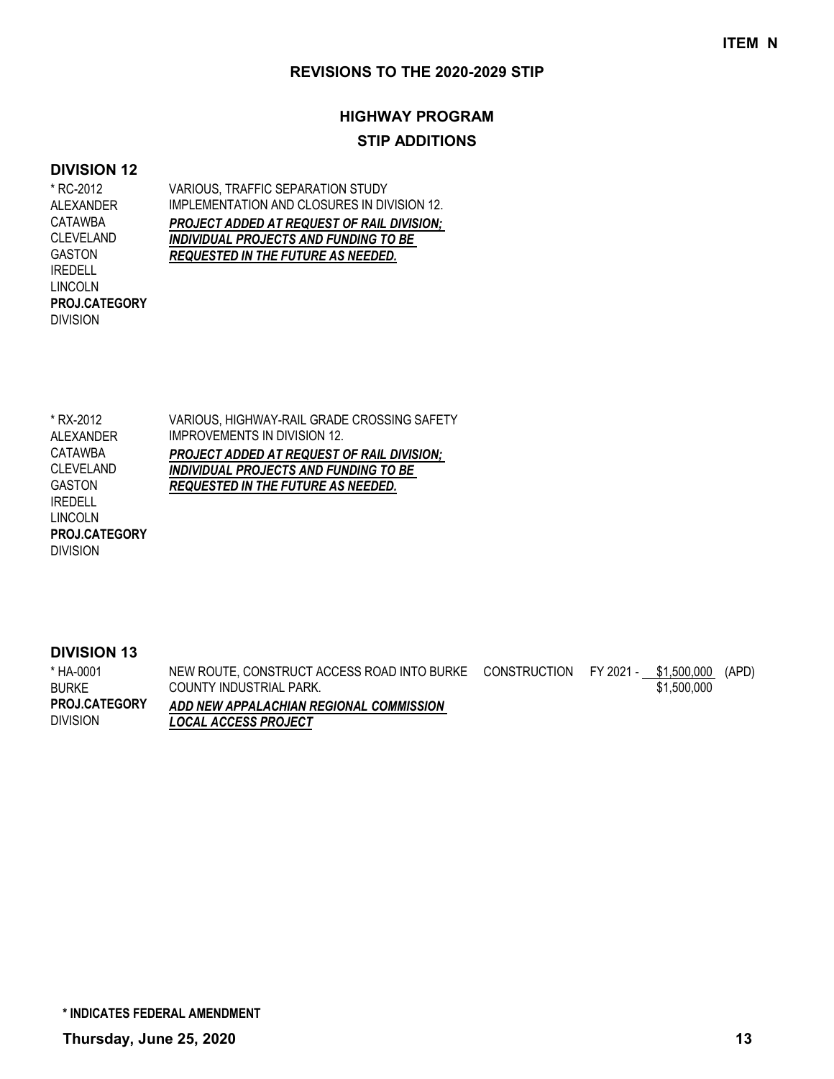# **HIGHWAY PROGRAM STIP ADDITIONS**

#### **DIVISION 12**

DIVISION

**PROJ.CATEGORY**

VARIOUS, TRAFFIC SEPARATION STUDY \* RC-2012 ALEXANDER CATAWBA CLEVELAND GASTON IREDELL LINCOLN

IMPLEMENTATION AND CLOSURES IN DIVISION 12. *PROJECT ADDED AT REQUEST OF RAIL DIVISION; INDIVIDUAL PROJECTS AND FUNDING TO BE REQUESTED IN THE FUTURE AS NEEDED.*

VARIOUS, HIGHWAY-RAIL GRADE CROSSING SAFETY IMPROVEMENTS IN DIVISION 12. *PROJECT ADDED AT REQUEST OF RAIL DIVISION; INDIVIDUAL PROJECTS AND FUNDING TO BE REQUESTED IN THE FUTURE AS NEEDED.* \* RX-2012 ALEXANDER CATAWBA CLEVELAND GASTON IREDELL LINCOLN DIVISION **PROJ.CATEGORY**

### **DIVISION 13**

NEW ROUTE, CONSTRUCT ACCESS ROAD INTO BURKE CONSTRUCTION FY 2021 - \_\_ <u>\$1,500,000</u> (APD) COUNTY INDUSTRIAL PARK. *ADD NEW APPALACHIAN REGIONAL COMMISSION LOCAL ACCESS PROJECT* \$1,500,000 \* HA-0001 BURKE DIVISION **PROJ.CATEGORY**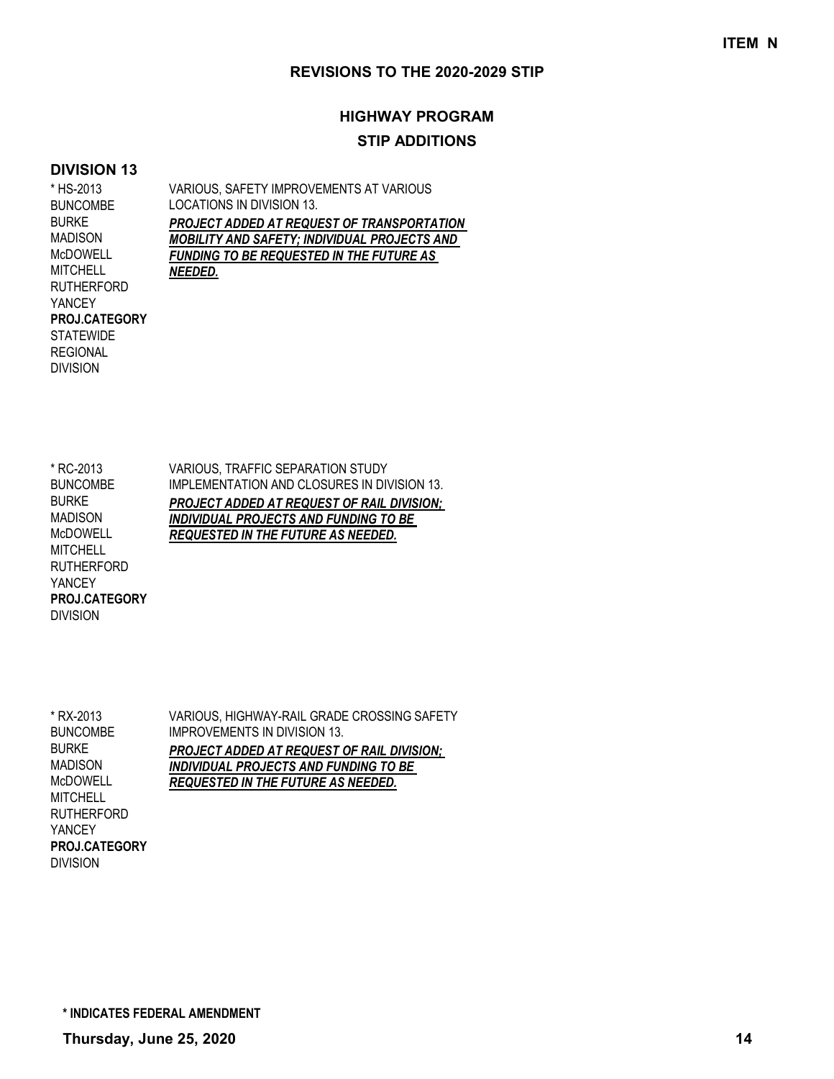# **HIGHWAY PROGRAM STIP ADDITIONS**

#### **DIVISION 13**

**STATEWIDE** REGIONAL DIVISION

VARIOUS, SAFETY IMPROVEMENTS AT VARIOUS LOCATIONS IN DIVISION 13. *PROJECT ADDED AT REQUEST OF TRANSPORTATION MOBILITY AND SAFETY; INDIVIDUAL PROJECTS AND FUNDING TO BE REQUESTED IN THE FUTURE AS NEEDED.* \* HS-2013 BUNCOMBE BURKE MADISON McDOWELL **MITCHELL** RUTHERFORD YANCEY **PROJ.CATEGORY**

\* RC-2013 BUNCOMBE BURKE MADISON McDOWELL **MITCHELL** RUTHERFORD YANCEY DIVISION **PROJ.CATEGORY**

VARIOUS, TRAFFIC SEPARATION STUDY IMPLEMENTATION AND CLOSURES IN DIVISION 13. *PROJECT ADDED AT REQUEST OF RAIL DIVISION; INDIVIDUAL PROJECTS AND FUNDING TO BE REQUESTED IN THE FUTURE AS NEEDED.*

\* RX-2013 BUNCOMBE BURKE MADISON McDOWELL **MITCHELL** RUTHERFORD YANCEY DIVISION **PROJ.CATEGORY** VARIOUS, HIGHWAY-RAIL GRADE CROSSING SAFETY IMPROVEMENTS IN DIVISION 13. *PROJECT ADDED AT REQUEST OF RAIL DIVISION; INDIVIDUAL PROJECTS AND FUNDING TO BE REQUESTED IN THE FUTURE AS NEEDED.*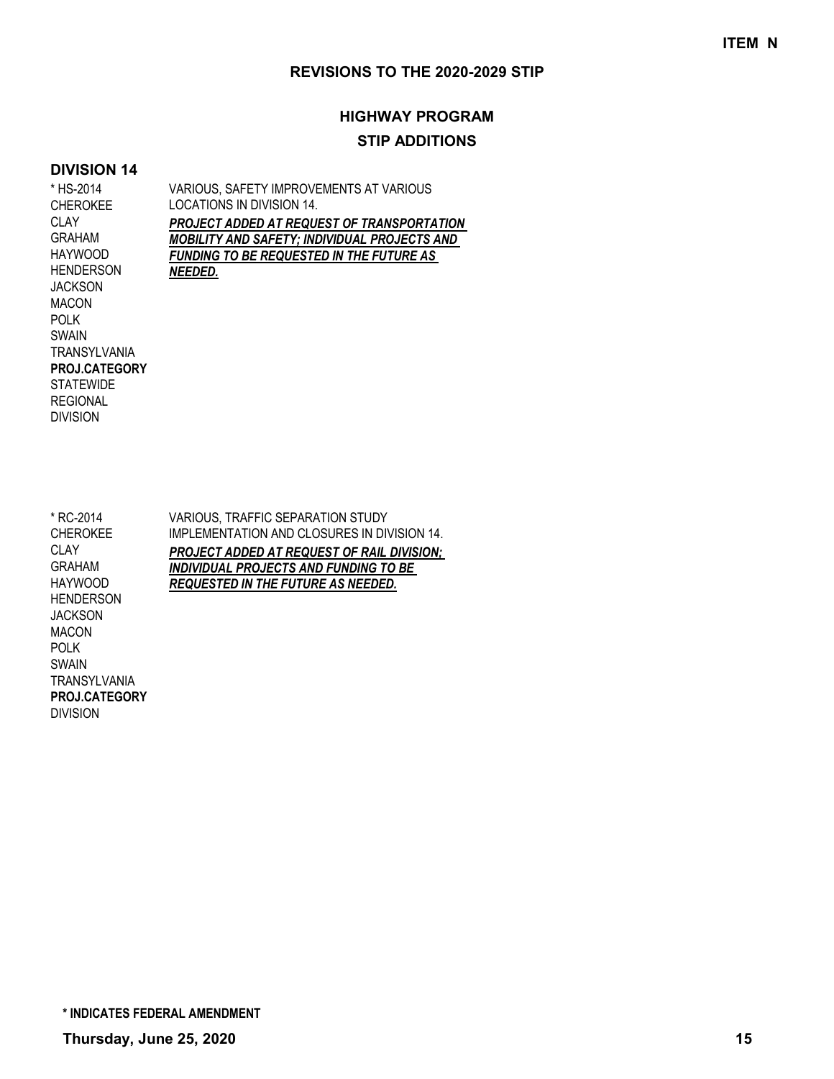## **HIGHWAY PROGRAM STIP ADDITIONS**

#### **DIVISION 14**

VARIOUS, SAFETY IMPROVEMENTS AT VARIOUS LOCATIONS IN DIVISION 14. *PROJECT ADDED AT REQUEST OF TRANSPORTATION MOBILITY AND SAFETY; INDIVIDUAL PROJECTS AND FUNDING TO BE REQUESTED IN THE FUTURE AS NEEDED.* \* HS-2014 CHEROKEE CLAY GRAHAM HAYWOOD HENDERSON **JACKSON** MACON POLK SWAIN **TRANSYLVANIA STATEWIDE REGIONAL** DIVISION **PROJ.CATEGORY**

VARIOUS, TRAFFIC SEPARATION STUDY IMPLEMENTATION AND CLOSURES IN DIVISION 14. *PROJECT ADDED AT REQUEST OF RAIL DIVISION; INDIVIDUAL PROJECTS AND FUNDING TO BE REQUESTED IN THE FUTURE AS NEEDED.* \* RC-2014 CHEROKEE CLAY GRAHAM HAYWOOD HENDERSON **JACKSON** MACON POLK SWAIN **TRANSYLVANIA** DIVISION **PROJ.CATEGORY**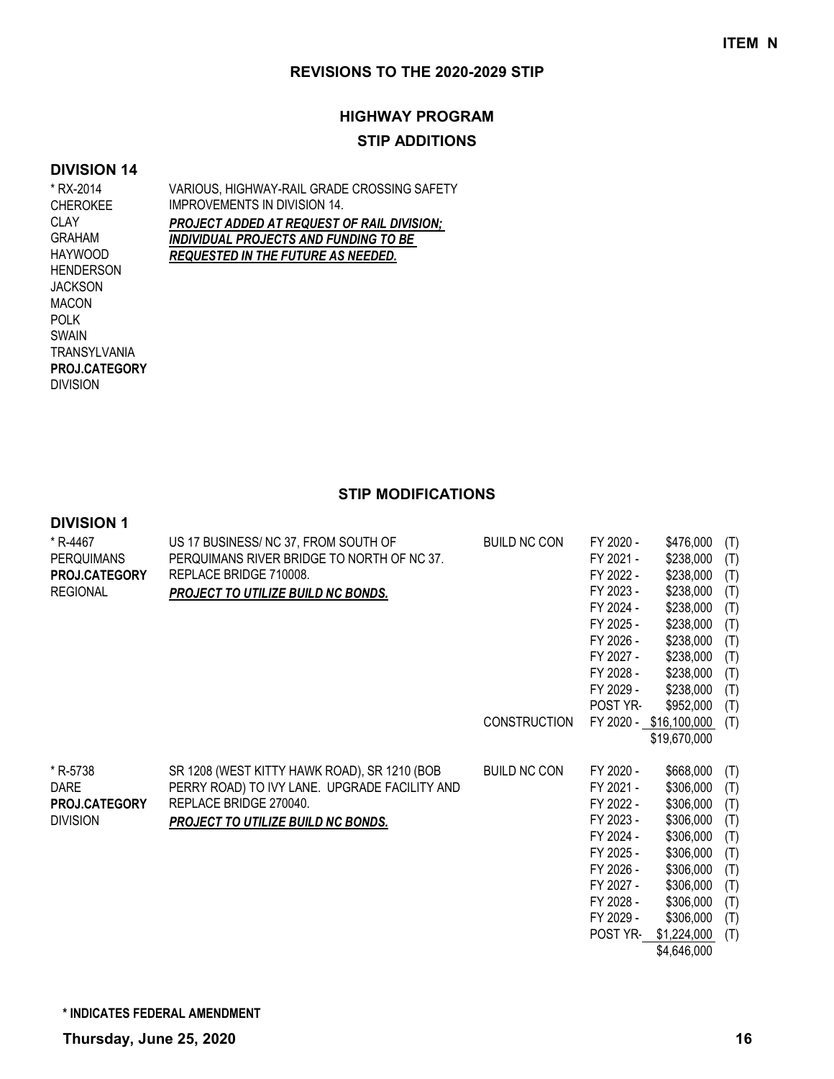# **HIGHWAY PROGRAM STIP ADDITIONS**

#### **DIVISION 14**

VARIOUS, HIGHWAY-RAIL GRADE CROSSING SAFETY IMPROVEMENTS IN DIVISION 14. *PROJECT ADDED AT REQUEST OF RAIL DIVISION; INDIVIDUAL PROJECTS AND FUNDING TO BE REQUESTED IN THE FUTURE AS NEEDED.* \* RX-2014 CHEROKEE CLAY GRAHAM HAYWOOD HENDERSON **JACKSON** MACON POLK SWAIN TRANSYLVANIA DIVISION **PROJ.CATEGORY**

**STIP MODIFICATIONS**

#### **DIVISION 1**

| * R-4467<br><b>PERQUIMANS</b><br>PROJ.CATEGORY<br><b>REGIONAL</b>  | US 17 BUSINESS/ NC 37, FROM SOUTH OF<br>PERQUIMANS RIVER BRIDGE TO NORTH OF NC 37.<br>REPLACE BRIDGE 710008.<br><b>PROJECT TO UTILIZE BUILD NC BONDS.</b>     | <b>BUILD NC CON</b><br><b>CONSTRUCTION</b> | FY 2020 -<br>FY 2021 -<br>FY 2022 -<br>FY 2023 -<br>FY 2024 -<br>FY 2025 -<br>FY 2026 -<br>FY 2027 -<br>FY 2028 -<br>FY 2029 -<br>POST YR-<br>FY 2020 - | \$476,000<br>\$238,000<br>\$238,000<br>\$238,000<br>\$238,000<br>\$238,000<br>\$238,000<br>\$238,000<br>\$238,000<br>\$238,000<br>\$952,000<br>\$16,100,000<br>\$19,670,000 | (T)<br>(T)<br>(T)<br>(T)<br>(T)<br>(T)<br>(T)<br>(T)<br>(T)<br>(T)<br>(T)<br>(T) |
|--------------------------------------------------------------------|---------------------------------------------------------------------------------------------------------------------------------------------------------------|--------------------------------------------|---------------------------------------------------------------------------------------------------------------------------------------------------------|-----------------------------------------------------------------------------------------------------------------------------------------------------------------------------|----------------------------------------------------------------------------------|
| * R-5738<br><b>DARE</b><br><b>PROJ.CATEGORY</b><br><b>DIVISION</b> | SR 1208 (WEST KITTY HAWK ROAD), SR 1210 (BOB<br>PERRY ROAD) TO IVY LANE. UPGRADE FACILITY AND<br>REPLACE BRIDGE 270040.<br>PROJECT TO UTILIZE BUILD NC BONDS. | <b>BUILD NC CON</b>                        | FY 2020 -<br>FY 2021 -<br>FY 2022 -<br>FY 2023 -<br>FY 2024 -<br>FY 2025 -<br>FY 2026 -<br>FY 2027 -<br>FY 2028 -<br>FY 2029 -<br>POST YR-              | \$668,000<br>\$306,000<br>\$306,000<br>\$306,000<br>\$306,000<br>\$306,000<br>\$306,000<br>\$306,000<br>\$306,000<br>\$306,000<br>\$1,224,000                               | (T)<br>(T)<br>(T)<br>(T)<br>(T)<br>(T)<br>(T)<br>(T)<br>(T)<br>(T)<br>(T)        |

\$4,646,000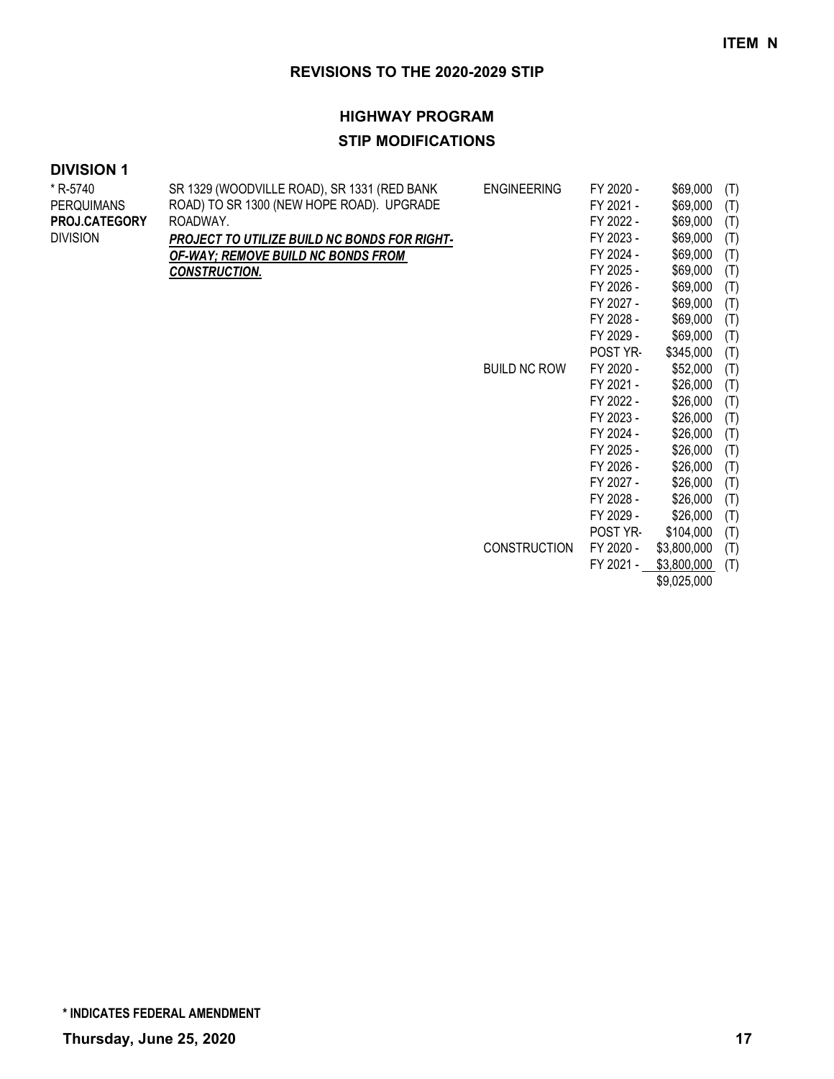### **HIGHWAY PROGRAM**

## **STIP MODIFICATIONS**

## **DIVISION 1**

| * R-5740          | SR 1329 (WOODVILLE ROAD), SR 1331 (RED BANK  | <b>ENGINEERING</b>  | FY 2020 - | \$69,000    | (T) |
|-------------------|----------------------------------------------|---------------------|-----------|-------------|-----|
| <b>PERQUIMANS</b> | ROAD) TO SR 1300 (NEW HOPE ROAD). UPGRADE    |                     | FY 2021 - | \$69,000    | (T) |
| PROJ.CATEGORY     | ROADWAY.                                     |                     | FY 2022 - | \$69,000    | (T) |
| <b>DIVISION</b>   | PROJECT TO UTILIZE BUILD NC BONDS FOR RIGHT- |                     | FY 2023 - | \$69,000    | (T) |
|                   | <b>OF-WAY; REMOVE BUILD NC BONDS FROM</b>    |                     | FY 2024 - | \$69,000    | (T) |
|                   | <b>CONSTRUCTION.</b>                         |                     | FY 2025 - | \$69,000    | (T) |
|                   |                                              |                     | FY 2026 - | \$69,000    | (T) |
|                   |                                              |                     | FY 2027 - | \$69,000    | (T) |
|                   |                                              |                     | FY 2028 - | \$69,000    | (T) |
|                   |                                              |                     | FY 2029 - | \$69,000    | (T) |
|                   |                                              |                     | POST YR-  | \$345,000   | (T) |
|                   |                                              | <b>BUILD NC ROW</b> | FY 2020 - | \$52,000    | (T) |
|                   |                                              |                     | FY 2021 - | \$26,000    | (T) |
|                   |                                              |                     | FY 2022 - | \$26,000    | (T) |
|                   |                                              |                     | FY 2023 - | \$26,000    | (T) |
|                   |                                              |                     | FY 2024 - | \$26,000    | (T) |
|                   |                                              |                     | FY 2025 - | \$26,000    | (T) |
|                   |                                              |                     | FY 2026 - | \$26,000    | (T) |
|                   |                                              |                     | FY 2027 - | \$26,000    | (T) |
|                   |                                              |                     | FY 2028 - | \$26,000    | (T) |
|                   |                                              |                     | FY 2029 - | \$26,000    | (T) |
|                   |                                              |                     | POST YR-  | \$104,000   | (T) |
|                   |                                              | <b>CONSTRUCTION</b> | FY 2020 - | \$3,800,000 | (T) |
|                   |                                              |                     | FY 2021 - | \$3,800,000 | (T) |

\$9,025,000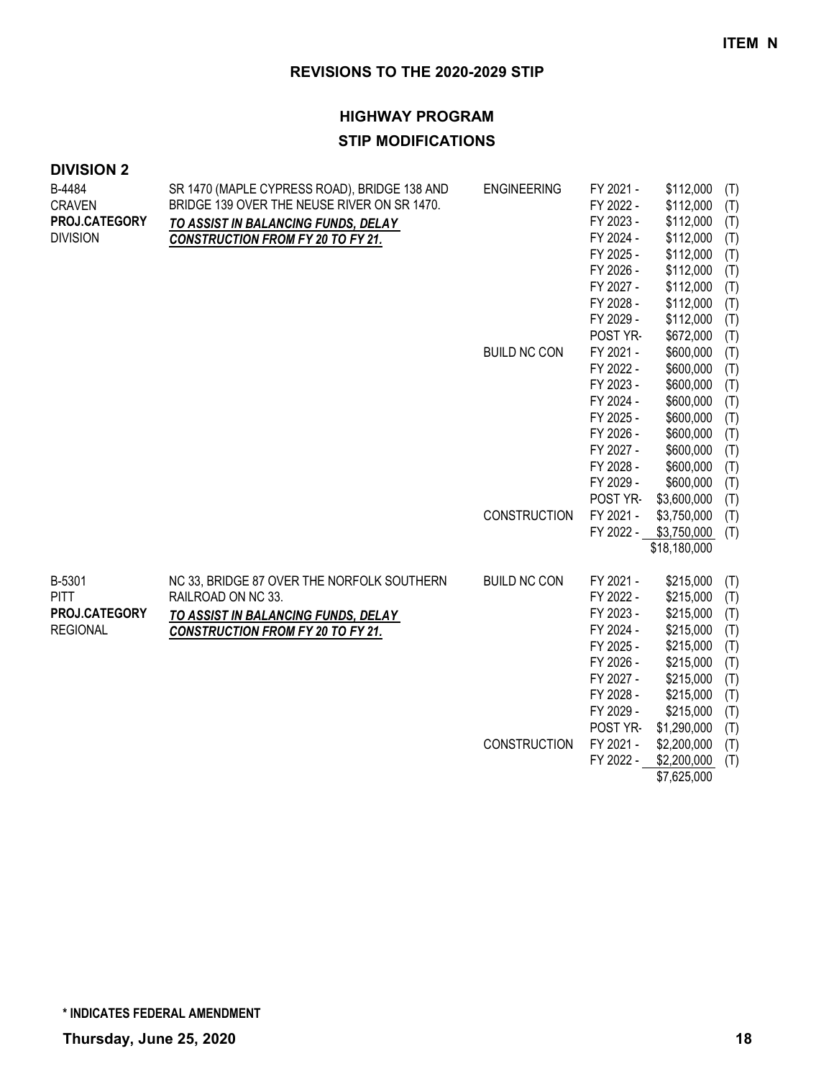## **HIGHWAY PROGRAM STIP MODIFICATIONS**

| <b>DIVISION 2</b>       |                                                                                             |                     |                        |                            |            |
|-------------------------|---------------------------------------------------------------------------------------------|---------------------|------------------------|----------------------------|------------|
| B-4484<br><b>CRAVEN</b> | SR 1470 (MAPLE CYPRESS ROAD), BRIDGE 138 AND<br>BRIDGE 139 OVER THE NEUSE RIVER ON SR 1470. | <b>ENGINEERING</b>  | FY 2021 -<br>FY 2022 - | \$112,000<br>\$112,000     | (T)<br>(T) |
| PROJ.CATEGORY           | TO ASSIST IN BALANCING FUNDS, DELAY                                                         |                     | FY 2023 -              | \$112,000                  | (T)        |
| <b>DIVISION</b>         | <b>CONSTRUCTION FROM FY 20 TO FY 21.</b>                                                    |                     | FY 2024 -              | \$112,000                  | (T)        |
|                         |                                                                                             |                     | FY 2025 -              | \$112,000                  | (T)        |
|                         |                                                                                             |                     | FY 2026 -              | \$112,000                  | (T)        |
|                         |                                                                                             |                     | FY 2027 -              | \$112,000                  | (T)        |
|                         |                                                                                             |                     | FY 2028 -              | \$112,000                  | (T)        |
|                         |                                                                                             |                     | FY 2029 -              | \$112,000                  | (T)        |
|                         |                                                                                             |                     | POST YR-               | \$672,000                  | (T)        |
|                         |                                                                                             | <b>BUILD NC CON</b> | FY 2021 -              | \$600,000                  | (T)        |
|                         |                                                                                             |                     | FY 2022 -              | \$600,000                  | (T)        |
|                         |                                                                                             |                     | FY 2023 -              | \$600,000                  | (T)        |
|                         |                                                                                             |                     | FY 2024 -              | \$600,000                  | (T)        |
|                         |                                                                                             |                     | FY 2025 -              | \$600,000                  | (T)        |
|                         |                                                                                             |                     | FY 2026 -              | \$600,000                  | (T)        |
|                         |                                                                                             |                     | FY 2027 -              | \$600,000                  | (T)        |
|                         |                                                                                             |                     | FY 2028 -              | \$600,000                  | (T)        |
|                         |                                                                                             |                     | FY 2029 -              | \$600,000                  | (T)        |
|                         |                                                                                             | <b>CONSTRUCTION</b> | POST YR-<br>FY 2021 -  | \$3,600,000                | (T)        |
|                         |                                                                                             |                     | FY 2022 -              | \$3,750,000<br>\$3,750,000 | (T)<br>(T) |
|                         |                                                                                             |                     |                        | \$18,180,000               |            |
|                         |                                                                                             |                     |                        |                            |            |
| B-5301                  | NC 33, BRIDGE 87 OVER THE NORFOLK SOUTHERN                                                  | <b>BUILD NC CON</b> | FY 2021 -              | \$215,000                  | (T)        |
| <b>PITT</b>             | RAILROAD ON NC 33.                                                                          |                     | FY 2022 -              | \$215,000                  | (T)        |
| PROJ.CATEGORY           | TO ASSIST IN BALANCING FUNDS, DELAY                                                         |                     | FY 2023 -              | \$215,000                  | (T)        |
| <b>REGIONAL</b>         | <b>CONSTRUCTION FROM FY 20 TO FY 21.</b>                                                    |                     | FY 2024 -              | \$215,000                  | (T)        |
|                         |                                                                                             |                     | FY 2025 -              | \$215,000                  | (T)        |
|                         |                                                                                             |                     | FY 2026 -              | \$215,000                  | (T)        |
|                         |                                                                                             |                     | FY 2027 -              | \$215,000                  | (T)        |
|                         |                                                                                             |                     | FY 2028 -              | \$215,000                  | (T)        |
|                         |                                                                                             |                     | FY 2029 -              | \$215,000                  | (T)        |
|                         |                                                                                             |                     | POST YR-               | \$1,290,000                | (T)        |
|                         |                                                                                             | <b>CONSTRUCTION</b> | FY 2021 -              | \$2,200,000                | (T)        |
|                         |                                                                                             |                     | FY 2022 -              | \$2,200,000                | (T)        |

\$7,625,000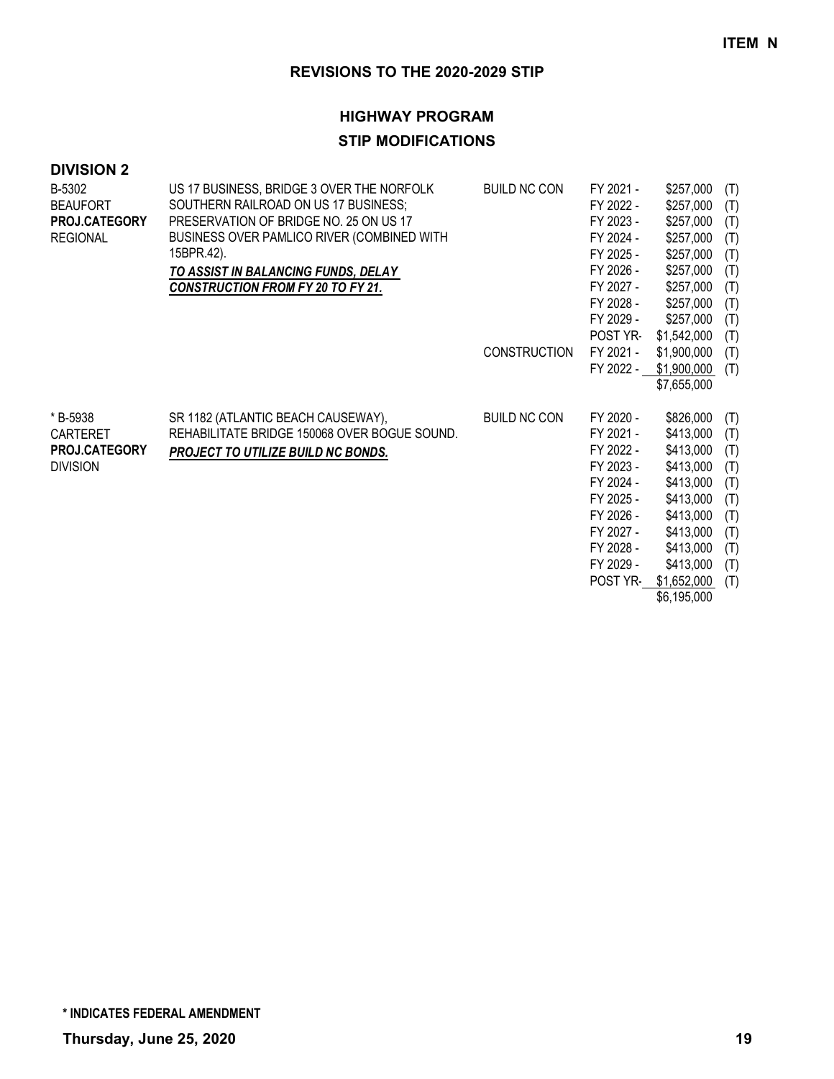### **HIGHWAY PROGRAM**

## **STIP MODIFICATIONS**

| <b>DIVISION 2</b> |                                              |                     |                 |             |     |
|-------------------|----------------------------------------------|---------------------|-----------------|-------------|-----|
| B-5302            | US 17 BUSINESS, BRIDGE 3 OVER THE NORFOLK    | <b>BUILD NC CON</b> | FY 2021 -       | \$257,000   | (T) |
| <b>BEAUFORT</b>   | SOUTHERN RAILROAD ON US 17 BUSINESS;         |                     | FY 2022 -       | \$257,000   | (T) |
| PROJ.CATEGORY     | PRESERVATION OF BRIDGE NO. 25 ON US 17       |                     | FY 2023 -       | \$257,000   | (T) |
| <b>REGIONAL</b>   | BUSINESS OVER PAMLICO RIVER (COMBINED WITH   |                     | FY 2024 -       | \$257,000   | (T) |
|                   | 15BPR.42).                                   |                     | FY 2025 -       | \$257,000   | (T) |
|                   | TO ASSIST IN BALANCING FUNDS, DELAY          |                     | FY 2026 -       | \$257,000   | (T) |
|                   | <b>CONSTRUCTION FROM FY 20 TO FY 21.</b>     |                     | FY 2027 -       | \$257,000   | (T) |
|                   |                                              |                     | FY 2028 -       | \$257,000   | (T) |
|                   |                                              |                     | FY 2029 -       | \$257,000   | (T) |
|                   |                                              |                     | <b>POST YR-</b> | \$1,542,000 | (T) |
|                   |                                              | <b>CONSTRUCTION</b> | FY 2021 -       | \$1,900,000 | (T) |
|                   |                                              |                     | FY 2022 -       | \$1,900,000 | (T) |
|                   |                                              |                     |                 | \$7,655,000 |     |
| * B-5938          | SR 1182 (ATLANTIC BEACH CAUSEWAY),           | <b>BUILD NC CON</b> | FY 2020 -       | \$826,000   | (T) |
| <b>CARTERET</b>   | REHABILITATE BRIDGE 150068 OVER BOGUE SOUND. |                     | FY 2021 -       | \$413,000   | (T) |
| PROJ.CATEGORY     | PROJECT TO UTILIZE BUILD NC BONDS.           |                     | FY 2022 -       | \$413,000   | (T) |
| <b>DIVISION</b>   |                                              |                     | FY 2023 -       | \$413,000   | (T) |
|                   |                                              |                     | FY 2024 -       | \$413,000   | (T) |
|                   |                                              |                     | FY 2025 -       | \$413,000   | (T) |
|                   |                                              |                     | FY 2026 -       | \$413,000   | (T) |
|                   |                                              |                     | FY 2027 -       | \$413,000   | (T) |
|                   |                                              |                     | FY 2028 -       | \$413,000   | (T) |
|                   |                                              |                     | FY 2029 -       | \$413,000   | (T) |

POST YR- \$1,652,000 (T)

\$6,195,000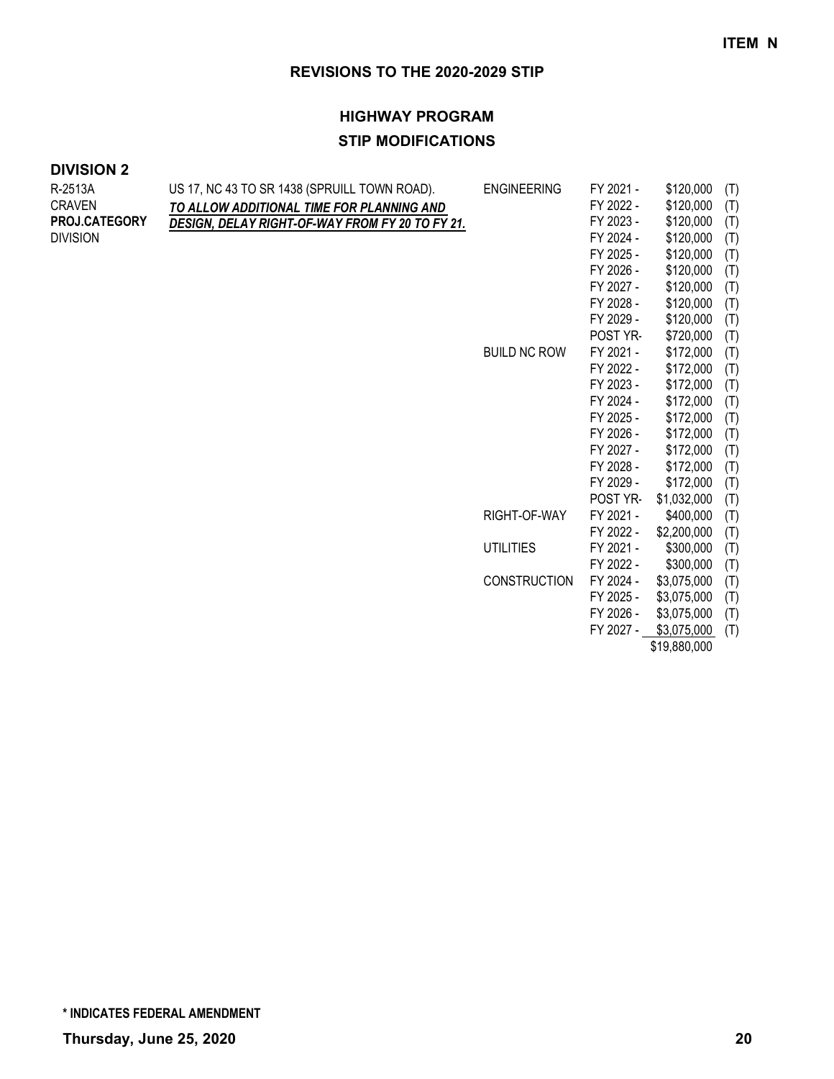POST YR- \$1,032,000 (T)

FY 2022 - \$2,200,000 (T)

FY 2022 - \$300,000 (T)

FY 2025 - \$3,075,000 (T) FY 2026 - \$3,075,000 (T) FY 2027 - \$3,075,000 (T) \$19,880,000

RIGHT-OF-WAY FY 2021 - \$400,000 (T)

UTILITIES FY 2021 - \$300,000 (T)

CONSTRUCTION FY 2024 - \$3,075,000 (T)

### **REVISIONS TO THE 2020-2029 STIP**

## **HIGHWAY PROGRAM STIP MODIFICATIONS**

| R-2513A              | US 17, NC 43 TO SR 1438 (SPRUILL TOWN ROAD).           | <b>ENGINEERING</b>  | FY 2021 - | \$120,000<br>(T) |
|----------------------|--------------------------------------------------------|---------------------|-----------|------------------|
| <b>CRAVEN</b>        | TO ALLOW ADDITIONAL TIME FOR PLANNING AND              |                     | FY 2022 - | \$120,000<br>(T) |
| <b>PROJ.CATEGORY</b> | <b>DESIGN. DELAY RIGHT-OF-WAY FROM FY 20 TO FY 21.</b> |                     | FY 2023 - | \$120,000<br>(T) |
| <b>DIVISION</b>      |                                                        |                     | FY 2024 - | \$120,000<br>(T) |
|                      |                                                        |                     | FY 2025 - | \$120,000<br>(T) |
|                      |                                                        |                     | FY 2026 - | \$120,000<br>(T) |
|                      |                                                        |                     | FY 2027 - | \$120,000<br>(T) |
|                      |                                                        |                     | FY 2028 - | \$120,000<br>(T) |
|                      |                                                        |                     | FY 2029 - | \$120,000<br>(T) |
|                      |                                                        |                     | POST YR-  | \$720,000<br>(T) |
|                      |                                                        | <b>BUILD NC ROW</b> | FY 2021 - | \$172,000<br>(T) |
|                      |                                                        |                     | FY 2022 - | \$172,000<br>(T) |
|                      |                                                        |                     | FY 2023 - | \$172,000<br>(T) |
|                      |                                                        |                     | FY 2024 - | \$172,000<br>(T) |
|                      |                                                        |                     | FY 2025 - | \$172,000<br>(T) |
|                      |                                                        |                     | FY 2026 - | \$172,000<br>(T) |
|                      |                                                        |                     | FY 2027 - | \$172,000<br>(T) |
|                      |                                                        |                     | FY 2028 - | \$172,000<br>(T) |
|                      |                                                        |                     | FY 2029 - | \$172,000<br>(T) |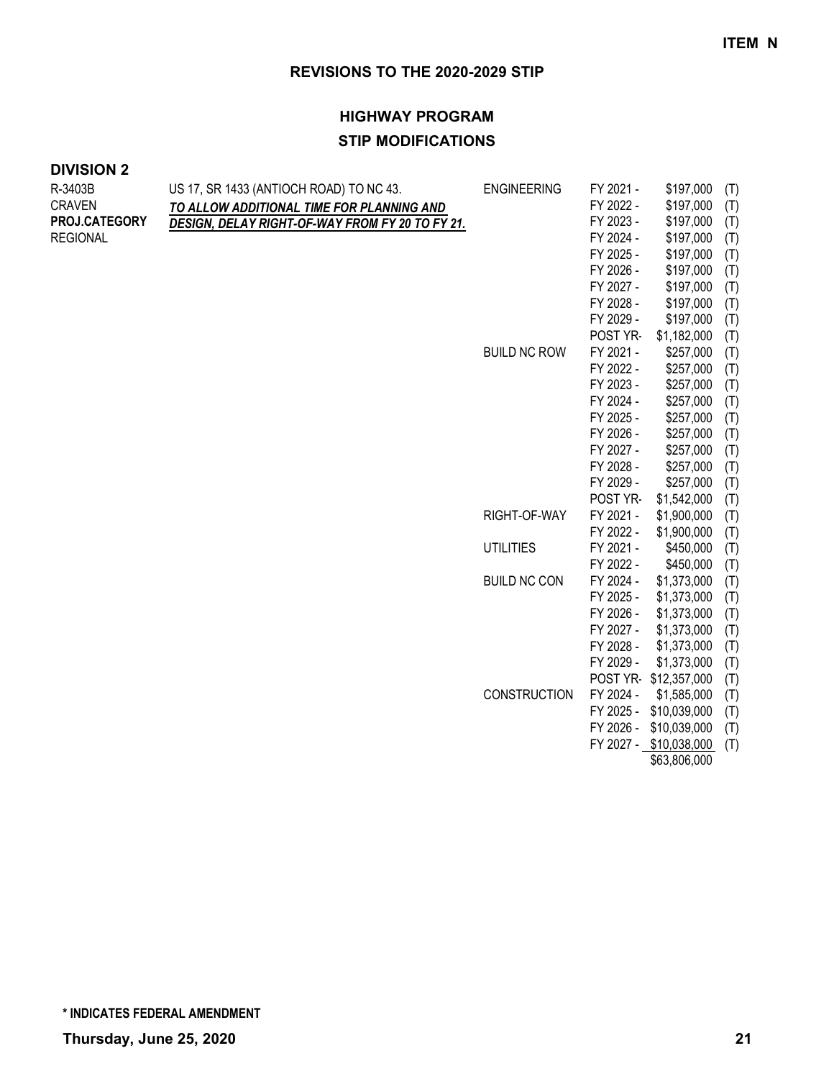## **HIGHWAY PROGRAM STIP MODIFICATIONS**

## **DIVISION 2**

| R-3403B         | US 17, SR 1433 (ANTIOCH ROAD) TO NC 43.         | <b>ENGINEERING</b>  | FY 2021 - | \$197,000              | (T) |
|-----------------|-------------------------------------------------|---------------------|-----------|------------------------|-----|
| <b>CRAVEN</b>   | TO ALLOW ADDITIONAL TIME FOR PLANNING AND       |                     | FY 2022 - | \$197,000              | (T) |
| PROJ.CATEGORY   | DESIGN, DELAY RIGHT-OF-WAY FROM FY 20 TO FY 21. |                     | FY 2023 - | \$197,000              | (T) |
| <b>REGIONAL</b> |                                                 |                     | FY 2024 - | \$197,000              | (T) |
|                 |                                                 |                     | FY 2025 - | \$197,000              | (T) |
|                 |                                                 |                     | FY 2026 - | \$197,000              | (T) |
|                 |                                                 |                     | FY 2027 - | \$197,000              | (T) |
|                 |                                                 |                     | FY 2028 - | \$197,000              | (T) |
|                 |                                                 |                     | FY 2029 - | \$197,000              | (T) |
|                 |                                                 |                     | POST YR-  | \$1,182,000            | (T) |
|                 |                                                 | <b>BUILD NC ROW</b> | FY 2021 - | \$257,000              | (T) |
|                 |                                                 |                     | FY 2022 - | \$257,000              | (T) |
|                 |                                                 |                     | FY 2023 - | \$257,000              | (T) |
|                 |                                                 |                     | FY 2024 - | \$257,000              | (T) |
|                 |                                                 |                     | FY 2025 - | \$257,000              | (T) |
|                 |                                                 |                     | FY 2026 - | \$257,000              | (T) |
|                 |                                                 |                     | FY 2027 - | \$257,000              | (T) |
|                 |                                                 |                     | FY 2028 - | \$257,000              | (T) |
|                 |                                                 |                     | FY 2029 - | \$257,000              | (T) |
|                 |                                                 |                     | POST YR-  | \$1,542,000            | (T) |
|                 |                                                 | RIGHT-OF-WAY        | FY 2021 - | \$1,900,000            | (T) |
|                 |                                                 |                     | FY 2022 - | \$1,900,000            | (T) |
|                 |                                                 | <b>UTILITIES</b>    | FY 2021 - | \$450,000              | (T) |
|                 |                                                 |                     | FY 2022 - | \$450,000              | (T) |
|                 |                                                 | <b>BUILD NC CON</b> | FY 2024 - | \$1,373,000            | (T) |
|                 |                                                 |                     | FY 2025 - | \$1,373,000            | (T) |
|                 |                                                 |                     | FY 2026 - | \$1,373,000            | (T) |
|                 |                                                 |                     | FY 2027 - | \$1,373,000            | (T) |
|                 |                                                 |                     | FY 2028 - | \$1,373,000            | (T) |
|                 |                                                 |                     | FY 2029 - | \$1,373,000            | (T) |
|                 |                                                 |                     |           | POST YR-\$12,357,000   | (T) |
|                 |                                                 | <b>CONSTRUCTION</b> | FY 2024 - | \$1,585,000            | (T) |
|                 |                                                 |                     | FY 2025 - | \$10,039,000           | (T) |
|                 |                                                 |                     | FY 2026 - | \$10,039,000           | (T) |
|                 |                                                 |                     |           | FY 2027 - \$10,038,000 | (T) |

\$63,806,000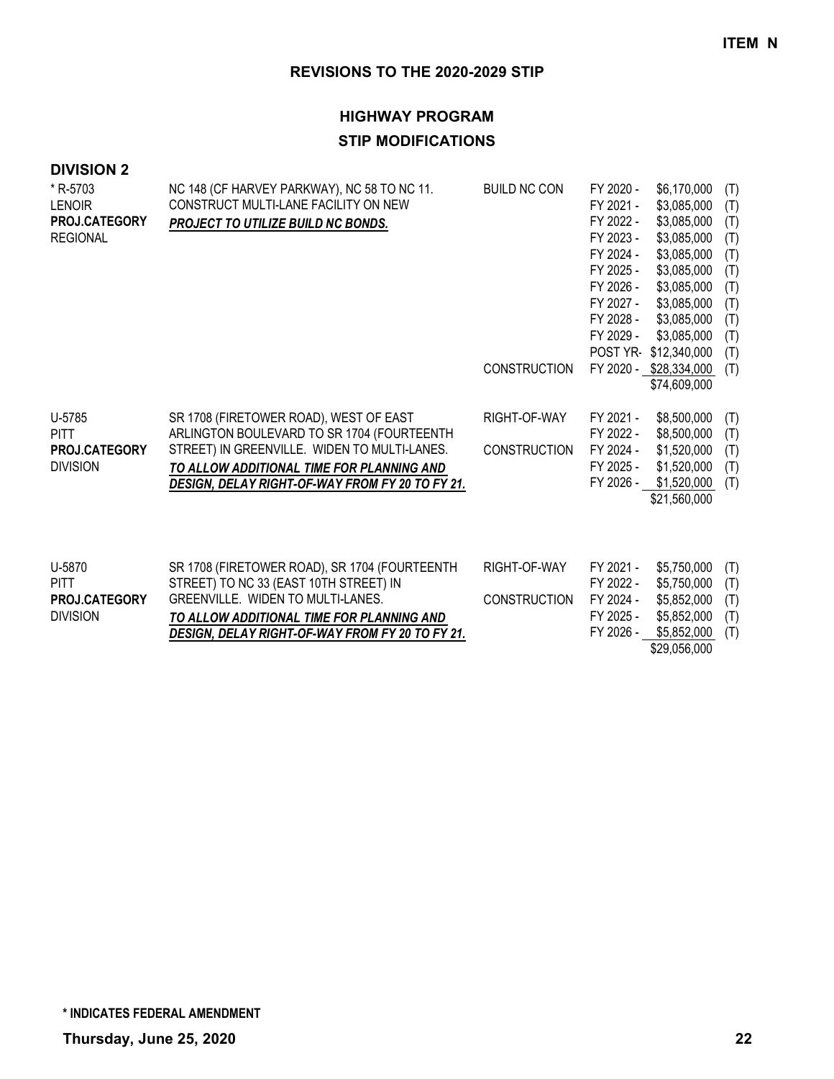## **HIGHWAY PROGRAM STIP MODIFICATIONS**

| * R-5703             | NC 148 (CF HARVEY PARKWAY), NC 58 TO NC 11.     | <b>BUILD NC CON</b> | FY 2020 - | \$6,170,000            | (T) |
|----------------------|-------------------------------------------------|---------------------|-----------|------------------------|-----|
| <b>LENOIR</b>        | CONSTRUCT MULTI-LANE FACILITY ON NEW            |                     | FY 2021 - | \$3,085,000            | (T) |
| PROJ.CATEGORY        | PROJECT TO UTILIZE BUILD NC BONDS.              |                     | FY 2022 - | \$3,085,000            | (T) |
| <b>REGIONAL</b>      |                                                 |                     | FY 2023 - | \$3,085,000            | (T) |
|                      |                                                 |                     | FY 2024 - | \$3,085,000            | (T) |
|                      |                                                 |                     | FY 2025 - | \$3,085,000            | (T) |
|                      |                                                 |                     | FY 2026 - | \$3,085,000            | (T) |
|                      |                                                 |                     | FY 2027 - | \$3,085,000            | (T) |
|                      |                                                 |                     | FY 2028 - | \$3,085,000            | (T) |
|                      |                                                 |                     | FY 2029 - | \$3,085,000            | (T) |
|                      |                                                 |                     |           | POST YR-\$12,340,000   | (T) |
|                      |                                                 | <b>CONSTRUCTION</b> |           | FY 2020 - \$28,334,000 | (T) |
|                      |                                                 |                     |           | \$74,609,000           |     |
|                      |                                                 |                     |           |                        |     |
| U-5785               | SR 1708 (FIRETOWER ROAD), WEST OF EAST          | RIGHT-OF-WAY        | FY 2021 - | \$8,500,000            | (T) |
| <b>PITT</b>          | ARLINGTON BOULEVARD TO SR 1704 (FOURTEENTH      |                     | FY 2022 - | \$8,500,000            | (T) |
| <b>PROJ.CATEGORY</b> | STREET) IN GREENVILLE. WIDEN TO MULTI-LANES.    | <b>CONSTRUCTION</b> | FY 2024 - | \$1,520,000            | (T) |
| <b>DIVISION</b>      | TO ALLOW ADDITIONAL TIME FOR PLANNING AND       |                     | FY 2025 - | \$1,520,000            | (T) |
|                      | DESIGN, DELAY RIGHT-OF-WAY FROM FY 20 TO FY 21. |                     | FY 2026 - | \$1,520,000            | (T) |
|                      |                                                 |                     |           | \$21,560,000           |     |
|                      |                                                 |                     |           |                        |     |
|                      |                                                 |                     |           |                        |     |

| U-5870               | SR 1708 (FIRETOWER ROAD), SR 1704 (FOURTEENTH   | RIGHT-OF-WAY                           | FY 2021 - | \$5,750,000 (T) |  |
|----------------------|-------------------------------------------------|----------------------------------------|-----------|-----------------|--|
| <b>PITT</b>          | STREET) TO NC 33 (EAST 10TH STREET) IN          |                                        | FY 2022 - | \$5,750,000 (T) |  |
| <b>PROJ.CATEGORY</b> | GREENVILLE. WIDEN TO MULTI-LANES.               | CONSTRUCTION FY 2024 - \$5,852,000 (T) |           |                 |  |
| <b>DIVISION</b>      | TO ALLOW ADDITIONAL TIME FOR PLANNING AND       |                                        | FY 2025 - | \$5,852,000 (T) |  |
|                      | DESIGN, DELAY RIGHT-OF-WAY FROM FY 20 TO FY 21. |                                        | FY 2026 - | \$5,852,000 (T) |  |
|                      |                                                 |                                        |           | \$29,056,000    |  |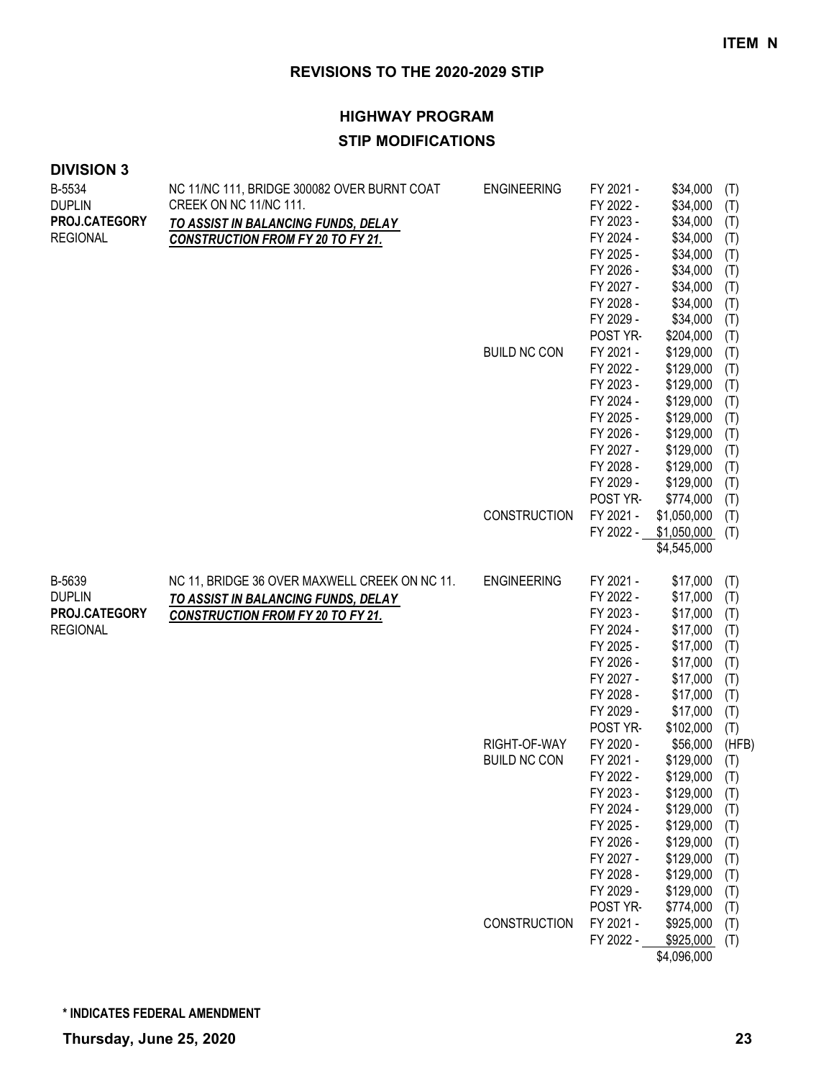## **HIGHWAY PROGRAM STIP MODIFICATIONS**

| <b>DIVISION 3</b> |  |  |  |
|-------------------|--|--|--|
|-------------------|--|--|--|

| B-5534<br><b>DUPLIN</b><br>PROJ.CATEGORY<br><b>REGIONAL</b> | NC 11/NC 111, BRIDGE 300082 OVER BURNT COAT<br>CREEK ON NC 11/NC 111.<br>TO ASSIST IN BALANCING FUNDS, DELAY<br><b>CONSTRUCTION FROM FY 20 TO FY 21.</b> | <b>ENGINEERING</b>                  | FY 2021 -<br>FY 2022 -<br>FY 2023 -<br>FY 2024 -<br>FY 2025 -<br>FY 2026 -<br>FY 2027 -<br>FY 2028 -<br>FY 2029 -                                      | \$34,000<br>\$34,000<br>\$34,000<br>\$34,000<br>\$34,000<br>\$34,000<br>\$34,000<br>\$34,000<br>\$34,000                                                | (T)<br>(T)<br>(T)<br>(T)<br>(T)<br>(T)<br>(T)<br>(T)<br>(T)                        |
|-------------------------------------------------------------|----------------------------------------------------------------------------------------------------------------------------------------------------------|-------------------------------------|--------------------------------------------------------------------------------------------------------------------------------------------------------|---------------------------------------------------------------------------------------------------------------------------------------------------------|------------------------------------------------------------------------------------|
|                                                             |                                                                                                                                                          | <b>BUILD NC CON</b>                 | POST YR-<br>FY 2021 -<br>FY 2022 -<br>FY 2023 -<br>FY 2024 -<br>FY 2025 -<br>FY 2026 -<br>FY 2027 -<br>FY 2028 -<br>FY 2029 -<br>POST YR-              | \$204,000<br>\$129,000<br>\$129,000<br>\$129,000<br>\$129,000<br>\$129,000<br>\$129,000<br>\$129,000<br>\$129,000<br>\$129,000<br>\$774,000             | (T)<br>(T)<br>(T)<br>(T)<br>(T)<br>(T)<br>(T)<br>(T)<br>(T)<br>(T)<br>(T)          |
|                                                             |                                                                                                                                                          | <b>CONSTRUCTION</b>                 | FY 2021 -                                                                                                                                              | \$1,050,000<br>FY 2022 - \$1,050,000<br>\$4,545,000                                                                                                     | (T)<br>(T)                                                                         |
| B-5639<br><b>DUPLIN</b><br>PROJ.CATEGORY<br><b>REGIONAL</b> | NC 11, BRIDGE 36 OVER MAXWELL CREEK ON NC 11.<br>TO ASSIST IN BALANCING FUNDS, DELAY<br><b>CONSTRUCTION FROM FY 20 TO FY 21.</b>                         | <b>ENGINEERING</b>                  | FY 2021 -<br>FY 2022 -<br>FY 2023 -<br>FY 2024 -<br>FY 2025 -<br>FY 2026 -<br>FY 2027 -<br>FY 2028 -<br>FY 2029 -                                      | \$17,000<br>\$17,000<br>\$17,000<br>\$17,000<br>\$17,000<br>\$17,000<br>\$17,000<br>\$17,000<br>\$17,000                                                | (T)<br>(T)<br>(T)<br>(T)<br>(T)<br>(T)<br>(T)<br>(T)<br>(T)                        |
|                                                             |                                                                                                                                                          | RIGHT-OF-WAY<br><b>BUILD NC CON</b> | POST YR-<br>FY 2020 -<br>FY 2021 -<br>FY 2022 -<br>FY 2023 -<br>FY 2024 -<br>FY 2025 -<br>FY 2026 -<br>FY 2027 -<br>FY 2028 -<br>FY 2029 -<br>POST YR- | \$102,000<br>\$56,000<br>\$129,000<br>\$129,000<br>\$129,000<br>\$129,000<br>\$129,000<br>\$129,000<br>\$129,000<br>\$129,000<br>\$129,000<br>\$774,000 | (T)<br>(HFB)<br>(T)<br>(T)<br>(T)<br>(T)<br>(T)<br>(T)<br>(T)<br>(T)<br>(T)<br>(T) |
|                                                             |                                                                                                                                                          | CONSTRUCTION                        | FY 2021 -<br>FY 2022 -                                                                                                                                 | \$925,000<br>\$925,000<br>\$4,096,000                                                                                                                   | (T)<br>(T)                                                                         |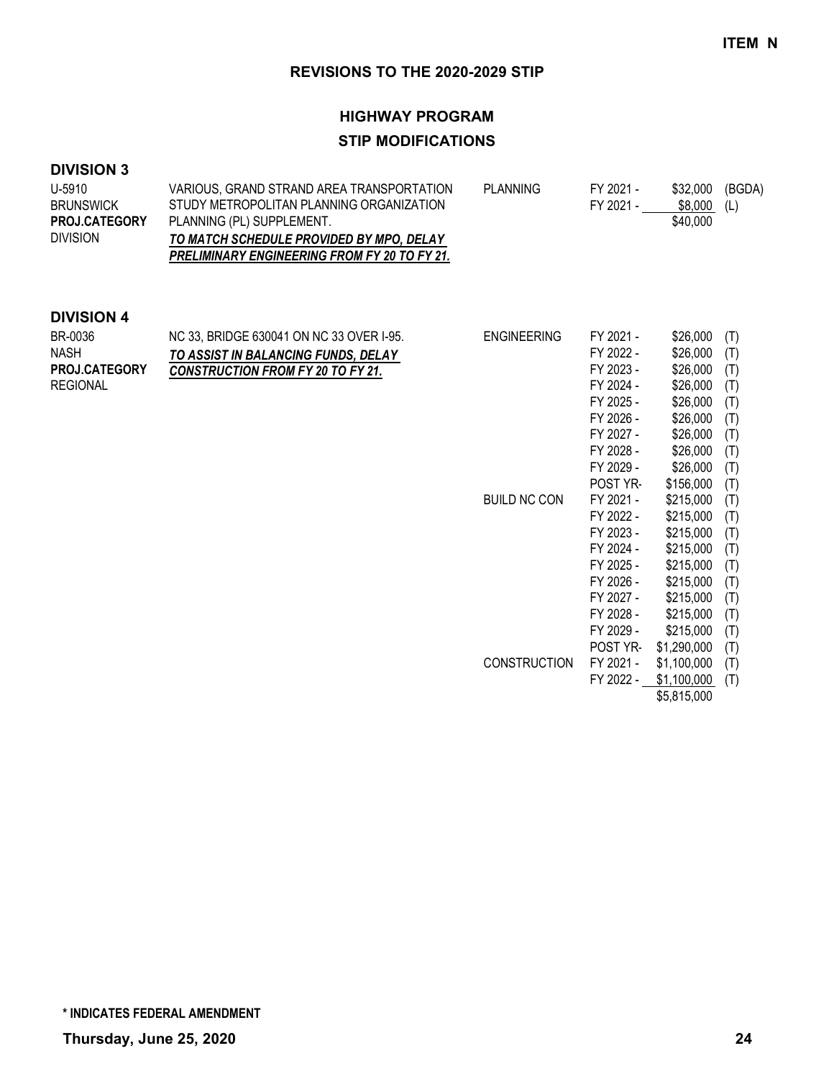## **HIGHWAY PROGRAM STIP MODIFICATIONS**

## **DIVISION 3**

| U-5910               | VARIOUS, GRAND STRAND AREA TRANSPORTATION           | PLANNING | FY 2021 - | \$32.000 | (BGDA) |
|----------------------|-----------------------------------------------------|----------|-----------|----------|--------|
| <b>BRUNSWICK</b>     | STUDY METROPOLITAN PLANNING ORGANIZATION            |          | FY 2021 - | \$8.000  | (L)    |
| <b>PROJ.CATEGORY</b> | PLANNING (PL) SUPPLEMENT.                           |          |           | \$40,000 |        |
| <b>DIVISION</b>      | TO MATCH SCHEDULE PROVIDED BY MPO, DELAY            |          |           |          |        |
|                      | <b>PRELIMINARY ENGINEERING FROM FY 20 TO FY 21.</b> |          |           |          |        |

| BR-0036<br><b>NASH</b><br>PROJ.CATEGORY<br><b>REGIONAL</b> | NC 33, BRIDGE 630041 ON NC 33 OVER I-95.<br>TO ASSIST IN BALANCING FUNDS, DELAY<br><b>CONSTRUCTION FROM FY 20 TO FY 21.</b> | <b>ENGINEERING</b>  | FY 2021 -<br>FY 2022 -<br>FY 2023 -<br>FY 2024 -<br>FY 2025 - | \$26,000<br>\$26,000<br>\$26,000<br>\$26,000<br>\$26,000 | (T)<br>(T)<br>(T)<br>(T)<br>(T) |
|------------------------------------------------------------|-----------------------------------------------------------------------------------------------------------------------------|---------------------|---------------------------------------------------------------|----------------------------------------------------------|---------------------------------|
|                                                            |                                                                                                                             |                     | FY 2026 -                                                     | \$26,000                                                 | (T)                             |
|                                                            |                                                                                                                             |                     | FY 2027 -                                                     | \$26,000                                                 | (T)                             |
|                                                            |                                                                                                                             |                     | FY 2028 -                                                     | \$26,000                                                 | (T)                             |
|                                                            |                                                                                                                             |                     | FY 2029 -                                                     | \$26,000                                                 | (T)                             |
|                                                            |                                                                                                                             |                     | POST YR-                                                      | \$156,000                                                | (T)                             |
|                                                            |                                                                                                                             | <b>BUILD NC CON</b> | FY 2021 -                                                     | \$215,000                                                | (T)                             |
|                                                            |                                                                                                                             |                     | FY 2022 -                                                     | \$215,000                                                | (T)                             |
|                                                            |                                                                                                                             |                     | FY 2023 -                                                     | \$215,000                                                | (T)                             |
|                                                            |                                                                                                                             |                     | FY 2024 -                                                     | \$215,000                                                | (T)                             |
|                                                            |                                                                                                                             |                     | FY 2025 -                                                     | \$215,000                                                | (T)                             |
|                                                            |                                                                                                                             |                     | FY 2026 -                                                     | \$215,000                                                | (T)                             |
|                                                            |                                                                                                                             |                     | FY 2027 -                                                     | \$215,000                                                | (T)                             |
|                                                            |                                                                                                                             |                     | FY 2028 -                                                     | \$215,000                                                | (T)                             |
|                                                            |                                                                                                                             |                     | FY 2029 -                                                     | \$215,000                                                | (T)                             |
|                                                            |                                                                                                                             |                     | <b>POST YR-</b>                                               | \$1,290,000                                              | (T)                             |
|                                                            |                                                                                                                             | <b>CONSTRUCTION</b> | FY 2021 -                                                     | \$1,100,000                                              | (T)                             |
|                                                            |                                                                                                                             |                     | FY 2022 -                                                     | \$1,100,000                                              | (T)                             |
|                                                            |                                                                                                                             |                     |                                                               | \$5,815,000                                              |                                 |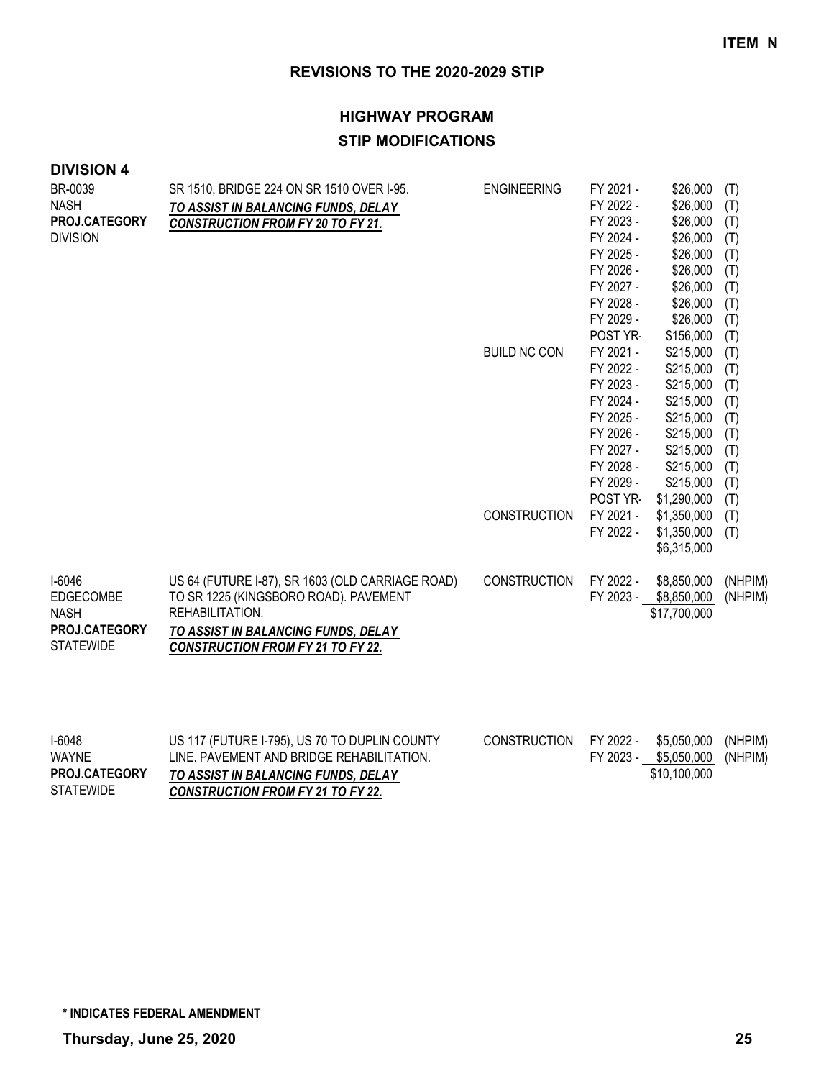## **HIGHWAY PROGRAM STIP MODIFICATIONS**

| BR-0039<br><b>NASH</b><br>PROJ.CATEGORY<br><b>DIVISION</b>              | SR 1510, BRIDGE 224 ON SR 1510 OVER I-95.<br>TO ASSIST IN BALANCING FUNDS, DELAY<br><b>CONSTRUCTION FROM FY 20 TO FY 21.</b>                                                                    | <b>ENGINEERING</b>  | FY 2021 -<br>FY 2022 -<br>FY 2023 -<br>FY 2024 -<br>FY 2025 -<br>FY 2026 -<br>FY 2027 -<br>FY 2028 -                                       | \$26,000<br>\$26,000<br>\$26,000<br>\$26,000<br>\$26,000<br>\$26,000<br>\$26,000<br>\$26,000                                               | (T)<br>(T)<br>(T)<br>(T)<br>(T)<br>(T)<br>(T)<br>(T)                      |
|-------------------------------------------------------------------------|-------------------------------------------------------------------------------------------------------------------------------------------------------------------------------------------------|---------------------|--------------------------------------------------------------------------------------------------------------------------------------------|--------------------------------------------------------------------------------------------------------------------------------------------|---------------------------------------------------------------------------|
|                                                                         |                                                                                                                                                                                                 | <b>BUILD NC CON</b> | FY 2029 -<br>POST YR-<br>FY 2021 -<br>FY 2022 -<br>FY 2023 -<br>FY 2024 -<br>FY 2025 -<br>FY 2026 -<br>FY 2027 -<br>FY 2028 -<br>FY 2029 - | \$26,000<br>\$156,000<br>\$215,000<br>\$215,000<br>\$215,000<br>\$215,000<br>\$215,000<br>\$215,000<br>\$215,000<br>\$215,000<br>\$215,000 | (T)<br>(T)<br>(T)<br>(T)<br>(T)<br>(T)<br>(T)<br>(T)<br>(T)<br>(T)<br>(T) |
|                                                                         |                                                                                                                                                                                                 | <b>CONSTRUCTION</b> | POST YR-<br>FY 2021 -<br>FY 2022 -                                                                                                         | \$1,290,000<br>\$1,350,000<br>\$1,350,000<br>\$6,315,000                                                                                   | (T)<br>(T)<br>(T)                                                         |
| I-6046<br>EDGECOMBE<br><b>NASH</b><br>PROJ.CATEGORY<br><b>STATEWIDE</b> | US 64 (FUTURE I-87), SR 1603 (OLD CARRIAGE ROAD)<br>TO SR 1225 (KINGSBORO ROAD). PAVEMENT<br>REHABILITATION.<br>TO ASSIST IN BALANCING FUNDS, DELAY<br><b>CONSTRUCTION FROM FY 21 TO FY 22.</b> | <b>CONSTRUCTION</b> | FY 2022 -<br>FY 2023 -                                                                                                                     | \$8,850,000<br>\$8,850,000<br>\$17,700,000                                                                                                 | (NHPIM)<br>(NHPIM)                                                        |

| $I-6048$             | US 117 (FUTURE I-795), US 70 TO DUPLIN COUNTY | CONSTRUCTION FY 2022 - | \$5.050.000 (NHPIM)           |  |
|----------------------|-----------------------------------------------|------------------------|-------------------------------|--|
| <b>WAYNE</b>         | LINE. PAVEMENT AND BRIDGE REHABILITATION.     |                        | FY 2023 - \$5,050,000 (NHPIM) |  |
| <b>PROJ.CATEGORY</b> | TO ASSIST IN BALANCING FUNDS. DELAY           |                        | \$10,100,000                  |  |
| <b>STATEWIDE</b>     | <b>CONSTRUCTION FROM FY 21 TO FY 22.</b>      |                        |                               |  |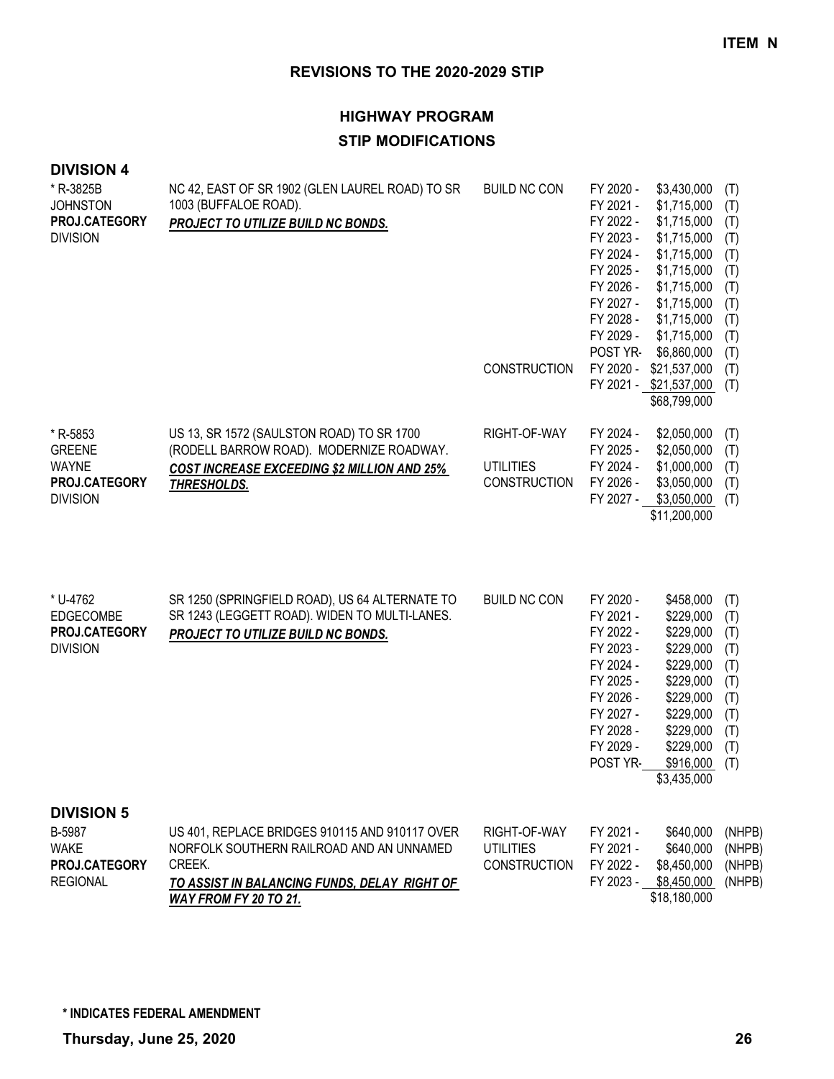## **HIGHWAY PROGRAM STIP MODIFICATIONS**

| * R-3825B<br><b>JOHNSTON</b><br>PROJ.CATEGORY<br><b>DIVISION</b>               | NC 42, EAST OF SR 1902 (GLEN LAUREL ROAD) TO SR<br>1003 (BUFFALOE ROAD).<br>PROJECT TO UTILIZE BUILD NC BONDS.                                                                | <b>BUILD NC CON</b><br><b>CONSTRUCTION</b>              | FY 2020 -<br>\$3,430,000<br>\$1,715,000<br>FY 2021 -<br>FY 2022 -<br>\$1,715,000<br>FY 2023 -<br>\$1,715,000<br>FY 2024 -<br>\$1,715,000<br>FY 2025 -<br>\$1,715,000<br>FY 2026 -<br>\$1,715,000<br>FY 2027 -<br>\$1,715,000<br>FY 2028 -<br>\$1,715,000<br>FY 2029 -<br>\$1,715,000<br>POST YR-<br>\$6,860,000<br>FY 2020 -<br>\$21,537,000<br>FY 2021 - \$21,537,000<br>\$68,799,000 | (T)<br>(T)<br>(T)<br>(T)<br>(T)<br>(T)<br>(T)<br>(T)<br>(T)<br>(T)<br>(T)<br>(T)<br>(T) |
|--------------------------------------------------------------------------------|-------------------------------------------------------------------------------------------------------------------------------------------------------------------------------|---------------------------------------------------------|----------------------------------------------------------------------------------------------------------------------------------------------------------------------------------------------------------------------------------------------------------------------------------------------------------------------------------------------------------------------------------------|-----------------------------------------------------------------------------------------|
| * R-5853<br><b>GREENE</b><br><b>WAYNE</b><br>PROJ.CATEGORY<br><b>DIVISION</b>  | US 13, SR 1572 (SAULSTON ROAD) TO SR 1700<br>(RODELL BARROW ROAD). MODERNIZE ROADWAY.<br><b>COST INCREASE EXCEEDING \$2 MILLION AND 25%</b><br>THRESHOLDS.                    | RIGHT-OF-WAY<br><b>UTILITIES</b><br><b>CONSTRUCTION</b> | FY 2024 -<br>\$2,050,000<br>\$2,050,000<br>FY 2025 -<br>FY 2024 -<br>\$1,000,000<br>FY 2026 -<br>\$3,050,000<br>FY 2027 - \$3,050,000<br>\$11,200,000                                                                                                                                                                                                                                  | (T)<br>(T)<br>(T)<br>(T)<br>(T)                                                         |
| * U-4762<br><b>EDGECOMBE</b><br>PROJ.CATEGORY<br><b>DIVISION</b>               | SR 1250 (SPRINGFIELD ROAD), US 64 ALTERNATE TO<br>SR 1243 (LEGGETT ROAD). WIDEN TO MULTI-LANES.<br>PROJECT TO UTILIZE BUILD NC BONDS.                                         | <b>BUILD NC CON</b>                                     | FY 2020 -<br>\$458,000<br>FY 2021 -<br>\$229,000<br>FY 2022 -<br>\$229,000<br>FY 2023 -<br>\$229,000<br>FY 2024 -<br>\$229,000<br>FY 2025 -<br>\$229,000<br>FY 2026 -<br>\$229,000<br>FY 2027 -<br>\$229,000<br>FY 2028 -<br>\$229,000<br>FY 2029 -<br>\$229,000<br>POST YR-<br>\$916,000<br>\$3,435,000                                                                               | (T)<br>(T)<br>(T)<br>(T)<br>(T)<br>(T)<br>(T)<br>(T)<br>(T)<br>(T)<br>(T)               |
| <b>DIVISION 5</b><br>B-5987<br><b>WAKE</b><br>PROJ.CATEGORY<br><b>REGIONAL</b> | US 401, REPLACE BRIDGES 910115 AND 910117 OVER<br>NORFOLK SOUTHERN RAILROAD AND AN UNNAMED<br>CREEK.<br>TO ASSIST IN BALANCING FUNDS, DELAY RIGHT OF<br>WAY FROM FY 20 TO 21. | RIGHT-OF-WAY<br><b>UTILITIES</b><br><b>CONSTRUCTION</b> | FY 2021 -<br>\$640,000<br>FY 2021 -<br>\$640,000<br>FY 2022 -<br>\$8,450,000<br>FY 2023 -<br>\$8,450,000<br>\$18,180,000                                                                                                                                                                                                                                                               | (NHPB)<br>(NHPB)<br>(NHPB)<br>(NHPB)                                                    |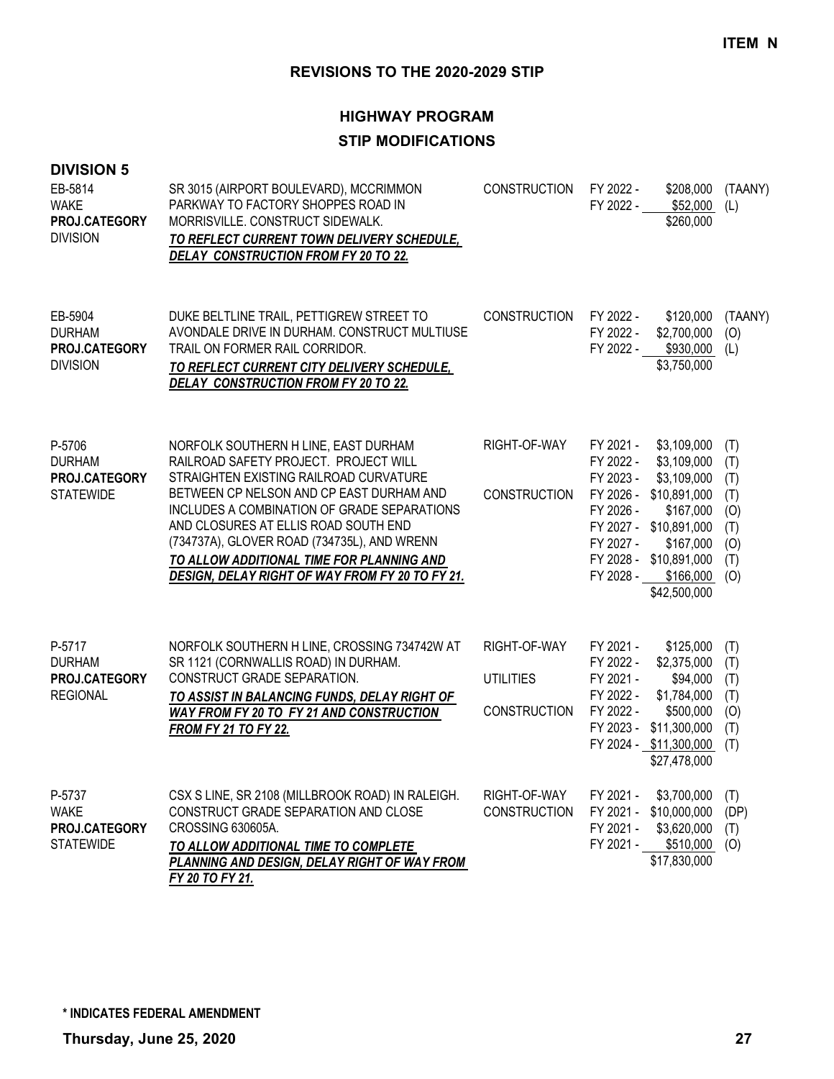## **HIGHWAY PROGRAM STIP MODIFICATIONS**

| <b>DIVISION 5</b><br>EB-5814<br><b>WAKE</b><br>PROJ.CATEGORY<br><b>DIVISION</b> | SR 3015 (AIRPORT BOULEVARD), MCCRIMMON<br>PARKWAY TO FACTORY SHOPPES ROAD IN<br>MORRISVILLE. CONSTRUCT SIDEWALK.<br>TO REFLECT CURRENT TOWN DELIVERY SCHEDULE,<br><b>DELAY CONSTRUCTION FROM FY 20 TO 22.</b>                                                                                                                                                                                                    | <b>CONSTRUCTION</b>                                     | FY 2022 -<br>FY 2022 -                                                     | \$208,000<br>\$52,000<br>\$260,000                                                                                                                                             | (TAANY)<br>(L)                                              |
|---------------------------------------------------------------------------------|------------------------------------------------------------------------------------------------------------------------------------------------------------------------------------------------------------------------------------------------------------------------------------------------------------------------------------------------------------------------------------------------------------------|---------------------------------------------------------|----------------------------------------------------------------------------|--------------------------------------------------------------------------------------------------------------------------------------------------------------------------------|-------------------------------------------------------------|
| EB-5904<br><b>DURHAM</b><br>PROJ.CATEGORY<br><b>DIVISION</b>                    | DUKE BELTLINE TRAIL, PETTIGREW STREET TO<br>AVONDALE DRIVE IN DURHAM. CONSTRUCT MULTIUSE<br>TRAIL ON FORMER RAIL CORRIDOR.<br>TO REFLECT CURRENT CITY DELIVERY SCHEDULE,<br>DELAY CONSTRUCTION FROM FY 20 TO 22.                                                                                                                                                                                                 | <b>CONSTRUCTION</b>                                     | FY 2022 -<br>FY 2022 -                                                     | \$120,000<br>\$2,700,000<br>FY 2022 - \$930,000 (L)<br>\$3,750,000                                                                                                             | (TAANY)<br>(O)                                              |
| P-5706<br><b>DURHAM</b><br>PROJ.CATEGORY<br><b>STATEWIDE</b>                    | NORFOLK SOUTHERN H LINE, EAST DURHAM<br>RAILROAD SAFETY PROJECT. PROJECT WILL<br>STRAIGHTEN EXISTING RAILROAD CURVATURE<br>BETWEEN CP NELSON AND CP EAST DURHAM AND<br>INCLUDES A COMBINATION OF GRADE SEPARATIONS<br>AND CLOSURES AT ELLIS ROAD SOUTH END<br>(734737A), GLOVER ROAD (734735L), AND WRENN<br>TO ALLOW ADDITIONAL TIME FOR PLANNING AND<br><b>DESIGN, DELAY RIGHT OF WAY FROM FY 20 TO FY 21.</b> | RIGHT-OF-WAY<br><b>CONSTRUCTION</b>                     | FY 2021 -<br>FY 2022 -<br>FY 2023 -<br>FY 2026 -<br>FY 2027 -<br>FY 2028 - | \$3,109,000<br>\$3,109,000<br>\$3,109,000<br>FY 2026 - \$10,891,000<br>\$167,000<br>FY 2027 - \$10,891,000<br>\$167,000<br>FY 2028 - \$10,891,000<br>\$166,000<br>\$42,500,000 | (T)<br>(T)<br>(T)<br>(T)<br>(0)<br>(T)<br>(O)<br>(T)<br>(O) |
| P-5717<br><b>DURHAM</b><br>PROJ.CATEGORY<br><b>REGIONAL</b>                     | NORFOLK SOUTHERN H LINE, CROSSING 734742W AT<br>SR 1121 (CORNWALLIS ROAD) IN DURHAM.<br>CONSTRUCT GRADE SEPARATION.<br>TO ASSIST IN BALANCING FUNDS, DELAY RIGHT OF<br>WAY FROM FY 20 TO FY 21 AND CONSTRUCTION<br><b>FROM FY 21 TO FY 22.</b>                                                                                                                                                                   | RIGHT-OF-WAY<br><b>UTILITIES</b><br><b>CONSTRUCTION</b> | FY 2021 -<br>FY 2022 -<br>FY 2021 -<br>FY 2022 -<br>FY 2022 -<br>FY 2023 - | \$125,000<br>\$2,375,000<br>\$94,000<br>\$1,784,000<br>\$500,000<br>\$11,300,000<br>FY 2024 - \$11,300,000<br>\$27,478,000                                                     | (T)<br>(T)<br>(T)<br>(T)<br>(O)<br>(T)<br>(T)               |
| P-5737<br><b>WAKE</b><br>PROJ.CATEGORY<br><b>STATEWIDE</b>                      | CSX S LINE, SR 2108 (MILLBROOK ROAD) IN RALEIGH.<br>CONSTRUCT GRADE SEPARATION AND CLOSE<br>CROSSING 630605A.<br>TO ALLOW ADDITIONAL TIME TO COMPLETE<br>PLANNING AND DESIGN, DELAY RIGHT OF WAY FROM<br>FY 20 TO FY 21.                                                                                                                                                                                         | RIGHT-OF-WAY<br><b>CONSTRUCTION</b>                     | FY 2021 -<br>FY 2021 -<br>FY 2021 -<br>FY 2021 -                           | \$3,700,000<br>\$10,000,000<br>\$3,620,000<br>\$510,000<br>\$17,830,000                                                                                                        | (T)<br>(DP)<br>(T)<br>(O)                                   |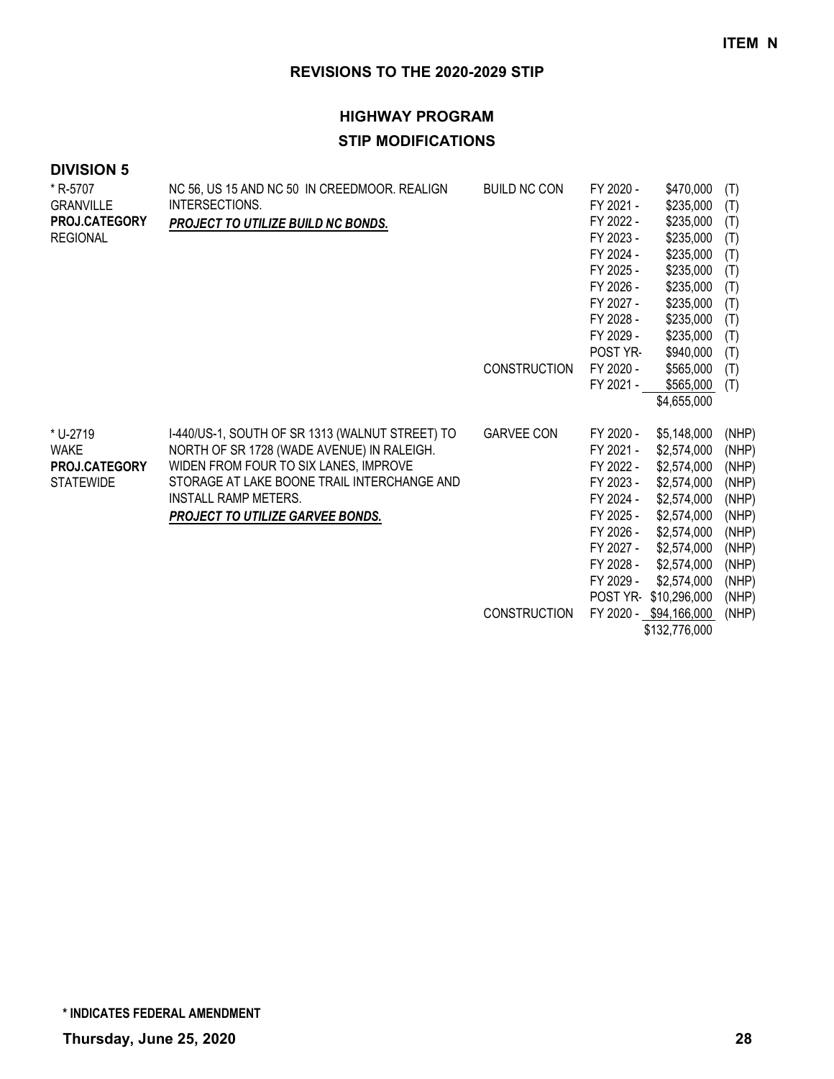## **HIGHWAY PROGRAM STIP MODIFICATIONS**

## **DIVISION 5**

| * R-5707<br><b>GRANVILLE</b><br>PROJ.CATEGORY<br><b>REGIONAL</b> | NC 56, US 15 AND NC 50 IN CREEDMOOR. REALIGN<br>INTERSECTIONS.<br>PROJECT TO UTILIZE BUILD NC BONDS.                                                                                                                                                     | <b>BUILD NC CON</b> | FY 2020 -<br>FY 2021 -<br>FY 2022 -<br>FY 2023 -<br>FY 2024 -<br>FY 2025 -                                                                 | \$470,000<br>\$235,000<br>\$235,000<br>\$235,000<br>\$235,000<br>\$235,000                                                                                         | (T)<br>(T)<br>(T)<br>(T)<br>(T)<br>(T)                                                          |
|------------------------------------------------------------------|----------------------------------------------------------------------------------------------------------------------------------------------------------------------------------------------------------------------------------------------------------|---------------------|--------------------------------------------------------------------------------------------------------------------------------------------|--------------------------------------------------------------------------------------------------------------------------------------------------------------------|-------------------------------------------------------------------------------------------------|
|                                                                  |                                                                                                                                                                                                                                                          |                     | FY 2026 -<br>FY 2027 -<br>FY 2028 -<br>FY 2029 -                                                                                           | \$235,000<br>\$235,000<br>\$235,000<br>\$235,000                                                                                                                   | (T)<br>(T)<br>(T)<br>(T)                                                                        |
|                                                                  |                                                                                                                                                                                                                                                          | <b>CONSTRUCTION</b> | POST YR-<br>FY 2020 -<br>FY 2021 -                                                                                                         | \$940,000<br>\$565,000<br>\$565,000<br>\$4,655,000                                                                                                                 | (T)<br>(T)<br>(T)                                                                               |
| * U-2719<br><b>WAKE</b><br>PROJ.CATEGORY<br><b>STATEWIDE</b>     | I-440/US-1, SOUTH OF SR 1313 (WALNUT STREET) TO<br>NORTH OF SR 1728 (WADE AVENUE) IN RALEIGH.<br>WIDEN FROM FOUR TO SIX LANES, IMPROVE<br>STORAGE AT LAKE BOONE TRAIL INTERCHANGE AND<br><b>INSTALL RAMP METERS.</b><br>PROJECT TO UTILIZE GARVEE BONDS. | <b>GARVEE CON</b>   | FY 2020 -<br>FY 2021 -<br>FY 2022 -<br>FY 2023 -<br>FY 2024 -<br>FY 2025 -<br>FY 2026 -<br>FY 2027 -<br>FY 2028 -<br>FY 2029 -<br>POST YR- | \$5,148,000<br>\$2,574,000<br>\$2,574,000<br>\$2,574,000<br>\$2,574,000<br>\$2,574,000<br>\$2,574,000<br>\$2,574,000<br>\$2,574,000<br>\$2,574,000<br>\$10,296,000 | (NHP)<br>(NHP)<br>(NHP)<br>(NHP)<br>(NHP)<br>(NHP)<br>(NHP)<br>(NHP)<br>(NHP)<br>(NHP)<br>(NHP) |
|                                                                  |                                                                                                                                                                                                                                                          | <b>CONSTRUCTION</b> |                                                                                                                                            | FY 2020 - \$94,166,000                                                                                                                                             | (NHP)                                                                                           |

\$132,776,000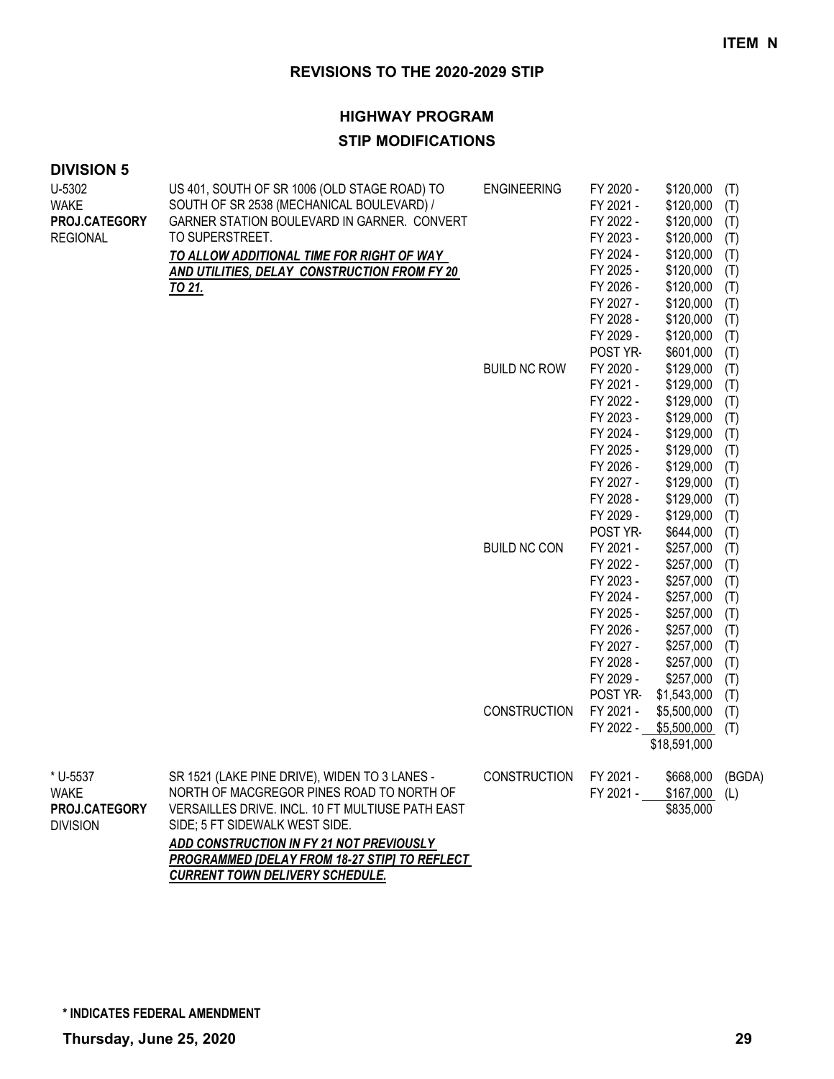### **HIGHWAY PROGRAM**

## **STIP MODIFICATIONS**

| <b>DIVISION 5</b> |  |  |
|-------------------|--|--|
|-------------------|--|--|

| U-5302<br><b>WAKE</b><br>PROJ.CATEGORY<br><b>REGIONAL</b> | US 401, SOUTH OF SR 1006 (OLD STAGE ROAD) TO<br>SOUTH OF SR 2538 (MECHANICAL BOULEVARD) /<br>GARNER STATION BOULEVARD IN GARNER. CONVERT<br>TO SUPERSTREET.<br>TO ALLOW ADDITIONAL TIME FOR RIGHT OF WAY<br>AND UTILITIES, DELAY CONSTRUCTION FROM FY 20<br><u>TO 21.</u>                                                      | <b>ENGINEERING</b>  | FY 2020 -<br>FY 2021 -<br>FY 2022 -<br>FY 2023 -<br>FY 2024 -<br>FY 2025 -<br>FY 2026 -<br>FY 2027 -<br>FY 2028 -<br>FY 2029 -             | \$120,000<br>\$120,000<br>\$120,000<br>\$120,000<br>\$120,000<br>\$120,000<br>\$120,000<br>\$120,000<br>\$120,000<br>\$120,000              | (T)<br>(T)<br>(T)<br>(T)<br>(T)<br>(T)<br>(T)<br>(T)<br>(T)<br>(T)        |
|-----------------------------------------------------------|--------------------------------------------------------------------------------------------------------------------------------------------------------------------------------------------------------------------------------------------------------------------------------------------------------------------------------|---------------------|--------------------------------------------------------------------------------------------------------------------------------------------|---------------------------------------------------------------------------------------------------------------------------------------------|---------------------------------------------------------------------------|
|                                                           |                                                                                                                                                                                                                                                                                                                                | <b>BUILD NC ROW</b> | POST YR-<br>FY 2020 -<br>FY 2021 -<br>FY 2022 -<br>FY 2023 -<br>FY 2024 -<br>FY 2025 -<br>FY 2026 -<br>FY 2027 -                           | \$601,000<br>\$129,000<br>\$129,000<br>\$129,000<br>\$129,000<br>\$129,000<br>\$129,000<br>\$129,000<br>\$129,000                           | (T)<br>(T)<br>(T)<br>(T)<br>(T)<br>(T)<br>(T)<br>(T)<br>(T)               |
|                                                           |                                                                                                                                                                                                                                                                                                                                | <b>BUILD NC CON</b> | FY 2028 -<br>FY 2029 -<br>POST YR-<br>FY 2021 -<br>FY 2022 -<br>FY 2023 -<br>FY 2024 -<br>FY 2025 -<br>FY 2026 -<br>FY 2027 -<br>FY 2028 - | \$129,000<br>\$129,000<br>\$644,000<br>\$257,000<br>\$257,000<br>\$257,000<br>\$257,000<br>\$257,000<br>\$257,000<br>\$257,000<br>\$257,000 | (T)<br>(T)<br>(T)<br>(T)<br>(T)<br>(T)<br>(T)<br>(T)<br>(T)<br>(T)<br>(T) |
|                                                           |                                                                                                                                                                                                                                                                                                                                | CONSTRUCTION        | FY 2029 -<br>POST YR-<br>FY 2021 -<br>FY 2022 -                                                                                            | \$257,000<br>\$1,543,000<br>\$5,500,000<br>\$5,500,000<br>\$18,591,000                                                                      | (T)<br>(T)<br>(T)<br>(T)                                                  |
| * U-5537<br>WAKE<br>PROJ.CATEGORY<br><b>DIVISION</b>      | SR 1521 (LAKE PINE DRIVE), WIDEN TO 3 LANES -<br>NORTH OF MACGREGOR PINES ROAD TO NORTH OF<br>VERSAILLES DRIVE. INCL. 10 FT MULTIUSE PATH EAST<br>SIDE; 5 FT SIDEWALK WEST SIDE.<br>ADD CONSTRUCTION IN FY 21 NOT PREVIOUSLY<br><b>PROGRAMMED [DELAY FROM 18-27 STIP] TO REFLECT</b><br><b>CURRENT TOWN DELIVERY SCHEDULE.</b> | <b>CONSTRUCTION</b> | FY 2021 -<br>FY 2021 -                                                                                                                     | \$668,000<br>\$167,000<br>\$835,000                                                                                                         | (BGDA)<br>(L)                                                             |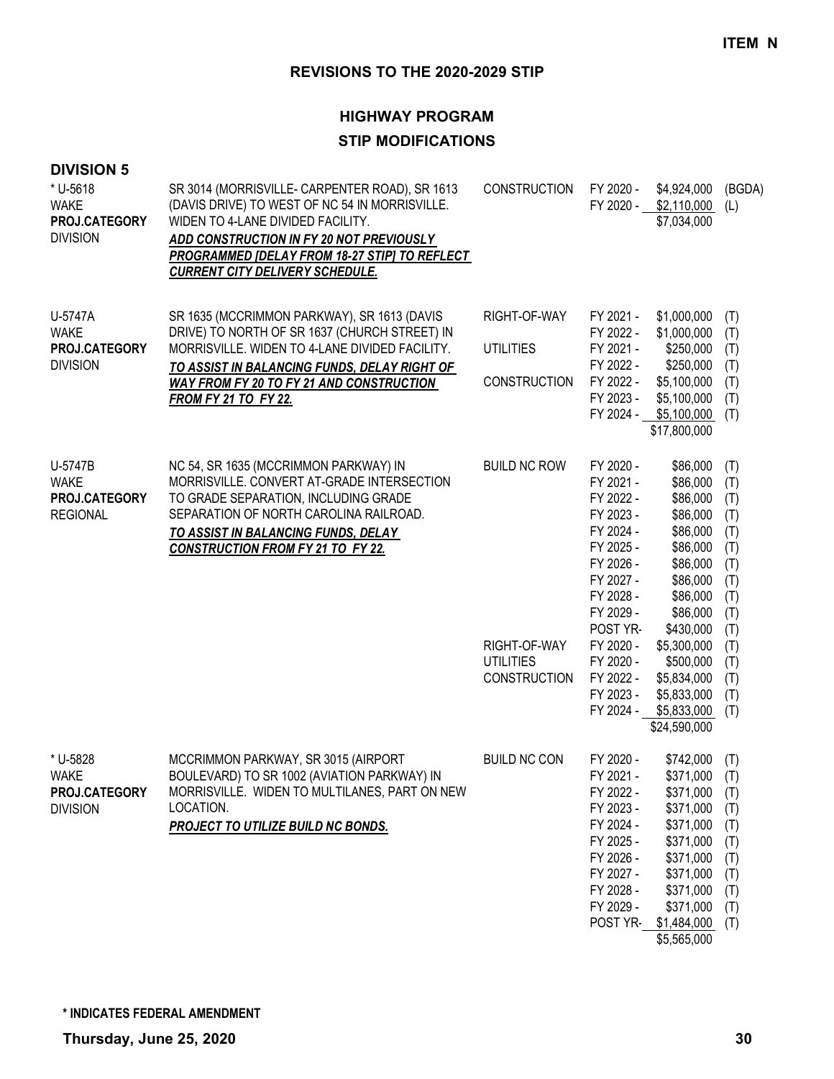## **HIGHWAY PROGRAM STIP MODIFICATIONS**

| <b>DIVISION 5</b><br>* U-5618<br><b>WAKE</b><br>PROJ.CATEGORY<br><b>DIVISION</b> | SR 3014 (MORRISVILLE- CARPENTER ROAD), SR 1613<br>(DAVIS DRIVE) TO WEST OF NC 54 IN MORRISVILLE.<br>WIDEN TO 4-LANE DIVIDED FACILITY.<br>ADD CONSTRUCTION IN FY 20 NOT PREVIOUSLY<br>PROGRAMMED [DELAY FROM 18-27 STIP] TO REFLECT<br><b>CURRENT CITY DELIVERY SCHEDULE.</b> | <b>CONSTRUCTION</b>                                                            | FY 2020 -<br>FY 2020 -                                                                                                                                                                         | \$4,924,000<br>\$2,110,000<br>\$7,034,000                                                                                                                                                   | (BGDA)<br>(L)                                                                                         |
|----------------------------------------------------------------------------------|------------------------------------------------------------------------------------------------------------------------------------------------------------------------------------------------------------------------------------------------------------------------------|--------------------------------------------------------------------------------|------------------------------------------------------------------------------------------------------------------------------------------------------------------------------------------------|---------------------------------------------------------------------------------------------------------------------------------------------------------------------------------------------|-------------------------------------------------------------------------------------------------------|
| U-5747A<br><b>WAKE</b><br>PROJ.CATEGORY<br><b>DIVISION</b>                       | SR 1635 (MCCRIMMON PARKWAY), SR 1613 (DAVIS<br>DRIVE) TO NORTH OF SR 1637 (CHURCH STREET) IN<br>MORRISVILLE. WIDEN TO 4-LANE DIVIDED FACILITY.<br>TO ASSIST IN BALANCING FUNDS, DELAY RIGHT OF<br>WAY FROM FY 20 TO FY 21 AND CONSTRUCTION<br><b>FROM FY 21 TO FY 22.</b>    | RIGHT-OF-WAY<br><b>UTILITIES</b><br><b>CONSTRUCTION</b>                        | FY 2021 -<br>FY 2022 -<br>FY 2021 -<br>FY 2022 -<br>FY 2022 -<br>FY 2023 -<br>FY 2024 -                                                                                                        | \$1,000,000<br>\$1,000,000<br>\$250,000<br>\$250,000<br>\$5,100,000<br>\$5,100,000<br>\$5,100,000<br>\$17,800,000                                                                           | (T)<br>(T)<br>(T)<br>(T)<br>(T)<br>(T)<br>(T)                                                         |
| U-5747B<br><b>WAKE</b><br>PROJ.CATEGORY<br><b>REGIONAL</b>                       | NC 54, SR 1635 (MCCRIMMON PARKWAY) IN<br>MORRISVILLE. CONVERT AT-GRADE INTERSECTION<br>TO GRADE SEPARATION, INCLUDING GRADE<br>SEPARATION OF NORTH CAROLINA RAILROAD.<br>TO ASSIST IN BALANCING FUNDS, DELAY<br><b>CONSTRUCTION FROM FY 21 TO FY 22.</b>                     | <b>BUILD NC ROW</b><br>RIGHT-OF-WAY<br><b>UTILITIES</b><br><b>CONSTRUCTION</b> | FY 2020 -<br>FY 2021 -<br>FY 2022 -<br>FY 2023 -<br>FY 2024 -<br>FY 2025 -<br>FY 2026 -<br>FY 2027 -<br>FY 2028 -<br>FY 2029 -<br>POST YR-<br>FY 2020 -<br>FY 2020 -<br>FY 2022 -<br>FY 2023 - | \$86,000<br>\$86,000<br>\$86,000<br>\$86,000<br>\$86,000<br>\$86,000<br>\$86,000<br>\$86,000<br>\$86,000<br>\$86,000<br>\$430,000<br>\$5,300,000<br>\$500,000<br>\$5,834,000<br>\$5,833,000 | (T)<br>(T)<br>(T)<br>(T)<br>(T)<br>(T)<br>(T)<br>(T)<br>(T)<br>(T)<br>(T)<br>(T)<br>(T)<br>(T)<br>(T) |
| * U-5828<br><b>WAKE</b><br>PROJ.CATEGORY<br><b>DIVISION</b>                      | MCCRIMMON PARKWAY, SR 3015 (AIRPORT<br>BOULEVARD) TO SR 1002 (AVIATION PARKWAY) IN<br>MORRISVILLE. WIDEN TO MULTILANES, PART ON NEW<br>LOCATION.<br>PROJECT TO UTILIZE BUILD NC BONDS.                                                                                       | <b>BUILD NC CON</b>                                                            | FY 2020 -<br>FY 2021 -<br>FY 2022 -<br>FY 2023 -<br>FY 2024 -<br>FY 2025 -<br>FY 2026 -<br>FY 2027 -<br>FY 2028 -<br>FY 2029 -<br>POST YR-                                                     | FY 2024 - \$5,833,000<br>\$24,590,000<br>\$742,000<br>\$371,000<br>\$371,000<br>\$371,000<br>\$371,000<br>\$371,000<br>\$371,000<br>\$371,000<br>\$371,000<br>\$371,000<br>\$1,484,000      | (T)<br>(T)<br>(T)<br>(T)<br>(T)<br>(T)<br>(T)<br>(T)<br>(T)<br>(T)<br>(T)<br>(T)                      |

\$5,565,000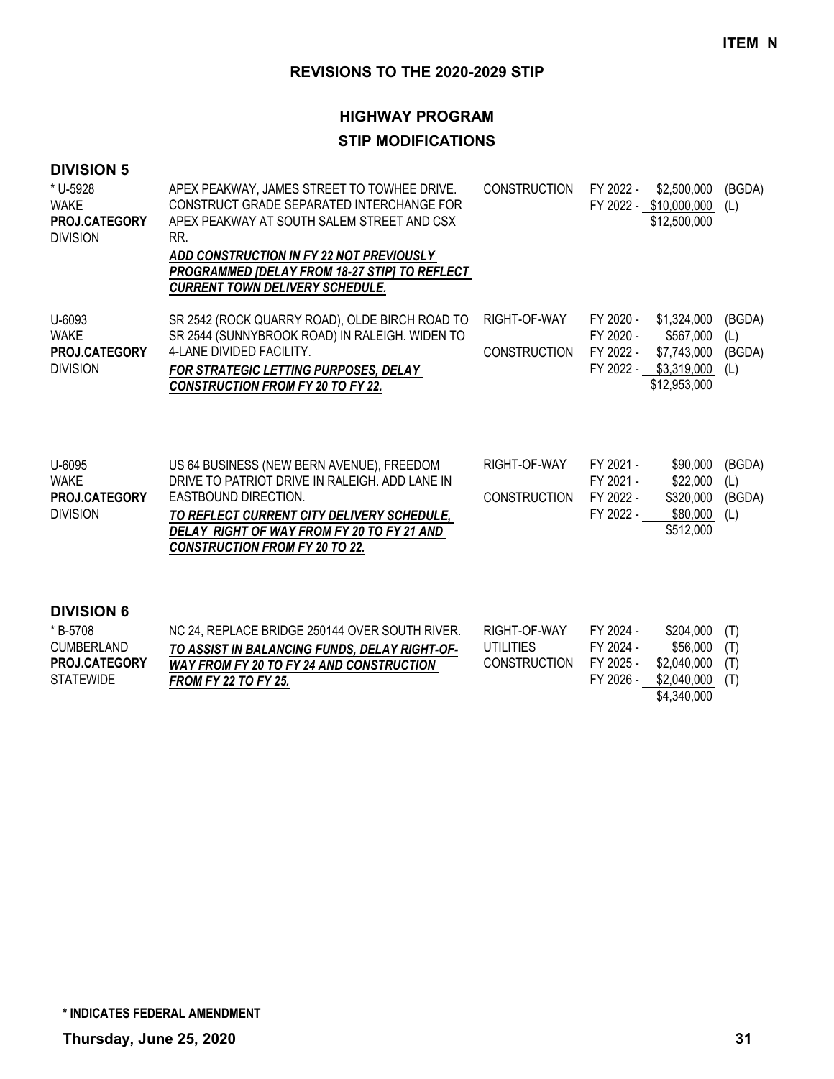# **HIGHWAY PROGRAM**

## **STIP MODIFICATIONS**

| * U-5928<br><b>WAKE</b><br>PROJ.CATEGORY<br><b>DIVISION</b>      | APEX PEAKWAY, JAMES STREET TO TOWHEE DRIVE.<br>CONSTRUCT GRADE SEPARATED INTERCHANGE FOR<br>APEX PEAKWAY AT SOUTH SALEM STREET AND CSX<br>RR.<br>ADD CONSTRUCTION IN FY 22 NOT PREVIOUSLY<br>PROGRAMMED [DELAY FROM 18-27 STIP] TO REFLECT<br><b>CURRENT TOWN DELIVERY SCHEDULE.</b> | <b>CONSTRUCTION</b>                 | FY 2022 -                                        | \$2,500,000<br>FY 2022 - \$10,000,000<br>\$12,500,000                            | (BGDA)<br>(L)                  |
|------------------------------------------------------------------|--------------------------------------------------------------------------------------------------------------------------------------------------------------------------------------------------------------------------------------------------------------------------------------|-------------------------------------|--------------------------------------------------|----------------------------------------------------------------------------------|--------------------------------|
| U-6093<br><b>WAKE</b><br>PROJ.CATEGORY<br><b>DIVISION</b>        | SR 2542 (ROCK QUARRY ROAD), OLDE BIRCH ROAD TO<br>SR 2544 (SUNNYBROOK ROAD) IN RALEIGH. WIDEN TO<br>4-LANE DIVIDED FACILITY.<br>FOR STRATEGIC LETTING PURPOSES, DELAY<br><b>CONSTRUCTION FROM FY 20 TO FY 22.</b>                                                                    | RIGHT-OF-WAY<br><b>CONSTRUCTION</b> | FY 2020 -<br>FY 2020 -<br>FY 2022 -              | \$1,324,000<br>\$567,000<br>\$7,743,000<br>FY 2022 - \$3,319,000<br>\$12,953,000 | (BGDA)<br>(L)<br>(BGDA)<br>(L) |
| U-6095<br><b>WAKE</b><br><b>PROJ.CATEGORY</b><br><b>DIVISION</b> | US 64 BUSINESS (NEW BERN AVENUE), FREEDOM<br>DRIVE TO PATRIOT DRIVE IN RALEIGH. ADD LANE IN<br>EASTBOUND DIRECTION.<br>TO REFLECT CURRENT CITY DELIVERY SCHEDULE,<br>DELAY RIGHT OF WAY FROM FY 20 TO FY 21 AND<br><b>CONSTRUCTION FROM FY 20 TO 22.</b>                             | RIGHT-OF-WAY<br><b>CONSTRUCTION</b> | FY 2021 -<br>FY 2021 -<br>FY 2022 -<br>FY 2022 - | \$90,000<br>\$22,000<br>\$320,000<br>\$80,000<br>\$512,000                       | (BGDA)<br>(L)<br>(BGDA)<br>(L) |
| <b>DIVISION 6</b>                                                |                                                                                                                                                                                                                                                                                      |                                     |                                                  |                                                                                  |                                |

| * B-5708             | NC 24, REPLACE BRIDGE 250144 OVER SOUTH RIVER. | RIGHT-OF-WAY        | FY 2024 - | $$204,000$ (T) |     |
|----------------------|------------------------------------------------|---------------------|-----------|----------------|-----|
| CUMBERLAND           | TO ASSIST IN BALANCING FUNDS, DELAY RIGHT-OF-  | UTILITIES           | FY 2024 - | \$56.000       | (T) |
| <b>PROJ.CATEGORY</b> | WAY FROM FY 20 TO FY 24 AND CONSTRUCTION       | <b>CONSTRUCTION</b> | FY 2025 - | \$2.040.000    | (T) |
| <b>STATEWIDE</b>     | <b>FROM FY 22 TO FY 25.</b>                    |                     | FY 2026 - | \$2.040.000    | (T) |
|                      |                                                |                     |           | \$4,340,000    |     |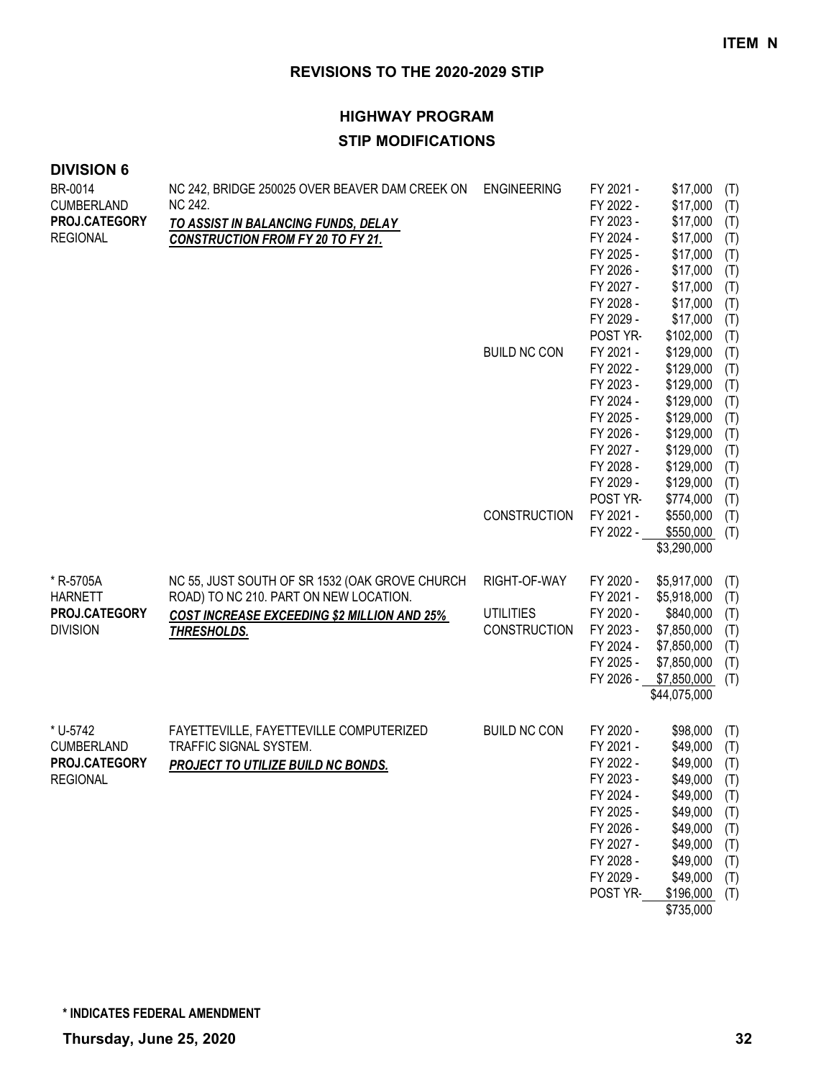## **HIGHWAY PROGRAM STIP MODIFICATIONS**

## **DIVISION 6**

| BR-0014<br><b>CUMBERLAND</b><br>PROJ.CATEGORY<br><b>REGIONAL</b>  | NC 242, BRIDGE 250025 OVER BEAVER DAM CREEK ON<br>NC 242.<br>TO ASSIST IN BALANCING FUNDS, DELAY<br><b>CONSTRUCTION FROM FY 20 TO FY 21.</b> | <b>ENGINEERING</b>                      | FY 2021 -<br>FY 2022 -<br>FY 2023 -<br>FY 2024 -                                                                                           | \$17,000<br>\$17,000<br>\$17,000<br>\$17,000                                                                                      | (T)<br>(T)<br>(T)<br>(T)                                                  |
|-------------------------------------------------------------------|----------------------------------------------------------------------------------------------------------------------------------------------|-----------------------------------------|--------------------------------------------------------------------------------------------------------------------------------------------|-----------------------------------------------------------------------------------------------------------------------------------|---------------------------------------------------------------------------|
|                                                                   |                                                                                                                                              |                                         | FY 2025 -<br>FY 2026 -<br>FY 2027 -<br>FY 2028 -                                                                                           | \$17,000<br>\$17,000<br>\$17,000<br>\$17,000                                                                                      | (T)<br>(T)<br>(T)<br>(T)                                                  |
|                                                                   |                                                                                                                                              | <b>BUILD NC CON</b>                     | FY 2029 -<br>POST YR-<br>FY 2021 -<br>FY 2022 -<br>FY 2023 -                                                                               | \$17,000<br>\$102,000<br>\$129,000<br>\$129,000<br>\$129,000                                                                      | (T)<br>(T)<br>(T)<br>(T)                                                  |
|                                                                   |                                                                                                                                              |                                         | FY 2024 -<br>FY 2025 -<br>FY 2026 -<br>FY 2027 -<br>FY 2028 -<br>FY 2029 -                                                                 | \$129,000<br>\$129,000<br>\$129,000<br>\$129,000<br>\$129,000<br>\$129,000                                                        | (T)<br>(T)<br>(T)<br>(T)<br>(T)<br>(T)<br>(T)                             |
|                                                                   |                                                                                                                                              | <b>CONSTRUCTION</b>                     | POST YR-<br>FY 2021 -<br>FY 2022 -                                                                                                         | \$774,000<br>\$550,000<br>\$550,000<br>\$3,290,000                                                                                | (T)<br>(T)<br>(T)                                                         |
| * R-5705A<br><b>HARNETT</b>                                       | NC 55, JUST SOUTH OF SR 1532 (OAK GROVE CHURCH<br>ROAD) TO NC 210. PART ON NEW LOCATION.                                                     | RIGHT-OF-WAY                            | FY 2020 -<br>FY 2021 -                                                                                                                     | \$5,917,000<br>\$5,918,000                                                                                                        | (T)<br>(T)                                                                |
| PROJ.CATEGORY<br><b>DIVISION</b>                                  | <b>COST INCREASE EXCEEDING \$2 MILLION AND 25%</b><br>THRESHOLDS.                                                                            | <b>UTILITIES</b><br><b>CONSTRUCTION</b> | FY 2020 -<br>FY 2023 -<br>FY 2024 -<br>FY 2025 -<br>FY 2026 -                                                                              | \$840,000<br>\$7,850,000<br>\$7,850,000<br>\$7,850,000<br>\$7,850,000<br>\$44,075,000                                             | (T)<br>(T)<br>(T)<br>(T)<br>(T)                                           |
| * U-5742<br><b>CUMBERLAND</b><br>PROJ.CATEGORY<br><b>REGIONAL</b> | FAYETTEVILLE, FAYETTEVILLE COMPUTERIZED<br>TRAFFIC SIGNAL SYSTEM.<br>PROJECT TO UTILIZE BUILD NC BONDS.                                      | <b>BUILD NC CON</b>                     | FY 2020 -<br>FY 2021 -<br>FY 2022 -<br>FY 2023 -<br>FY 2024 -<br>FY 2025 -<br>FY 2026 -<br>FY 2027 -<br>FY 2028 -<br>FY 2029 -<br>POST YR- | \$98,000<br>\$49,000<br>\$49,000<br>\$49,000<br>\$49,000<br>\$49,000<br>\$49,000<br>\$49,000<br>\$49,000<br>\$49,000<br>\$196,000 | (T)<br>(T)<br>(T)<br>(T)<br>(T)<br>(T)<br>(T)<br>(T)<br>(T)<br>(T)<br>(T) |

\$735,000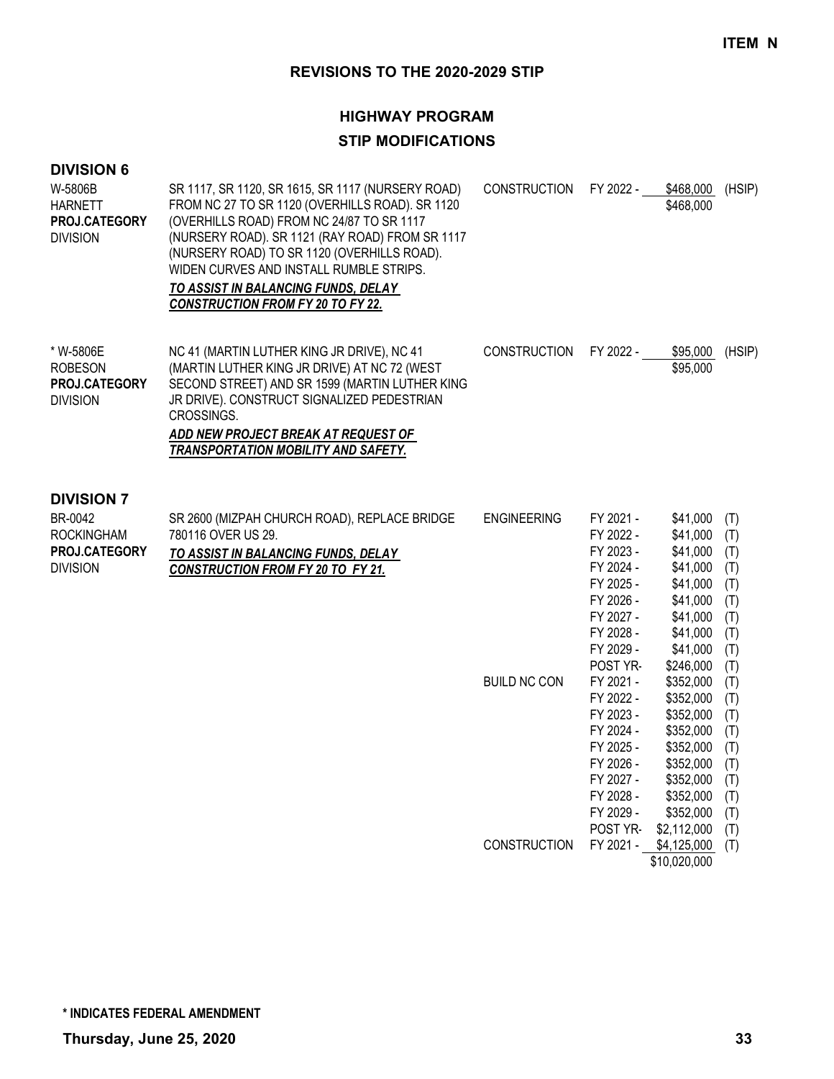# **HIGHWAY PROGRAM STIP MODIFICATIONS**

| <b>DIVISION 6</b><br>W-5806B<br><b>HARNETT</b><br><b>PROJ.CATEGORY</b><br><b>DIVISION</b>    | SR 1117, SR 1120, SR 1615, SR 1117 (NURSERY ROAD)<br>FROM NC 27 TO SR 1120 (OVERHILLS ROAD). SR 1120<br>(OVERHILLS ROAD) FROM NC 24/87 TO SR 1117<br>(NURSERY ROAD). SR 1121 (RAY ROAD) FROM SR 1117<br>(NURSERY ROAD) TO SR 1120 (OVERHILLS ROAD).<br>WIDEN CURVES AND INSTALL RUMBLE STRIPS.<br>TO ASSIST IN BALANCING FUNDS, DELAY<br><b>CONSTRUCTION FROM FY 20 TO FY 22.</b> | <b>CONSTRUCTION</b>                       | FY 2022 -                                                                                                                                                                                                                             | \$468,000<br>\$468,000                                                                                                                                                                                                        | (HSIP)                                                                                                                     |
|----------------------------------------------------------------------------------------------|-----------------------------------------------------------------------------------------------------------------------------------------------------------------------------------------------------------------------------------------------------------------------------------------------------------------------------------------------------------------------------------|-------------------------------------------|---------------------------------------------------------------------------------------------------------------------------------------------------------------------------------------------------------------------------------------|-------------------------------------------------------------------------------------------------------------------------------------------------------------------------------------------------------------------------------|----------------------------------------------------------------------------------------------------------------------------|
| * W-5806E<br><b>ROBESON</b><br>PROJ.CATEGORY<br><b>DIVISION</b>                              | NC 41 (MARTIN LUTHER KING JR DRIVE), NC 41<br>(MARTIN LUTHER KING JR DRIVE) AT NC 72 (WEST<br>SECOND STREET) AND SR 1599 (MARTIN LUTHER KING<br>JR DRIVE). CONSTRUCT SIGNALIZED PEDESTRIAN<br>CROSSINGS.<br>ADD NEW PROJECT BREAK AT REQUEST OF<br>TRANSPORTATION MOBILITY AND SAFETY.                                                                                            | <b>CONSTRUCTION</b>                       | FY 2022 -                                                                                                                                                                                                                             | \$95,000<br>\$95,000                                                                                                                                                                                                          | (HSIP)                                                                                                                     |
| <b>DIVISION 7</b><br>BR-0042<br><b>ROCKINGHAM</b><br><b>PROJ.CATEGORY</b><br><b>DIVISION</b> | SR 2600 (MIZPAH CHURCH ROAD), REPLACE BRIDGE<br>780116 OVER US 29.<br>TO ASSIST IN BALANCING FUNDS, DELAY<br><b>CONSTRUCTION FROM FY 20 TO FY 21.</b>                                                                                                                                                                                                                             | <b>ENGINEERING</b><br><b>BUILD NC CON</b> | FY 2021 -<br>FY 2022 -<br>FY 2023 -<br>FY 2024 -<br>FY 2025 -<br>FY 2026 -<br>FY 2027 -<br>FY 2028 -<br>FY 2029 -<br>POST YR-<br>FY 2021 -<br>FY 2022 -<br>FY 2023 -<br>FY 2024 -<br>FY 2025 -<br>FY 2026 -<br>FY 2027 -<br>FY 2028 - | \$41,000<br>\$41,000<br>\$41,000<br>\$41,000<br>\$41,000<br>\$41,000<br>\$41,000<br>\$41,000<br>\$41,000<br>\$246,000<br>\$352,000<br>\$352,000<br>\$352,000<br>\$352,000<br>\$352,000<br>\$352,000<br>\$352,000<br>\$352,000 | (T)<br>(T)<br>(T)<br>(T)<br>(T)<br>(T)<br>(T)<br>(T)<br>(T)<br>(T)<br>(T)<br>(T)<br>(T)<br>(T)<br>(T)<br>(T)<br>(T)<br>(T) |
|                                                                                              |                                                                                                                                                                                                                                                                                                                                                                                   | <b>CONSTRUCTION</b>                       | FY 2029 -<br>POST YR-<br>FY 2021 -                                                                                                                                                                                                    | \$352,000<br>\$2,112,000<br>\$4,125,000<br>\$10,020,000                                                                                                                                                                       | (T)<br>(T)<br>(T)                                                                                                          |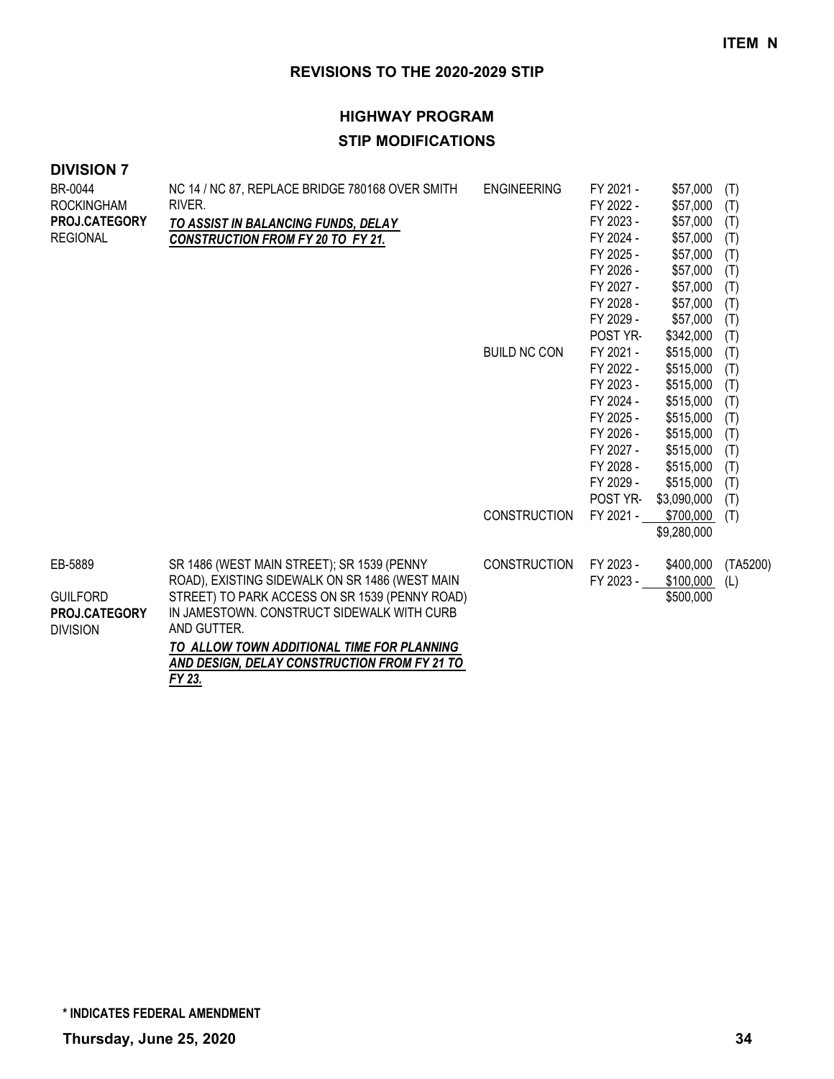## **HIGHWAY PROGRAM STIP MODIFICATIONS**

| BR-0044                          | NC 14 / NC 87, REPLACE BRIDGE 780168 OVER SMITH           | <b>ENGINEERING</b>  | FY 2021 - | \$57,000    | (T)      |
|----------------------------------|-----------------------------------------------------------|---------------------|-----------|-------------|----------|
| <b>ROCKINGHAM</b>                | RIVER.                                                    |                     | FY 2022 - | \$57,000    | (T)      |
| PROJ.CATEGORY                    | TO ASSIST IN BALANCING FUNDS, DELAY                       |                     | FY 2023 - | \$57,000    | (T)      |
| <b>REGIONAL</b>                  | <b>CONSTRUCTION FROM FY 20 TO FY 21.</b>                  |                     | FY 2024 - | \$57,000    | (T)      |
|                                  |                                                           |                     | FY 2025 - | \$57,000    | (T)      |
|                                  |                                                           |                     | FY 2026 - | \$57,000    | (T)      |
|                                  |                                                           |                     | FY 2027 - | \$57,000    | (T)      |
|                                  |                                                           |                     | FY 2028 - | \$57,000    | (T)      |
|                                  |                                                           |                     | FY 2029 - | \$57,000    | (T)      |
|                                  |                                                           |                     | POST YR-  | \$342,000   | (T)      |
|                                  |                                                           | <b>BUILD NC CON</b> | FY 2021 - | \$515,000   | (T)      |
|                                  |                                                           |                     | FY 2022 - | \$515,000   | (T)      |
|                                  |                                                           |                     | FY 2023 - | \$515,000   | (T)      |
|                                  |                                                           |                     | FY 2024 - | \$515,000   | (T)      |
|                                  |                                                           |                     | FY 2025 - | \$515,000   | (T)      |
|                                  |                                                           |                     | FY 2026 - | \$515,000   | (T)      |
|                                  |                                                           |                     | FY 2027 - | \$515,000   | (T)      |
|                                  |                                                           |                     | FY 2028 - | \$515,000   | (T)      |
|                                  |                                                           |                     | FY 2029 - | \$515,000   | (T)      |
|                                  |                                                           |                     | POST YR-  | \$3,090,000 | (T)      |
|                                  |                                                           | <b>CONSTRUCTION</b> | FY 2021 - | \$700,000   | (T)      |
|                                  |                                                           |                     |           | \$9,280,000 |          |
| EB-5889                          | SR 1486 (WEST MAIN STREET); SR 1539 (PENNY                | <b>CONSTRUCTION</b> | FY 2023 - | \$400,000   | (TA5200) |
|                                  | ROAD), EXISTING SIDEWALK ON SR 1486 (WEST MAIN            |                     | FY 2023 - | \$100,000   | (L)      |
| <b>GUILFORD</b>                  | STREET) TO PARK ACCESS ON SR 1539 (PENNY ROAD)            |                     |           | \$500,000   |          |
| PROJ.CATEGORY<br><b>DIVISION</b> | IN JAMESTOWN. CONSTRUCT SIDEWALK WITH CURB<br>AND GUTTER. |                     |           |             |          |
|                                  | TO ALLOW TOWN ADDITIONAL TIME FOR PLANNING                |                     |           |             |          |
|                                  | AND DESIGN, DELAY CONSTRUCTION FROM FY 21 TO              |                     |           |             |          |
|                                  | FY 23.                                                    |                     |           |             |          |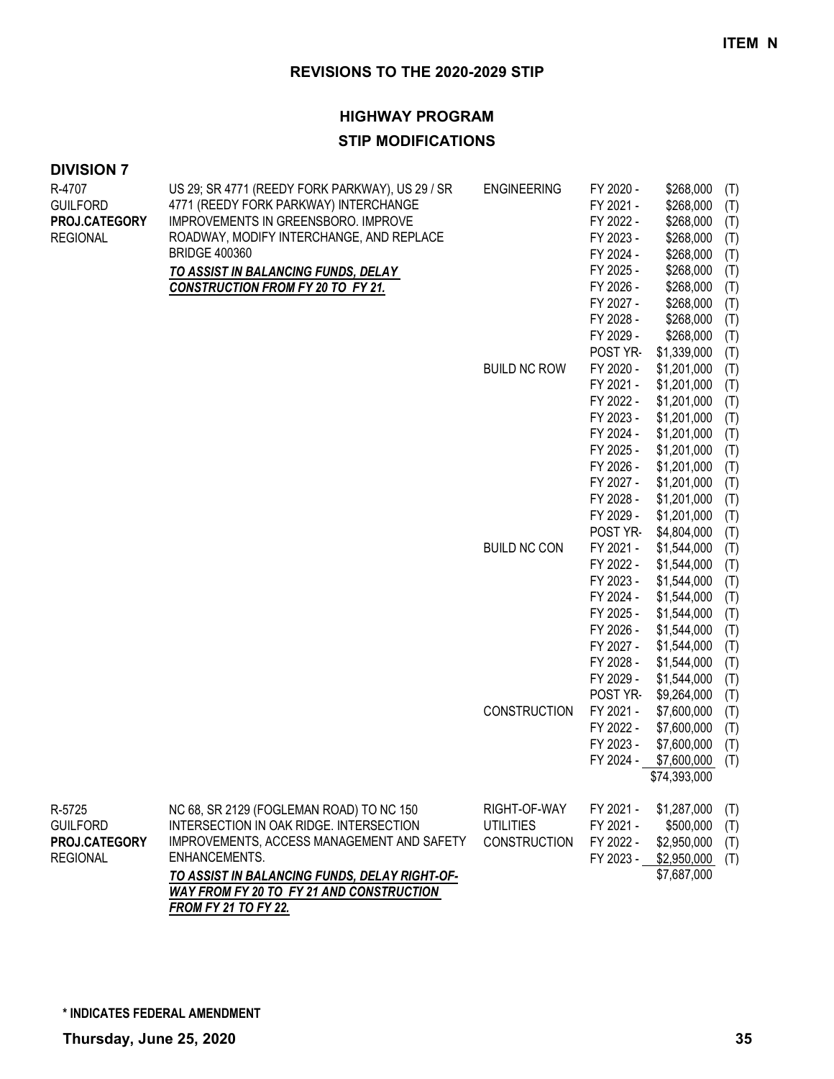### **HIGHWAY PROGRAM**

## **STIP MODIFICATIONS**

| <b>DIVISION 7</b> |  |
|-------------------|--|
|-------------------|--|

| R-4707<br><b>GUILFORD</b> | US 29; SR 4771 (REEDY FORK PARKWAY), US 29 / SR<br>4771 (REEDY FORK PARKWAY) INTERCHANGE | <b>ENGINEERING</b>  | FY 2020 -<br>FY 2021 - | \$268,000<br>\$268,000     | (T)<br>(T) |
|---------------------------|------------------------------------------------------------------------------------------|---------------------|------------------------|----------------------------|------------|
| PROJ.CATEGORY             | IMPROVEMENTS IN GREENSBORO. IMPROVE                                                      |                     | FY 2022 -              | \$268,000                  | (T)        |
| <b>REGIONAL</b>           | ROADWAY, MODIFY INTERCHANGE, AND REPLACE                                                 |                     | FY 2023 -              | \$268,000                  | (T)        |
|                           | <b>BRIDGE 400360</b>                                                                     |                     | FY 2024 -              | \$268,000                  | (T)        |
|                           | TO ASSIST IN BALANCING FUNDS, DELAY                                                      |                     | FY 2025 -              | \$268,000                  | (T)        |
|                           | <b>CONSTRUCTION FROM FY 20 TO FY 21.</b>                                                 |                     | FY 2026 -              | \$268,000                  | (T)        |
|                           |                                                                                          |                     | FY 2027 -              | \$268,000                  | (T)        |
|                           |                                                                                          |                     | FY 2028 -              | \$268,000                  | (T)        |
|                           |                                                                                          |                     | FY 2029 -              | \$268,000                  | (T)        |
|                           |                                                                                          |                     | POST YR-               | \$1,339,000                | (T)        |
|                           |                                                                                          | <b>BUILD NC ROW</b> | FY 2020 -              | \$1,201,000                | (T)        |
|                           |                                                                                          |                     | FY 2021 -              | \$1,201,000                | (T)        |
|                           |                                                                                          |                     | FY 2022 -              | \$1,201,000                | (T)        |
|                           |                                                                                          |                     | FY 2023 -              | \$1,201,000                | (T)        |
|                           |                                                                                          |                     | FY 2024 -              | \$1,201,000                | (T)        |
|                           |                                                                                          |                     | FY 2025 -              | \$1,201,000                | (T)        |
|                           |                                                                                          |                     | FY 2026 -              | \$1,201,000                | (T)        |
|                           |                                                                                          |                     | FY 2027 -              | \$1,201,000                | (T)        |
|                           |                                                                                          |                     | FY 2028 -              | \$1,201,000                | (T)        |
|                           |                                                                                          |                     | FY 2029 -              | \$1,201,000                | (T)        |
|                           |                                                                                          |                     | POST YR-               | \$4,804,000                | (T)        |
|                           |                                                                                          | <b>BUILD NC CON</b> | FY 2021 -              | \$1,544,000                | (T)        |
|                           |                                                                                          |                     | FY 2022 -              | \$1,544,000                | (T)        |
|                           |                                                                                          |                     | FY 2023 -              | \$1,544,000                | (T)        |
|                           |                                                                                          |                     | FY 2024 -              | \$1,544,000                | (T)        |
|                           |                                                                                          |                     | FY 2025 -              | \$1,544,000                | (T)        |
|                           |                                                                                          |                     | FY 2026 -              | \$1,544,000                | (T)        |
|                           |                                                                                          |                     | FY 2027 -              | \$1,544,000                | (T)        |
|                           |                                                                                          |                     | FY 2028 -<br>FY 2029 - | \$1,544,000                | (T)        |
|                           |                                                                                          |                     | POST YR-               | \$1,544,000                | (T)        |
|                           |                                                                                          | CONSTRUCTION        | FY 2021 -              | \$9,264,000<br>\$7,600,000 | (T)        |
|                           |                                                                                          |                     | FY 2022 -              | \$7,600,000                | (T)        |
|                           |                                                                                          |                     | FY 2023 -              | \$7,600,000                | (T)        |
|                           |                                                                                          |                     | FY 2024 -              | \$7,600,000                | (T)        |
|                           |                                                                                          |                     |                        | \$74,393,000               | (T)        |
|                           |                                                                                          |                     |                        |                            |            |
| R-5725                    | NC 68, SR 2129 (FOGLEMAN ROAD) TO NC 150                                                 | RIGHT-OF-WAY        | FY 2021 -              | \$1,287,000                | (T)        |
| <b>GUILFORD</b>           | INTERSECTION IN OAK RIDGE. INTERSECTION                                                  | <b>UTILITIES</b>    | FY 2021 -              | \$500,000                  | (T)        |
| PROJ.CATEGORY             | IMPROVEMENTS, ACCESS MANAGEMENT AND SAFETY                                               | <b>CONSTRUCTION</b> | FY 2022 -              | \$2,950,000                | (T)        |
| <b>REGIONAL</b>           | ENHANCEMENTS.                                                                            |                     | FY 2023 -              | \$2,950,000                | (T)        |
|                           | TO ASSIST IN BALANCING FUNDS, DELAY RIGHT-OF-                                            |                     |                        | \$7,687,000                |            |
|                           | WAY FROM FY 20 TO FY 21 AND CONSTRUCTION                                                 |                     |                        |                            |            |
|                           | <b>FROM FY 21 TO FY 22.</b>                                                              |                     |                        |                            |            |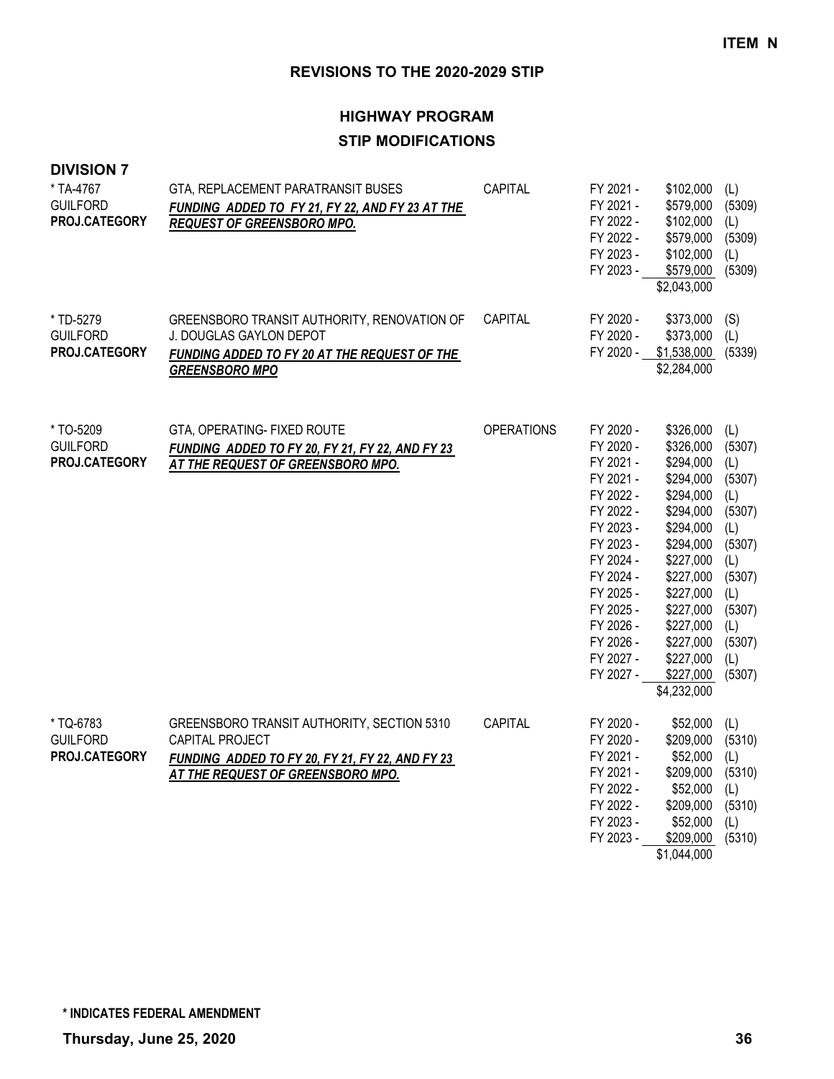## **HIGHWAY PROGRAM STIP MODIFICATIONS**

| <b>DIVISION 7</b><br>* TA-4767<br><b>GUILFORD</b><br>PROJ.CATEGORY | GTA, REPLACEMENT PARATRANSIT BUSES<br>FUNDING ADDED TO FY 21, FY 22, AND FY 23 AT THE<br><b>REQUEST OF GREENSBORO MPO.</b>                            | CAPITAL           | FY 2021 -<br>FY 2021 -<br>FY 2022 -<br>FY 2022 -<br>FY 2023 -<br>FY 2023 -                                                                                                                                   | \$102,000<br>\$579,000<br>\$102,000<br>\$579,000<br>\$102,000<br>\$579,000<br>\$2,043,000                                                                                                                                   | (L)<br>(5309)<br>(L)<br>(5309)<br>(L)<br>(5309)                                                                                      |
|--------------------------------------------------------------------|-------------------------------------------------------------------------------------------------------------------------------------------------------|-------------------|--------------------------------------------------------------------------------------------------------------------------------------------------------------------------------------------------------------|-----------------------------------------------------------------------------------------------------------------------------------------------------------------------------------------------------------------------------|--------------------------------------------------------------------------------------------------------------------------------------|
| * TD-5279<br><b>GUILFORD</b><br>PROJ.CATEGORY                      | GREENSBORO TRANSIT AUTHORITY, RENOVATION OF<br>J. DOUGLAS GAYLON DEPOT<br>FUNDING ADDED TO FY 20 AT THE REQUEST OF THE<br><b>GREENSBORO MPO</b>       | CAPITAL           | FY 2020 -<br>FY 2020 -<br>FY 2020 -                                                                                                                                                                          | \$373,000<br>\$373,000<br>\$1,538,000<br>\$2,284,000                                                                                                                                                                        | (S)<br>(L)<br>(5339)                                                                                                                 |
| * TO-5209<br><b>GUILFORD</b><br><b>PROJ.CATEGORY</b>               | GTA, OPERATING- FIXED ROUTE<br>FUNDING ADDED TO FY 20, FY 21, FY 22, AND FY 23<br>AT THE REQUEST OF GREENSBORO MPO.                                   | <b>OPERATIONS</b> | FY 2020 -<br>FY 2020 -<br>FY 2021 -<br>FY 2021 -<br>FY 2022 -<br>FY 2022 -<br>FY 2023 -<br>FY 2023 -<br>FY 2024 -<br>FY 2024 -<br>FY 2025 -<br>FY 2025 -<br>FY 2026 -<br>FY 2026 -<br>FY 2027 -<br>FY 2027 - | \$326,000<br>\$326,000<br>\$294,000<br>\$294,000<br>\$294,000<br>\$294,000<br>\$294,000<br>\$294,000<br>\$227,000<br>\$227,000<br>\$227,000<br>\$227,000<br>\$227,000<br>\$227,000<br>\$227,000<br>\$227,000<br>\$4,232,000 | (L)<br>(5307)<br>(L)<br>(5307)<br>(L)<br>(5307)<br>(L)<br>(5307)<br>(L)<br>(5307)<br>(L)<br>(5307)<br>(L)<br>(5307)<br>(1)<br>(5307) |
| * TQ-6783<br><b>GUILFORD</b><br>PROJ.CATEGORY                      | GREENSBORO TRANSIT AUTHORITY, SECTION 5310<br>CAPITAL PROJECT<br>FUNDING ADDED TO FY 20, FY 21, FY 22, AND FY 23<br>AT THE REQUEST OF GREENSBORO MPO. | CAPITAL           | FY 2020 -<br>FY 2020 -<br>FY 2021 -<br>FY 2021 -<br>FY 2022 -<br>FY 2022 -<br>FY 2023 -<br>FY 2023 -                                                                                                         | \$52,000<br>\$209,000<br>\$52,000<br>\$209,000<br>\$52,000<br>\$209,000<br>\$52,000<br>\$209,000<br>\$1,044,000                                                                                                             | (L)<br>(5310)<br>(L)<br>(5310)<br>(L)<br>(5310)<br>(L)<br>(5310)                                                                     |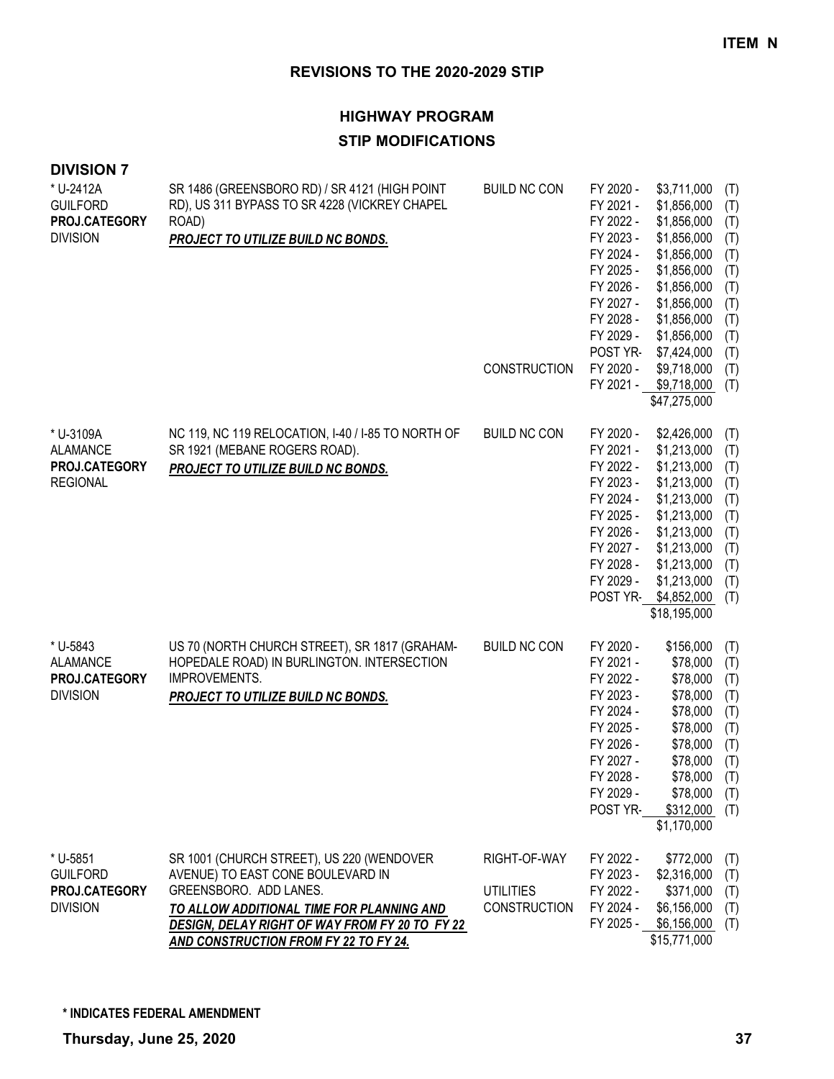| <b>DIVISION 7</b>                                                |                                                                                                                                                                                                                                                         |                                                         |                                                                                                                                                                      |                                                                                                                                                                                                                 |                                                                                         |
|------------------------------------------------------------------|---------------------------------------------------------------------------------------------------------------------------------------------------------------------------------------------------------------------------------------------------------|---------------------------------------------------------|----------------------------------------------------------------------------------------------------------------------------------------------------------------------|-----------------------------------------------------------------------------------------------------------------------------------------------------------------------------------------------------------------|-----------------------------------------------------------------------------------------|
| * U-2412A<br><b>GUILFORD</b><br>PROJ.CATEGORY<br><b>DIVISION</b> | SR 1486 (GREENSBORO RD) / SR 4121 (HIGH POINT<br>RD), US 311 BYPASS TO SR 4228 (VICKREY CHAPEL<br>ROAD)<br>PROJECT TO UTILIZE BUILD NC BONDS.                                                                                                           | <b>BUILD NC CON</b><br><b>CONSTRUCTION</b>              | FY 2020 -<br>FY 2021 -<br>FY 2022 -<br>FY 2023 -<br>FY 2024 -<br>FY 2025 -<br>FY 2026 -<br>FY 2027 -<br>FY 2028 -<br>FY 2029 -<br>POST YR-<br>FY 2020 -<br>FY 2021 - | \$3,711,000<br>\$1,856,000<br>\$1,856,000<br>\$1,856,000<br>\$1,856,000<br>\$1,856,000<br>\$1,856,000<br>\$1,856,000<br>\$1,856,000<br>\$1,856,000<br>\$7,424,000<br>\$9,718,000<br>\$9,718,000<br>\$47,275,000 | (T)<br>(T)<br>(T)<br>(T)<br>(T)<br>(T)<br>(T)<br>(T)<br>(T)<br>(T)<br>(T)<br>(T)<br>(T) |
| * U-3109A<br><b>ALAMANCE</b><br>PROJ.CATEGORY<br><b>REGIONAL</b> | NC 119, NC 119 RELOCATION, I-40 / I-85 TO NORTH OF<br>SR 1921 (MEBANE ROGERS ROAD).<br>PROJECT TO UTILIZE BUILD NC BONDS.                                                                                                                               | <b>BUILD NC CON</b>                                     | FY 2020 -<br>FY 2021 -<br>FY 2022 -<br>FY 2023 -<br>FY 2024 -<br>FY 2025 -<br>FY 2026 -<br>FY 2027 -<br>FY 2028 -<br>FY 2029 -                                       | \$2,426,000<br>\$1,213,000<br>\$1,213,000<br>\$1,213,000<br>\$1,213,000<br>\$1,213,000<br>\$1,213,000<br>\$1,213,000<br>\$1,213,000<br>\$1,213,000<br>POST YR-\$4,852,000<br>\$18,195,000                       | (T)<br>(T)<br>(T)<br>(T)<br>(T)<br>(T)<br>(T)<br>(T)<br>(T)<br>(T)<br>(T)               |
| * U-5843<br><b>ALAMANCE</b><br>PROJ.CATEGORY<br><b>DIVISION</b>  | US 70 (NORTH CHURCH STREET), SR 1817 (GRAHAM-<br>HOPEDALE ROAD) IN BURLINGTON. INTERSECTION<br><b>IMPROVEMENTS.</b><br>PROJECT TO UTILIZE BUILD NC BONDS.                                                                                               | <b>BUILD NC CON</b>                                     | FY 2020 -<br>FY 2021 -<br>FY 2022 -<br>FY 2023 -<br>FY 2024 -<br>FY 2025 -<br>FY 2026 -<br>FY 2027 -<br>FY 2028 -<br>FY 2029 -<br><b>POST YR-</b>                    | \$156,000<br>\$78,000<br>\$78,000<br>\$78,000<br>\$78,000<br>\$78,000<br>\$78,000<br>\$78,000<br>\$78,000<br>\$78,000<br>\$312,000<br>\$1,170,000                                                               | (T)<br>(T)<br>(T)<br>(T)<br>(T)<br>(T)<br>(T)<br>(T)<br>(T)<br>(T)<br>(T)               |
| * U-5851<br><b>GUILFORD</b><br>PROJ.CATEGORY<br><b>DIVISION</b>  | SR 1001 (CHURCH STREET), US 220 (WENDOVER<br>AVENUE) TO EAST CONE BOULEVARD IN<br>GREENSBORO. ADD LANES.<br>TO ALLOW ADDITIONAL TIME FOR PLANNING AND<br>DESIGN, DELAY RIGHT OF WAY FROM FY 20 TO FY 22<br><b>AND CONSTRUCTION FROM FY 22 TO FY 24.</b> | RIGHT-OF-WAY<br><b>UTILITIES</b><br><b>CONSTRUCTION</b> | FY 2022 -<br>FY 2023 -<br>FY 2022 -<br>FY 2024 -                                                                                                                     | \$772,000<br>\$2,316,000<br>\$371,000<br>\$6,156,000<br>FY 2025 - \$6,156,000<br>\$15,771,000                                                                                                                   | (T)<br>(T)<br>(T)<br>(T)<br>(T)                                                         |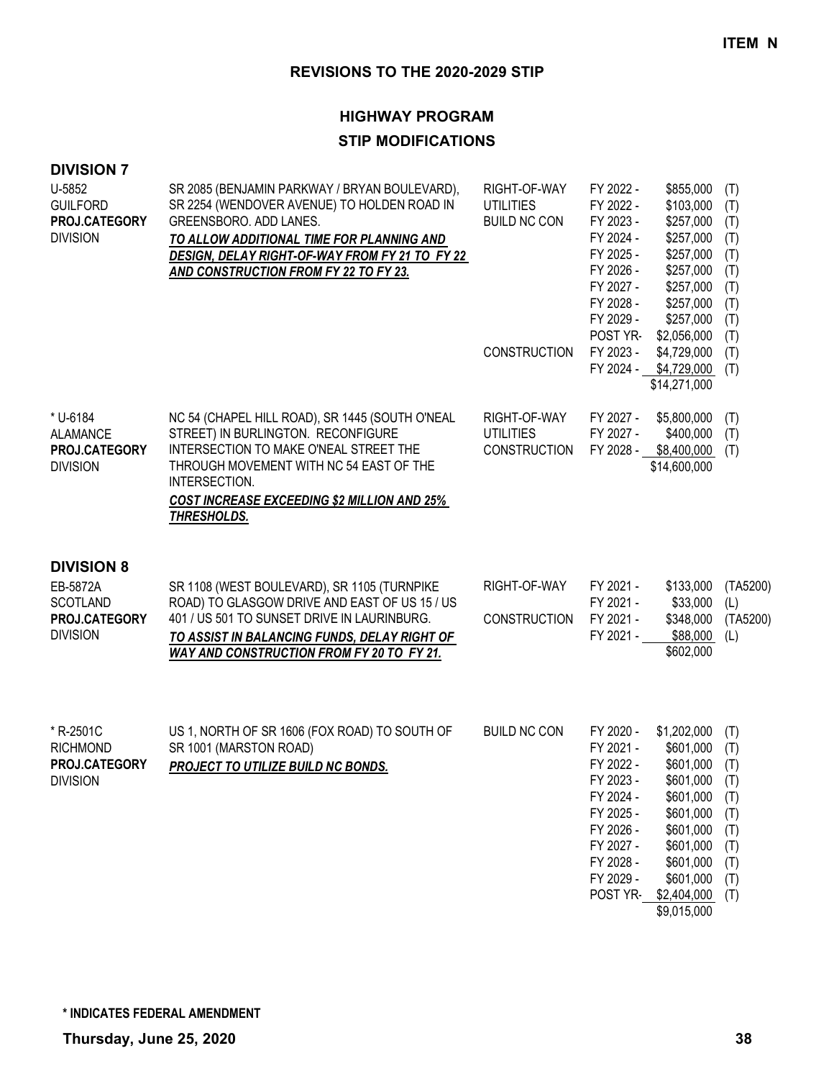## **HIGHWAY PROGRAM**

## **STIP MODIFICATIONS**

| <b>DIVISION 7</b><br>U-5852<br><b>GUILFORD</b><br>PROJ.CATEGORY<br><b>DIVISION</b>   | SR 2085 (BENJAMIN PARKWAY / BRYAN BOULEVARD),<br>SR 2254 (WENDOVER AVENUE) TO HOLDEN ROAD IN<br>GREENSBORO. ADD LANES.<br>TO ALLOW ADDITIONAL TIME FOR PLANNING AND<br>DESIGN, DELAY RIGHT-OF-WAY FROM FY 21 TO FY 22<br>AND CONSTRUCTION FROM FY 22 TO FY 23.   | RIGHT-OF-WAY<br><b>UTILITIES</b><br><b>BUILD NC CON</b><br><b>CONSTRUCTION</b> | FY 2022 -<br>FY 2022 -<br>FY 2023 -<br>FY 2024 -<br>FY 2025 -<br>FY 2026 -<br>FY 2027 -<br>FY 2028 -<br>FY 2029 -<br>POST YR-<br>FY 2023 -<br>FY 2024 - | \$855,000<br>\$103,000<br>\$257,000<br>\$257,000<br>\$257,000<br>\$257,000<br>\$257,000<br>\$257,000<br>\$257,000<br>\$2,056,000<br>\$4,729,000<br>\$4,729,000<br>\$14,271,000 | (T)<br>(T)<br>(T)<br>(T)<br>(T)<br>(T)<br>(T)<br>(T)<br>(T)<br>(T)<br>(T)<br>(T) |
|--------------------------------------------------------------------------------------|------------------------------------------------------------------------------------------------------------------------------------------------------------------------------------------------------------------------------------------------------------------|--------------------------------------------------------------------------------|---------------------------------------------------------------------------------------------------------------------------------------------------------|--------------------------------------------------------------------------------------------------------------------------------------------------------------------------------|----------------------------------------------------------------------------------|
| * U-6184<br><b>ALAMANCE</b><br>PROJ.CATEGORY<br><b>DIVISION</b>                      | NC 54 (CHAPEL HILL ROAD), SR 1445 (SOUTH O'NEAL<br>STREET) IN BURLINGTON. RECONFIGURE<br>INTERSECTION TO MAKE O'NEAL STREET THE<br>THROUGH MOVEMENT WITH NC 54 EAST OF THE<br>INTERSECTION.<br><b>COST INCREASE EXCEEDING \$2 MILLION AND 25%</b><br>THRESHOLDS. | RIGHT-OF-WAY<br><b>UTILITIES</b><br><b>CONSTRUCTION</b>                        | FY 2027 -<br>FY 2027 -<br>FY 2028 -                                                                                                                     | \$5,800,000<br>\$400,000<br>\$8,400,000<br>\$14,600,000                                                                                                                        | (T)<br>(T)<br>(T)                                                                |
| <b>DIVISION 8</b><br>EB-5872A<br><b>SCOTLAND</b><br>PROJ.CATEGORY<br><b>DIVISION</b> | SR 1108 (WEST BOULEVARD), SR 1105 (TURNPIKE<br>ROAD) TO GLASGOW DRIVE AND EAST OF US 15 / US<br>401 / US 501 TO SUNSET DRIVE IN LAURINBURG.<br>TO ASSIST IN BALANCING FUNDS, DELAY RIGHT OF<br>WAY AND CONSTRUCTION FROM FY 20 TO FY 21.                         | RIGHT-OF-WAY<br><b>CONSTRUCTION</b>                                            | FY 2021 -<br>FY 2021 -<br>FY 2021 -<br>FY 2021 -                                                                                                        | \$133,000<br>\$33,000<br>\$348,000<br>\$88,000<br>\$602,000                                                                                                                    | (TA5200)<br>(L)<br>(TA5200)<br>(L)                                               |
| * R-2501C<br><b>RICHMOND</b><br>PROJ.CATEGORY<br><b>DIVISION</b>                     | US 1, NORTH OF SR 1606 (FOX ROAD) TO SOUTH OF<br>SR 1001 (MARSTON ROAD)<br><b>PROJECT TO UTILIZE BUILD NC BONDS.</b>                                                                                                                                             | <b>BUILD NC CON</b>                                                            | FY 2020 -<br>FY 2021 -<br>FY 2022 -<br>FY 2023 -<br>FY 2024 -<br>FY 2025 -<br>FY 2026 -<br>FY 2027 -<br>FY 2028 -<br>FY 2029 -<br>POST YR-              | \$1,202,000<br>\$601,000<br>\$601,000<br>\$601,000<br>\$601,000<br>\$601,000<br>\$601,000<br>\$601,000<br>\$601,000<br>\$601,000<br>\$2,404,000<br>\$9,015,000                 | (T)<br>(T)<br>(T)<br>(T)<br>(T)<br>(T)<br>(T)<br>(T)<br>(T)<br>(T)<br>(T)        |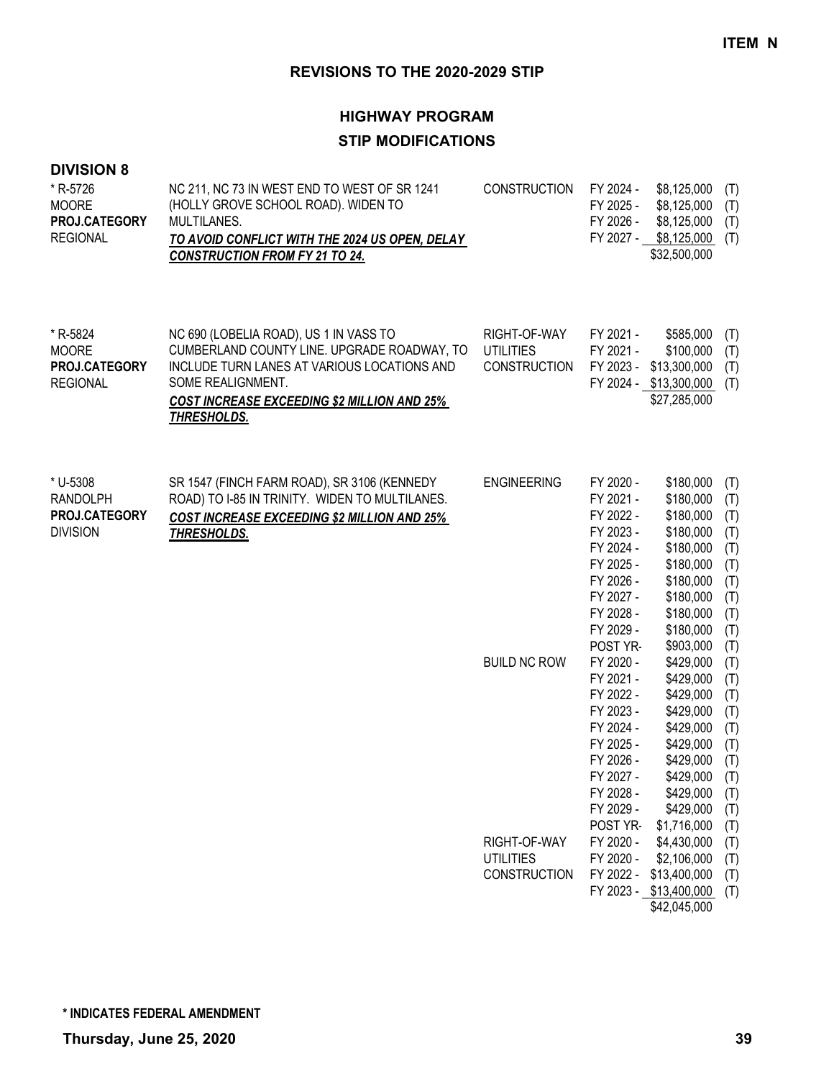## **HIGHWAY PROGRAM STIP MODIFICATIONS**

| * R-5726        | NC 211, NC 73 IN WEST END TO WEST OF SR 1241   | CONSTRUCTION FY 2024 - |           | \$8,125,000 (T) |  |
|-----------------|------------------------------------------------|------------------------|-----------|-----------------|--|
| <b>MOORE</b>    | (HOLLY GROVE SCHOOL ROAD). WIDEN TO            |                        | FY 2025 - | \$8,125,000 (T) |  |
| PROJ.CATEGORY   | MULTILANES.                                    |                        | FY 2026 - | \$8,125,000 (T) |  |
| <b>REGIONAL</b> | TO AVOID CONFLICT WITH THE 2024 US OPEN, DELAY |                        | FY 2027 - | \$8,125,000 (T) |  |
|                 | <b>CONSTRUCTION FROM FY 21 TO 24.</b>          |                        |           | \$32,500,000    |  |

| * R-5824             | NC 690 (LOBELIA ROAD), US 1 IN VASS TO             | RIGHT-OF-WAY        | FY 2021 - | \$585.000                  | (T) |
|----------------------|----------------------------------------------------|---------------------|-----------|----------------------------|-----|
| MOORE                | CUMBERLAND COUNTY LINE. UPGRADE ROADWAY, TO        | UTILITIES           | FY 2021 - | \$100.000                  | (T) |
| <b>PROJ.CATEGORY</b> | INCLUDE TURN LANES AT VARIOUS LOCATIONS AND        | <b>CONSTRUCTION</b> |           | FY 2023 - \$13,300,000     | (T) |
| REGIONAL             | SOME REALIGNMENT.                                  |                     |           | FY 2024 - \$13,300,000 (T) |     |
|                      | <b>COST INCREASE EXCEEDING \$2 MILLION AND 25%</b> |                     |           | \$27,285,000               |     |
|                      | THRESHOLDS.                                        |                     |           |                            |     |
|                      |                                                    |                     |           |                            |     |

| * U-5308        | SR 1547 (FINCH FARM ROAD), SR 3106 (KENNEDY        | <b>ENGINEERING</b>  | FY 2020 -       | \$180,000   | (T) |
|-----------------|----------------------------------------------------|---------------------|-----------------|-------------|-----|
| <b>RANDOLPH</b> | ROAD) TO I-85 IN TRINITY. WIDEN TO MULTILANES.     |                     | FY 2021 -       | \$180,000   | (T) |
| PROJ.CATEGORY   | <b>COST INCREASE EXCEEDING \$2 MILLION AND 25%</b> |                     | FY 2022 -       | \$180,000   | (T) |
| <b>DIVISION</b> | THRESHOLDS.                                        |                     | FY 2023 -       | \$180,000   | (T) |
|                 |                                                    |                     | FY 2024 -       | \$180,000   | (T) |
|                 |                                                    |                     | FY 2025 -       | \$180,000   | (T) |
|                 |                                                    |                     | FY 2026 -       | \$180,000   | (T) |
|                 |                                                    |                     | FY 2027 -       | \$180,000   | (T) |
|                 |                                                    |                     | FY 2028 -       | \$180,000   | (T) |
|                 |                                                    |                     | FY 2029 -       | \$180,000   | (T) |
|                 |                                                    |                     | POST YR-        | \$903,000   | (T) |
|                 |                                                    | <b>BUILD NC ROW</b> | FY 2020 -       | \$429,000   | (T) |
|                 |                                                    |                     | FY 2021 -       | \$429,000   | (T) |
|                 |                                                    |                     | FY 2022 -       | \$429,000   | (T) |
|                 |                                                    |                     | FY 2023 -       | \$429,000   | (T) |
|                 |                                                    |                     | FY 2024 -       | \$429,000   | (T) |
|                 |                                                    |                     | FY 2025 -       | \$429,000   | (T) |
|                 |                                                    |                     | FY 2026 -       | \$429,000   | (T) |
|                 |                                                    |                     | FY 2027 -       | \$429,000   | (T) |
|                 |                                                    |                     | FY 2028 -       | \$429,000   | (T) |
|                 |                                                    |                     | FY 2029 -       | \$429,000   | (T) |
|                 |                                                    |                     | <b>POST YR-</b> | \$1,716,000 | (T) |

|                     | . טטו     | 1,1,1,1,0,0,0,0,1,1,1      |  |
|---------------------|-----------|----------------------------|--|
| RIGHT-OF-WAY        | FY 2020 - | $$4,430,000$ (T)           |  |
| UTILITIES           |           | FY 2020 - \$2,106,000 (T)  |  |
| <b>CONSTRUCTION</b> |           | FY 2022 - \$13,400,000 (T) |  |
|                     |           | FY 2023 - \$13,400,000 (T) |  |
|                     |           | \$42,045,000               |  |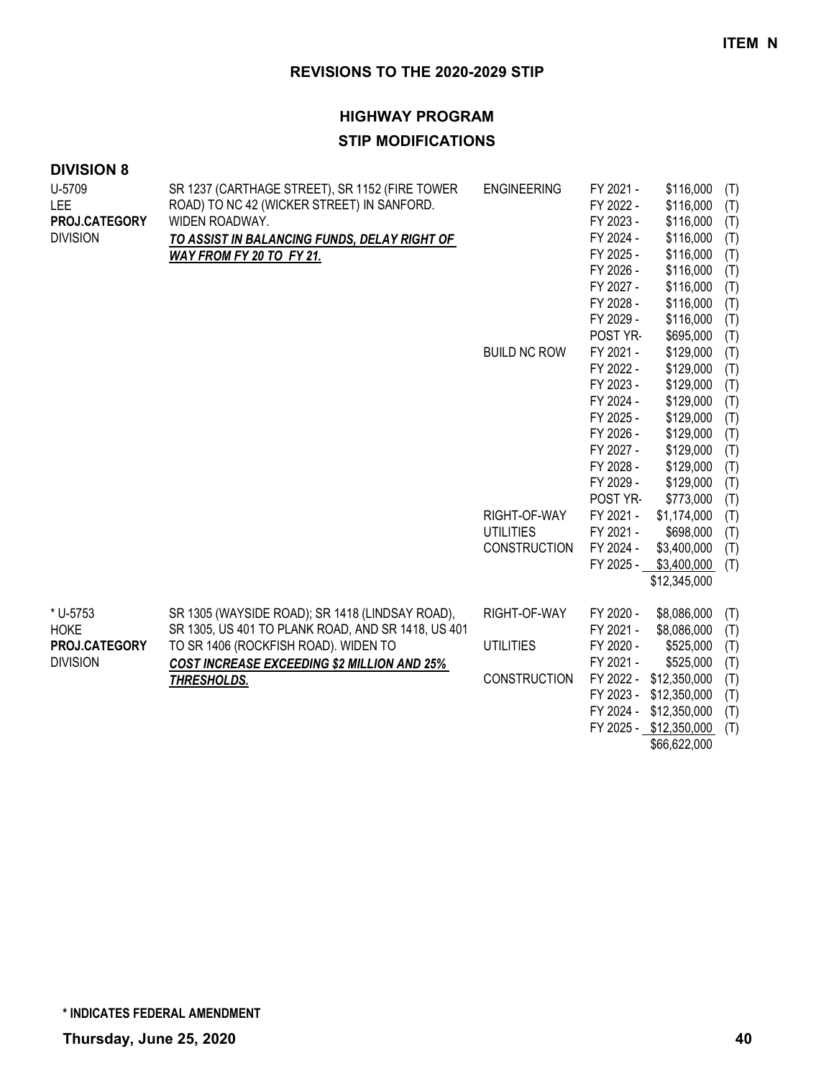#### **HIGHWAY PROGRAM**

#### **STIP MODIFICATIONS**

| <b>DIVISION 8</b>              |                                                                                                                |                     |                                                  |                                     |                   |
|--------------------------------|----------------------------------------------------------------------------------------------------------------|---------------------|--------------------------------------------------|-------------------------------------|-------------------|
| U-5709<br>LEE<br>PROJ.CATEGORY | SR 1237 (CARTHAGE STREET), SR 1152 (FIRE TOWER<br>ROAD) TO NC 42 (WICKER STREET) IN SANFORD.<br>WIDEN ROADWAY. | <b>ENGINEERING</b>  | FY 2021 -<br>FY 2022 -<br>FY 2023 -<br>FY 2024 - | \$116,000<br>\$116,000<br>\$116,000 | (T)<br>(T)<br>(T) |
| <b>DIVISION</b>                | TO ASSIST IN BALANCING FUNDS, DELAY RIGHT OF                                                                   |                     | FY 2025 -                                        | \$116,000<br>\$116,000              | (T)<br>(T)        |
|                                | WAY FROM FY 20 TO FY 21.                                                                                       |                     | FY 2026 -                                        | \$116,000                           | (T)               |
|                                |                                                                                                                |                     | FY 2027 -                                        | \$116,000                           | (T)               |
|                                |                                                                                                                |                     | FY 2028 -                                        | \$116,000                           | (T)               |
|                                |                                                                                                                |                     | FY 2029 -                                        | \$116,000                           | (T)               |
|                                |                                                                                                                |                     | POST YR-                                         | \$695,000                           | (T)               |
|                                |                                                                                                                | <b>BUILD NC ROW</b> | FY 2021 -                                        | \$129,000                           | (T)               |
|                                |                                                                                                                |                     | FY 2022 -                                        | \$129,000                           | (T)               |
|                                |                                                                                                                |                     | FY 2023 -                                        | \$129,000                           | (T)               |
|                                |                                                                                                                |                     | FY 2024 -                                        | \$129,000                           | (T)               |
|                                |                                                                                                                |                     | FY 2025 -                                        | \$129,000                           | (T)               |
|                                |                                                                                                                |                     | FY 2026 -                                        | \$129,000                           | (T)               |
|                                |                                                                                                                |                     | FY 2027 -                                        | \$129,000                           | (T)               |
|                                |                                                                                                                |                     | FY 2028 -                                        | \$129,000                           | (T)               |
|                                |                                                                                                                |                     | FY 2029 -                                        | \$129,000                           | (T)               |
|                                |                                                                                                                |                     | POST YR-                                         | \$773,000                           | (T)               |
|                                |                                                                                                                | RIGHT-OF-WAY        | FY 2021 -                                        | \$1,174,000                         | (T)               |
|                                |                                                                                                                | <b>UTILITIES</b>    | FY 2021 -                                        | \$698,000                           | (T)               |
|                                |                                                                                                                | CONSTRUCTION        | FY 2024 -                                        | \$3,400,000                         | (T)               |
|                                |                                                                                                                |                     | FY 2025 -                                        | \$3,400,000                         | (T)               |
|                                |                                                                                                                |                     |                                                  | \$12,345,000                        |                   |
| * U-5753                       | SR 1305 (WAYSIDE ROAD); SR 1418 (LINDSAY ROAD),                                                                | RIGHT-OF-WAY        | FY 2020 -                                        | \$8,086,000                         | (T)               |
| <b>HOKE</b>                    | SR 1305, US 401 TO PLANK ROAD, AND SR 1418, US 401                                                             |                     | FY 2021 -                                        | \$8,086,000                         | (T)               |
| PROJ.CATEGORY                  | TO SR 1406 (ROCKFISH ROAD). WIDEN TO                                                                           | <b>UTILITIES</b>    | FY 2020 -                                        | \$525,000                           | (T)               |
| <b>DIVISION</b>                | COST INCREASE EXCEEDING \$2 MILLION AND 25%                                                                    |                     | FY 2021 -                                        | \$525,000                           | (T)               |
|                                | THRESHOLDS.                                                                                                    | <b>CONSTRUCTION</b> |                                                  | FY 2022 - \$12,350,000              | (T)               |
|                                |                                                                                                                |                     |                                                  | FY 2023 - \$12,350,000              | (T)               |
|                                |                                                                                                                |                     |                                                  | FY 2024 - \$12,350,000              | (T)               |
|                                |                                                                                                                |                     |                                                  | FY 2025 - \$12,350,000              | (T)               |
|                                |                                                                                                                |                     |                                                  | \$66,622,000                        |                   |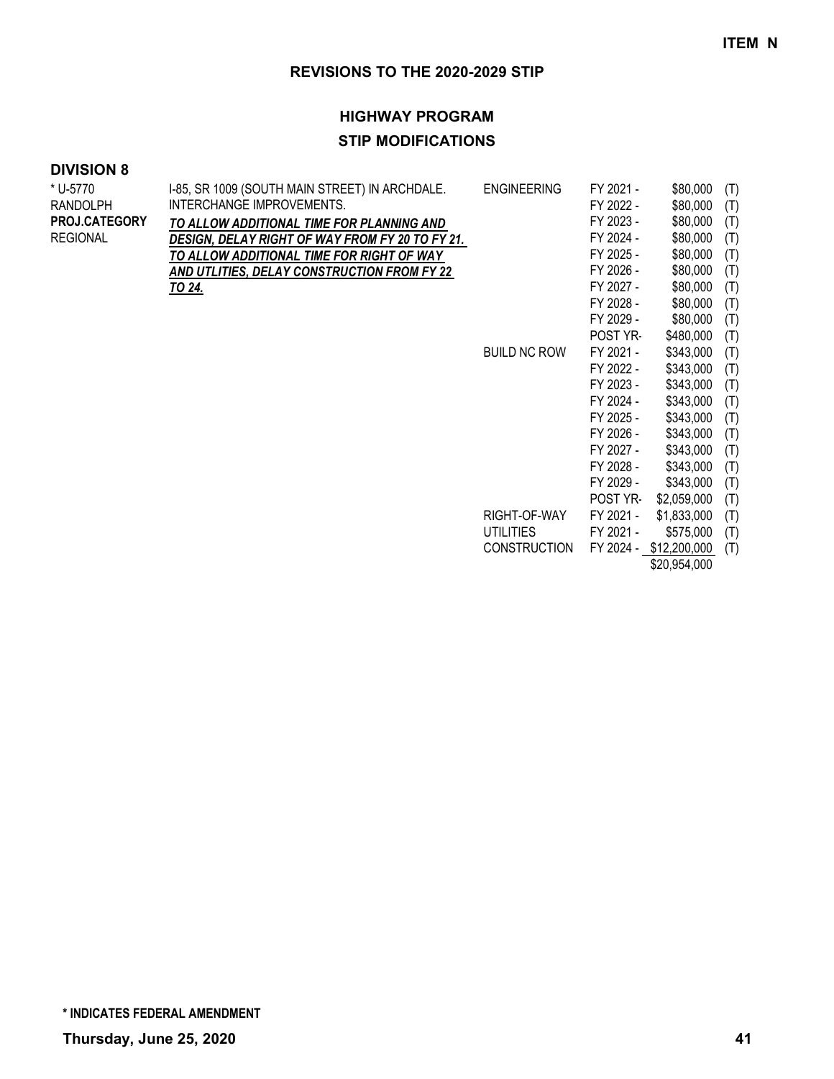## **HIGHWAY PROGRAM STIP MODIFICATIONS**

| * U-5770             | I-85, SR 1009 (SOUTH MAIN STREET) IN ARCHDALE.  | <b>ENGINEERING</b>  | FY 2021 -       | \$80,000               | (T) |
|----------------------|-------------------------------------------------|---------------------|-----------------|------------------------|-----|
| <b>RANDOLPH</b>      | INTERCHANGE IMPROVEMENTS.                       |                     | FY 2022 -       | \$80,000               | (T) |
| <b>PROJ.CATEGORY</b> | TO ALLOW ADDITIONAL TIME FOR PLANNING AND       |                     | FY 2023 -       | \$80,000               | (T) |
| <b>REGIONAL</b>      | DESIGN, DELAY RIGHT OF WAY FROM FY 20 TO FY 21. |                     | FY 2024 -       | \$80,000               | (T) |
|                      | TO ALLOW ADDITIONAL TIME FOR RIGHT OF WAY       |                     | FY 2025 -       | \$80,000               | (T) |
|                      | AND UTLITIES, DELAY CONSTRUCTION FROM FY 22     |                     | FY 2026 -       | \$80,000               | (T) |
|                      | <u>TO 24.</u>                                   |                     | FY 2027 -       | \$80,000               | (T) |
|                      |                                                 |                     | FY 2028 -       | \$80,000               | (T) |
|                      |                                                 |                     | FY 2029 -       | \$80,000               | (T) |
|                      |                                                 |                     | <b>POST YR-</b> | \$480,000              | (T) |
|                      |                                                 | <b>BUILD NC ROW</b> | FY 2021 -       | \$343,000              | (T) |
|                      |                                                 |                     | FY 2022 -       | \$343,000              | (T) |
|                      |                                                 |                     | FY 2023 -       | \$343,000              | (T) |
|                      |                                                 |                     | FY 2024 -       | \$343,000              | (T) |
|                      |                                                 |                     | FY 2025 -       | \$343,000              | (T) |
|                      |                                                 |                     | FY 2026 -       | \$343,000              | (T) |
|                      |                                                 |                     | FY 2027 -       | \$343,000              | (T) |
|                      |                                                 |                     | FY 2028 -       | \$343,000              | (T) |
|                      |                                                 |                     | FY 2029 -       | \$343,000              | (T) |
|                      |                                                 |                     | POST YR-        | \$2,059,000            | (T) |
|                      |                                                 | RIGHT-OF-WAY        | FY 2021 -       | \$1,833,000            | (T) |
|                      |                                                 | <b>UTILITIES</b>    | FY 2021 -       | \$575,000              | (T) |
|                      |                                                 | <b>CONSTRUCTION</b> |                 | FY 2024 - \$12,200,000 | (T) |
|                      |                                                 |                     |                 | \$20,954,000           |     |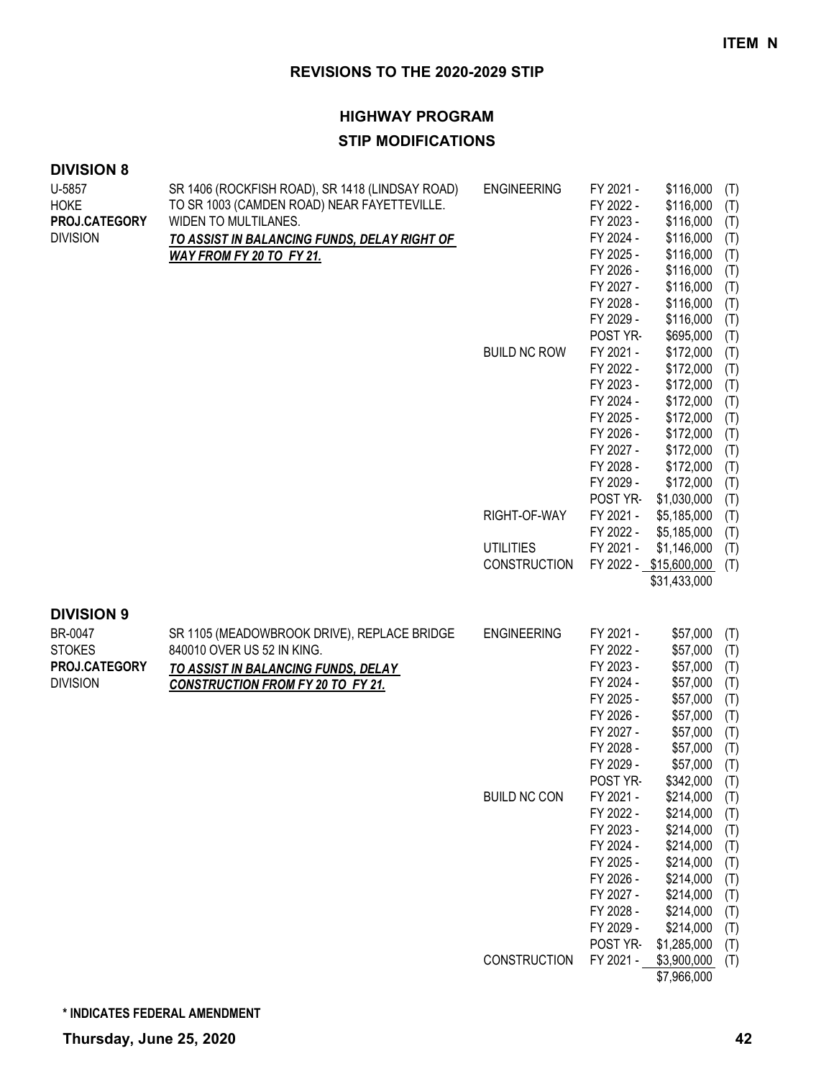# **HIGHWAY PROGRAM**

## **STIP MODIFICATIONS**

| <b>DIVISION 8</b>                                                                 |                                                                                                                                                                                                    |                                                                                                      |                                                                                                                                                                                                                                                                                                       |                                                                                                                                                                                                                                                                                                                                                           |                                                                                                                                                                      |
|-----------------------------------------------------------------------------------|----------------------------------------------------------------------------------------------------------------------------------------------------------------------------------------------------|------------------------------------------------------------------------------------------------------|-------------------------------------------------------------------------------------------------------------------------------------------------------------------------------------------------------------------------------------------------------------------------------------------------------|-----------------------------------------------------------------------------------------------------------------------------------------------------------------------------------------------------------------------------------------------------------------------------------------------------------------------------------------------------------|----------------------------------------------------------------------------------------------------------------------------------------------------------------------|
| U-5857<br><b>HOKE</b><br>PROJ.CATEGORY<br><b>DIVISION</b>                         | SR 1406 (ROCKFISH ROAD), SR 1418 (LINDSAY ROAD)<br>TO SR 1003 (CAMDEN ROAD) NEAR FAYETTEVILLE.<br>WIDEN TO MULTILANES.<br>TO ASSIST IN BALANCING FUNDS, DELAY RIGHT OF<br>WAY FROM FY 20 TO FY 21. | <b>ENGINEERING</b><br><b>BUILD NC ROW</b><br>RIGHT-OF-WAY<br><b>UTILITIES</b><br><b>CONSTRUCTION</b> | FY 2021 -<br>FY 2022 -<br>FY 2023 -<br>FY 2024 -<br>FY 2025 -<br>FY 2026 -<br>FY 2027 -<br>FY 2028 -<br>FY 2029 -<br>POST YR-<br>FY 2021 -<br>FY 2022 -<br>FY 2023 -<br>FY 2024 -<br>FY 2025 -<br>FY 2026 -<br>FY 2027 -<br>FY 2028 -<br>FY 2029 -<br>POST YR-<br>FY 2021 -<br>FY 2022 -<br>FY 2021 - | \$116,000<br>\$116,000<br>\$116,000<br>\$116,000<br>\$116,000<br>\$116,000<br>\$116,000<br>\$116,000<br>\$116,000<br>\$695,000<br>\$172,000<br>\$172,000<br>\$172,000<br>\$172,000<br>\$172,000<br>\$172,000<br>\$172,000<br>\$172,000<br>\$172,000<br>\$1,030,000<br>\$5,185,000<br>\$5,185,000<br>\$1,146,000<br>FY 2022 - \$15,600,000<br>\$31,433,000 | (T)<br>(T)<br>(T)<br>(T)<br>(T)<br>(T)<br>(T)<br>(T)<br>(T)<br>(T)<br>(T)<br>(T)<br>(T)<br>(T)<br>(T)<br>(T)<br>(T)<br>(T)<br>(T)<br>(T)<br>(T)<br>(T)<br>(T)<br>(T) |
| <b>DIVISION 9</b><br>BR-0047<br><b>STOKES</b><br>PROJ.CATEGORY<br><b>DIVISION</b> | SR 1105 (MEADOWBROOK DRIVE), REPLACE BRIDGE<br>840010 OVER US 52 IN KING.<br>TO ASSIST IN BALANCING FUNDS, DELAY<br><b>CONSTRUCTION FROM FY 20 TO FY 21.</b>                                       | <b>ENGINEERING</b><br><b>BUILD NC CON</b><br>CONSTRUCTION                                            | FY 2021 -<br>FY 2022 -<br>FY 2023 -<br>FY 2024 -<br>FY 2025 -<br>FY 2026 -<br>FY 2027 -<br>FY 2028 -<br>FY 2029 -<br>POST YR-<br>FY 2021 -<br>FY 2022 -<br>FY 2023 -<br>FY 2024 -<br>FY 2025 -<br>FY 2026 -<br>FY 2027 -<br>FY 2028 -<br>FY 2029 -<br>POST YR-<br>FY 2021 -                           | \$57,000<br>\$57,000<br>\$57,000<br>\$57,000<br>\$57,000<br>\$57,000<br>\$57,000<br>\$57,000<br>\$57,000<br>\$342,000<br>\$214,000<br>\$214,000<br>\$214,000<br>\$214,000<br>\$214,000<br>\$214,000<br>\$214,000<br>\$214,000<br>\$214,000<br>\$1,285,000<br>\$3,900,000                                                                                  | (T)<br>(T)<br>(T)<br>(T)<br>(T)<br>(T)<br>(T)<br>(T)<br>(T)<br>(T)<br>(T)<br>(T)<br>(T)<br>(T)<br>(T)<br>(T)<br>(T)<br>(T)<br>(T)<br>(T)                             |
|                                                                                   |                                                                                                                                                                                                    |                                                                                                      |                                                                                                                                                                                                                                                                                                       | \$7,966,000                                                                                                                                                                                                                                                                                                                                               | (T)                                                                                                                                                                  |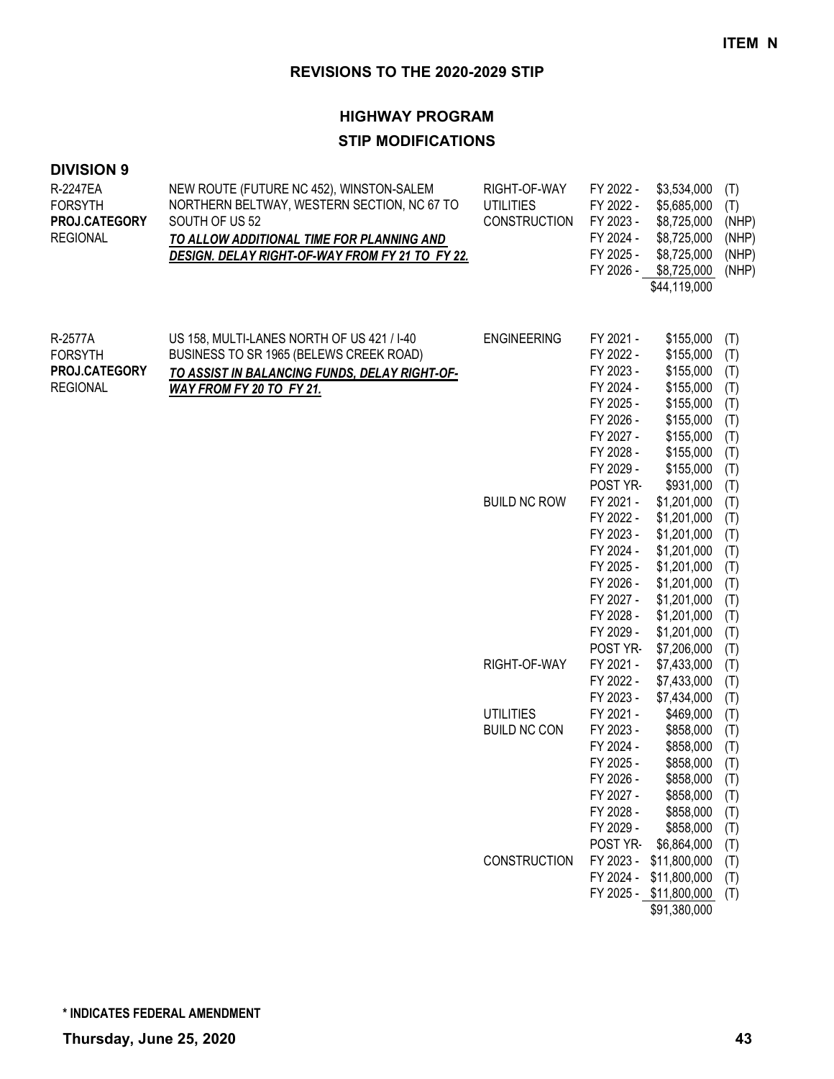## **HIGHWAY PROGRAM STIP MODIFICATIONS**

| R-2247EA<br><b>FORSYTH</b><br>PROJ.CATEGORY<br><b>REGIONAL</b> | NEW ROUTE (FUTURE NC 452), WINSTON-SALEM<br>NORTHERN BELTWAY, WESTERN SECTION, NC 67 TO<br>SOUTH OF US 52<br>TO ALLOW ADDITIONAL TIME FOR PLANNING AND<br>DESIGN. DELAY RIGHT-OF-WAY FROM FY 21 TO FY 22. | RIGHT-OF-WAY<br><b>UTILITIES</b><br><b>CONSTRUCTION</b> | FY 2022 -<br>FY 2022 -<br>FY 2023 -<br>FY 2024 -<br>FY 2025 -                                                                 | \$3,534,000<br>\$5,685,000<br>\$8,725,000<br>\$8,725,000<br>\$8,725,000<br>FY 2026 - \$8,725,000<br>\$44,119,000                                   | (T)<br>(T)<br>(NHP)<br>(NHP)<br>(NHP)<br>(NHP)                     |
|----------------------------------------------------------------|-----------------------------------------------------------------------------------------------------------------------------------------------------------------------------------------------------------|---------------------------------------------------------|-------------------------------------------------------------------------------------------------------------------------------|----------------------------------------------------------------------------------------------------------------------------------------------------|--------------------------------------------------------------------|
| R-2577A<br><b>FORSYTH</b><br>PROJ.CATEGORY<br><b>REGIONAL</b>  | US 158, MULTI-LANES NORTH OF US 421 / I-40<br>BUSINESS TO SR 1965 (BELEWS CREEK ROAD)<br>TO ASSIST IN BALANCING FUNDS, DELAY RIGHT-OF-<br>WAY FROM FY 20 TO FY 21.                                        | <b>ENGINEERING</b>                                      | FY 2021 -<br>FY 2022 -<br>FY 2023 -<br>FY 2024 -<br>FY 2025 -<br>FY 2026 -<br>FY 2027 -<br>FY 2028 -<br>FY 2029 -<br>POST YR- | \$155,000<br>\$155,000<br>\$155,000<br>\$155,000<br>\$155,000<br>\$155,000<br>\$155,000<br>\$155,000<br>\$155,000<br>\$931,000                     | (T)<br>(T)<br>(T)<br>(T)<br>(T)<br>(T)<br>(T)<br>(T)<br>(T)<br>(T) |
|                                                                |                                                                                                                                                                                                           | <b>BUILD NC ROW</b>                                     | FY 2021 -<br>FY 2022 -<br>FY 2023 -<br>FY 2024 -<br>FY 2025 -<br>FY 2026 -<br>FY 2027 -<br>FY 2028 -<br>FY 2029 -<br>POST YR- | \$1,201,000<br>\$1,201,000<br>\$1,201,000<br>\$1,201,000<br>\$1,201,000<br>\$1,201,000<br>\$1,201,000<br>\$1,201,000<br>\$1,201,000<br>\$7,206,000 | (T)<br>(T)<br>(T)<br>(T)<br>(T)<br>(T)<br>(T)<br>(T)<br>(T)<br>(T) |
|                                                                |                                                                                                                                                                                                           | RIGHT-OF-WAY                                            | FY 2021 -<br>FY 2022 -<br>FY 2023 -                                                                                           | \$7,433,000<br>\$7,433,000<br>\$7,434,000                                                                                                          | (T)<br>(T)<br>(T)                                                  |
|                                                                |                                                                                                                                                                                                           | <b>UTILITIES</b><br><b>BUILD NC CON</b>                 | FY 2021 -<br>FY 2023 -<br>FY 2024 -<br>FY 2025 -<br>FY 2026 -<br>FY 2027 -<br>FY 2028 -<br>FY 2029 -<br>POST YR-              | \$469,000<br>\$858,000<br>\$858,000<br>\$858,000<br>\$858,000<br>\$858,000 (T)<br>\$858,000<br>\$858,000<br>\$6,864,000                            | (T)<br>(T)<br>(T)<br>(T)<br>(T)<br>(T)<br>(T)<br>(T)               |
|                                                                |                                                                                                                                                                                                           | <b>CONSTRUCTION</b>                                     | FY 2023 -<br>FY 2024 -                                                                                                        | \$11,800,000<br>\$11,800,000<br>FY 2025 - \$11,800,000<br>\$91,380,000                                                                             | (T)<br>(T)<br>(T)                                                  |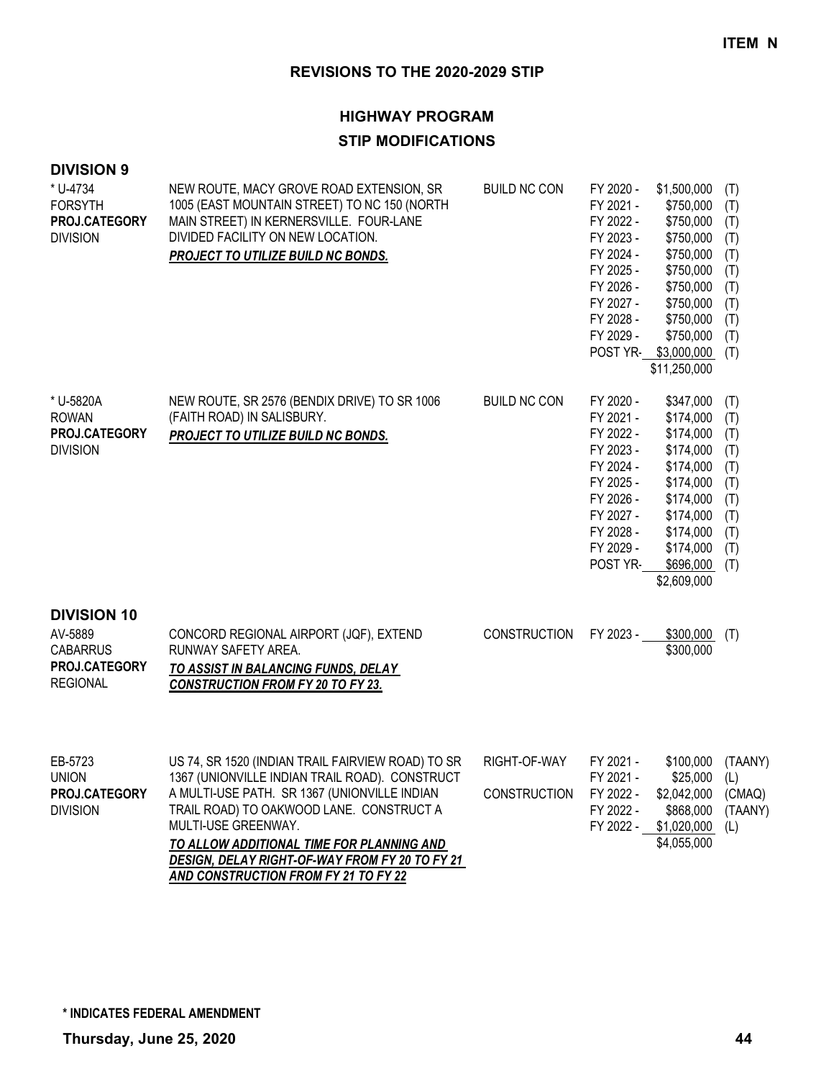#### **HIGHWAY PROGRAM**

#### **STIP MODIFICATIONS**

| <b>DIVISION 9</b><br>* U-4734<br><b>FORSYTH</b><br>PROJ.CATEGORY<br><b>DIVISION</b>  | NEW ROUTE, MACY GROVE ROAD EXTENSION, SR<br>1005 (EAST MOUNTAIN STREET) TO NC 150 (NORTH<br>MAIN STREET) IN KERNERSVILLE. FOUR-LANE<br>DIVIDED FACILITY ON NEW LOCATION.<br>PROJECT TO UTILIZE BUILD NC BONDS.                                                                                                                                                       | <b>BUILD NC CON</b>                 | FY 2020 -<br>FY 2021 -<br>FY 2022 -<br>FY 2023 -<br>FY 2024 -<br>FY 2025 -<br>FY 2026 -<br>FY 2027 -<br>FY 2028 -<br>FY 2029 -<br>POST YR- | \$1,500,000<br>\$750,000<br>\$750,000<br>\$750,000<br>\$750,000<br>\$750,000<br>\$750,000<br>\$750,000<br>\$750,000<br>\$750,000<br>\$3,000,000<br>\$11,250,000 | (T)<br>(T)<br>(T)<br>(T)<br>(T)<br>(T)<br>(T)<br>(T)<br>(T)<br>(T)<br>(T) |
|--------------------------------------------------------------------------------------|----------------------------------------------------------------------------------------------------------------------------------------------------------------------------------------------------------------------------------------------------------------------------------------------------------------------------------------------------------------------|-------------------------------------|--------------------------------------------------------------------------------------------------------------------------------------------|-----------------------------------------------------------------------------------------------------------------------------------------------------------------|---------------------------------------------------------------------------|
| * U-5820A<br><b>ROWAN</b><br>PROJ.CATEGORY<br><b>DIVISION</b>                        | NEW ROUTE, SR 2576 (BENDIX DRIVE) TO SR 1006<br>(FAITH ROAD) IN SALISBURY.<br>PROJECT TO UTILIZE BUILD NC BONDS.                                                                                                                                                                                                                                                     | <b>BUILD NC CON</b>                 | FY 2020 -<br>FY 2021 -<br>FY 2022 -<br>FY 2023 -<br>FY 2024 -<br>FY 2025 -<br>FY 2026 -<br>FY 2027 -<br>FY 2028 -<br>FY 2029 -<br>POST YR- | \$347,000<br>\$174,000<br>\$174,000<br>\$174,000<br>\$174,000<br>\$174,000<br>\$174,000<br>\$174,000<br>\$174,000<br>\$174,000<br>\$696,000<br>\$2,609,000      | (T)<br>(T)<br>(T)<br>(T)<br>(T)<br>(T)<br>(T)<br>(T)<br>(T)<br>(T)<br>(T) |
| <b>DIVISION 10</b><br>AV-5889<br><b>CABARRUS</b><br>PROJ.CATEGORY<br><b>REGIONAL</b> | CONCORD REGIONAL AIRPORT (JQF), EXTEND<br>RUNWAY SAFETY AREA.<br>TO ASSIST IN BALANCING FUNDS, DELAY<br><b>CONSTRUCTION FROM FY 20 TO FY 23.</b>                                                                                                                                                                                                                     | <b>CONSTRUCTION</b>                 | FY 2023 -                                                                                                                                  | \$300,000<br>\$300,000                                                                                                                                          | (T)                                                                       |
| EB-5723<br><b>UNION</b><br>PROJ.CATEGORY<br><b>DIVISION</b>                          | US 74, SR 1520 (INDIAN TRAIL FAIRVIEW ROAD) TO SR<br>1367 (UNIONVILLE INDIAN TRAIL ROAD). CONSTRUCT<br>A MULTI-USE PATH. SR 1367 (UNIONVILLE INDIAN<br>TRAIL ROAD) TO OAKWOOD LANE. CONSTRUCT A<br>MULTI-USE GREENWAY.<br>TO ALLOW ADDITIONAL TIME FOR PLANNING AND<br><b>DESIGN, DELAY RIGHT-OF-WAY FROM FY 20 TO FY 21</b><br>AND CONSTRUCTION FROM FY 21 TO FY 22 | RIGHT-OF-WAY<br><b>CONSTRUCTION</b> | FY 2021 -<br>FY 2021 -<br>FY 2022 -<br>FY 2022 -                                                                                           | \$100,000<br>$$25,000$ (L)<br>\$2,042,000 (CMAQ)<br>\$868,000<br>FY 2022 - \$1,020,000<br>\$4,055,000                                                           | (TAANY)<br>(TAANY)<br>(L)                                                 |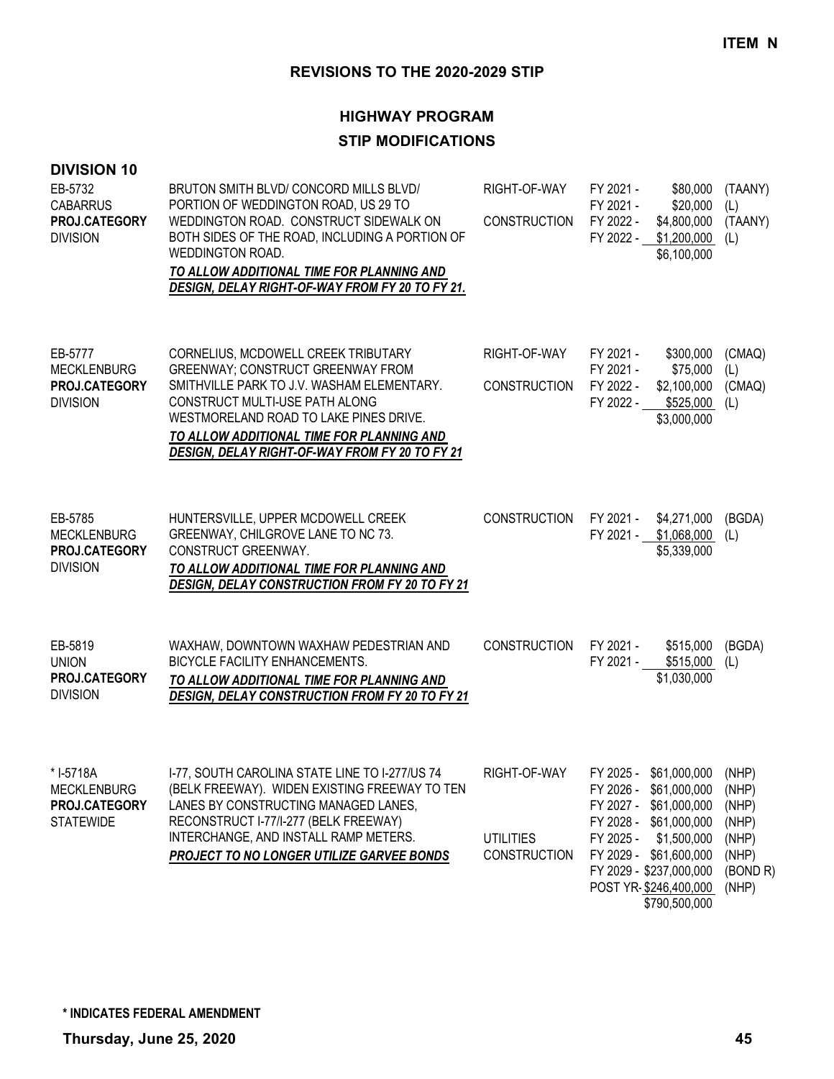| <b>DIVISION 10</b><br>EB-5732<br><b>CABARRUS</b><br>PROJ.CATEGORY<br><b>DIVISION</b> | BRUTON SMITH BLVD/CONCORD MILLS BLVD/<br>PORTION OF WEDDINGTON ROAD, US 29 TO<br>WEDDINGTON ROAD. CONSTRUCT SIDEWALK ON<br>BOTH SIDES OF THE ROAD, INCLUDING A PORTION OF<br>WEDDINGTON ROAD.<br>TO ALLOW ADDITIONAL TIME FOR PLANNING AND<br>DESIGN, DELAY RIGHT-OF-WAY FROM FY 20 TO FY 21.            | RIGHT-OF-WAY<br><b>CONSTRUCTION</b>                     | FY 2021 -<br>\$80,000<br>FY 2021 -<br>\$20,000<br>FY 2022 -<br>\$4,800,000<br>FY 2022 - \$1,200,000<br>\$6,100,000                                                                                                              | (TAANY)<br>(L)<br>(TAANY)<br>(L)                                        |
|--------------------------------------------------------------------------------------|----------------------------------------------------------------------------------------------------------------------------------------------------------------------------------------------------------------------------------------------------------------------------------------------------------|---------------------------------------------------------|---------------------------------------------------------------------------------------------------------------------------------------------------------------------------------------------------------------------------------|-------------------------------------------------------------------------|
| EB-5777<br><b>MECKLENBURG</b><br>PROJ.CATEGORY<br><b>DIVISION</b>                    | CORNELIUS, MCDOWELL CREEK TRIBUTARY<br><b>GREENWAY; CONSTRUCT GREENWAY FROM</b><br>SMITHVILLE PARK TO J.V. WASHAM ELEMENTARY.<br>CONSTRUCT MULTI-USE PATH ALONG<br>WESTMORELAND ROAD TO LAKE PINES DRIVE.<br>TO ALLOW ADDITIONAL TIME FOR PLANNING AND<br>DESIGN, DELAY RIGHT-OF-WAY FROM FY 20 TO FY 21 | RIGHT-OF-WAY<br><b>CONSTRUCTION</b>                     | FY 2021 -<br>\$300,000<br>FY 2021 -<br>\$75,000<br>FY 2022 -<br>\$2,100,000<br>FY 2022 -<br>\$525,000<br>\$3,000,000                                                                                                            | (CMAQ)<br>(L)<br>(CMAQ)<br>(L)                                          |
| EB-5785<br><b>MECKLENBURG</b><br>PROJ.CATEGORY<br><b>DIVISION</b>                    | HUNTERSVILLE, UPPER MCDOWELL CREEK<br>GREENWAY, CHILGROVE LANE TO NC 73.<br>CONSTRUCT GREENWAY.<br>TO ALLOW ADDITIONAL TIME FOR PLANNING AND<br><b>DESIGN, DELAY CONSTRUCTION FROM FY 20 TO FY 21</b>                                                                                                    | <b>CONSTRUCTION</b>                                     | FY 2021 -<br>\$4,271,000<br>FY 2021 - \$1,068,000<br>\$5,339,000                                                                                                                                                                | (BGDA)<br>(L)                                                           |
| EB-5819<br><b>UNION</b><br><b>PROJ.CATEGORY</b><br><b>DIVISION</b>                   | WAXHAW, DOWNTOWN WAXHAW PEDESTRIAN AND<br>BICYCLE FACILITY ENHANCEMENTS.<br>TO ALLOW ADDITIONAL TIME FOR PLANNING AND<br><b>DESIGN, DELAY CONSTRUCTION FROM FY 20 TO FY 21</b>                                                                                                                           | <b>CONSTRUCTION</b>                                     | FY 2021 -<br>\$515,000<br>\$515,000<br>FY 2021 -<br>\$1,030,000                                                                                                                                                                 | (BGDA)<br>(L)                                                           |
| * I-5718A<br><b>MECKLENBURG</b><br>PROJ.CATEGORY<br><b>STATEWIDE</b>                 | I-77, SOUTH CAROLINA STATE LINE TO I-277/US 74<br>(BELK FREEWAY). WIDEN EXISTING FREEWAY TO TEN<br>LANES BY CONSTRUCTING MANAGED LANES,<br>RECONSTRUCT I-77/I-277 (BELK FREEWAY)<br>INTERCHANGE, AND INSTALL RAMP METERS.<br>PROJECT TO NO LONGER UTILIZE GARVEE BONDS                                   | RIGHT-OF-WAY<br><b>UTILITIES</b><br><b>CONSTRUCTION</b> | FY 2025 - \$61,000,000<br>FY 2026 - \$61,000,000<br>FY 2027 - \$61,000,000<br>FY 2028 - \$61,000,000<br>FY 2025 -<br>\$1,500,000<br>FY 2029 - \$61,600,000<br>FY 2029 - \$237,000,000<br>POST YR-\$246,400,000<br>\$790,500,000 | (NHP)<br>(NHP)<br>(NHP)<br>(NHP)<br>(NHP)<br>(NHP)<br>(BOND R)<br>(NHP) |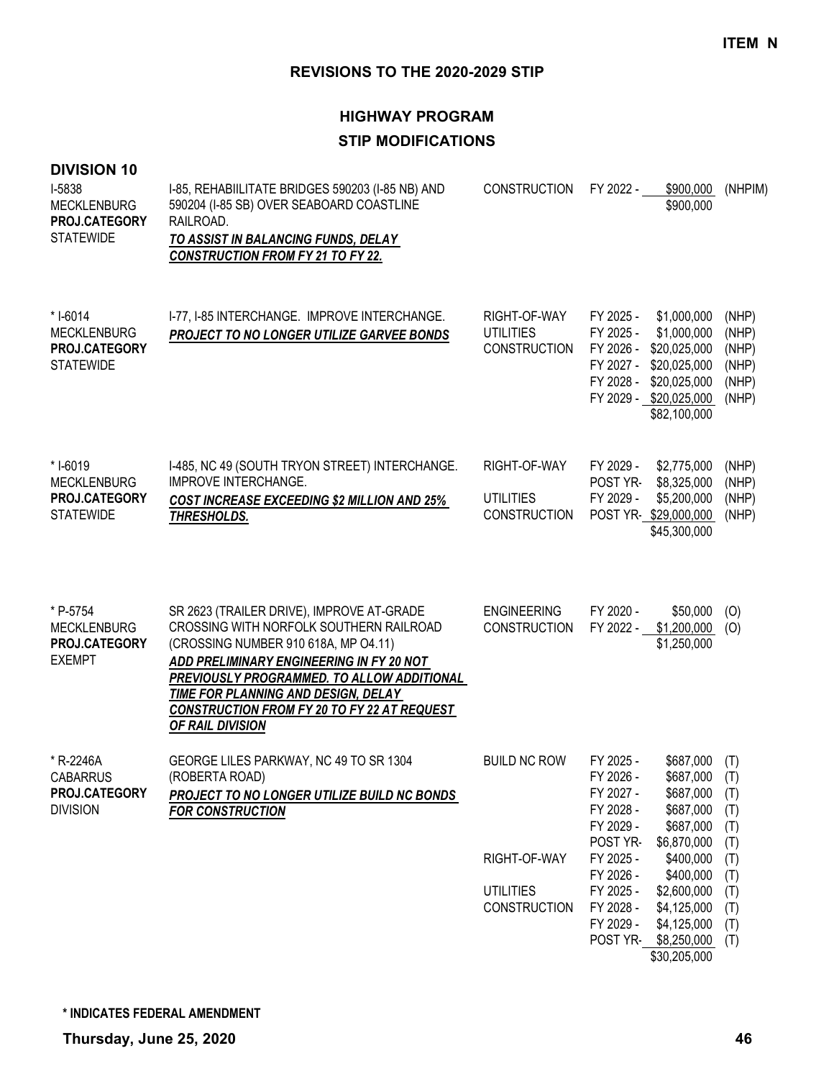| <b>DIVISION 10</b><br>I-5838<br><b>MECKLENBURG</b><br>PROJ.CATEGORY<br><b>STATEWIDE</b> | I-85, REHABIILITATE BRIDGES 590203 (I-85 NB) AND<br>590204 (I-85 SB) OVER SEABOARD COASTLINE<br>RAILROAD.<br>TO ASSIST IN BALANCING FUNDS, DELAY<br><b>CONSTRUCTION FROM FY 21 TO FY 22.</b>                                                                                                                                     | <b>CONSTRUCTION</b>                                                            | FY 2022 -<br>\$900,000<br>\$900,000                                                                                                                                                                                                                                                                                                               | (NHPIM)                                                                   |
|-----------------------------------------------------------------------------------------|----------------------------------------------------------------------------------------------------------------------------------------------------------------------------------------------------------------------------------------------------------------------------------------------------------------------------------|--------------------------------------------------------------------------------|---------------------------------------------------------------------------------------------------------------------------------------------------------------------------------------------------------------------------------------------------------------------------------------------------------------------------------------------------|---------------------------------------------------------------------------|
| * I-6014<br><b>MECKLENBURG</b><br>PROJ.CATEGORY<br><b>STATEWIDE</b>                     | I-77, I-85 INTERCHANGE. IMPROVE INTERCHANGE.<br>PROJECT TO NO LONGER UTILIZE GARVEE BONDS                                                                                                                                                                                                                                        | RIGHT-OF-WAY<br><b>UTILITIES</b><br><b>CONSTRUCTION</b>                        | FY 2025 -<br>\$1,000,000<br>FY 2025 -<br>\$1,000,000<br>FY 2026 -<br>\$20,025,000<br>FY 2027 -<br>\$20,025,000<br>FY 2028 -<br>\$20,025,000<br>FY 2029 - \$20,025,000<br>\$82,100,000                                                                                                                                                             | (NHP)<br>(NHP)<br>(NHP)<br>(NHP)<br>(NHP)<br>(NHP)                        |
| * I-6019<br><b>MECKLENBURG</b><br><b>PROJ.CATEGORY</b><br><b>STATEWIDE</b>              | I-485, NC 49 (SOUTH TRYON STREET) INTERCHANGE.<br><b>IMPROVE INTERCHANGE.</b><br><b>COST INCREASE EXCEEDING \$2 MILLION AND 25%</b><br>THRESHOLDS.                                                                                                                                                                               | RIGHT-OF-WAY<br><b>UTILITIES</b><br><b>CONSTRUCTION</b>                        | FY 2029 -<br>\$2,775,000<br>POST YR-<br>\$8,325,000<br>FY 2029 -<br>\$5,200,000<br>POST YR-\$29,000,000<br>\$45,300,000                                                                                                                                                                                                                           | (NHP)<br>(NHP)<br>(NHP)<br>(NHP)                                          |
| * P-5754<br><b>MECKLENBURG</b><br>PROJ.CATEGORY<br><b>EXEMPT</b>                        | SR 2623 (TRAILER DRIVE), IMPROVE AT-GRADE<br>CROSSING WITH NORFOLK SOUTHERN RAILROAD<br>(CROSSING NUMBER 910 618A, MP O4.11)<br>ADD PRELIMINARY ENGINEERING IN FY 20 NOT<br>PREVIOUSLY PROGRAMMED. TO ALLOW ADDITIONAL<br>TIME FOR PLANNING AND DESIGN, DELAY<br>CONSTRUCTION FROM FY 20 TO FY 22 AT REQUEST<br>OF RAIL DIVISION | <b>ENGINEERING</b><br><b>CONSTRUCTION</b>                                      | FY 2020 -<br>\$50,000<br>\$1,200,000<br>FY 2022 -<br>\$1,250,000                                                                                                                                                                                                                                                                                  | (O)<br>(O)                                                                |
| * R-2246A<br><b>CABARRUS</b><br>PROJ.CATEGORY<br><b>DIVISION</b>                        | GEORGE LILES PARKWAY, NC 49 TO SR 1304<br>(ROBERTA ROAD)<br>PROJECT TO NO LONGER UTILIZE BUILD NC BONDS<br><b>FOR CONSTRUCTION</b>                                                                                                                                                                                               | <b>BUILD NC ROW</b><br>RIGHT-OF-WAY<br><b>UTILITIES</b><br><b>CONSTRUCTION</b> | \$687,000<br>FY 2025 -<br>FY 2026 -<br>$$687,000$ (T)<br>FY 2027 -<br>\$687,000<br>\$687,000<br>FY 2028 -<br>\$687,000<br>FY 2029 -<br>\$6,870,000<br>POST YR-<br>FY 2025 -<br>\$400,000<br>FY 2026 -<br>\$400,000<br>FY 2025 -<br>\$2,600,000<br>FY 2028 -<br>\$4,125,000<br>FY 2029 -<br>\$4,125,000<br>POST YR-<br>\$8,250,000<br>\$30,205,000 | (T)<br>(T)<br>(T)<br>(T)<br>(T)<br>(T)<br>(T)<br>(T)<br>(T)<br>(T)<br>(T) |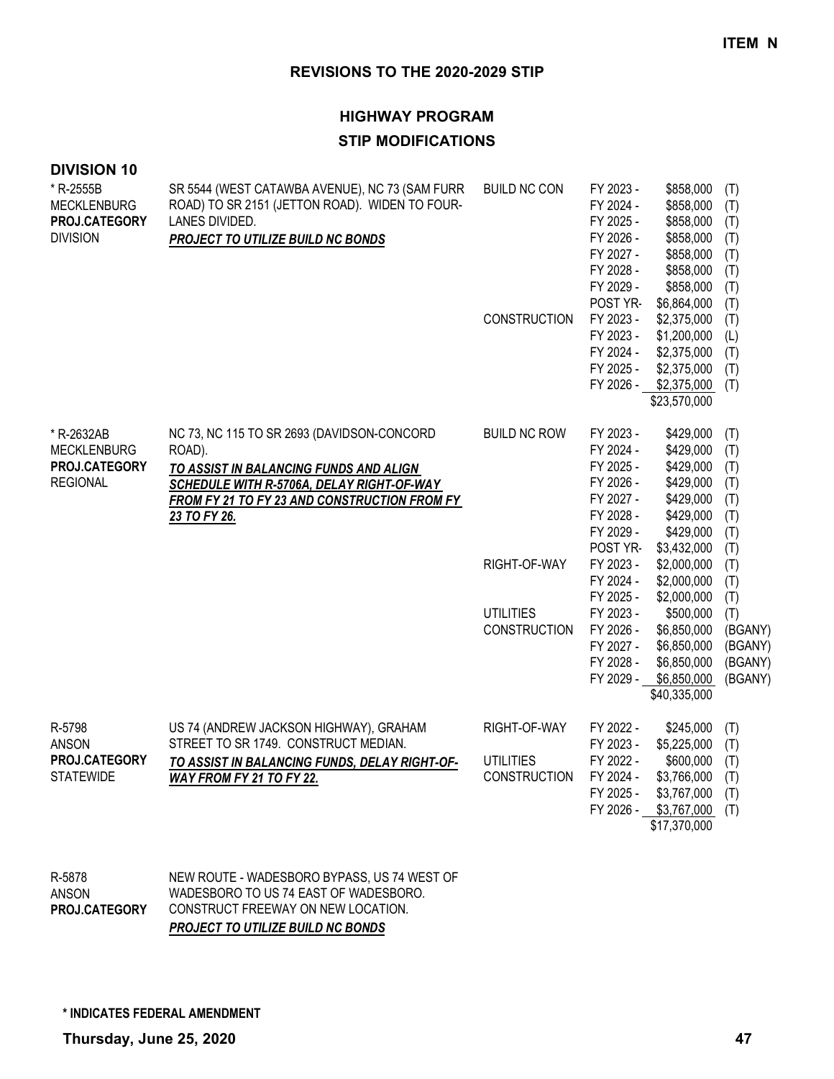## **HIGHWAY PROGRAM**

#### **STIP MODIFICATIONS**

| <b>DIVISION 10</b><br>* R-2555B<br><b>MECKLENBURG</b><br>PROJ.CATEGORY<br><b>DIVISION</b> | SR 5544 (WEST CATAWBA AVENUE), NC 73 (SAM FURR<br>ROAD) TO SR 2151 (JETTON ROAD). WIDEN TO FOUR-<br>LANES DIVIDED.<br>PROJECT TO UTILIZE BUILD NC BONDS                                                     | <b>BUILD NC CON</b><br><b>CONSTRUCTION</b>                              | FY 2023 -<br>FY 2024 -<br>FY 2025 -<br>FY 2026 -<br>FY 2027 -<br>FY 2028 -<br>FY 2029 -<br>POST YR-<br>FY 2023 -<br>FY 2023 -<br>FY 2024 -<br>FY 2025 -<br>FY 2026 -                                        | \$858,000<br>\$858,000<br>\$858,000<br>\$858,000<br>\$858,000<br>\$858,000<br>\$858,000<br>\$6,864,000<br>\$2,375,000<br>\$1,200,000<br>\$2,375,000<br>\$2,375,000<br>\$2,375,000<br>\$23,570,000                                            | (T)<br>(T)<br>(T)<br>(T)<br>(T)<br>(T)<br>(T)<br>(T)<br>(T)<br>(L)<br>(T)<br>(T)<br>(T)                                      |
|-------------------------------------------------------------------------------------------|-------------------------------------------------------------------------------------------------------------------------------------------------------------------------------------------------------------|-------------------------------------------------------------------------|-------------------------------------------------------------------------------------------------------------------------------------------------------------------------------------------------------------|----------------------------------------------------------------------------------------------------------------------------------------------------------------------------------------------------------------------------------------------|------------------------------------------------------------------------------------------------------------------------------|
| * R-2632AB<br><b>MECKLENBURG</b><br>PROJ.CATEGORY<br><b>REGIONAL</b>                      | NC 73, NC 115 TO SR 2693 (DAVIDSON-CONCORD<br>ROAD).<br>TO ASSIST IN BALANCING FUNDS AND ALIGN<br>SCHEDULE WITH R-5706A, DELAY RIGHT-OF-WAY<br>FROM FY 21 TO FY 23 AND CONSTRUCTION FROM FY<br>23 TO FY 26. | <b>BUILD NC ROW</b><br>RIGHT-OF-WAY<br><b>UTILITIES</b><br>CONSTRUCTION | FY 2023 -<br>FY 2024 -<br>FY 2025 -<br>FY 2026 -<br>FY 2027 -<br>FY 2028 -<br>FY 2029 -<br>POST YR-<br>FY 2023 -<br>FY 2024 -<br>FY 2025 -<br>FY 2023 -<br>FY 2026 -<br>FY 2027 -<br>FY 2028 -<br>FY 2029 - | \$429,000<br>\$429,000<br>\$429,000<br>\$429,000<br>\$429,000<br>\$429,000<br>\$429,000<br>\$3,432,000<br>\$2,000,000<br>\$2,000,000<br>\$2,000,000<br>\$500,000<br>\$6,850,000<br>\$6,850,000<br>\$6,850,000<br>\$6,850,000<br>\$40,335,000 | (T)<br>(T)<br>(T)<br>(T)<br>(T)<br>(T)<br>(T)<br>(T)<br>(T)<br>(T)<br>(T)<br>(T)<br>(BGANY)<br>(BGANY)<br>(BGANY)<br>(BGANY) |
| R-5798<br><b>ANSON</b><br>PROJ.CATEGORY<br><b>STATEWIDE</b>                               | US 74 (ANDREW JACKSON HIGHWAY), GRAHAM<br>STREET TO SR 1749. CONSTRUCT MEDIAN.<br>TO ASSIST IN BALANCING FUNDS, DELAY RIGHT-OF-<br>WAY FROM FY 21 TO FY 22.                                                 | RIGHT-OF-WAY<br><b>UTILITIES</b><br><b>CONSTRUCTION</b>                 | FY 2022 -<br>FY 2023 -<br>FY 2022 -<br>FY 2024 -<br>FY 2025 -<br>FY 2026 -                                                                                                                                  | \$245,000<br>\$5,225,000<br>\$600,000<br>\$3,766,000<br>\$3,767,000<br>\$3,767,000<br>\$17,370,000                                                                                                                                           | (T)<br>(T)<br>(T)<br>(T)<br>(T)<br>(T)                                                                                       |

NEW ROUTE - WADESBORO BYPASS, US 74 WEST OF WADESBORO TO US 74 EAST OF WADESBORO. CONSTRUCT FREEWAY ON NEW LOCATION. *PROJECT TO UTILIZE BUILD NC BONDS* R-5878 ANSON **PROJ.CATEGORY**

**\* INDICATES FEDERAL AMENDMENT**

**Thursday, June 25, 2020 47**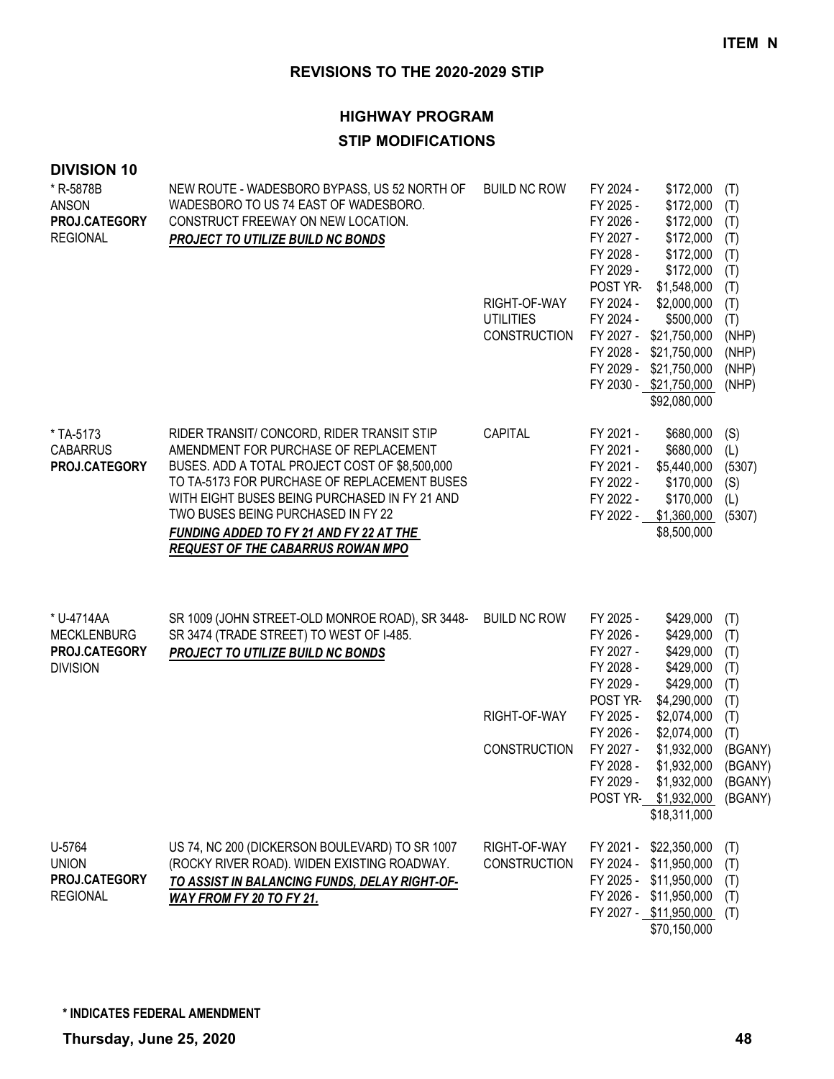#### **HIGHWAY PROGRAM**

#### **STIP MODIFICATIONS**

| * R-5878B<br><b>ANSON</b><br>PROJ.CATEGORY<br><b>REGIONAL</b>        | NEW ROUTE - WADESBORO BYPASS, US 52 NORTH OF<br>WADESBORO TO US 74 EAST OF WADESBORO.<br>CONSTRUCT FREEWAY ON NEW LOCATION.<br><b>PROJECT TO UTILIZE BUILD NC BONDS</b>                                                                                                                                                                                             | <b>BUILD NC ROW</b>                                     | FY 2024 -<br>\$172,000<br>FY 2025 -<br>\$172,000<br>FY 2026 -<br>\$172,000<br>FY 2027 -<br>\$172,000<br>FY 2028 -<br>\$172,000<br>FY 2029 -<br>\$172,000<br>POST YR-<br>\$1,548,000                | (T)<br>(T)<br>(T)<br>(T)<br>(T)<br>(T)                |
|----------------------------------------------------------------------|---------------------------------------------------------------------------------------------------------------------------------------------------------------------------------------------------------------------------------------------------------------------------------------------------------------------------------------------------------------------|---------------------------------------------------------|----------------------------------------------------------------------------------------------------------------------------------------------------------------------------------------------------|-------------------------------------------------------|
|                                                                      |                                                                                                                                                                                                                                                                                                                                                                     | RIGHT-OF-WAY<br><b>UTILITIES</b><br><b>CONSTRUCTION</b> | FY 2024 -<br>\$2,000,000<br>FY 2024 -<br>\$500,000<br>FY 2027 - \$21,750,000<br>FY 2028 -<br>\$21,750,000<br>FY 2029 -<br>\$21,750,000<br>FY 2030 - \$21,750,000<br>\$92,080,000                   | (T)<br>(T)<br>(T)<br>(NHP)<br>(NHP)<br>(NHP)<br>(NHP) |
| * TA-5173<br><b>CABARRUS</b><br>PROJ.CATEGORY                        | RIDER TRANSIT/ CONCORD, RIDER TRANSIT STIP<br>AMENDMENT FOR PURCHASE OF REPLACEMENT<br>BUSES. ADD A TOTAL PROJECT COST OF \$8,500,000<br>TO TA-5173 FOR PURCHASE OF REPLACEMENT BUSES<br>WITH EIGHT BUSES BEING PURCHASED IN FY 21 AND<br>TWO BUSES BEING PURCHASED IN FY 22<br>FUNDING ADDED TO FY 21 AND FY 22 AT THE<br><b>REQUEST OF THE CABARRUS ROWAN MPO</b> | CAPITAL                                                 | FY 2021 -<br>\$680,000<br>FY 2021 -<br>\$680,000<br>FY 2021 -<br>\$5,440,000<br>FY 2022 -<br>\$170,000<br>FY 2022 -<br>\$170,000<br>FY 2022 - \$1,360,000<br>\$8,500,000                           | (S)<br>(L)<br>(5307)<br>(S)<br>(L)<br>(5307)          |
| * U-4714AA<br><b>MECKLENBURG</b><br>PROJ.CATEGORY<br><b>DIVISION</b> | SR 1009 (JOHN STREET-OLD MONROE ROAD), SR 3448-<br>SR 3474 (TRADE STREET) TO WEST OF I-485.<br>PROJECT TO UTILIZE BUILD NC BONDS                                                                                                                                                                                                                                    | <b>BUILD NC ROW</b><br>RIGHT-OF-WAY                     | FY 2025 -<br>\$429,000<br>FY 2026 -<br>\$429,000<br>FY 2027 -<br>\$429,000<br>FY 2028 -<br>\$429,000<br>FY 2029 -<br>\$429,000<br>POST YR-<br>\$4,290,000<br>FY 2025 -<br>\$2,074,000<br>FY 2026 - | (T)<br>(T)<br>(T)<br>(T)<br>(T)<br>(T)<br>(T)         |
|                                                                      |                                                                                                                                                                                                                                                                                                                                                                     | <b>CONSTRUCTION</b>                                     | \$2,074,000<br>FY 2027 -<br>\$1,932,000<br>FY 2028 -<br>\$1,932,000<br>\$1,932,000<br>FY 2029 -<br>POST YR- \$1,932,000<br>\$18,311,000                                                            | (T)<br>(BGANY)<br>(BGANY)<br>(BGANY)<br>(BGANY)       |
| U-5764<br><b>UNION</b><br>PROJ.CATEGORY<br><b>REGIONAL</b>           | US 74, NC 200 (DICKERSON BOULEVARD) TO SR 1007<br>(ROCKY RIVER ROAD). WIDEN EXISTING ROADWAY.<br>TO ASSIST IN BALANCING FUNDS, DELAY RIGHT-OF-<br>WAY FROM FY 20 TO FY 21.                                                                                                                                                                                          | RIGHT-OF-WAY<br><b>CONSTRUCTION</b>                     | FY 2021 - \$22,350,000<br>FY 2024 - \$11,950,000<br>FY 2025 - \$11,950,000<br>FY 2026 - \$11,950,000<br>FY 2027 - \$11,950,000<br>\$70,150,000                                                     | (T)<br>(T)<br>(T)<br>(T)<br>(T)                       |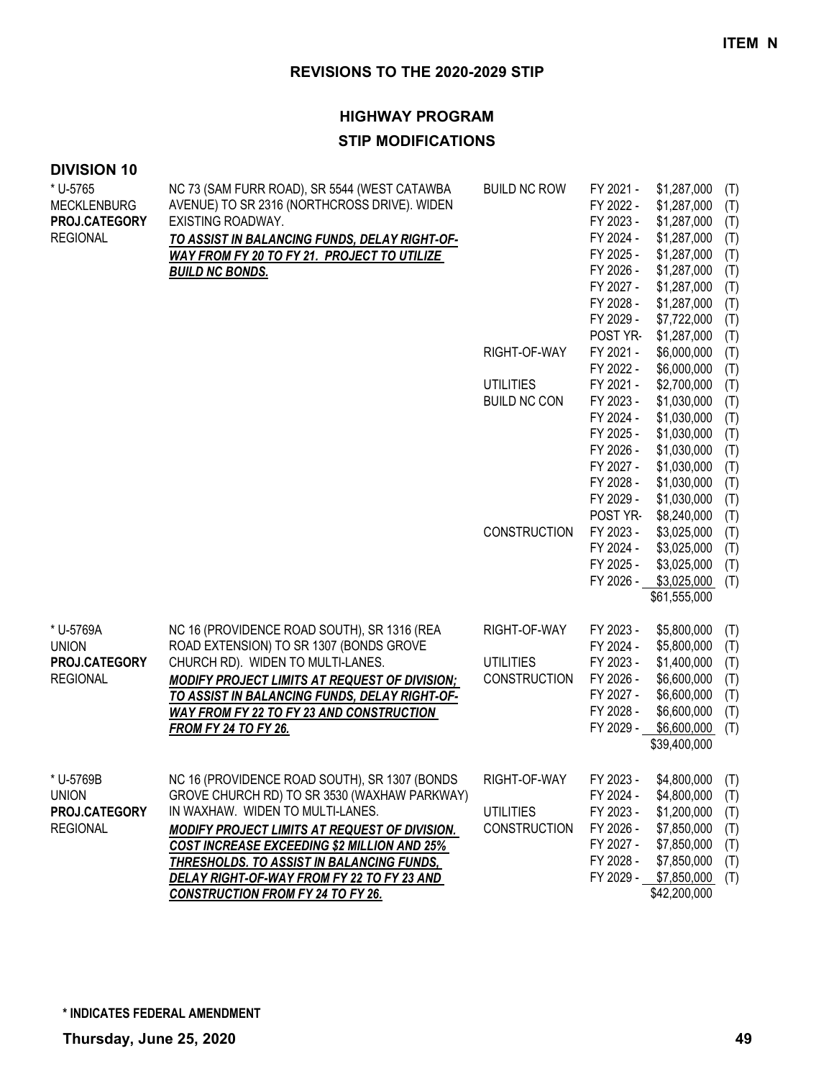#### **HIGHWAY PROGRAM**

### **STIP MODIFICATIONS**

| <b>DIVISION 10</b> |
|--------------------|
|--------------------|

| * U-5765<br>MECKLENBURG<br><b>PROJ.CATEGORY</b><br><b>REGIONAL</b> | NC 73 (SAM FURR ROAD), SR 5544 (WEST CATAWBA<br>AVENUE) TO SR 2316 (NORTHCROSS DRIVE). WIDEN<br>EXISTING ROADWAY.<br>TO ASSIST IN BALANCING FUNDS, DELAY RIGHT-OF-                                                                                                                                                                                                                     | <b>BUILD NC ROW</b>                                     | FY 2021 -<br>FY 2022 -<br>FY 2023 -<br>FY 2024 -                                        | \$1,287,000<br>\$1,287,000<br>\$1,287,000<br>\$1,287,000                                                              | (T)<br>(T)<br>(T)<br>(T)                      |
|--------------------------------------------------------------------|----------------------------------------------------------------------------------------------------------------------------------------------------------------------------------------------------------------------------------------------------------------------------------------------------------------------------------------------------------------------------------------|---------------------------------------------------------|-----------------------------------------------------------------------------------------|-----------------------------------------------------------------------------------------------------------------------|-----------------------------------------------|
|                                                                    | WAY FROM FY 20 TO FY 21. PROJECT TO UTILIZE<br><b>BUILD NC BONDS.</b>                                                                                                                                                                                                                                                                                                                  |                                                         | FY 2025 -<br>FY 2026 -<br>FY 2027 -<br>FY 2028 -<br>FY 2029 -                           | \$1,287,000<br>\$1,287,000<br>\$1,287,000<br>\$1,287,000<br>\$7,722,000                                               | (T)<br>(T)<br>(T)<br>(T)<br>(T)               |
|                                                                    |                                                                                                                                                                                                                                                                                                                                                                                        | RIGHT-OF-WAY                                            | POST YR-<br>FY 2021 -<br>FY 2022 -                                                      | \$1,287,000<br>\$6,000,000<br>\$6,000,000                                                                             | (T)<br>(T)<br>(T)                             |
|                                                                    |                                                                                                                                                                                                                                                                                                                                                                                        | <b>UTILITIES</b><br><b>BUILD NC CON</b>                 | FY 2021 -<br>FY 2023 -<br>FY 2024 -<br>FY 2025 -<br>FY 2026 -<br>FY 2027 -              | \$2,700,000<br>\$1,030,000<br>\$1,030,000<br>\$1,030,000<br>\$1,030,000<br>\$1,030,000                                | (T)<br>(T)<br>(T)<br>(T)<br>(T)<br>(T)        |
|                                                                    |                                                                                                                                                                                                                                                                                                                                                                                        | <b>CONSTRUCTION</b>                                     | FY 2028 -<br>FY 2029 -<br>POST YR-<br>FY 2023 -                                         | \$1,030,000<br>\$1,030,000<br>\$8,240,000<br>\$3,025,000                                                              | (T)<br>(T)<br>(T)<br>(T)                      |
|                                                                    |                                                                                                                                                                                                                                                                                                                                                                                        |                                                         | FY 2024 -<br>FY 2025 -<br>FY 2026 -                                                     | \$3,025,000<br>\$3,025,000<br>\$3,025,000<br>\$61,555,000                                                             | (T)<br>(T)<br>(T)                             |
| * U-5769A                                                          | NC 16 (PROVIDENCE ROAD SOUTH), SR 1316 (REA                                                                                                                                                                                                                                                                                                                                            | RIGHT-OF-WAY                                            | FY 2023 -                                                                               | \$5,800,000                                                                                                           | (T)                                           |
| union<br><b>PROJ.CATEGORY</b><br><b>REGIONAL</b>                   | ROAD EXTENSION) TO SR 1307 (BONDS GROVE<br>CHURCH RD). WIDEN TO MULTI-LANES.<br>MODIFY PROJECT LIMITS AT REQUEST OF DIVISION;<br>TO ASSIST IN BALANCING FUNDS, DELAY RIGHT-OF-<br><b>WAY FROM FY 22 TO FY 23 AND CONSTRUCTION</b><br><b>FROM FY 24 TO FY 26.</b>                                                                                                                       | <b>UTILITIES</b><br>CONSTRUCTION                        | FY 2024 -<br>FY 2023 -<br>FY 2026 -<br>FY 2027 -<br>FY 2028 -<br>FY 2029 -              | \$5,800,000<br>\$1,400,000<br>\$6,600,000<br>\$6,600,000<br>\$6,600,000<br>\$6,600,000                                | (T)<br>(T)<br>(T)<br>(T)<br>(T)<br>(T)        |
|                                                                    |                                                                                                                                                                                                                                                                                                                                                                                        |                                                         |                                                                                         | \$39,400,000                                                                                                          |                                               |
| * U-5769B<br>union<br><b>PROJ.CATEGORY</b><br><b>REGIONAL</b>      | NC 16 (PROVIDENCE ROAD SOUTH), SR 1307 (BONDS<br>GROVE CHURCH RD) TO SR 3530 (WAXHAW PARKWAY)<br>IN WAXHAW. WIDEN TO MULTI-LANES.<br>MODIFY PROJECT LIMITS AT REQUEST OF DIVISION.<br><b>COST INCREASE EXCEEDING \$2 MILLION AND 25%</b><br>THRESHOLDS. TO ASSIST IN BALANCING FUNDS,<br><u>DELAY RIGHT-OF-WAY FROM FY 22 TO FY 23 AND</u><br><b>CONSTRUCTION FROM FY 24 TO FY 26.</b> | RIGHT-OF-WAY<br><b>UTILITIES</b><br><b>CONSTRUCTION</b> | FY 2023 -<br>FY 2024 -<br>FY 2023 -<br>FY 2026 -<br>FY 2027 -<br>FY 2028 -<br>FY 2029 - | \$4,800,000<br>\$4,800,000<br>\$1,200,000<br>\$7,850,000<br>\$7,850,000<br>\$7,850,000<br>\$7,850,000<br>\$42,200,000 | (T)<br>(T)<br>(T)<br>(T)<br>(T)<br>(T)<br>(T) |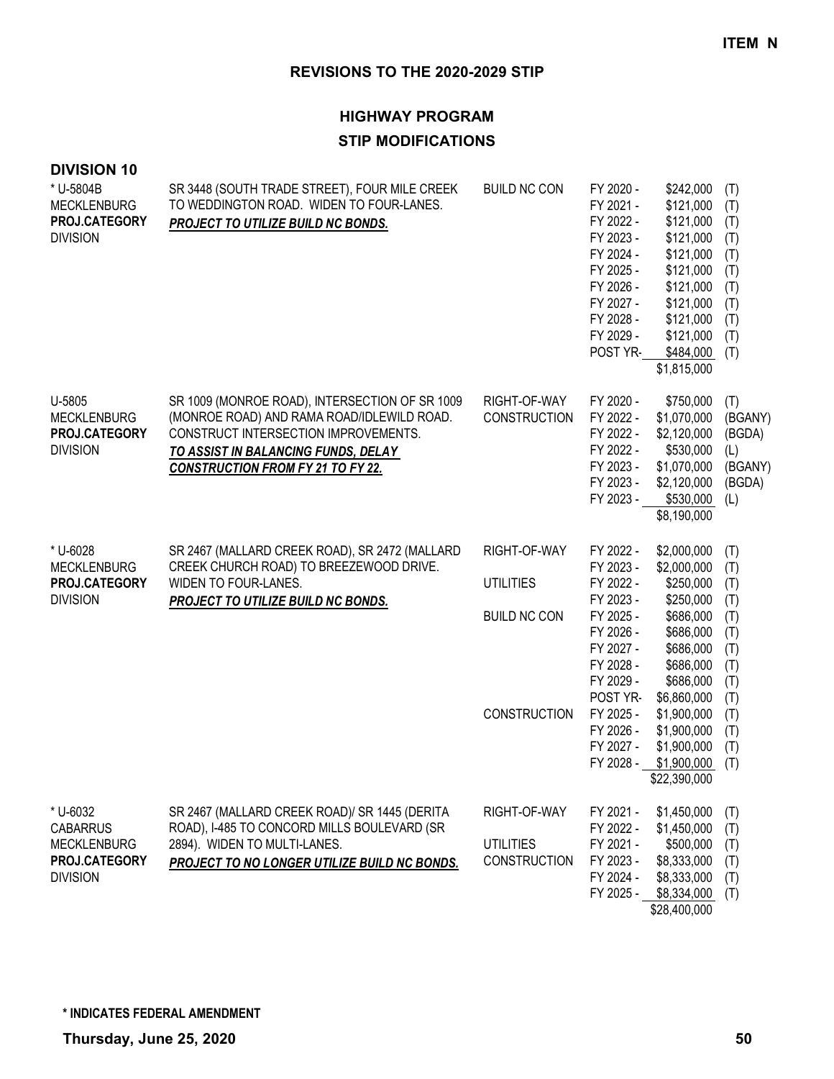| <b>DIVISION 10</b><br>* U-5804B                                  | SR 3448 (SOUTH TRADE STREET), FOUR MILE CREEK                                                                                                                                                                           | <b>BUILD NC CON</b>                 | FY 2020 -                                                                               | \$242,000                                                                                                      | (T)                                                         |
|------------------------------------------------------------------|-------------------------------------------------------------------------------------------------------------------------------------------------------------------------------------------------------------------------|-------------------------------------|-----------------------------------------------------------------------------------------|----------------------------------------------------------------------------------------------------------------|-------------------------------------------------------------|
| <b>MECKLENBURG</b><br>PROJ.CATEGORY<br><b>DIVISION</b>           | TO WEDDINGTON ROAD. WIDEN TO FOUR-LANES.<br>PROJECT TO UTILIZE BUILD NC BONDS.                                                                                                                                          |                                     | FY 2021 -<br>FY 2022 -<br>FY 2023 -<br>FY 2024 -                                        | \$121,000<br>\$121,000<br>\$121,000<br>\$121,000                                                               | (T)<br>(T)<br>(T)<br>(T)                                    |
|                                                                  |                                                                                                                                                                                                                         |                                     | FY 2025 -<br>FY 2026 -<br>FY 2027 -                                                     | \$121,000<br>\$121,000<br>\$121,000                                                                            | (T)<br>(T)<br>(T)                                           |
|                                                                  |                                                                                                                                                                                                                         |                                     | FY 2028 -<br>FY 2029 -<br>POST YR-                                                      | \$121,000<br>\$121,000<br>\$484,000<br>\$1,815,000                                                             | (T)<br>(T)<br>(T)                                           |
| U-5805<br><b>MECKLENBURG</b><br>PROJ.CATEGORY<br><b>DIVISION</b> | SR 1009 (MONROE ROAD), INTERSECTION OF SR 1009<br>(MONROE ROAD) AND RAMA ROAD/IDLEWILD ROAD.<br>CONSTRUCT INTERSECTION IMPROVEMENTS.<br>TO ASSIST IN BALANCING FUNDS, DELAY<br><b>CONSTRUCTION FROM FY 21 TO FY 22.</b> | RIGHT-OF-WAY<br><b>CONSTRUCTION</b> | FY 2020 -<br>FY 2022 -<br>FY 2022 -<br>FY 2022 -<br>FY 2023 -<br>FY 2023 -<br>FY 2023 - | \$750,000<br>\$1,070,000<br>\$2,120,000<br>\$530,000<br>\$1,070,000<br>\$2,120,000<br>\$530,000<br>\$8,190,000 | (T)<br>(BGANY)<br>(BGDA)<br>(L)<br>(BGANY)<br>(BGDA)<br>(L) |
| * U-6028                                                         | SR 2467 (MALLARD CREEK ROAD), SR 2472 (MALLARD                                                                                                                                                                          | RIGHT-OF-WAY                        | FY 2022 -                                                                               | \$2,000,000                                                                                                    | (T)                                                         |
| <b>MECKLENBURG</b><br>PROJ.CATEGORY                              | CREEK CHURCH ROAD) TO BREEZEWOOD DRIVE.<br>WIDEN TO FOUR-LANES.<br>PROJECT TO UTILIZE BUILD NC BONDS.                                                                                                                   | <b>UTILITIES</b>                    | FY 2023 -<br>FY 2022 -                                                                  | \$2,000,000<br>\$250,000                                                                                       | (T)<br>(T)                                                  |
| <b>DIVISION</b>                                                  |                                                                                                                                                                                                                         |                                     | FY 2023 -                                                                               | \$250,000                                                                                                      | (T)                                                         |
|                                                                  |                                                                                                                                                                                                                         | <b>BUILD NC CON</b>                 | FY 2025 -<br>FY 2026 -<br>FY 2027 -<br>FY 2028 -                                        | \$686,000<br>\$686,000<br>\$686,000<br>\$686,000                                                               | (T)<br>(T)<br>(T)<br>(T)                                    |
|                                                                  |                                                                                                                                                                                                                         |                                     | FY 2029 -<br>POST YR-                                                                   | \$686,000<br>\$6,860,000                                                                                       | (T)<br>(T)                                                  |
|                                                                  |                                                                                                                                                                                                                         | <b>CONSTRUCTION</b>                 | FY 2025 -                                                                               | \$1,900,000                                                                                                    | (T)                                                         |
|                                                                  |                                                                                                                                                                                                                         |                                     | FY 2026 -<br>FY 2027 -                                                                  | \$1,900,000<br>\$1,900,000                                                                                     | (T)<br>(T)                                                  |
|                                                                  |                                                                                                                                                                                                                         |                                     | FY 2028 -                                                                               | \$1,900,000<br>\$22,390,000                                                                                    | (T)                                                         |
| * U-6032                                                         | SR 2467 (MALLARD CREEK ROAD)/ SR 1445 (DERITA                                                                                                                                                                           | RIGHT-OF-WAY                        | FY 2021 -                                                                               | \$1,450,000                                                                                                    | (T)                                                         |
| <b>CABARRUS</b><br><b>MECKLENBURG</b>                            | ROAD), I-485 TO CONCORD MILLS BOULEVARD (SR<br>2894). WIDEN TO MULTI-LANES.                                                                                                                                             | <b>UTILITIES</b>                    | FY 2022 -<br>FY 2021 -                                                                  | \$1,450,000<br>\$500,000                                                                                       | (T)<br>(T)                                                  |
| PROJ.CATEGORY                                                    | PROJECT TO NO LONGER UTILIZE BUILD NC BONDS.                                                                                                                                                                            | <b>CONSTRUCTION</b>                 | FY 2023 -                                                                               | \$8,333,000                                                                                                    | (T)                                                         |
| <b>DIVISION</b>                                                  |                                                                                                                                                                                                                         |                                     | FY 2024 -<br>FY 2025 -                                                                  | \$8,333,000<br>\$8,334,000<br>\$28,400,000                                                                     | (T)<br>(T)                                                  |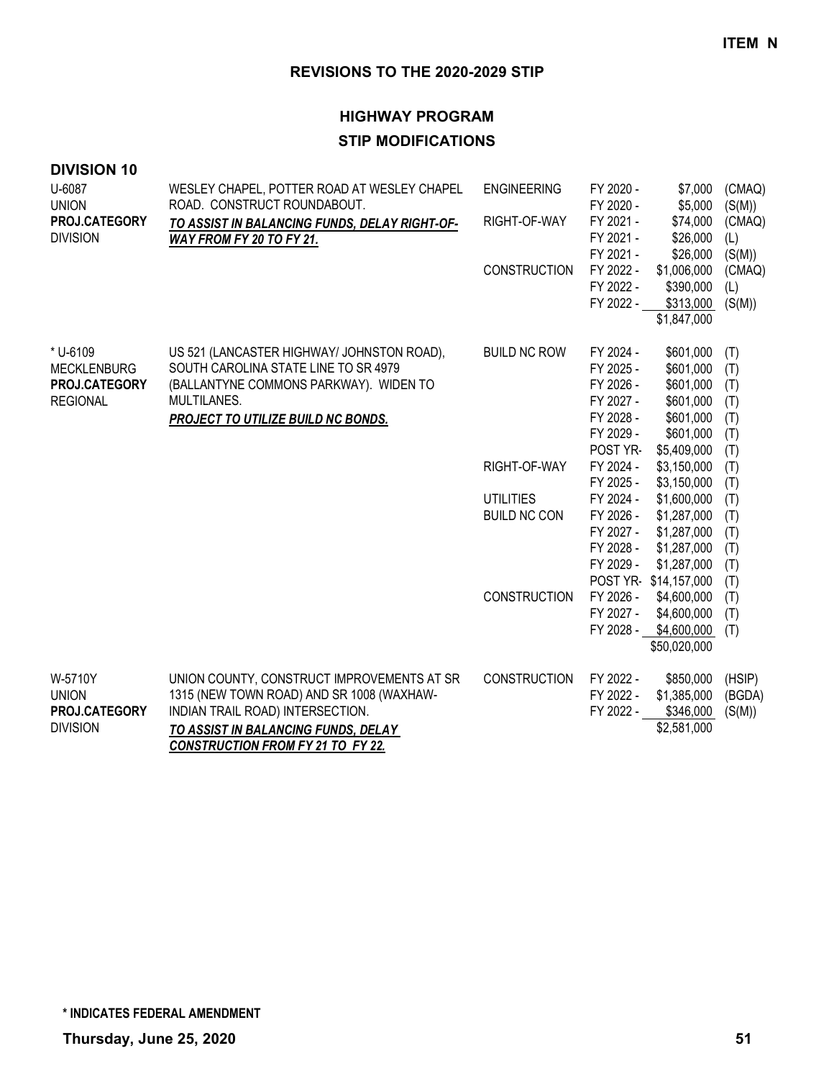## **HIGHWAY PROGRAM STIP MODIFICATIONS**

| <b>DIVISION 10</b>                                                 |                                                                                                                                                                                                                |                                         |                                                                                        |                                                                                                 |                                               |
|--------------------------------------------------------------------|----------------------------------------------------------------------------------------------------------------------------------------------------------------------------------------------------------------|-----------------------------------------|----------------------------------------------------------------------------------------|-------------------------------------------------------------------------------------------------|-----------------------------------------------|
| U-6087                                                             | WESLEY CHAPEL, POTTER ROAD AT WESLEY CHAPEL                                                                                                                                                                    | <b>ENGINEERING</b>                      | FY 2020 -                                                                              | \$7,000                                                                                         | (CMAQ)                                        |
| <b>UNION</b><br>PROJ.CATEGORY<br><b>DIVISION</b>                   | ROAD. CONSTRUCT ROUNDABOUT.<br>TO ASSIST IN BALANCING FUNDS, DELAY RIGHT-OF-<br>WAY FROM FY 20 TO FY 21.                                                                                                       | RIGHT-OF-WAY                            | FY 2020 -<br>FY 2021 -<br>FY 2021 -<br>FY 2021 -                                       | \$5,000<br>\$74,000<br>\$26,000<br>\$26,000                                                     | (S(M))<br>(CMAQ)<br>(L)<br>(S(M))             |
|                                                                    |                                                                                                                                                                                                                | <b>CONSTRUCTION</b>                     | FY 2022 -<br>FY 2022 -<br>FY 2022 -                                                    | \$1,006,000<br>\$390,000<br>\$313,000<br>\$1,847,000                                            | (CMAQ)<br>(L)<br>(S(M))                       |
| * U-6109<br><b>MECKLENBURG</b><br>PROJ.CATEGORY<br><b>REGIONAL</b> | US 521 (LANCASTER HIGHWAY/ JOHNSTON ROAD),<br>SOUTH CAROLINA STATE LINE TO SR 4979<br>(BALLANTYNE COMMONS PARKWAY). WIDEN TO<br>MULTILANES.<br>PROJECT TO UTILIZE BUILD NC BONDS.                              | <b>BUILD NC ROW</b>                     | FY 2024 -<br>FY 2025 -<br>FY 2026 -<br>FY 2027 -<br>FY 2028 -<br>FY 2029 -<br>POST YR- | \$601,000<br>\$601,000<br>\$601,000<br>\$601,000<br>\$601,000<br>\$601,000<br>\$5,409,000       | (T)<br>(T)<br>(T)<br>(T)<br>(T)<br>(T)<br>(T) |
|                                                                    |                                                                                                                                                                                                                | RIGHT-OF-WAY                            | FY 2024 -<br>FY 2025 -                                                                 | \$3,150,000<br>\$3,150,000                                                                      | (T)<br>(T)                                    |
|                                                                    |                                                                                                                                                                                                                | <b>UTILITIES</b><br><b>BUILD NC CON</b> | FY 2024 -<br>FY 2026 -<br>FY 2027 -<br>FY 2028 -<br>FY 2029 -                          | \$1,600,000<br>\$1,287,000<br>\$1,287,000<br>\$1,287,000<br>\$1,287,000<br>POST YR-\$14,157,000 | (T)<br>(T)<br>(T)<br>(T)<br>(T)<br>(T)        |
|                                                                    |                                                                                                                                                                                                                | <b>CONSTRUCTION</b>                     | FY 2026 -<br>FY 2027 -<br>FY 2028 -                                                    | \$4,600,000<br>\$4,600,000<br>\$4,600,000<br>\$50,020,000                                       | (T)<br>(T)<br>(T)                             |
| W-5710Y<br><b>UNION</b><br><b>PROJ.CATEGORY</b><br><b>DIVISION</b> | UNION COUNTY, CONSTRUCT IMPROVEMENTS AT SR<br>1315 (NEW TOWN ROAD) AND SR 1008 (WAXHAW-<br>INDIAN TRAIL ROAD) INTERSECTION.<br>TO ASSIST IN BALANCING FUNDS, DELAY<br><b>CONSTRUCTION FROM FY 21 TO FY 22.</b> | <b>CONSTRUCTION</b>                     | FY 2022 -<br>FY 2022 -<br>FY 2022 -                                                    | \$850,000<br>\$1,385,000<br>\$346,000<br>\$2,581,000                                            | (HSIP)<br>(BGDA)<br>(S(M))                    |

**\* INDICATES FEDERAL AMENDMENT**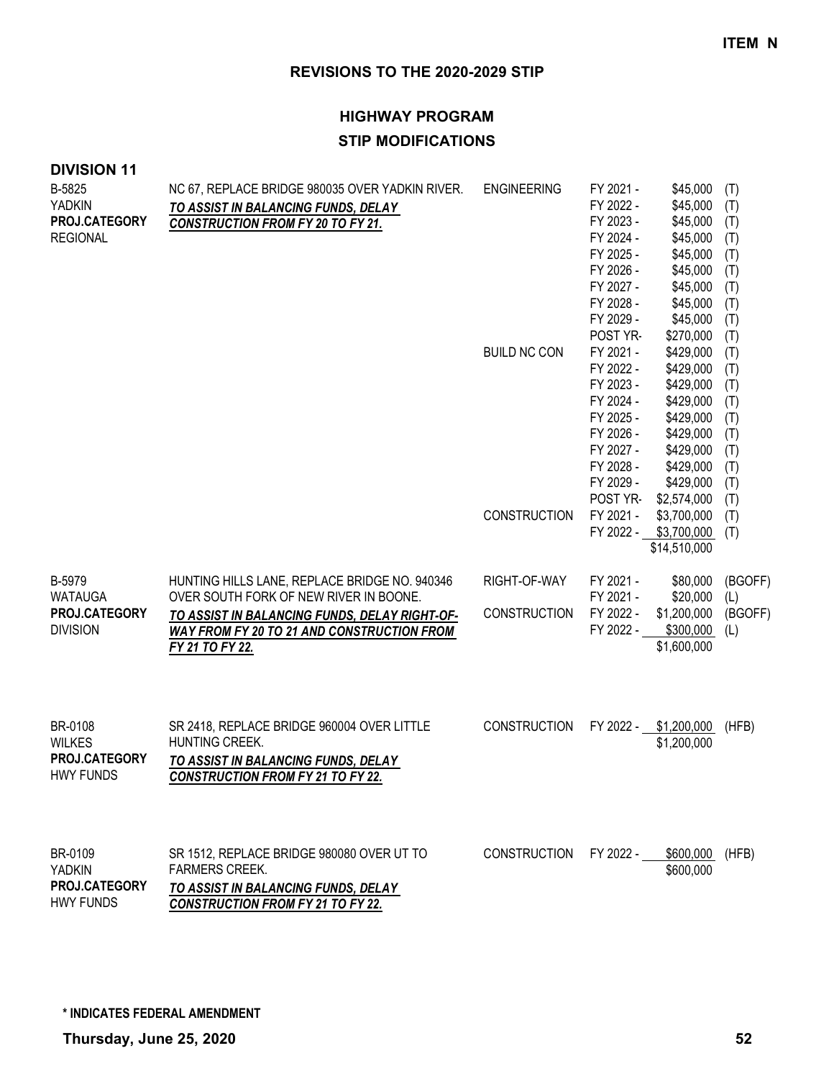## **HIGHWAY PROGRAM STIP MODIFICATIONS**

| B-5825<br><b>YADKIN</b><br>PROJ.CATEGORY<br><b>REGIONAL</b>   | NC 67, REPLACE BRIDGE 980035 OVER YADKIN RIVER.<br>TO ASSIST IN BALANCING FUNDS, DELAY<br><b>CONSTRUCTION FROM FY 20 TO FY 21.</b>                                                                               | <b>ENGINEERING</b><br><b>BUILD NC CON</b> | FY 2021 -<br>FY 2022 -<br>FY 2023 -<br>FY 2024 -<br>FY 2025 -<br>FY 2026 -<br>FY 2027 -<br>FY 2028 -<br>FY 2029 -<br>POST YR-<br>FY 2021 -<br>FY 2022 -<br>FY 2023 - | \$45,000<br>\$45,000<br>\$45,000<br>\$45,000<br>\$45,000<br>\$45,000<br>\$45,000<br>\$45,000<br>\$45,000<br>\$270,000<br>\$429,000<br>\$429,000<br>\$429,000 | (T)<br>(T)<br>(T)<br>(T)<br>(T)<br>(T)<br>(T)<br>(T)<br>(T)<br>(T)<br>(T)<br>(T)<br>(T) |
|---------------------------------------------------------------|------------------------------------------------------------------------------------------------------------------------------------------------------------------------------------------------------------------|-------------------------------------------|----------------------------------------------------------------------------------------------------------------------------------------------------------------------|--------------------------------------------------------------------------------------------------------------------------------------------------------------|-----------------------------------------------------------------------------------------|
|                                                               |                                                                                                                                                                                                                  | <b>CONSTRUCTION</b>                       | FY 2024 -<br>FY 2025 -<br>FY 2026 -<br>FY 2027 -<br>FY 2028 -<br>FY 2029 -<br>POST YR-<br>FY 2021 -                                                                  | \$429,000<br>\$429,000<br>\$429,000<br>\$429,000<br>\$429,000<br>\$429,000<br>\$2,574,000<br>\$3,700,000<br>FY 2022 - \$3,700,000<br>\$14,510,000            | (T)<br>(T)<br>(T)<br>(T)<br>(T)<br>(T)<br>(T)<br>(T)<br>(T)                             |
| B-5979<br><b>WATAUGA</b><br>PROJ.CATEGORY<br><b>DIVISION</b>  | HUNTING HILLS LANE, REPLACE BRIDGE NO. 940346<br>OVER SOUTH FORK OF NEW RIVER IN BOONE.<br>TO ASSIST IN BALANCING FUNDS, DELAY RIGHT-OF-<br><b>WAY FROM FY 20 TO 21 AND CONSTRUCTION FROM</b><br>FY 21 TO FY 22. | RIGHT-OF-WAY<br><b>CONSTRUCTION</b>       | FY 2021 -<br>FY 2021 -<br>FY 2022 -<br>FY 2022 -                                                                                                                     | \$80,000<br>\$20,000<br>\$1,200,000<br>\$300,000<br>\$1,600,000                                                                                              | (BGOFF)<br>(L)<br>(BGOFF)<br>(L)                                                        |
| BR-0108<br><b>WILKES</b><br>PROJ.CATEGORY<br><b>HWY FUNDS</b> | SR 2418, REPLACE BRIDGE 960004 OVER LITTLE<br>HUNTING CREEK.<br>TO ASSIST IN BALANCING FUNDS, DELAY<br><b>CONSTRUCTION FROM FY 21 TO FY 22.</b>                                                                  | <b>CONSTRUCTION</b>                       | FY 2022 -                                                                                                                                                            | \$1,200,000<br>\$1,200,000                                                                                                                                   | (HFB)                                                                                   |
| BR-0109<br><b>YADKIN</b><br>PROJ.CATEGORY<br><b>HWY FUNDS</b> | SR 1512, REPLACE BRIDGE 980080 OVER UT TO<br><b>FARMERS CREEK.</b><br>TO ASSIST IN BALANCING FUNDS, DELAY<br><b>CONSTRUCTION FROM FY 21 TO FY 22.</b>                                                            | <b>CONSTRUCTION</b>                       | FY 2022 -                                                                                                                                                            | \$600,000<br>\$600,000                                                                                                                                       | (HFB)                                                                                   |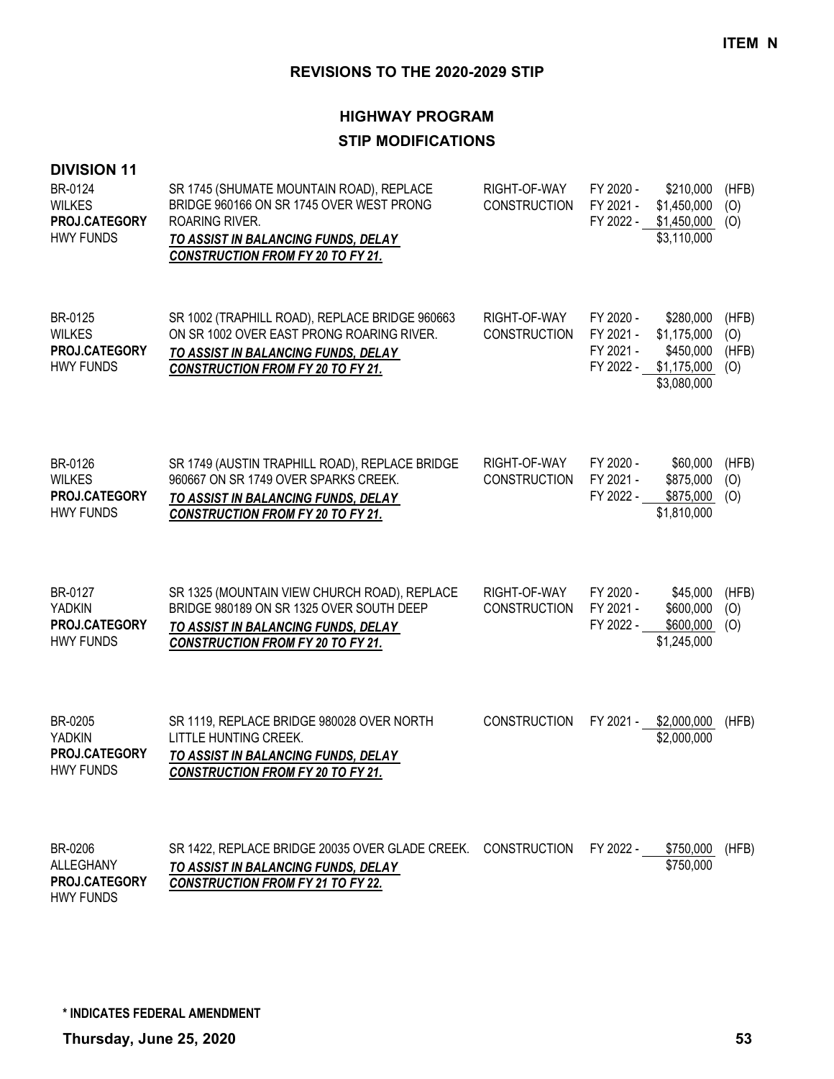## **HIGHWAY PROGRAM**

## **STIP MODIFICATIONS**

| <b>DIVISION 11</b><br>BR-0124<br><b>WILKES</b><br>PROJ.CATEGORY<br><b>HWY FUNDS</b> | SR 1745 (SHUMATE MOUNTAIN ROAD), REPLACE<br>BRIDGE 960166 ON SR 1745 OVER WEST PRONG<br><b>ROARING RIVER.</b><br>TO ASSIST IN BALANCING FUNDS, DELAY<br><b>CONSTRUCTION FROM FY 20 TO FY 21.</b> | RIGHT-OF-WAY<br>CONSTRUCTION        | FY 2020 -<br>FY 2021 -<br>FY 2022 - | \$210,000<br>\$1,450,000<br>\$1,450,000<br>\$3,110,000                        | (HFB)<br>(0)<br>(O)          |
|-------------------------------------------------------------------------------------|--------------------------------------------------------------------------------------------------------------------------------------------------------------------------------------------------|-------------------------------------|-------------------------------------|-------------------------------------------------------------------------------|------------------------------|
| BR-0125<br><b>WILKES</b><br>PROJ.CATEGORY<br><b>HWY FUNDS</b>                       | SR 1002 (TRAPHILL ROAD), REPLACE BRIDGE 960663<br>ON SR 1002 OVER EAST PRONG ROARING RIVER.<br>TO ASSIST IN BALANCING FUNDS, DELAY<br><b>CONSTRUCTION FROM FY 20 TO FY 21.</b>                   | RIGHT-OF-WAY<br><b>CONSTRUCTION</b> | FY 2020 -<br>FY 2021 -<br>FY 2021 - | \$280,000<br>\$1,175,000<br>\$450,000<br>FY 2022 - \$1,175,000<br>\$3,080,000 | (HFB)<br>(O)<br>(HFB)<br>(O) |
| BR-0126<br><b>WILKES</b><br>PROJ.CATEGORY<br><b>HWY FUNDS</b>                       | SR 1749 (AUSTIN TRAPHILL ROAD), REPLACE BRIDGE<br>960667 ON SR 1749 OVER SPARKS CREEK.<br>TO ASSIST IN BALANCING FUNDS, DELAY<br><b>CONSTRUCTION FROM FY 20 TO FY 21.</b>                        | RIGHT-OF-WAY<br><b>CONSTRUCTION</b> | FY 2020 -<br>FY 2021 -<br>FY 2022 - | \$60,000<br>\$875,000<br>\$875,000<br>\$1,810,000                             | (HFB)<br>(O)<br>(O)          |
| BR-0127<br><b>YADKIN</b><br>PROJ.CATEGORY<br><b>HWY FUNDS</b>                       | SR 1325 (MOUNTAIN VIEW CHURCH ROAD), REPLACE<br>BRIDGE 980189 ON SR 1325 OVER SOUTH DEEP<br>TO ASSIST IN BALANCING FUNDS, DELAY<br><b>CONSTRUCTION FROM FY 20 TO FY 21.</b>                      | RIGHT-OF-WAY<br><b>CONSTRUCTION</b> | FY 2020 -<br>FY 2021 -<br>FY 2022 - | \$45,000<br>\$600,000<br>\$600,000<br>\$1,245,000                             | (HFB)<br>(0)<br>(O)          |
| BR-0205<br><b>YADKIN</b><br>PROJ.CATEGORY<br><b>HWY FUNDS</b>                       | SR 1119, REPLACE BRIDGE 980028 OVER NORTH<br>LITTLE HUNTING CREEK.<br>TO ASSIST IN BALANCING FUNDS, DELAY<br><b>CONSTRUCTION FROM FY 20 TO FY 21.</b>                                            | <b>CONSTRUCTION</b>                 | FY 2021 -                           | \$2,000,000<br>\$2,000,000                                                    | (HFB)                        |
| BR-0206<br><b>ALLEGHANY</b><br>PROJ.CATEGORY                                        | SR 1422, REPLACE BRIDGE 20035 OVER GLADE CREEK.<br>TO ASSIST IN BALANCING FUNDS, DELAY<br><b>CONSTRUCTION FROM FY 21 TO FY 22.</b>                                                               | <b>CONSTRUCTION</b>                 | FY 2022 -                           | \$750,000<br>\$750,000                                                        | (HFB)                        |

**\* INDICATES FEDERAL AMENDMENT**

HWY FUNDS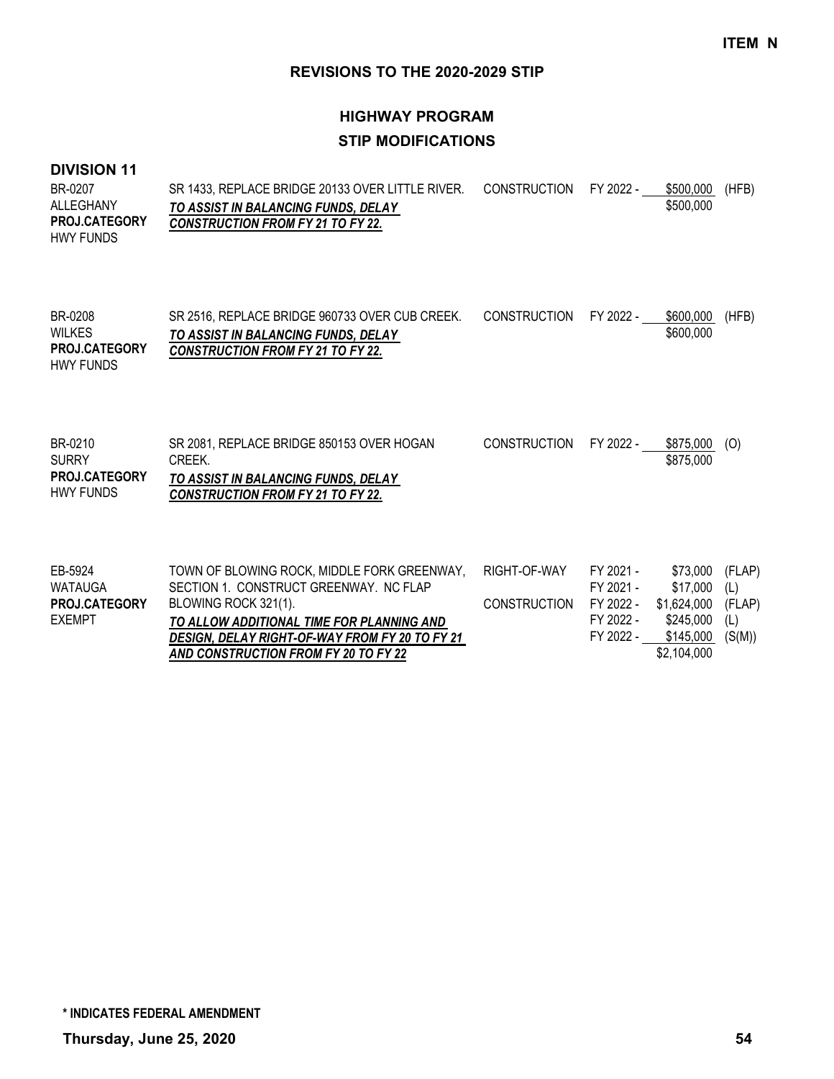## **HIGHWAY PROGRAM STIP MODIFICATIONS**

#### **DIVISION 11**

| BR-0207              | SR 1433, REPLACE BRIDGE 20133 OVER LITTLE RIVER. | CONSTRUCTION FY 2022 - | \$500,000 | (HFB) |
|----------------------|--------------------------------------------------|------------------------|-----------|-------|
| ALLEGHANY            | TO ASSIST IN BALANCING FUNDS, DELAY              |                        | \$500,000 |       |
| <b>PROJ.CATEGORY</b> | <b>CONSTRUCTION FROM FY 21 TO FY 22.</b>         |                        |           |       |
| HWY FUNDS            |                                                  |                        |           |       |
|                      |                                                  |                        |           |       |
|                      |                                                  |                        |           |       |
|                      |                                                  |                        |           |       |

SR 2516, REPLACE BRIDGE 960733 OVER CUB CREEK. CONSTRUCTION FY 2022 - \_ \$600,000 (HFB) *TO ASSIST IN BALANCING FUNDS, DELAY CONSTRUCTION FROM FY 21 TO FY 22.* \$600,000 BR-0208 WILKES HWY FUNDS **PROJ.CATEGORY**

| BR-0210              | SR 2081. REPLACE BRIDGE 850153 OVER HOGAN | CONSTRUCTION FY 2022 - | \$875.000 | (O) |
|----------------------|-------------------------------------------|------------------------|-----------|-----|
| <b>SURRY</b>         | CREEK.                                    |                        | \$875,000 |     |
| <b>PROJ.CATEGORY</b> | TO ASSIST IN BALANCING FUNDS, DELAY       |                        |           |     |
| <b>HWY FUNDS</b>     | <b>CONSTRUCTION FROM FY 21 TO FY 22.</b>  |                        |           |     |
|                      |                                           |                        |           |     |

| EB-5924              | TOWN OF BLOWING ROCK, MIDDLE FORK GREENWAY,    | RIGHT-OF-WAY | FY 2021 - | \$73,000 (FLAP)    |        |
|----------------------|------------------------------------------------|--------------|-----------|--------------------|--------|
| WATAUGA              | SECTION 1. CONSTRUCT GREENWAY. NC FLAP         |              | FY 2021 - | \$17.000           | (L)    |
| <b>PROJ.CATEGORY</b> | BLOWING ROCK 321(1).                           | CONSTRUCTION | FY 2022 - | \$1,624,000 (FLAP) |        |
| EXEMPT               | TO ALLOW ADDITIONAL TIME FOR PLANNING AND      |              | FY 2022 - | \$245,000          | (L)    |
|                      | DESIGN, DELAY RIGHT-OF-WAY FROM FY 20 TO FY 21 |              | FY 2022 - | \$145,000          | (S(M)) |
|                      | AND CONSTRUCTION FROM FY 20 TO FY 22           |              |           | \$2,104,000        |        |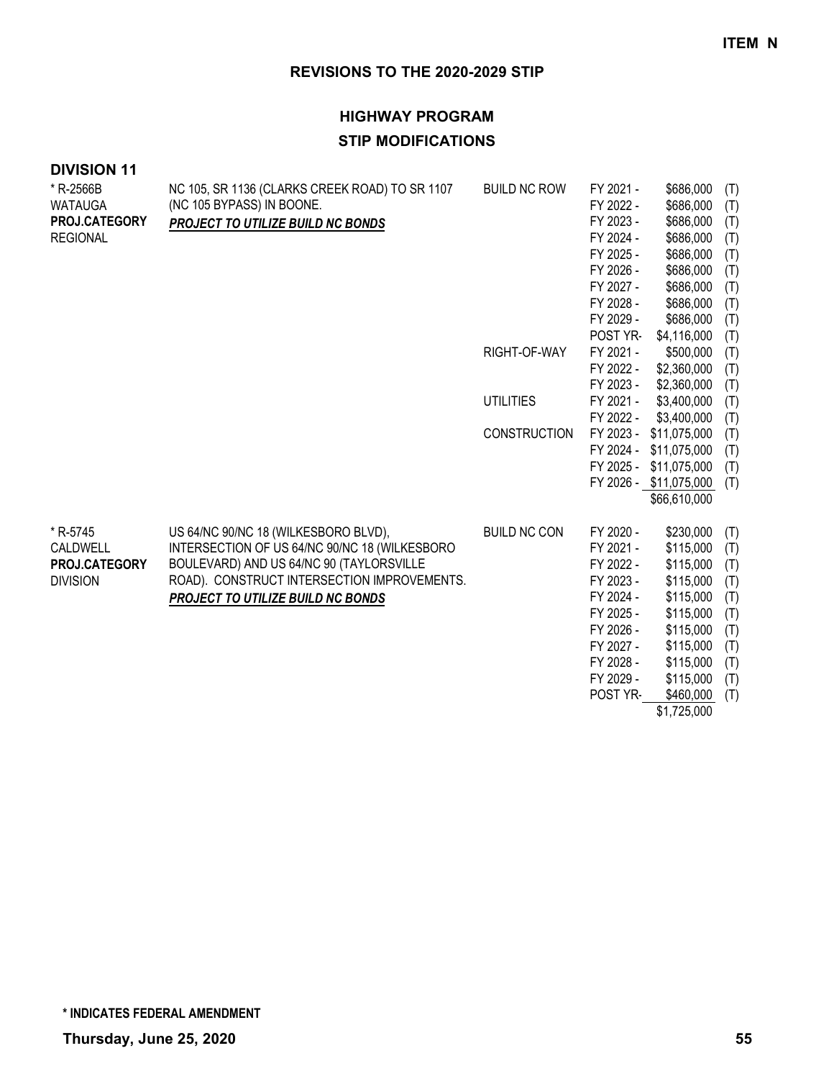## **HIGHWAY PROGRAM STIP MODIFICATIONS**

| * R-2566B       | NC 105, SR 1136 (CLARKS CREEK ROAD) TO SR 1107 | <b>BUILD NC ROW</b> | FY 2021 - | \$686,000              | (T) |
|-----------------|------------------------------------------------|---------------------|-----------|------------------------|-----|
| <b>WATAUGA</b>  | (NC 105 BYPASS) IN BOONE.                      |                     | FY 2022 - | \$686,000              | (T) |
| PROJ.CATEGORY   | PROJECT TO UTILIZE BUILD NC BONDS              |                     | FY 2023 - | \$686,000              | (T) |
| <b>REGIONAL</b> |                                                |                     | FY 2024 - | \$686,000              | (T) |
|                 |                                                |                     | FY 2025 - | \$686,000              | (T) |
|                 |                                                |                     | FY 2026 - | \$686,000              | (T) |
|                 |                                                |                     | FY 2027 - | \$686,000              | (T) |
|                 |                                                |                     | FY 2028 - | \$686,000              | (T) |
|                 |                                                |                     | FY 2029 - | \$686,000              | (T) |
|                 |                                                |                     | POST YR-  | \$4,116,000            | (T) |
|                 |                                                | RIGHT-OF-WAY        | FY 2021 - | \$500,000              | (T) |
|                 |                                                |                     | FY 2022 - | \$2,360,000            | (T) |
|                 |                                                |                     | FY 2023 - | \$2,360,000            | (T) |
|                 |                                                | <b>UTILITIES</b>    | FY 2021 - | \$3,400,000            | (T) |
|                 |                                                |                     | FY 2022 - | \$3,400,000            | (T) |
|                 |                                                | <b>CONSTRUCTION</b> | FY 2023 - | \$11,075,000           | (T) |
|                 |                                                |                     | FY 2024 - | \$11,075,000           | (T) |
|                 |                                                |                     | FY 2025 - | \$11,075,000           | (T) |
|                 |                                                |                     |           | FY 2026 - \$11,075,000 | (T) |
|                 |                                                |                     |           | \$66,610,000           |     |
|                 |                                                |                     |           |                        |     |
| * R-5745        | US 64/NC 90/NC 18 (WILKESBORO BLVD),           | <b>BUILD NC CON</b> | FY 2020 - | \$230,000              | (T) |
| CALDWELL        | INTERSECTION OF US 64/NC 90/NC 18 (WILKESBORO  |                     | FY 2021 - | \$115,000              | (T) |
| PROJ.CATEGORY   | BOULEVARD) AND US 64/NC 90 (TAYLORSVILLE       |                     | FY 2022 - | \$115,000              | (T) |
| <b>DIVISION</b> | ROAD). CONSTRUCT INTERSECTION IMPROVEMENTS.    |                     | FY 2023 - | \$115,000              | (T) |
|                 | <b>PROJECT TO UTILIZE BUILD NC BONDS</b>       |                     | FY 2024 - | \$115,000              | (T) |
|                 |                                                |                     | FY 2025 - | \$115,000              | (T) |
|                 |                                                |                     | FY 2026 - | \$115,000              | (T) |
|                 |                                                |                     | FY 2027 - | \$115,000              | (T) |
|                 |                                                |                     | FY 2028 - | \$115,000              | (T) |
|                 |                                                |                     | FY 2029 - | \$115,000              | (T) |
|                 |                                                |                     | POST YR-  | \$460,000              | (T) |
|                 |                                                |                     |           | \$1,725,000            |     |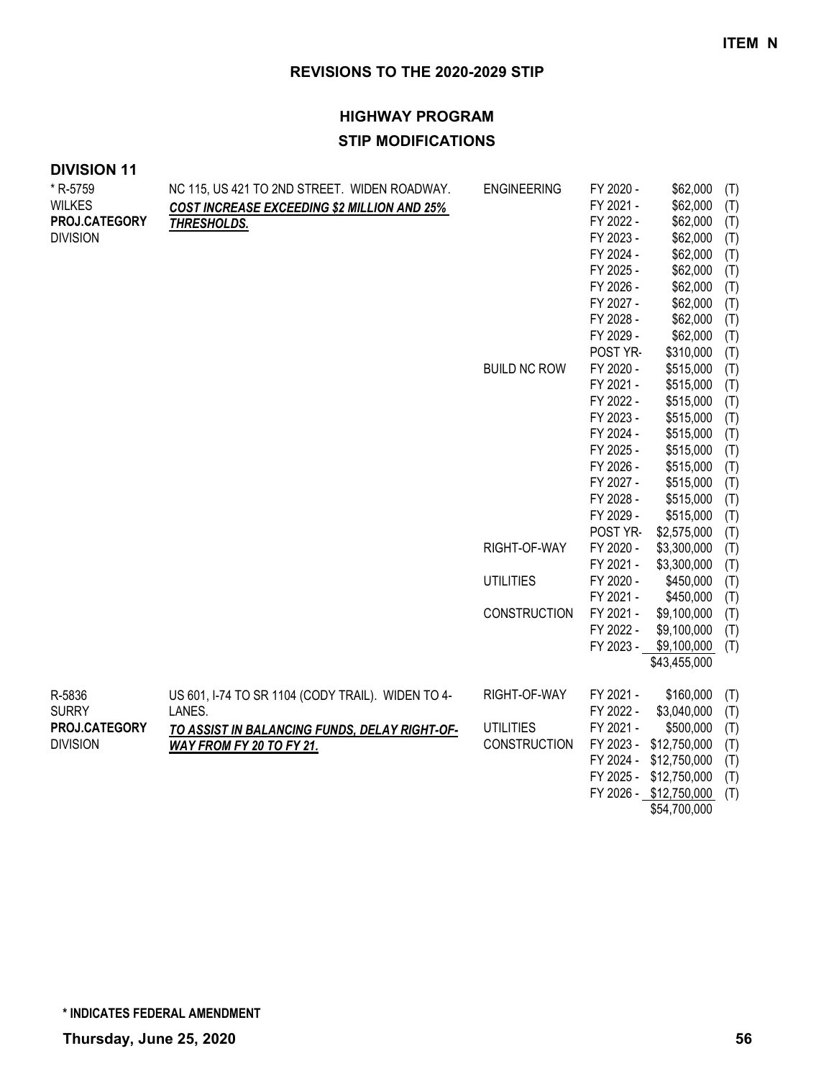| * R-5759        | NC 115, US 421 TO 2ND STREET. WIDEN ROADWAY.      | <b>ENGINEERING</b>  | FY 2020 - | \$62,000               | (T) |
|-----------------|---------------------------------------------------|---------------------|-----------|------------------------|-----|
| <b>WILKES</b>   | COST INCREASE EXCEEDING \$2 MILLION AND 25%       |                     | FY 2021 - | \$62,000               | (T) |
| PROJ.CATEGORY   | THRESHOLDS.                                       |                     | FY 2022 - | \$62,000               | (T) |
| <b>DIVISION</b> |                                                   |                     | FY 2023 - | \$62,000               | (T) |
|                 |                                                   |                     | FY 2024 - | \$62,000               | (T) |
|                 |                                                   |                     | FY 2025 - | \$62,000               | (T) |
|                 |                                                   |                     | FY 2026 - | \$62,000               | (T) |
|                 |                                                   |                     | FY 2027 - | \$62,000               | (T) |
|                 |                                                   |                     | FY 2028 - | \$62,000               | (T) |
|                 |                                                   |                     | FY 2029 - | \$62,000               | (T) |
|                 |                                                   |                     | POST YR-  | \$310,000              | (T) |
|                 |                                                   | <b>BUILD NC ROW</b> | FY 2020 - | \$515,000              | (T) |
|                 |                                                   |                     | FY 2021 - | \$515,000              | (T) |
|                 |                                                   |                     | FY 2022 - | \$515,000              | (T) |
|                 |                                                   |                     | FY 2023 - | \$515,000              | (T) |
|                 |                                                   |                     | FY 2024 - | \$515,000              | (T) |
|                 |                                                   |                     | FY 2025 - | \$515,000              | (T) |
|                 |                                                   |                     | FY 2026 - | \$515,000              | (T) |
|                 |                                                   |                     | FY 2027 - | \$515,000              | (T) |
|                 |                                                   |                     | FY 2028 - | \$515,000              | (T) |
|                 |                                                   |                     | FY 2029 - | \$515,000              | (T) |
|                 |                                                   |                     | POST YR-  | \$2,575,000            | (T) |
|                 |                                                   | RIGHT-OF-WAY        | FY 2020 - | \$3,300,000            | (T) |
|                 |                                                   |                     | FY 2021 - | \$3,300,000            | (T) |
|                 |                                                   | <b>UTILITIES</b>    | FY 2020 - | \$450,000              | (T) |
|                 |                                                   |                     | FY 2021 - | \$450,000              | (T) |
|                 |                                                   | <b>CONSTRUCTION</b> | FY 2021 - | \$9,100,000            | (T) |
|                 |                                                   |                     | FY 2022 - | \$9,100,000            | (T) |
|                 |                                                   |                     | FY 2023 - | \$9,100,000            | (T) |
|                 |                                                   |                     |           | \$43,455,000           |     |
| R-5836          | US 601, I-74 TO SR 1104 (CODY TRAIL). WIDEN TO 4- | RIGHT-OF-WAY        | FY 2021 - | \$160,000              | (T) |
| <b>SURRY</b>    | LANES.                                            |                     | FY 2022 - | \$3,040,000            | (T) |
| PROJ.CATEGORY   | TO ASSIST IN BALANCING FUNDS, DELAY RIGHT-OF-     | <b>UTILITIES</b>    | FY 2021 - | \$500,000              | (T) |
| <b>DIVISION</b> | WAY FROM FY 20 TO FY 21.                          | <b>CONSTRUCTION</b> | FY 2023 - | \$12,750,000           | (T) |
|                 |                                                   |                     |           | FY 2024 - \$12,750,000 | (T) |
|                 |                                                   |                     |           | FY 2025 - \$12,750,000 | (T) |
|                 |                                                   |                     |           | FY 2026 - \$12,750,000 | (T) |
|                 |                                                   |                     |           | \$54,700,000           |     |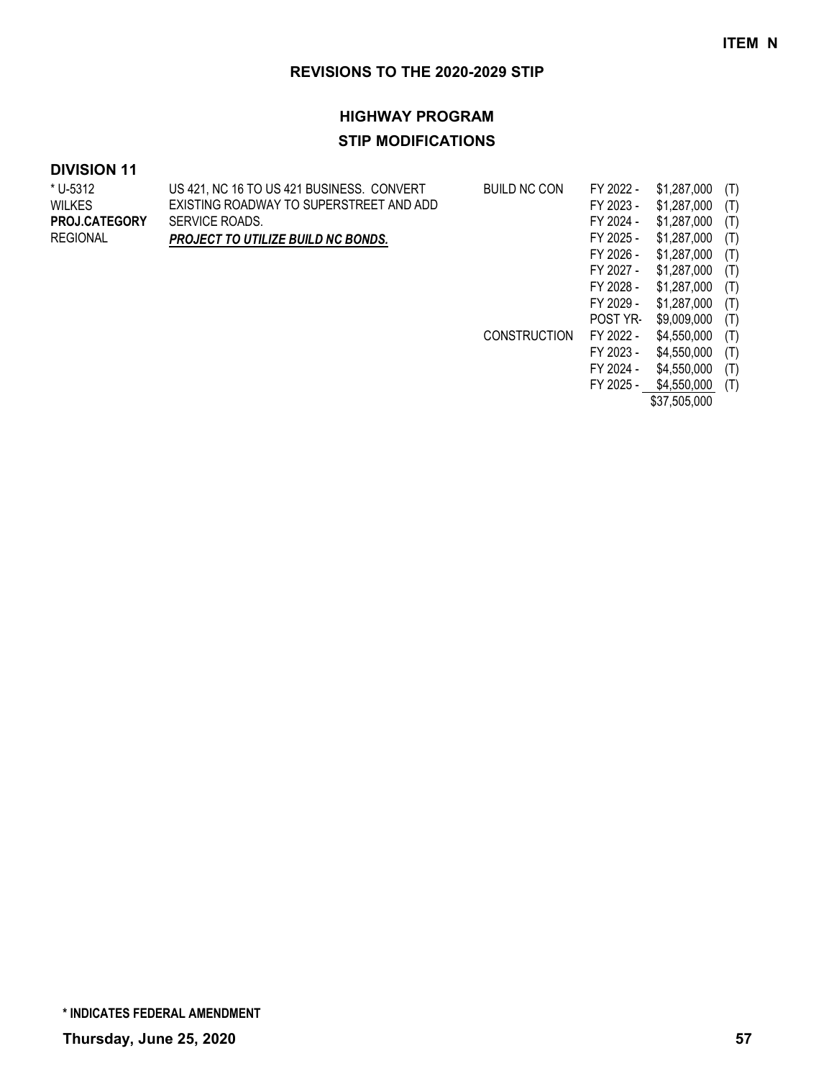### **HIGHWAY PROGRAM**

## **STIP MODIFICATIONS**

| * U-5312             | US 421, NC 16 TO US 421 BUSINESS. CONVERT | <b>BUILD NC CON</b> | FY 2022 - | \$1,287,000  | (T) |
|----------------------|-------------------------------------------|---------------------|-----------|--------------|-----|
| WILKES               | EXISTING ROADWAY TO SUPERSTREET AND ADD   |                     | FY 2023 - | \$1,287,000  | (T) |
| <b>PROJ.CATEGORY</b> | SERVICE ROADS.                            |                     | FY 2024 - | \$1,287,000  | (T) |
| REGIONAL             | PROJECT TO UTILIZE BUILD NC BONDS.        |                     | FY 2025 - | \$1,287,000  | (T) |
|                      |                                           |                     | FY 2026 - | \$1,287,000  | (T) |
|                      |                                           |                     | FY 2027 - | \$1,287,000  | (T) |
|                      |                                           |                     | FY 2028 - | \$1,287,000  | (T) |
|                      |                                           |                     | FY 2029 - | \$1,287,000  | (T) |
|                      |                                           |                     | POST YR-  | \$9,009,000  | (T) |
|                      |                                           | <b>CONSTRUCTION</b> | FY 2022 - | \$4,550,000  | (T) |
|                      |                                           |                     | FY 2023 - | \$4,550,000  | (T) |
|                      |                                           |                     | FY 2024 - | \$4,550,000  | (T) |
|                      |                                           |                     | FY 2025 - | \$4,550,000  | (T) |
|                      |                                           |                     |           | \$37,505,000 |     |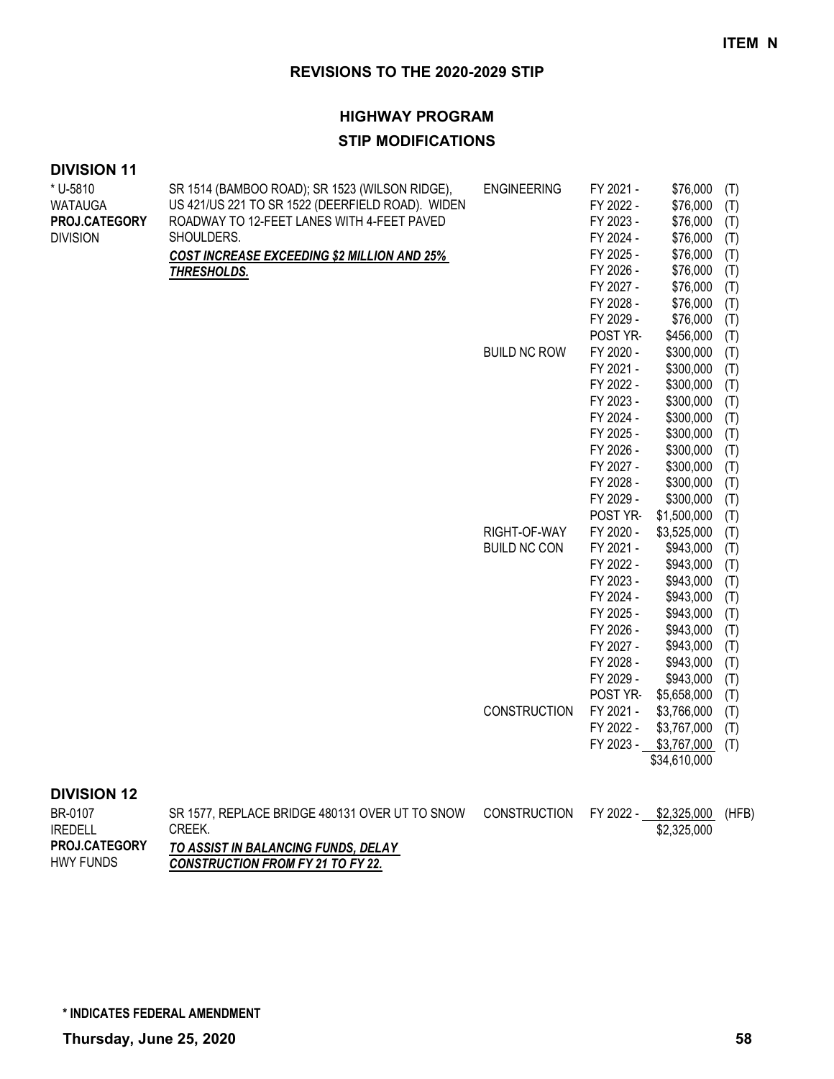#### **HIGHWAY PROGRAM**

#### **STIP MODIFICATIONS**

#### **DIVISION 11**

| * U-5810                | SR 1514 (BAMBOO ROAD); SR 1523 (WILSON RIDGE),   | <b>ENGINEERING</b>  | FY 2021 - | \$76,000              | (T) |
|-------------------------|--------------------------------------------------|---------------------|-----------|-----------------------|-----|
| WATAUGA                 | US 421/US 221 TO SR 1522 (DEERFIELD ROAD). WIDEN |                     | FY 2022 - | \$76,000              | (T) |
| <b>PROJ.CATEGORY</b>    | ROADWAY TO 12-FEET LANES WITH 4-FEET PAVED       |                     | FY 2023 - | \$76,000              | (T) |
| <b>DIVISION</b>         | SHOULDERS.                                       |                     | FY 2024 - | \$76,000              | (T) |
|                         | COST INCREASE EXCEEDING \$2 MILLION AND 25%      |                     | FY 2025 - | \$76,000              | (T) |
|                         | THRESHOLDS.                                      |                     | FY 2026 - | \$76,000              | (T) |
|                         |                                                  |                     | FY 2027 - | \$76,000              | (T) |
|                         |                                                  |                     | FY 2028 - | \$76,000              | (T) |
|                         |                                                  |                     | FY 2029 - | \$76,000              | (T) |
|                         |                                                  |                     | POST YR-  | \$456,000             | (T) |
|                         |                                                  | <b>BUILD NC ROW</b> | FY 2020 - | \$300,000             | (T) |
|                         |                                                  |                     | FY 2021 - | \$300,000             | (T) |
|                         |                                                  |                     | FY 2022 - | \$300,000             | (T) |
|                         |                                                  |                     | FY 2023 - | \$300,000             | (T) |
|                         |                                                  |                     | FY 2024 - | \$300,000             | (T) |
|                         |                                                  |                     | FY 2025 - | \$300,000             | (T) |
|                         |                                                  |                     | FY 2026 - | \$300,000             | (T) |
|                         |                                                  |                     | FY 2027 - | \$300,000             | (T) |
|                         |                                                  |                     | FY 2028 - | \$300,000             | (T) |
|                         |                                                  |                     | FY 2029 - | \$300,000             | (T) |
|                         |                                                  |                     | POST YR-  | \$1,500,000           | (T) |
|                         |                                                  | RIGHT-OF-WAY        | FY 2020 - | \$3,525,000           | (T) |
|                         |                                                  | <b>BUILD NC CON</b> | FY 2021 - | \$943,000             | (T) |
|                         |                                                  |                     | FY 2022 - | \$943,000             | (T) |
|                         |                                                  |                     | FY 2023 - | \$943,000             | (T) |
|                         |                                                  |                     | FY 2024 - | \$943,000             | (T) |
|                         |                                                  |                     | FY 2025 - | \$943,000             | (T) |
|                         |                                                  |                     | FY 2026 - | \$943,000             | (T) |
|                         |                                                  |                     | FY 2027 - | \$943,000             | (T) |
|                         |                                                  |                     | FY 2028 - | \$943,000             | (T) |
|                         |                                                  |                     | FY 2029 - | \$943,000             | (T) |
|                         |                                                  |                     | POST YR-  | \$5,658,000           | (T) |
|                         |                                                  | <b>CONSTRUCTION</b> | FY 2021 - | \$3,766,000           | (T) |
|                         |                                                  |                     | FY 2022 - | \$3,767,000           | (T) |
|                         |                                                  |                     |           | FY 2023 - \$3,767,000 | (T) |
|                         |                                                  |                     |           | \$34,610,000          |     |
| <b><i>BURIALLIA</i></b> |                                                  |                     |           |                       |     |
|                         |                                                  |                     |           |                       |     |

#### **DIVISION 12**

| BR-0107              | SR 1577. REPLACE BRIDGE 480131 OVER UT TO SNOW | CONSTRUCTION | FY 2022 - \$2,325,000 | (HFB) |
|----------------------|------------------------------------------------|--------------|-----------------------|-------|
| <b>IREDELL</b>       | <b>CREEK.</b>                                  |              | \$2,325,000           |       |
| <b>PROJ.CATEGORY</b> | TO ASSIST IN BALANCING FUNDS, DELAY            |              |                       |       |
| <b>HWY FUNDS</b>     | <b>CONSTRUCTION FROM FY 21 TO FY 22.</b>       |              |                       |       |

**\* INDICATES FEDERAL AMENDMENT**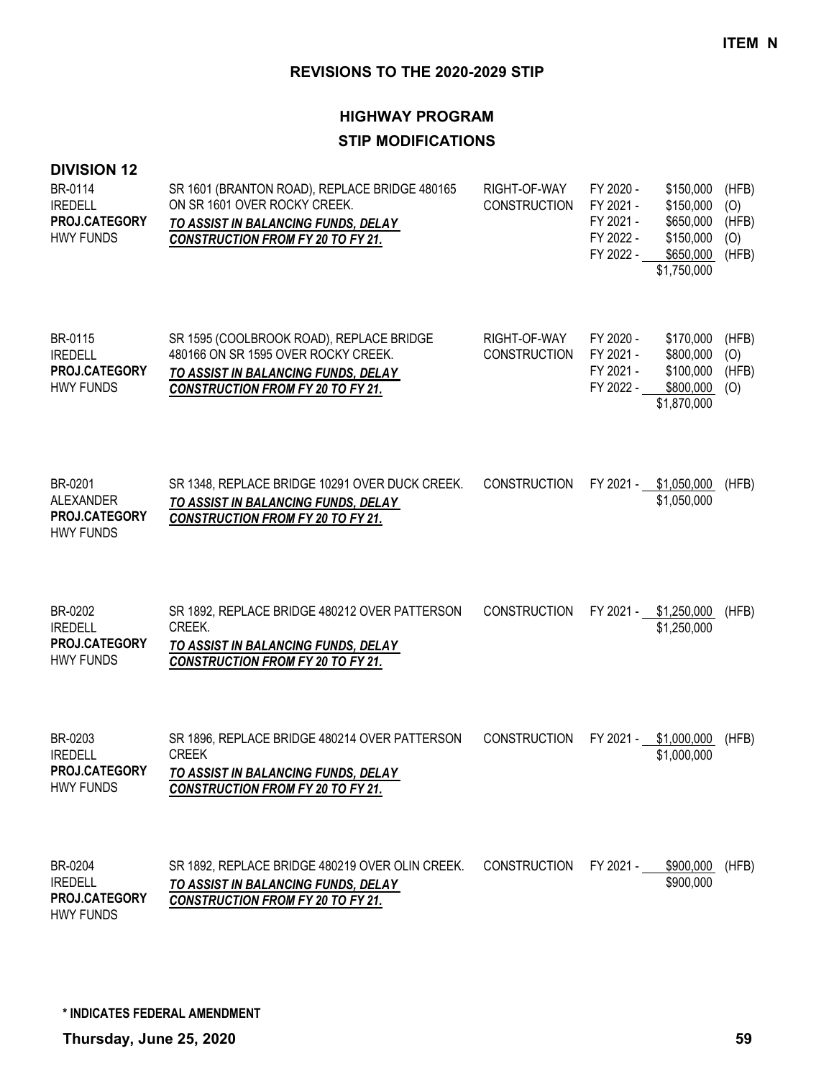## **HIGHWAY PROGRAM STIP MODIFICATIONS**

#### **DIVISION 12**

| BR-0114<br><b>IREDELL</b><br>PROJ.CATEGORY<br><b>HWY FUNDS</b> | SR 1601 (BRANTON ROAD), REPLACE BRIDGE 480165<br>ON SR 1601 OVER ROCKY CREEK.<br>TO ASSIST IN BALANCING FUNDS, DELAY<br><b>CONSTRUCTION FROM FY 20 TO FY 21.</b>   | RIGHT-OF-WAY<br><b>CONSTRUCTION</b> | FY 2020 -<br>FY 2021 -<br>FY 2021 -<br>FY 2022 -<br>FY 2022 - | \$150,000<br>\$150,000<br>\$650,000<br>\$150,000<br>\$650,000<br>\$1,750,000 | (HFB)<br>(O)<br>(HFB)<br>(O)<br>(HFB) |
|----------------------------------------------------------------|--------------------------------------------------------------------------------------------------------------------------------------------------------------------|-------------------------------------|---------------------------------------------------------------|------------------------------------------------------------------------------|---------------------------------------|
| BR-0115<br><b>IREDELL</b><br>PROJ.CATEGORY<br><b>HWY FUNDS</b> | SR 1595 (COOLBROOK ROAD), REPLACE BRIDGE<br>480166 ON SR 1595 OVER ROCKY CREEK.<br>TO ASSIST IN BALANCING FUNDS, DELAY<br><b>CONSTRUCTION FROM FY 20 TO FY 21.</b> | RIGHT-OF-WAY<br><b>CONSTRUCTION</b> | FY 2020 -<br>FY 2021 -<br>FY 2021 -<br>FY 2022 -              | \$170,000<br>\$800,000<br>\$100,000<br>\$800,000<br>\$1,870,000              | (HFB)<br>(O)<br>(HFB)<br>(0)          |
| BR-0201<br>ALEXANDER<br>PROJ.CATEGORY<br><b>HWY FUNDS</b>      | SR 1348, REPLACE BRIDGE 10291 OVER DUCK CREEK.<br>TO ASSIST IN BALANCING FUNDS, DELAY<br><b>CONSTRUCTION FROM FY 20 TO FY 21.</b>                                  | <b>CONSTRUCTION</b>                 | FY 2021 - \$1,050,000                                         | \$1,050,000                                                                  | (HFB)                                 |
| BR-0202<br><b>IREDELL</b><br>PROJ.CATEGORY<br><b>HWY FUNDS</b> | SR 1892, REPLACE BRIDGE 480212 OVER PATTERSON<br>CREEK.<br>TO ASSIST IN BALANCING FUNDS, DELAY<br><b>CONSTRUCTION FROM FY 20 TO FY 21.</b>                         | <b>CONSTRUCTION</b>                 | FY 2021 -                                                     | \$1,250,000<br>\$1,250,000                                                   | (HFB)                                 |
| BR-0203<br><b>IREDELL</b><br>PROJ.CATEGORY<br><b>HWY FUNDS</b> | SR 1896, REPLACE BRIDGE 480214 OVER PATTERSON<br><b>CREEK</b><br>TO ASSIST IN BALANCING FUNDS, DELAY<br><b>CONSTRUCTION FROM FY 20 TO FY 21.</b>                   | <b>CONSTRUCTION</b>                 | FY 2021 -                                                     | \$1,000,000<br>\$1,000,000                                                   | (HFB)                                 |
| BR-0204<br><b>IREDELL</b><br>PROJ.CATEGORY                     | SR 1892, REPLACE BRIDGE 480219 OVER OLIN CREEK.<br>TO ASSIST IN BALANCING FUNDS, DELAY<br><b>CONSTRUCTION FROM FY 20 TO FY 21.</b>                                 | <b>CONSTRUCTION</b>                 | FY 2021 -                                                     | \$900,000<br>\$900,000                                                       | (HFB)                                 |

HWY FUNDS

**\* INDICATES FEDERAL AMENDMENT**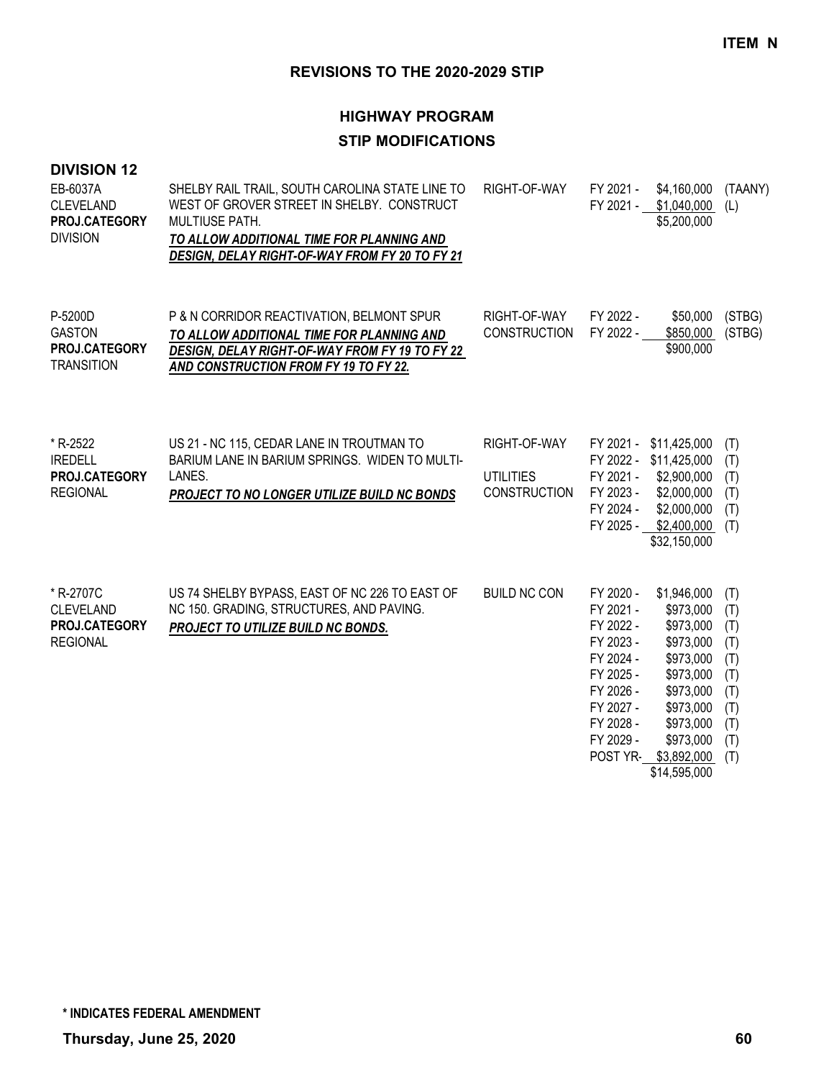| <b>DIVISION 12</b><br>EB-6037A<br><b>CLEVELAND</b><br>PROJ.CATEGORY<br><b>DIVISION</b> | SHELBY RAIL TRAIL, SOUTH CAROLINA STATE LINE TO<br>WEST OF GROVER STREET IN SHELBY. CONSTRUCT<br><b>MULTIUSE PATH.</b><br>TO ALLOW ADDITIONAL TIME FOR PLANNING AND<br>DESIGN, DELAY RIGHT-OF-WAY FROM FY 20 TO FY 21 | RIGHT-OF-WAY                                     | FY 2021 -<br>FY 2021 -                                                                                                         | \$4,160,000<br>\$1,040,000<br>\$5,200,000                                                                                                                                | (TAANY)<br>(L)                                                            |
|----------------------------------------------------------------------------------------|-----------------------------------------------------------------------------------------------------------------------------------------------------------------------------------------------------------------------|--------------------------------------------------|--------------------------------------------------------------------------------------------------------------------------------|--------------------------------------------------------------------------------------------------------------------------------------------------------------------------|---------------------------------------------------------------------------|
| P-5200D<br><b>GASTON</b><br>PROJ.CATEGORY<br><b>TRANSITION</b>                         | P & N CORRIDOR REACTIVATION, BELMONT SPUR<br>TO ALLOW ADDITIONAL TIME FOR PLANNING AND<br>DESIGN, DELAY RIGHT-OF-WAY FROM FY 19 TO FY 22<br>AND CONSTRUCTION FROM FY 19 TO FY 22.                                     | RIGHT-OF-WAY<br><b>CONSTRUCTION</b>              | FY 2022 -<br>FY 2022 -                                                                                                         | \$50,000<br>\$850,000<br>\$900,000                                                                                                                                       | (STBG)<br>(STBG)                                                          |
| * R-2522<br><b>IREDELL</b><br>PROJ.CATEGORY<br><b>REGIONAL</b>                         | US 21 - NC 115, CEDAR LANE IN TROUTMAN TO<br>BARIUM LANE IN BARIUM SPRINGS. WIDEN TO MULTI-<br>LANES.<br>PROJECT TO NO LONGER UTILIZE BUILD NC BONDS                                                                  | RIGHT-OF-WAY<br><b>UTILITIES</b><br>CONSTRUCTION | FY 2021 -<br>FY 2021 -<br>FY 2023 -<br>FY 2024 -                                                                               | \$11,425,000<br>FY 2022 - \$11,425,000<br>\$2,900,000<br>\$2,000,000<br>\$2,000,000<br>FY 2025 - \$2,400,000<br>\$32,150,000                                             | (T)<br>(T)<br>(T)<br>(T)<br>(T)<br>(T)                                    |
| * R-2707C<br><b>CLEVELAND</b><br>PROJ.CATEGORY<br><b>REGIONAL</b>                      | US 74 SHELBY BYPASS, EAST OF NC 226 TO EAST OF<br>NC 150. GRADING, STRUCTURES, AND PAVING.<br>PROJECT TO UTILIZE BUILD NC BONDS.                                                                                      | <b>BUILD NC CON</b>                              | FY 2020 -<br>FY 2021 -<br>FY 2022 -<br>FY 2023 -<br>FY 2024 -<br>FY 2025 -<br>FY 2026 -<br>FY 2027 -<br>FY 2028 -<br>FY 2029 - | \$1,946,000<br>\$973,000<br>\$973,000<br>\$973,000<br>\$973,000<br>\$973,000<br>\$973,000<br>\$973,000<br>\$973,000<br>\$973,000<br>POST YR- \$3,892,000<br>\$14,595,000 | (T)<br>(T)<br>(T)<br>(T)<br>(T)<br>(T)<br>(T)<br>(T)<br>(T)<br>(T)<br>(T) |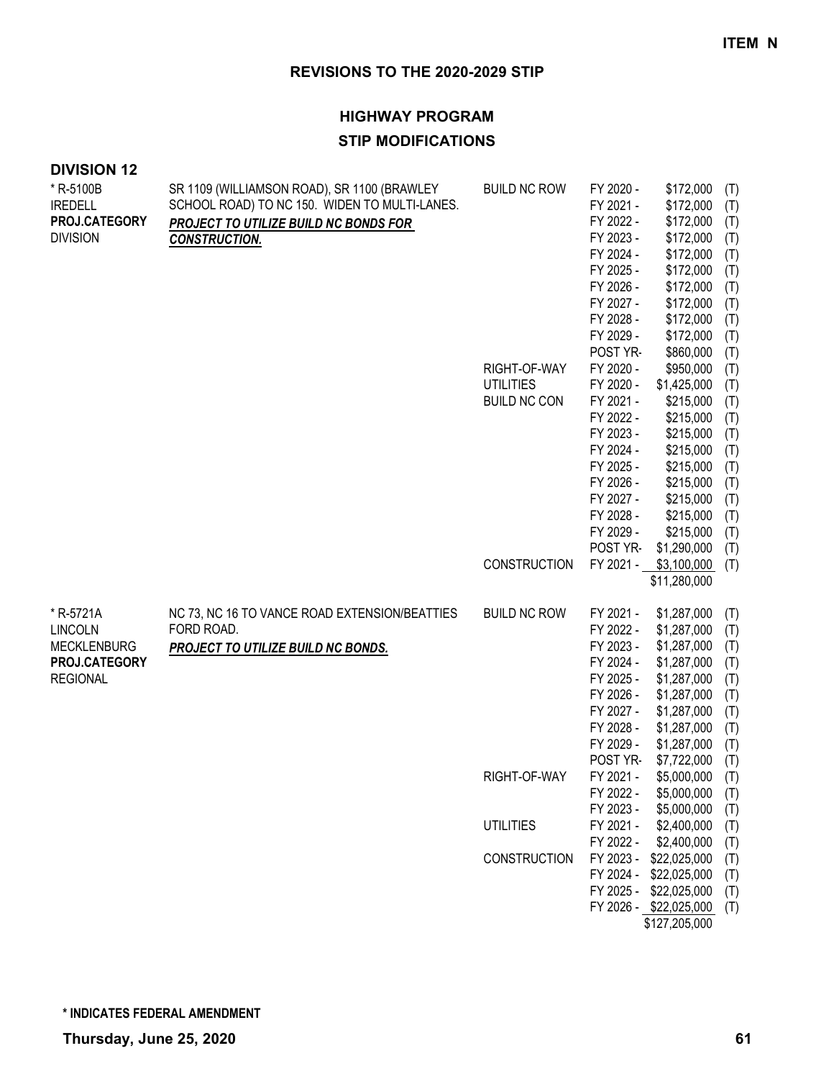| <b>DIVISION 12</b>                                                                    |                                                                                                                                                               |                                                                                |                                                                                                                                                                                                                                                                 |                                                                                                                                                                                                                                                                    |                                                                                                                                          |
|---------------------------------------------------------------------------------------|---------------------------------------------------------------------------------------------------------------------------------------------------------------|--------------------------------------------------------------------------------|-----------------------------------------------------------------------------------------------------------------------------------------------------------------------------------------------------------------------------------------------------------------|--------------------------------------------------------------------------------------------------------------------------------------------------------------------------------------------------------------------------------------------------------------------|------------------------------------------------------------------------------------------------------------------------------------------|
| * R-5100B<br><b>IREDELL</b><br>PROJ.CATEGORY<br><b>DIVISION</b>                       | SR 1109 (WILLIAMSON ROAD), SR 1100 (BRAWLEY<br>SCHOOL ROAD) TO NC 150. WIDEN TO MULTI-LANES.<br>PROJECT TO UTILIZE BUILD NC BONDS FOR<br><b>CONSTRUCTION.</b> | <b>BUILD NC ROW</b><br>RIGHT-OF-WAY<br><b>UTILITIES</b><br><b>BUILD NC CON</b> | FY 2020 -<br>FY 2021 -<br>FY 2022 -<br>FY 2023 -<br>FY 2024 -<br>FY 2025 -<br>FY 2026 -<br>FY 2027 -<br>FY 2028 -<br>FY 2029 -<br>POST YR-<br>FY 2020 -<br>FY 2020 -<br>FY 2021 -<br>FY 2022 -<br>FY 2023 -<br>FY 2024 -<br>FY 2025 -<br>FY 2026 -<br>FY 2027 - | \$172,000<br>\$172,000<br>\$172,000<br>\$172,000<br>\$172,000<br>\$172,000<br>\$172,000<br>\$172,000<br>\$172,000<br>\$172,000<br>\$860,000<br>\$950,000<br>\$1,425,000<br>\$215,000<br>\$215,000<br>\$215,000<br>\$215,000<br>\$215,000<br>\$215,000<br>\$215,000 | (T)<br>(T)<br>(T)<br>(T)<br>(T)<br>(T)<br>(T)<br>(T)<br>(T)<br>(T)<br>(T)<br>(T)<br>(T)<br>(T)<br>(T)<br>(T)<br>(T)<br>(T)<br>(T)<br>(T) |
|                                                                                       |                                                                                                                                                               | <b>CONSTRUCTION</b>                                                            | FY 2028 -<br>FY 2029 -<br>POST YR-                                                                                                                                                                                                                              | \$215,000<br>\$215,000<br>\$1,290,000<br>FY 2021 - \$3,100,000<br>\$11,280,000                                                                                                                                                                                     | (T)<br>(T)<br>(T)<br>(T)                                                                                                                 |
| * R-5721A<br><b>LINCOLN</b><br><b>MECKLENBURG</b><br>PROJ.CATEGORY<br><b>REGIONAL</b> | NC 73, NC 16 TO VANCE ROAD EXTENSION/BEATTIES<br>FORD ROAD.<br>PROJECT TO UTILIZE BUILD NC BONDS.                                                             | <b>BUILD NC ROW</b>                                                            | FY 2021 -<br>FY 2022 -<br>FY 2023 -<br>FY 2024 -<br>FY 2025 -<br>FY 2026 -<br>FY 2027 -<br>FY 2028 -<br>FY 2029 -<br>POST YR-                                                                                                                                   | \$1,287,000<br>\$1,287,000<br>\$1,287,000<br>\$1,287,000<br>\$1,287,000<br>\$1,287,000<br>\$1,287,000<br>\$1,287,000<br>\$1,287,000<br>\$7,722,000                                                                                                                 | (T)<br>(T)<br>(T)<br>(T)<br>(T)<br>(T)<br>(T)<br>(T)<br>(T)<br>(T)                                                                       |
|                                                                                       |                                                                                                                                                               | RIGHT-OF-WAY                                                                   | FY 2021 -<br>FY 2022 -<br>FY 2023 -                                                                                                                                                                                                                             | \$5,000,000<br>\$5,000,000<br>\$5,000,000                                                                                                                                                                                                                          | (T)<br>(T)<br>(T)                                                                                                                        |
|                                                                                       |                                                                                                                                                               | <b>UTILITIES</b>                                                               | FY 2021 -                                                                                                                                                                                                                                                       | \$2,400,000                                                                                                                                                                                                                                                        | (T)                                                                                                                                      |
|                                                                                       |                                                                                                                                                               |                                                                                | FY 2022 -                                                                                                                                                                                                                                                       | \$2,400,000                                                                                                                                                                                                                                                        | (T)                                                                                                                                      |
|                                                                                       |                                                                                                                                                               | CONSTRUCTION                                                                   | FY 2023 -<br>FY 2024 -                                                                                                                                                                                                                                          | \$22,025,000<br>\$22,025,000                                                                                                                                                                                                                                       | (T)<br>(T)                                                                                                                               |
|                                                                                       |                                                                                                                                                               |                                                                                | FY 2025 -                                                                                                                                                                                                                                                       | \$22,025,000                                                                                                                                                                                                                                                       | (T)                                                                                                                                      |
|                                                                                       |                                                                                                                                                               |                                                                                |                                                                                                                                                                                                                                                                 | FY 2026 - \$22,025,000<br>\$127,205,000                                                                                                                                                                                                                            | (T)                                                                                                                                      |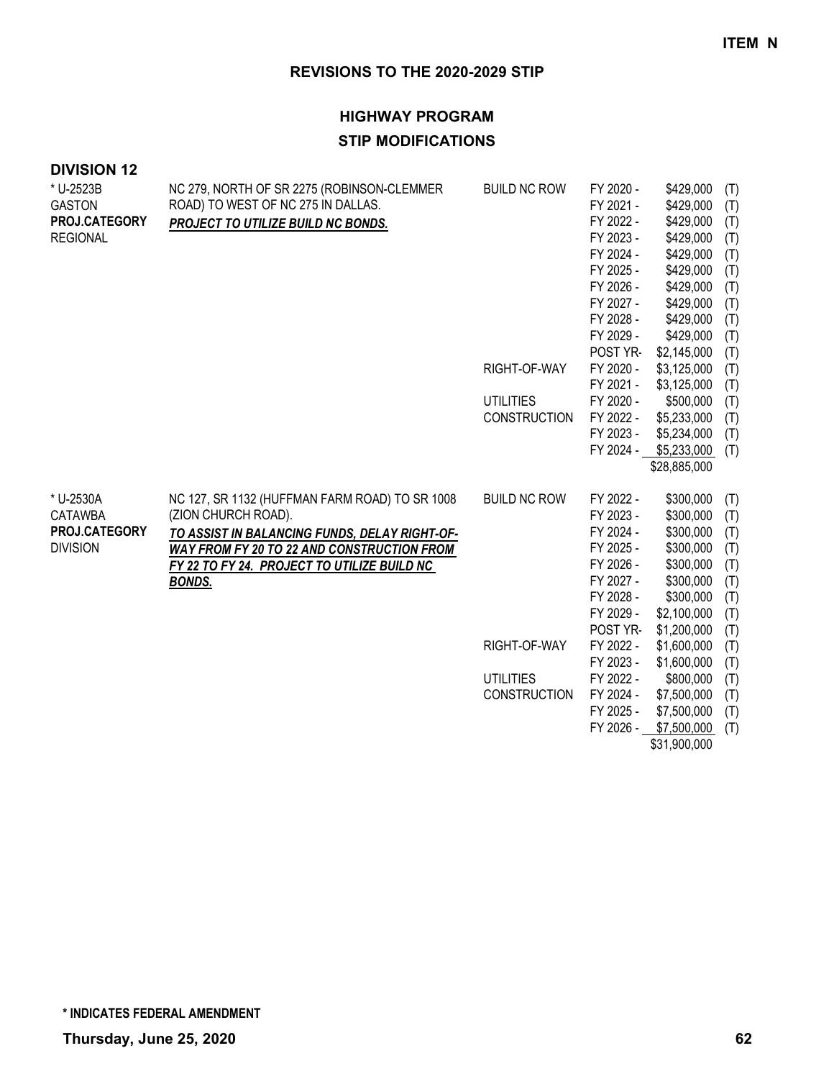| <b>DIVISION 12</b> |  |
|--------------------|--|
|--------------------|--|

| NC 279, NORTH OF SR 2275 (ROBINSON-CLEMMER        | <b>BUILD NC ROW</b>                                                      | FY 2020 -                                               | \$429,000                                                                                                                                                                                                                             | (T)                                                                                                                                                                                                                                                                                                                     |
|---------------------------------------------------|--------------------------------------------------------------------------|---------------------------------------------------------|---------------------------------------------------------------------------------------------------------------------------------------------------------------------------------------------------------------------------------------|-------------------------------------------------------------------------------------------------------------------------------------------------------------------------------------------------------------------------------------------------------------------------------------------------------------------------|
|                                                   |                                                                          |                                                         |                                                                                                                                                                                                                                       | (T)                                                                                                                                                                                                                                                                                                                     |
|                                                   |                                                                          |                                                         |                                                                                                                                                                                                                                       | (T)                                                                                                                                                                                                                                                                                                                     |
|                                                   |                                                                          |                                                         |                                                                                                                                                                                                                                       | (T)                                                                                                                                                                                                                                                                                                                     |
|                                                   |                                                                          |                                                         |                                                                                                                                                                                                                                       | (T)                                                                                                                                                                                                                                                                                                                     |
|                                                   |                                                                          |                                                         |                                                                                                                                                                                                                                       | (T)                                                                                                                                                                                                                                                                                                                     |
|                                                   |                                                                          |                                                         |                                                                                                                                                                                                                                       | (T)                                                                                                                                                                                                                                                                                                                     |
|                                                   |                                                                          |                                                         |                                                                                                                                                                                                                                       | (T)                                                                                                                                                                                                                                                                                                                     |
|                                                   |                                                                          |                                                         |                                                                                                                                                                                                                                       | (T)                                                                                                                                                                                                                                                                                                                     |
|                                                   |                                                                          |                                                         |                                                                                                                                                                                                                                       | (T)                                                                                                                                                                                                                                                                                                                     |
|                                                   |                                                                          |                                                         |                                                                                                                                                                                                                                       | (T)                                                                                                                                                                                                                                                                                                                     |
|                                                   |                                                                          |                                                         |                                                                                                                                                                                                                                       | (T)                                                                                                                                                                                                                                                                                                                     |
|                                                   |                                                                          |                                                         |                                                                                                                                                                                                                                       | (T)                                                                                                                                                                                                                                                                                                                     |
|                                                   |                                                                          |                                                         |                                                                                                                                                                                                                                       | (T)                                                                                                                                                                                                                                                                                                                     |
|                                                   |                                                                          |                                                         |                                                                                                                                                                                                                                       | (T)                                                                                                                                                                                                                                                                                                                     |
|                                                   |                                                                          |                                                         |                                                                                                                                                                                                                                       | (T)                                                                                                                                                                                                                                                                                                                     |
|                                                   |                                                                          |                                                         |                                                                                                                                                                                                                                       | (T)                                                                                                                                                                                                                                                                                                                     |
|                                                   |                                                                          |                                                         |                                                                                                                                                                                                                                       |                                                                                                                                                                                                                                                                                                                         |
| NC 127, SR 1132 (HUFFMAN FARM ROAD) TO SR 1008    | <b>BUILD NC ROW</b>                                                      | FY 2022 -                                               | \$300,000                                                                                                                                                                                                                             | (T)                                                                                                                                                                                                                                                                                                                     |
| (ZION CHURCH ROAD).                               |                                                                          | FY 2023 -                                               | \$300,000                                                                                                                                                                                                                             | (T)                                                                                                                                                                                                                                                                                                                     |
| TO ASSIST IN BALANCING FUNDS, DELAY RIGHT-OF-     |                                                                          | FY 2024 -                                               | \$300,000                                                                                                                                                                                                                             | (T)                                                                                                                                                                                                                                                                                                                     |
| <b>WAY FROM FY 20 TO 22 AND CONSTRUCTION FROM</b> |                                                                          | FY 2025 -                                               | \$300,000                                                                                                                                                                                                                             | (T)                                                                                                                                                                                                                                                                                                                     |
| FY 22 TO FY 24. PROJECT TO UTILIZE BUILD NC       |                                                                          | FY 2026 -                                               | \$300,000                                                                                                                                                                                                                             | (T)                                                                                                                                                                                                                                                                                                                     |
| <b>BONDS.</b>                                     |                                                                          | FY 2027 -                                               | \$300,000                                                                                                                                                                                                                             | (T)                                                                                                                                                                                                                                                                                                                     |
|                                                   |                                                                          | FY 2028 -                                               |                                                                                                                                                                                                                                       | (T)                                                                                                                                                                                                                                                                                                                     |
|                                                   |                                                                          | FY 2029 -                                               | \$2,100,000                                                                                                                                                                                                                           | (T)                                                                                                                                                                                                                                                                                                                     |
|                                                   |                                                                          | POST YR-                                                | \$1,200,000                                                                                                                                                                                                                           | (T)                                                                                                                                                                                                                                                                                                                     |
|                                                   | RIGHT-OF-WAY                                                             |                                                         |                                                                                                                                                                                                                                       | (T)                                                                                                                                                                                                                                                                                                                     |
|                                                   |                                                                          |                                                         |                                                                                                                                                                                                                                       | (T)                                                                                                                                                                                                                                                                                                                     |
|                                                   | <b>UTILITIES</b>                                                         |                                                         |                                                                                                                                                                                                                                       | (T)                                                                                                                                                                                                                                                                                                                     |
|                                                   | <b>CONSTRUCTION</b>                                                      | FY 2024 -                                               | \$7,500,000                                                                                                                                                                                                                           | (T)                                                                                                                                                                                                                                                                                                                     |
|                                                   |                                                                          | FY 2025 -                                               | \$7,500,000                                                                                                                                                                                                                           | (T)                                                                                                                                                                                                                                                                                                                     |
|                                                   |                                                                          |                                                         | \$7,500,000                                                                                                                                                                                                                           | (T)                                                                                                                                                                                                                                                                                                                     |
|                                                   |                                                                          |                                                         | \$31,900,000                                                                                                                                                                                                                          |                                                                                                                                                                                                                                                                                                                         |
|                                                   | ROAD) TO WEST OF NC 275 IN DALLAS.<br>PROJECT TO UTILIZE BUILD NC BONDS. | RIGHT-OF-WAY<br><b>UTILITIES</b><br><b>CONSTRUCTION</b> | FY 2021 -<br>FY 2022 -<br>FY 2023 -<br>FY 2024 -<br>FY 2025 -<br>FY 2026 -<br>FY 2027 -<br>FY 2028 -<br>FY 2029 -<br>POST YR-<br>FY 2020 -<br>FY 2021 -<br>FY 2020 -<br>FY 2022 -<br>FY 2023 -<br>FY 2022 -<br>FY 2023 -<br>FY 2022 - | \$429,000<br>\$429,000<br>\$429,000<br>\$429,000<br>\$429,000<br>\$429,000<br>\$429,000<br>\$429,000<br>\$429,000<br>\$2,145,000<br>\$3,125,000<br>\$3,125,000<br>\$500,000<br>\$5,233,000<br>\$5,234,000<br>FY 2024 - \$5,233,000<br>\$28,885,000<br>\$300,000<br>\$1,600,000<br>\$1,600,000<br>\$800,000<br>FY 2026 - |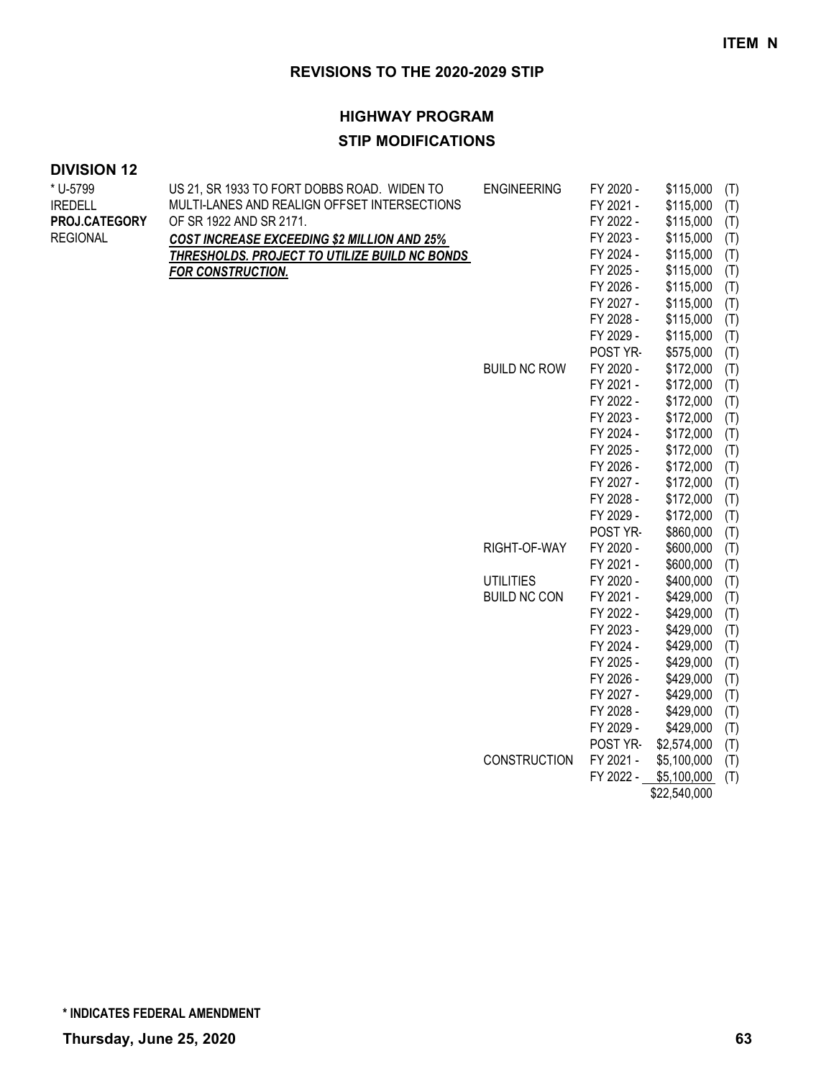#### **HIGHWAY PROGRAM**

### **STIP MODIFICATIONS**

| * U-5799        | US 21, SR 1933 TO FORT DOBBS ROAD. WIDEN TO        | <b>ENGINEERING</b>                                                                                                          | FY 2020 -        | \$115,000<br>(T)   |
|-----------------|----------------------------------------------------|-----------------------------------------------------------------------------------------------------------------------------|------------------|--------------------|
| <b>IREDELL</b>  | MULTI-LANES AND REALIGN OFFSET INTERSECTIONS       |                                                                                                                             | FY 2021 -        | \$115,000<br>(T)   |
| PROJ.CATEGORY   | OF SR 1922 AND SR 2171.                            |                                                                                                                             | FY 2022 -        | \$115,000<br>(T)   |
| <b>REGIONAL</b> | <b>COST INCREASE EXCEEDING \$2 MILLION AND 25%</b> |                                                                                                                             | FY 2023 -        | \$115,000<br>(T)   |
|                 | THRESHOLDS. PROJECT TO UTILIZE BUILD NC BONDS      |                                                                                                                             | FY 2024 -        | \$115,000<br>(T)   |
|                 | FOR CONSTRUCTION.                                  |                                                                                                                             | FY 2025 -        | \$115,000<br>(T)   |
|                 |                                                    |                                                                                                                             | FY 2026 -        | \$115,000<br>(T)   |
|                 |                                                    |                                                                                                                             | FY 2027 -        | \$115,000<br>(T)   |
|                 |                                                    |                                                                                                                             | FY 2028 -        | \$115,000<br>(T)   |
|                 |                                                    |                                                                                                                             | FY 2029 -        | \$115,000<br>(T)   |
|                 |                                                    |                                                                                                                             | POST YR-         | \$575,000<br>(T)   |
|                 |                                                    | <b>BUILD NC ROW</b><br>FY 2020 -<br>FY 2021 -<br>FY 2022 -<br>FY 2023 -<br>FY 2024 -<br>FY 2025 -<br>FY 2026 -<br>FY 2027 - | \$172,000<br>(T) |                    |
|                 |                                                    |                                                                                                                             |                  | \$172,000<br>(T)   |
|                 |                                                    |                                                                                                                             | \$172,000<br>(T) |                    |
|                 |                                                    |                                                                                                                             |                  | \$172,000<br>(T)   |
|                 |                                                    |                                                                                                                             |                  | \$172,000<br>(T)   |
|                 |                                                    |                                                                                                                             |                  | \$172,000<br>(T)   |
|                 |                                                    |                                                                                                                             |                  | \$172,000<br>(T)   |
|                 |                                                    |                                                                                                                             |                  | \$172,000<br>(T)   |
|                 |                                                    |                                                                                                                             | FY 2028 -        | \$172,000<br>(T)   |
|                 |                                                    |                                                                                                                             | FY 2029 -        | \$172,000<br>(T)   |
|                 |                                                    |                                                                                                                             | POST YR-         | \$860,000<br>(T)   |
|                 |                                                    | RIGHT-OF-WAY                                                                                                                | FY 2020 -        | \$600,000<br>(T)   |
|                 |                                                    |                                                                                                                             | FY 2021 -        | \$600,000<br>(T)   |
|                 |                                                    | <b>UTILITIES</b>                                                                                                            | FY 2020 -        | \$400,000<br>(T)   |
|                 |                                                    | <b>BUILD NC CON</b>                                                                                                         | FY 2021 -        | \$429,000<br>(T)   |
|                 |                                                    |                                                                                                                             | FY 2022 -        | \$429,000<br>(T)   |
|                 |                                                    |                                                                                                                             | FY 2023 -        | \$429,000<br>(T)   |
|                 |                                                    |                                                                                                                             | FY 2024 -        | \$429,000<br>(T)   |
|                 |                                                    |                                                                                                                             | FY 2025 -        | \$429,000<br>(T)   |
|                 |                                                    |                                                                                                                             | FY 2026 -        | \$429,000<br>(T)   |
|                 |                                                    |                                                                                                                             | FY 2027 -        | \$429,000<br>(T)   |
|                 |                                                    |                                                                                                                             | FY 2028 -        | \$429,000<br>(T)   |
|                 |                                                    |                                                                                                                             | FY 2029 -        | \$429,000<br>(T)   |
|                 |                                                    |                                                                                                                             | POST YR-         | \$2,574,000<br>(T) |
|                 |                                                    | <b>CONSTRUCTION</b>                                                                                                         | FY 2021 -        | \$5,100,000<br>(T) |
|                 |                                                    |                                                                                                                             | FY 2022 -        | \$5,100,000<br>(T) |
|                 |                                                    |                                                                                                                             |                  | \$22,540,000       |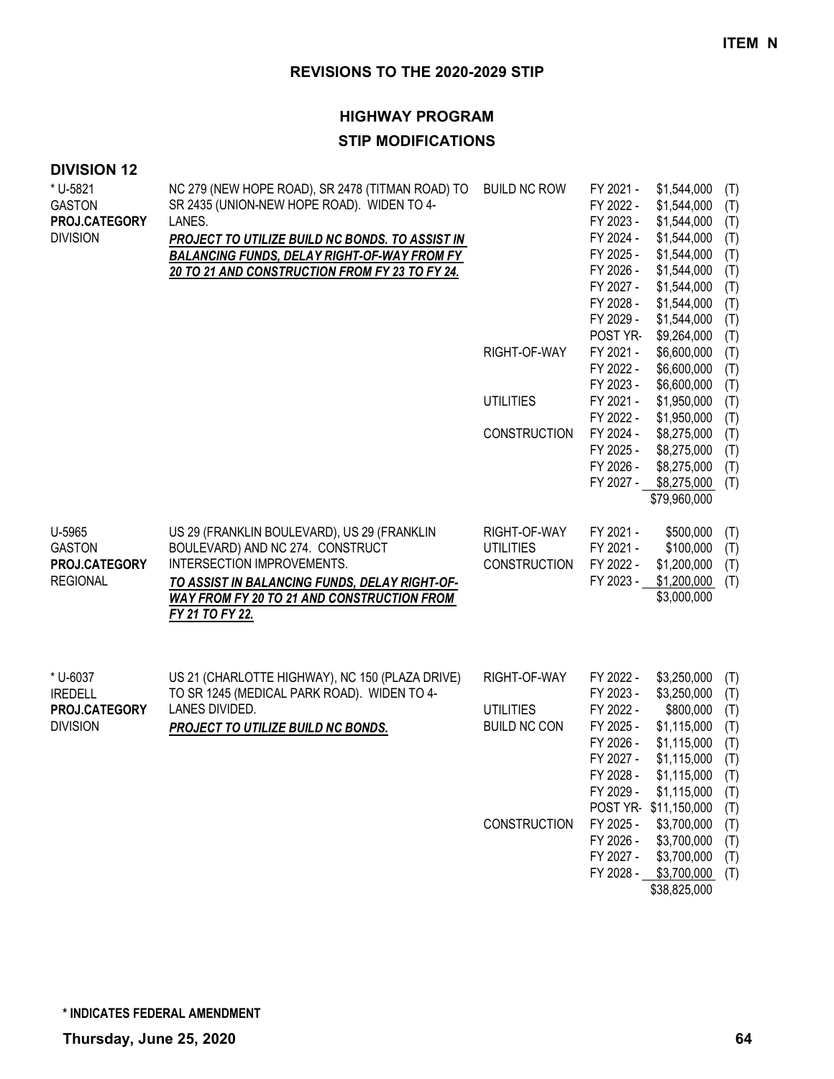### **HIGHWAY PROGRAM**

### **STIP MODIFICATIONS**

| * U-5821<br><b>GASTON</b><br>PROJ.CATEGORY                     | NC 279 (NEW HOPE ROAD), SR 2478 (TITMAN ROAD) TO<br>SR 2435 (UNION-NEW HOPE ROAD). WIDEN TO 4-<br>LANES.                                                                                                                        | <b>BUILD NC ROW</b>                                     | FY 2021 -<br>FY 2022 -<br>FY 2023 -                                                     | \$1,544,000<br>\$1,544,000<br>\$1,544,000                                                                       | (T)<br>(T)<br>(T)                             |
|----------------------------------------------------------------|---------------------------------------------------------------------------------------------------------------------------------------------------------------------------------------------------------------------------------|---------------------------------------------------------|-----------------------------------------------------------------------------------------|-----------------------------------------------------------------------------------------------------------------|-----------------------------------------------|
| <b>DIVISION</b>                                                | PROJECT TO UTILIZE BUILD NC BONDS. TO ASSIST IN<br><b>BALANCING FUNDS, DELAY RIGHT-OF-WAY FROM FY</b><br>20 TO 21 AND CONSTRUCTION FROM FY 23 TO FY 24.                                                                         |                                                         | FY 2024 -<br>FY 2025 -<br>FY 2026 -                                                     | \$1,544,000<br>\$1,544,000<br>\$1,544,000                                                                       | (T)<br>(T)<br>(T)                             |
|                                                                |                                                                                                                                                                                                                                 |                                                         | FY 2027 -<br>FY 2028 -<br>FY 2029 -                                                     | \$1,544,000<br>\$1,544,000<br>\$1,544,000                                                                       | (T)<br>(T)<br>(T)                             |
|                                                                |                                                                                                                                                                                                                                 | RIGHT-OF-WAY                                            | POST YR-<br>FY 2021 -                                                                   | \$9,264,000<br>\$6,600,000                                                                                      | (T)<br>(T)                                    |
|                                                                |                                                                                                                                                                                                                                 | <b>UTILITIES</b>                                        | FY 2022 -<br>FY 2023 -<br>FY 2021 -                                                     | \$6,600,000<br>\$6,600,000<br>\$1,950,000                                                                       | (T)<br>(T)<br>(T)                             |
|                                                                |                                                                                                                                                                                                                                 |                                                         | FY 2022 -                                                                               | \$1,950,000                                                                                                     | (T)                                           |
|                                                                |                                                                                                                                                                                                                                 | CONSTRUCTION                                            | FY 2024 -<br>FY 2025 -<br>FY 2026 -                                                     | \$8,275,000<br>\$8,275,000<br>\$8,275,000                                                                       | (T)<br>(T)<br>(T)                             |
|                                                                |                                                                                                                                                                                                                                 |                                                         | FY 2027 -                                                                               | \$8,275,000<br>\$79,960,000                                                                                     | (T)                                           |
| U-5965<br><b>GASTON</b><br>PROJ.CATEGORY<br><b>REGIONAL</b>    | US 29 (FRANKLIN BOULEVARD), US 29 (FRANKLIN<br>BOULEVARD) AND NC 274. CONSTRUCT<br>INTERSECTION IMPROVEMENTS.<br>TO ASSIST IN BALANCING FUNDS, DELAY RIGHT-OF-<br>WAY FROM FY 20 TO 21 AND CONSTRUCTION FROM<br>FY 21 TO FY 22. | RIGHT-OF-WAY<br><b>UTILITIES</b><br>CONSTRUCTION        | FY 2021 -<br>FY 2021 -<br>FY 2022 -                                                     | \$500,000<br>\$100,000<br>\$1,200,000<br>FY 2023 - \$1,200,000<br>\$3,000,000                                   | (T)<br>(T)<br>(T)<br>(T)                      |
| * U-6037<br><b>IREDELL</b><br>PROJ.CATEGORY<br><b>DIVISION</b> | US 21 (CHARLOTTE HIGHWAY), NC 150 (PLAZA DRIVE)<br>TO SR 1245 (MEDICAL PARK ROAD). WIDEN TO 4-<br>LANES DIVIDED.<br><b>PROJECT TO UTILIZE BUILD NC BONDS.</b>                                                                   | RIGHT-OF-WAY<br><b>UTILITIES</b><br><b>BUILD NC CON</b> | FY 2022 -<br>FY 2023 -<br>FY 2022 -<br>FY 2025 -<br>FY 2026 -<br>FY 2027 -<br>FY 2028 - | \$3,250,000<br>\$3,250,000<br>\$800,000<br>\$1,115,000<br>\$1,115,000<br>\$1,115,000<br>\$1,115,000             | (T)<br>(T)<br>(T)<br>(T)<br>(T)<br>(T)<br>(T) |
|                                                                |                                                                                                                                                                                                                                 | <b>CONSTRUCTION</b>                                     | FY 2029 -<br>FY 2025 -<br>FY 2026 -<br>FY 2027 -<br>FY 2028 -                           | \$1,115,000<br>POST YR-\$11,150,000<br>\$3,700,000<br>\$3,700,000<br>\$3,700,000<br>\$3,700,000<br>\$38,825,000 | (T)<br>(T)<br>(T)<br>(T)<br>(T)<br>(T)        |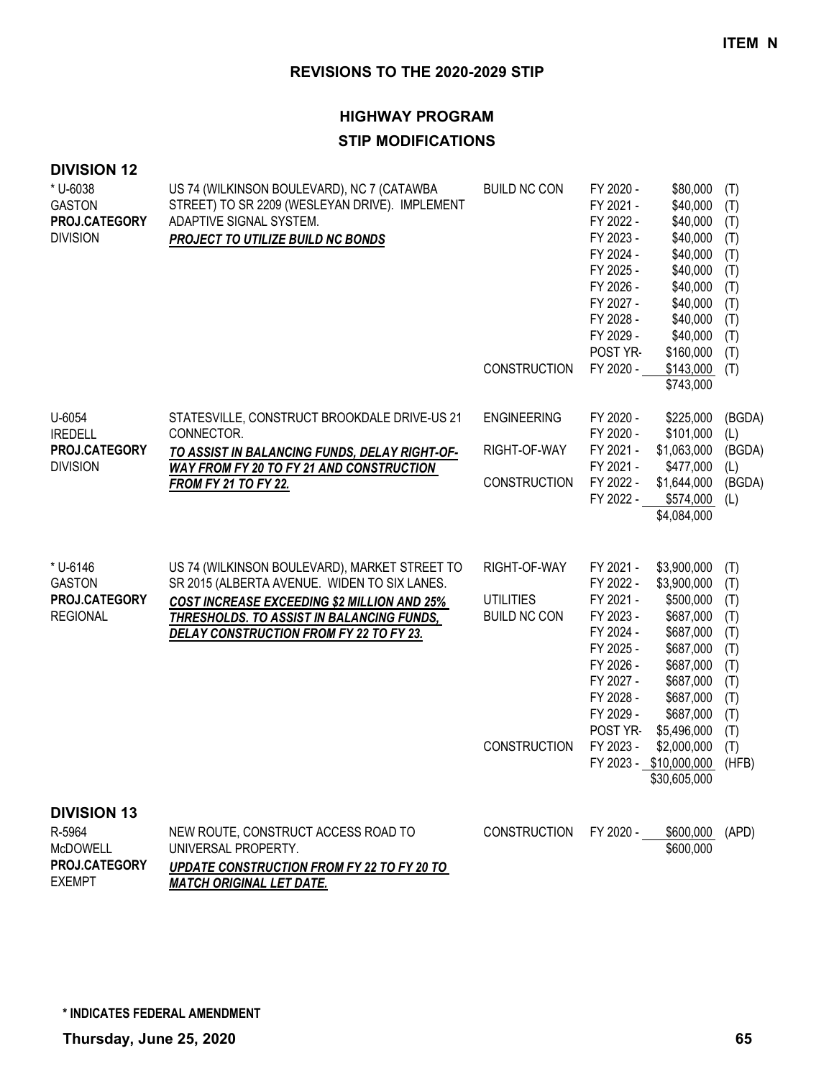#### **HIGHWAY PROGRAM**

#### **STIP MODIFICATIONS**

#### **DIVISION 12**

| * U-6038<br><b>GASTON</b><br>PROJ.CATEGORY<br><b>DIVISION</b>    | US 74 (WILKINSON BOULEVARD), NC 7 (CATAWBA<br>STREET) TO SR 2209 (WESLEYAN DRIVE). IMPLEMENT<br>ADAPTIVE SIGNAL SYSTEM.<br>PROJECT TO UTILIZE BUILD NC BONDS                                                                                              | <b>BUILD NC CON</b><br><b>CONSTRUCTION</b>                              | FY 2020 -<br>FY 2021 -<br>FY 2022 -<br>FY 2023 -<br>FY 2024 -<br>FY 2025 -<br>FY 2026 -<br>FY 2027 -<br>FY 2028 -<br>FY 2029 -<br>POST YR-<br>FY 2020 -        | \$80,000<br>\$40,000<br>\$40,000<br>\$40,000<br>\$40,000<br>\$40,000<br>\$40,000<br>\$40,000<br>\$40,000<br>\$40,000<br>\$160,000<br>\$143,000<br>\$743,000                                                | (T)<br>(T)<br>(T)<br>(T)<br>(T)<br>(T)<br>(T)<br>(T)<br>(T)<br>(T)<br>(T)<br>(T)          |
|------------------------------------------------------------------|-----------------------------------------------------------------------------------------------------------------------------------------------------------------------------------------------------------------------------------------------------------|-------------------------------------------------------------------------|----------------------------------------------------------------------------------------------------------------------------------------------------------------|------------------------------------------------------------------------------------------------------------------------------------------------------------------------------------------------------------|-------------------------------------------------------------------------------------------|
| U-6054<br><b>IREDELL</b><br>PROJ.CATEGORY<br><b>DIVISION</b>     | STATESVILLE, CONSTRUCT BROOKDALE DRIVE-US 21<br>CONNECTOR.<br>TO ASSIST IN BALANCING FUNDS, DELAY RIGHT-OF-<br>WAY FROM FY 20 TO FY 21 AND CONSTRUCTION<br><b>FROM FY 21 TO FY 22.</b>                                                                    | <b>ENGINEERING</b><br>RIGHT-OF-WAY<br>CONSTRUCTION                      | FY 2020 -<br>FY 2020 -<br>FY 2021 -<br>FY 2021 -<br>FY 2022 -<br>FY 2022 -                                                                                     | \$225,000<br>\$101,000<br>\$1,063,000<br>\$477,000<br>\$1,644,000<br>\$574,000<br>\$4,084,000                                                                                                              | (BGDA)<br>(L)<br>(BGDA)<br>(L)<br>(BGDA)<br>(L)                                           |
| * U-6146<br><b>GASTON</b><br>PROJ.CATEGORY<br><b>REGIONAL</b>    | US 74 (WILKINSON BOULEVARD), MARKET STREET TO<br>SR 2015 (ALBERTA AVENUE. WIDEN TO SIX LANES.<br><b>COST INCREASE EXCEEDING \$2 MILLION AND 25%</b><br><b>THRESHOLDS. TO ASSIST IN BALANCING FUNDS,</b><br><b>DELAY CONSTRUCTION FROM FY 22 TO FY 23.</b> | RIGHT-OF-WAY<br>UTILITIES<br><b>BUILD NC CON</b><br><b>CONSTRUCTION</b> | FY 2021 -<br>FY 2022 -<br>FY 2021 -<br>FY 2023 -<br>FY 2024 -<br>FY 2025 -<br>FY 2026 -<br>FY 2027 -<br>FY 2028 -<br>FY 2029 -<br><b>POST YR-</b><br>FY 2023 - | \$3,900,000<br>\$3,900,000<br>\$500,000<br>\$687,000<br>\$687,000<br>\$687,000<br>\$687,000<br>\$687,000<br>\$687,000<br>\$687,000<br>\$5,496,000<br>\$2,000,000<br>FY 2023 - \$10,000,000<br>\$30,605,000 | (T)<br>(T)<br>(T)<br>(T)<br>(T)<br>(T)<br>(T)<br>(T)<br>(T)<br>(T)<br>(T)<br>(T)<br>(HFB) |
| <b>DIVISION 13</b><br>R-5964<br><b>McDOWELL</b><br>PROJ.CATEGORY | NEW ROUTE, CONSTRUCT ACCESS ROAD TO<br>UNIVERSAL PROPERTY.<br><b>UPDATE CONSTRUCTION FROM FY 22 TO FY 20 TO</b>                                                                                                                                           | <b>CONSTRUCTION</b>                                                     | FY 2020 -                                                                                                                                                      | \$600,000<br>\$600,000                                                                                                                                                                                     | (APD)                                                                                     |

*MATCH ORIGINAL LET DATE.*

EXEMPT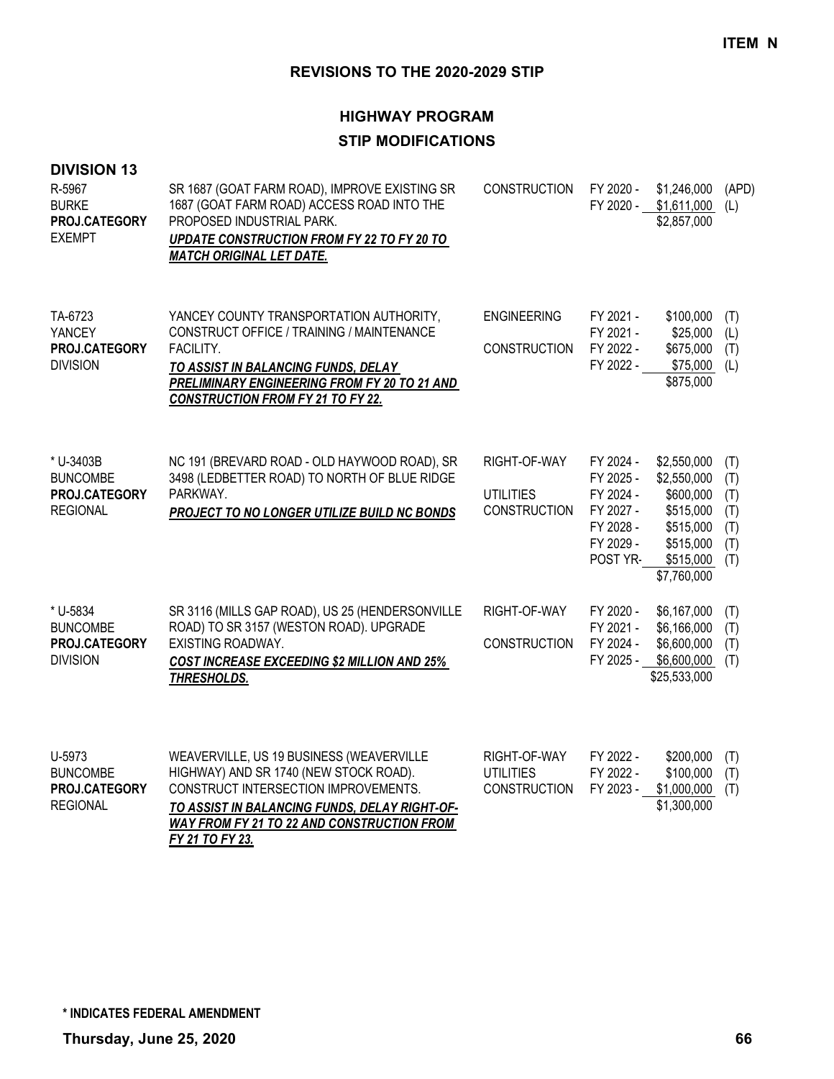## **HIGHWAY PROGRAM STIP MODIFICATIONS**

| <b>DIVISION 13</b><br>R-5967<br><b>BURKE</b><br>PROJ.CATEGORY<br><b>EXEMPT</b> | SR 1687 (GOAT FARM ROAD), IMPROVE EXISTING SR<br>1687 (GOAT FARM ROAD) ACCESS ROAD INTO THE<br>PROPOSED INDUSTRIAL PARK.<br>UPDATE CONSTRUCTION FROM FY 22 TO FY 20 TO<br><b>MATCH ORIGINAL LET DATE.</b>                            | <b>CONSTRUCTION</b>                                     | FY 2020 -<br>FY 2020 -                                                                 | \$1,246,000<br>\$1,611,000<br>\$2,857,000                                                                  | (APD)<br>(L)                                  |
|--------------------------------------------------------------------------------|--------------------------------------------------------------------------------------------------------------------------------------------------------------------------------------------------------------------------------------|---------------------------------------------------------|----------------------------------------------------------------------------------------|------------------------------------------------------------------------------------------------------------|-----------------------------------------------|
| TA-6723<br>YANCEY<br>PROJ.CATEGORY<br><b>DIVISION</b>                          | YANCEY COUNTY TRANSPORTATION AUTHORITY,<br>CONSTRUCT OFFICE / TRAINING / MAINTENANCE<br>FACILITY.<br>TO ASSIST IN BALANCING FUNDS, DELAY<br>PRELIMINARY ENGINEERING FROM FY 20 TO 21 AND<br><b>CONSTRUCTION FROM FY 21 TO FY 22.</b> | <b>ENGINEERING</b><br><b>CONSTRUCTION</b>               | FY 2021 -<br>FY 2021 -<br>FY 2022 -<br>FY 2022 -                                       | \$100,000<br>\$25,000<br>\$675,000<br>\$75,000<br>\$875,000                                                | (T)<br>(L)<br>(T)<br>(L)                      |
| * U-3403B<br><b>BUNCOMBE</b><br>PROJ.CATEGORY<br><b>REGIONAL</b>               | NC 191 (BREVARD ROAD - OLD HAYWOOD ROAD), SR<br>3498 (LEDBETTER ROAD) TO NORTH OF BLUE RIDGE<br>PARKWAY.<br>PROJECT TO NO LONGER UTILIZE BUILD NC BONDS                                                                              | RIGHT-OF-WAY<br><b>UTILITIES</b><br><b>CONSTRUCTION</b> | FY 2024 -<br>FY 2025 -<br>FY 2024 -<br>FY 2027 -<br>FY 2028 -<br>FY 2029 -<br>POST YR- | \$2,550,000<br>\$2,550,000<br>\$600,000<br>\$515,000<br>\$515,000<br>\$515,000<br>\$515,000<br>\$7,760,000 | (T)<br>(T)<br>(T)<br>(T)<br>(T)<br>(T)<br>(T) |
| * U-5834<br><b>BUNCOMBE</b><br>PROJ.CATEGORY<br><b>DIVISION</b>                | SR 3116 (MILLS GAP ROAD), US 25 (HENDERSONVILLE<br>ROAD) TO SR 3157 (WESTON ROAD). UPGRADE<br>EXISTING ROADWAY.<br><b>COST INCREASE EXCEEDING \$2 MILLION AND 25%</b><br>THRESHOLDS.                                                 | RIGHT-OF-WAY<br><b>CONSTRUCTION</b>                     | FY 2020 -<br>FY 2021 -<br>FY 2024 -<br>FY 2025 -                                       | \$6,167,000<br>\$6,166,000<br>\$6,600,000<br>\$6,600,000<br>\$25,533,000                                   | (T)<br>(T)<br>(T)<br>(T)                      |
| U-5973<br><b>BUNCOMBE</b><br>PROJ.CATEGORY<br><b>REGIONAL</b>                  | WEAVERVILLE, US 19 BUSINESS (WEAVERVILLE<br>HIGHWAY) AND SR 1740 (NEW STOCK ROAD).<br>CONSTRUCT INTERSECTION IMPROVEMENTS.<br>TO ASSIST IN BALANCING FUNDS, DELAY RIGHT-OF-                                                          | RIGHT-OF-WAY<br><b>UTILITIES</b><br><b>CONSTRUCTION</b> | FY 2022 -<br>FY 2022 -<br>FY 2023 -                                                    | \$200,000<br>\$100,000<br>\$1,000,000<br>\$1,300,000                                                       | (T)<br>(T)<br>(T)                             |

*WAY FROM FY 21 TO 22 AND CONSTRUCTION FROM* 

*FY 21 TO FY 23.*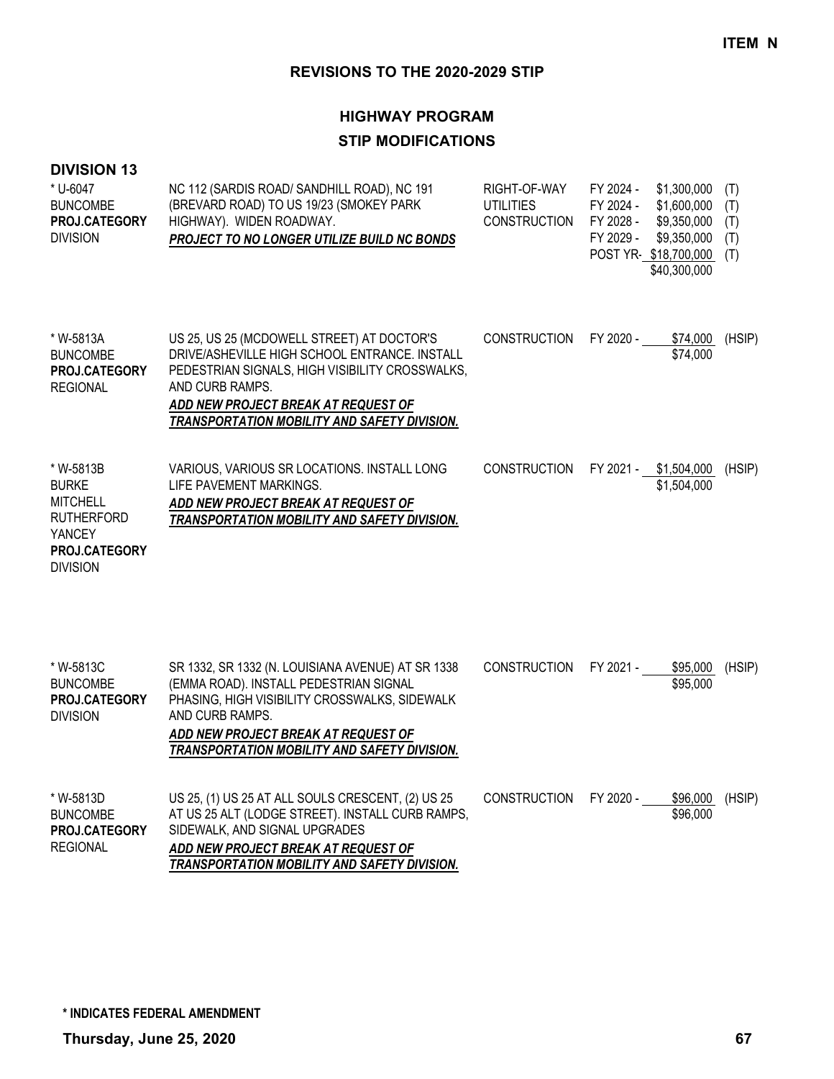## **HIGHWAY PROGRAM STIP MODIFICATIONS**

| * U-6047<br><b>BUNCOMBE</b><br>PROJ.CATEGORY<br><b>DIVISION</b>                                                 | NC 112 (SARDIS ROAD/ SANDHILL ROAD), NC 191<br>(BREVARD ROAD) TO US 19/23 (SMOKEY PARK<br>HIGHWAY). WIDEN ROADWAY.<br>PROJECT TO NO LONGER UTILIZE BUILD NC BONDS                                                                                        | RIGHT-OF-WAY<br><b>UTILITIES</b><br><b>CONSTRUCTION</b> | FY 2024 -<br>FY 2024 -<br>FY 2028 -<br>FY 2029 - | \$1,300,000<br>\$1,600,000<br>\$9,350,000<br>\$9,350,000<br>POST YR-\$18,700,000<br>\$40,300,000 | (T)<br>(T)<br>(T)<br>(T)<br>(T) |
|-----------------------------------------------------------------------------------------------------------------|----------------------------------------------------------------------------------------------------------------------------------------------------------------------------------------------------------------------------------------------------------|---------------------------------------------------------|--------------------------------------------------|--------------------------------------------------------------------------------------------------|---------------------------------|
| * W-5813A<br><b>BUNCOMBE</b><br>PROJ.CATEGORY<br><b>REGIONAL</b>                                                | US 25, US 25 (MCDOWELL STREET) AT DOCTOR'S<br>DRIVE/ASHEVILLE HIGH SCHOOL ENTRANCE. INSTALL<br>PEDESTRIAN SIGNALS, HIGH VISIBILITY CROSSWALKS,<br>AND CURB RAMPS.<br>ADD NEW PROJECT BREAK AT REQUEST OF<br>TRANSPORTATION MOBILITY AND SAFETY DIVISION. | <b>CONSTRUCTION</b>                                     | FY 2020 -                                        | \$74,000<br>\$74,000                                                                             | (HSIP)                          |
| * W-5813B<br><b>BURKE</b><br><b>MITCHELL</b><br><b>RUTHERFORD</b><br>YANCEY<br>PROJ.CATEGORY<br><b>DIVISION</b> | VARIOUS, VARIOUS SR LOCATIONS. INSTALL LONG<br>LIFE PAVEMENT MARKINGS.<br>ADD NEW PROJECT BREAK AT REQUEST OF<br>TRANSPORTATION MOBILITY AND SAFETY DIVISION.                                                                                            | <b>CONSTRUCTION</b>                                     |                                                  | FY 2021 - \$1,504,000<br>\$1,504,000                                                             | (HSIP)                          |
| * W-5813C<br><b>BUNCOMBE</b><br>PROJ.CATEGORY<br><b>DIVISION</b>                                                | SR 1332, SR 1332 (N. LOUISIANA AVENUE) AT SR 1338<br>(EMMA ROAD). INSTALL PEDESTRIAN SIGNAL<br>PHASING, HIGH VISIBILITY CROSSWALKS, SIDEWALK<br>AND CURB RAMPS.<br>ADD NEW PROJECT BREAK AT REQUEST OF<br>TRANSPORTATION MOBILITY AND SAFETY DIVISION.   | <b>CONSTRUCTION</b>                                     | FY 2021 -                                        | \$95,000<br>\$95,000                                                                             | (HSIP)                          |
| * W-5813D<br><b>BUNCOMBE</b><br>PROJ.CATEGORY<br><b>REGIONAL</b>                                                | US 25, (1) US 25 AT ALL SOULS CRESCENT, (2) US 25<br>AT US 25 ALT (LODGE STREET). INSTALL CURB RAMPS,<br>SIDEWALK, AND SIGNAL UPGRADES<br>ADD NEW PROJECT BREAK AT REQUEST OF<br>TRANSPORTATION MOBILITY AND SAFETY DIVISION.                            | <b>CONSTRUCTION</b>                                     | FY 2020 -                                        | \$96,000<br>\$96,000                                                                             | (HSIP)                          |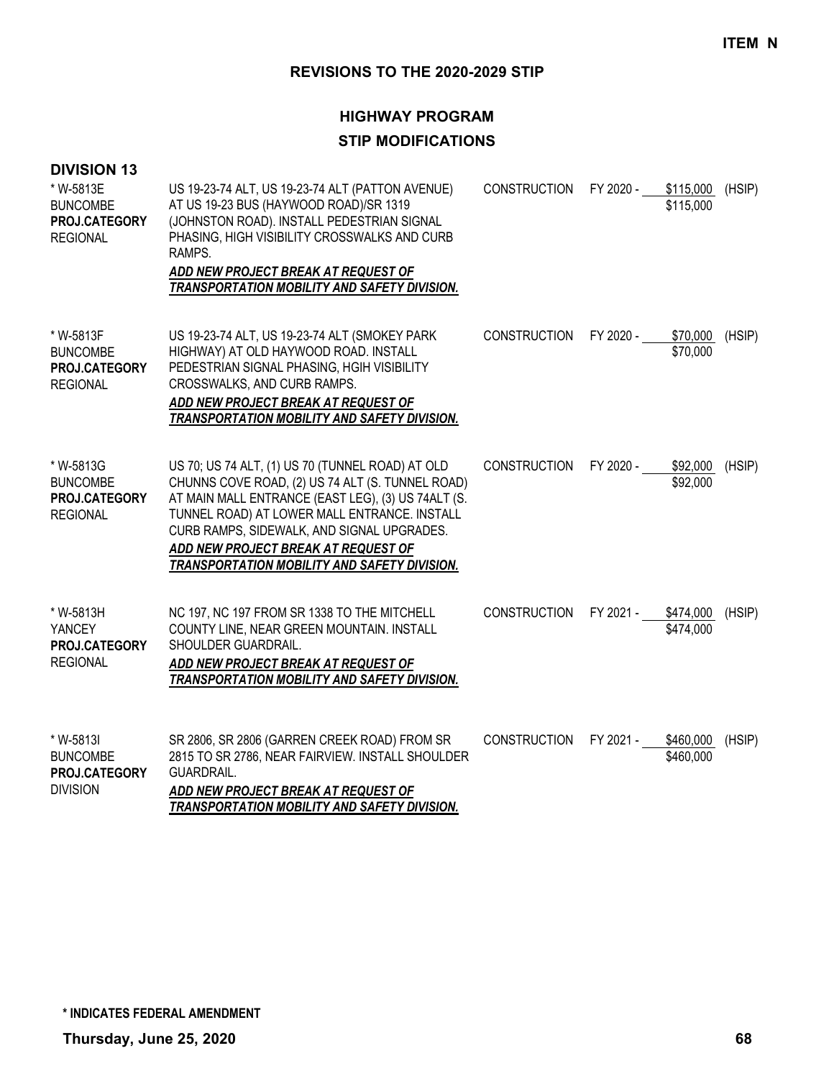| <b>DIVISION 13</b><br>* W-5813E<br><b>BUNCOMBE</b><br>PROJ.CATEGORY<br><b>REGIONAL</b> | US 19-23-74 ALT, US 19-23-74 ALT (PATTON AVENUE)<br>AT US 19-23 BUS (HAYWOOD ROAD)/SR 1319<br>(JOHNSTON ROAD). INSTALL PEDESTRIAN SIGNAL<br>PHASING, HIGH VISIBILITY CROSSWALKS AND CURB<br>RAMPS.<br>ADD NEW PROJECT BREAK AT REQUEST OF<br>TRANSPORTATION MOBILITY AND SAFETY DIVISION.                                                       | CONSTRUCTION        | FY 2020 - | \$115,000<br>\$115,000 | (HSIP) |
|----------------------------------------------------------------------------------------|-------------------------------------------------------------------------------------------------------------------------------------------------------------------------------------------------------------------------------------------------------------------------------------------------------------------------------------------------|---------------------|-----------|------------------------|--------|
| * W-5813F<br><b>BUNCOMBE</b><br>PROJ.CATEGORY<br><b>REGIONAL</b>                       | US 19-23-74 ALT, US 19-23-74 ALT (SMOKEY PARK<br>HIGHWAY) AT OLD HAYWOOD ROAD. INSTALL<br>PEDESTRIAN SIGNAL PHASING, HGIH VISIBILITY<br>CROSSWALKS, AND CURB RAMPS.<br>ADD NEW PROJECT BREAK AT REQUEST OF<br>TRANSPORTATION MOBILITY AND SAFETY DIVISION.                                                                                      | <b>CONSTRUCTION</b> | FY 2020 - | \$70,000<br>\$70,000   | (HSIP) |
| * W-5813G<br><b>BUNCOMBE</b><br>PROJ.CATEGORY<br><b>REGIONAL</b>                       | US 70; US 74 ALT, (1) US 70 (TUNNEL ROAD) AT OLD<br>CHUNNS COVE ROAD, (2) US 74 ALT (S. TUNNEL ROAD)<br>AT MAIN MALL ENTRANCE (EAST LEG), (3) US 74ALT (S.<br>TUNNEL ROAD) AT LOWER MALL ENTRANCE. INSTALL<br>CURB RAMPS, SIDEWALK, AND SIGNAL UPGRADES.<br>ADD NEW PROJECT BREAK AT REQUEST OF<br>TRANSPORTATION MOBILITY AND SAFETY DIVISION. | <b>CONSTRUCTION</b> | FY 2020 - | \$92,000<br>\$92,000   | (HSIP) |
| * W-5813H<br><b>YANCEY</b><br>PROJ.CATEGORY<br><b>REGIONAL</b>                         | NC 197, NC 197 FROM SR 1338 TO THE MITCHELL<br>COUNTY LINE, NEAR GREEN MOUNTAIN. INSTALL<br>SHOULDER GUARDRAIL.<br>ADD NEW PROJECT BREAK AT REQUEST OF<br><b>TRANSPORTATION MOBILITY AND SAFETY DIVISION.</b>                                                                                                                                   | <b>CONSTRUCTION</b> | FY 2021 - | \$474,000<br>\$474,000 | (HSIP) |
| * W-5813I<br><b>BUNCOMBE</b><br>PROJ.CATEGORY<br><b>DIVISION</b>                       | SR 2806, SR 2806 (GARREN CREEK ROAD) FROM SR<br>2815 TO SR 2786, NEAR FAIRVIEW. INSTALL SHOULDER<br><b>GUARDRAIL.</b><br>ADD NEW PROJECT BREAK AT REQUEST OF<br>TRANSPORTATION MOBILITY AND SAFETY DIVISION.                                                                                                                                    | <b>CONSTRUCTION</b> | FY 2021 - | \$460,000<br>\$460,000 | (HSIP) |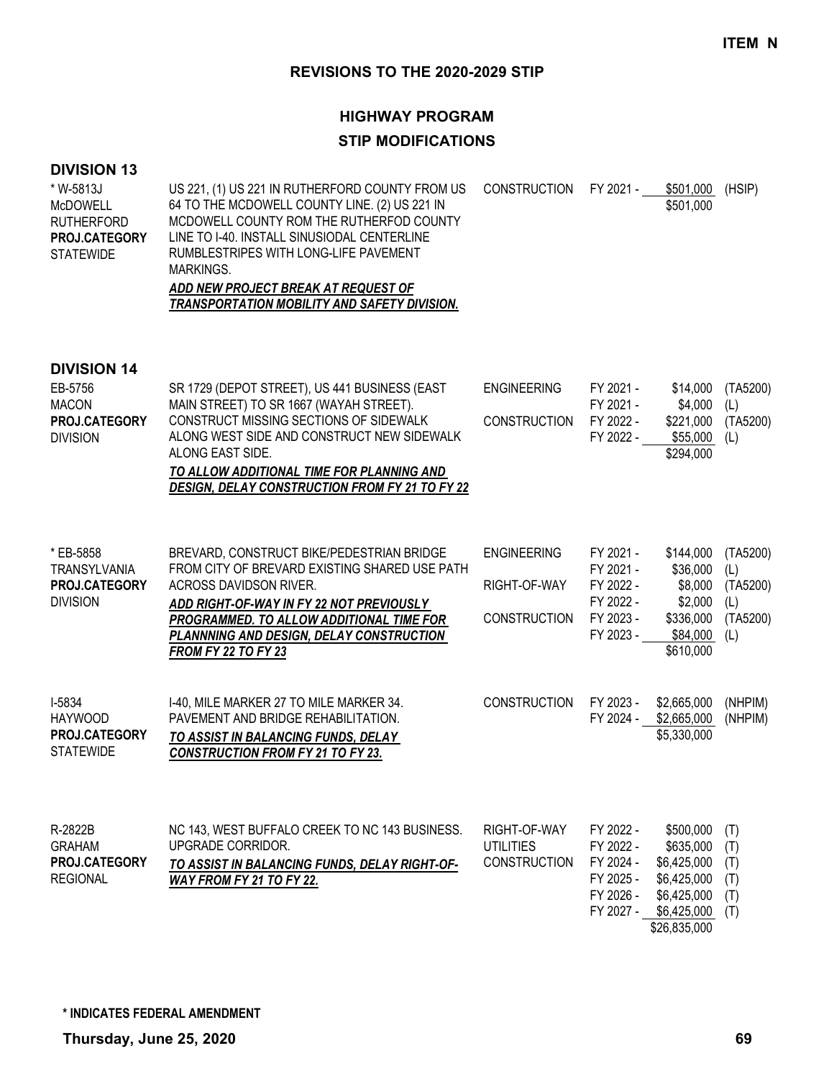# **HIGHWAY PROGRAM STIP MODIFICATIONS**

#### **DIVISION 13**

| * W-5813J        | US 221, (1) US 221 IN RUTHERFORD COUNTY FROM US | CONSTRUCTION FY 2021 - | \$501,000 | (HSIP) |
|------------------|-------------------------------------------------|------------------------|-----------|--------|
| <b>McDOWELL</b>  | 64 TO THE MCDOWELL COUNTY LINE. (2) US 221 IN   |                        | \$501,000 |        |
| RUTHERFORD       | MCDOWELL COUNTY ROM THE RUTHERFOD COUNTY        |                        |           |        |
| PROJ.CATEGORY    | LINE TO 1-40. INSTALL SINUSIODAL CENTERLINE     |                        |           |        |
| <b>STATEWIDE</b> | RUMBLESTRIPES WITH LONG-LIFE PAVEMENT           |                        |           |        |
|                  | MARKINGS.                                       |                        |           |        |
|                  | ADD NEW PROJECT BREAK AT REQUEST OF             |                        |           |        |

## *TRANSPORTATION MOBILITY AND SAFETY DIVISION.*

| EB-5756<br><b>MACON</b><br>PROJ.CATEGORY<br><b>DIVISION</b>          | SR 1729 (DEPOT STREET), US 441 BUSINESS (EAST<br>MAIN STREET) TO SR 1667 (WAYAH STREET).<br>CONSTRUCT MISSING SECTIONS OF SIDEWALK<br>ALONG WEST SIDE AND CONSTRUCT NEW SIDEWALK<br>ALONG EAST SIDE.<br>TO ALLOW ADDITIONAL TIME FOR PLANNING AND<br><b>DESIGN, DELAY CONSTRUCTION FROM FY 21 TO FY 22</b> | <b>ENGINEERING</b><br><b>CONSTRUCTION</b>                 | FY 2021 -<br>FY 2021 -<br>FY 2022 -<br>FY 2022 -                           | \$14,000<br>\$4,000<br>\$221,000<br>\$55,000<br>\$294,000                                          | (TA5200)<br>(L)<br>(TA5200)<br>(L)                    |
|----------------------------------------------------------------------|------------------------------------------------------------------------------------------------------------------------------------------------------------------------------------------------------------------------------------------------------------------------------------------------------------|-----------------------------------------------------------|----------------------------------------------------------------------------|----------------------------------------------------------------------------------------------------|-------------------------------------------------------|
| * EB-5858<br><b>TRANSYLVANIA</b><br>PROJ.CATEGORY<br><b>DIVISION</b> | BREVARD, CONSTRUCT BIKE/PEDESTRIAN BRIDGE<br>FROM CITY OF BREVARD EXISTING SHARED USE PATH<br>ACROSS DAVIDSON RIVER.<br>ADD RIGHT-OF-WAY IN FY 22 NOT PREVIOUSLY<br>PROGRAMMED. TO ALLOW ADDITIONAL TIME FOR<br>PLANNNING AND DESIGN, DELAY CONSTRUCTION<br><b>FROM FY 22 TO FY 23</b>                     | <b>ENGINEERING</b><br>RIGHT-OF-WAY<br><b>CONSTRUCTION</b> | FY 2021 -<br>FY 2021 -<br>FY 2022 -<br>FY 2022 -<br>FY 2023 -<br>FY 2023 - | \$144,000<br>\$36,000<br>\$8,000<br>\$2,000<br>\$336,000<br>\$84,000<br>\$610,000                  | (TA5200)<br>(L)<br>(TA5200)<br>(L)<br>(TA5200)<br>(L) |
| I-5834<br><b>HAYWOOD</b><br>PROJ.CATEGORY<br><b>STATEWIDE</b>        | I-40, MILE MARKER 27 TO MILE MARKER 34.<br>PAVEMENT AND BRIDGE REHABILITATION.<br>TO ASSIST IN BALANCING FUNDS, DELAY<br><b>CONSTRUCTION FROM FY 21 TO FY 23.</b>                                                                                                                                          | <b>CONSTRUCTION</b>                                       | FY 2023 -<br>FY 2024 -                                                     | \$2,665,000<br>\$2,665,000<br>\$5,330,000                                                          | (NHPIM)<br>(NHPIM)                                    |
| R-2822B<br><b>GRAHAM</b><br>PROJ.CATEGORY<br><b>REGIONAL</b>         | NC 143, WEST BUFFALO CREEK TO NC 143 BUSINESS.<br>UPGRADE CORRIDOR.<br>TO ASSIST IN BALANCING FUNDS, DELAY RIGHT-OF-<br>WAY FROM FY 21 TO FY 22.                                                                                                                                                           | RIGHT-OF-WAY<br><b>UTILITIES</b><br><b>CONSTRUCTION</b>   | FY 2022 -<br>FY 2022 -<br>FY 2024 -<br>FY 2025 -<br>FY 2026 -<br>FY 2027 - | \$500,000<br>\$635,000<br>\$6,425,000<br>\$6,425,000<br>\$6,425,000<br>\$6,425,000<br>\$26,835,000 | (T)<br>(T)<br>(T)<br>(T)<br>(T)<br>(T)                |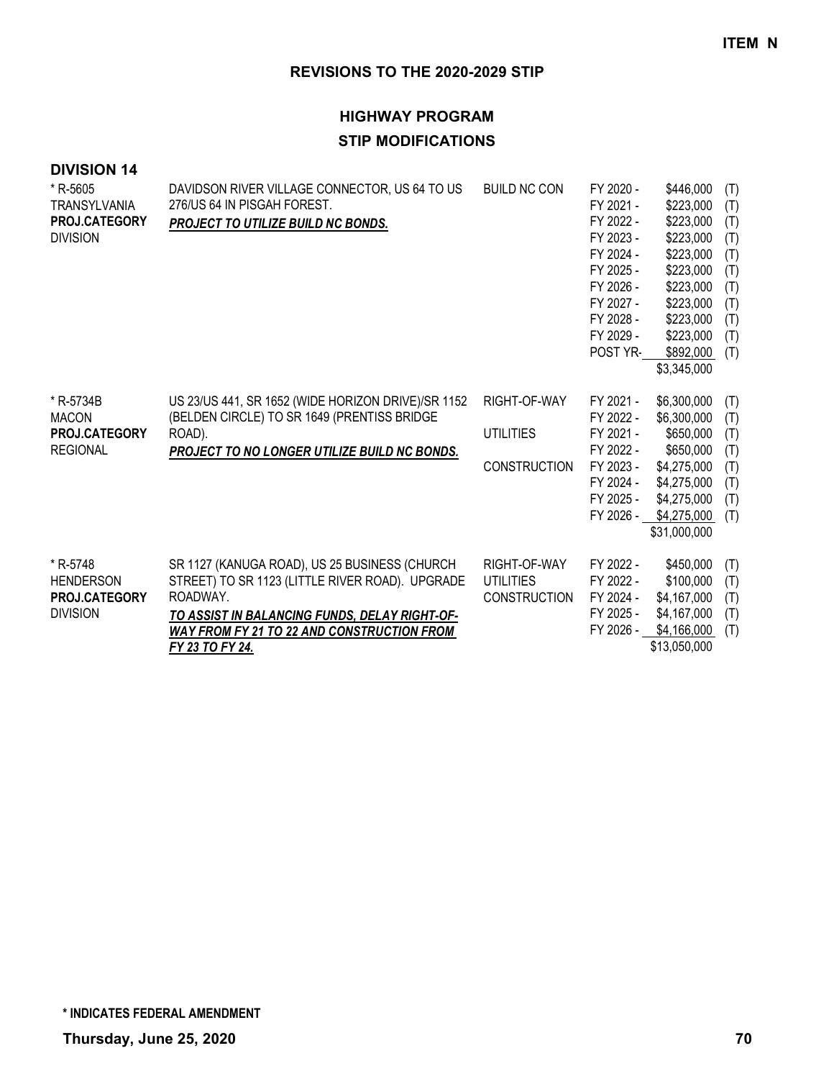| <b>DIVISION 14</b> |  |
|--------------------|--|
|--------------------|--|

| * R-5605<br><b>TRANSYLVANIA</b><br>PROJ.CATEGORY<br><b>DIVISION</b> | DAVIDSON RIVER VILLAGE CONNECTOR, US 64 TO US<br>276/US 64 IN PISGAH FOREST.<br>PROJECT TO UTILIZE BUILD NC BONDS.                                                                                                                    | <b>BUILD NC CON</b>                                     | FY 2020 -<br>FY 2021 -<br>FY 2022 -<br>FY 2023 -<br>FY 2024 -<br>FY 2025 -<br>FY 2026 -<br>FY 2027 -<br>FY 2028 -<br>FY 2029 -<br>POST YR- | \$446,000<br>\$223,000<br>\$223,000<br>\$223,000<br>\$223,000<br>\$223,000<br>\$223,000<br>\$223,000<br>\$223,000<br>\$223,000<br>\$892,000<br>\$3,345,000 | (T)<br>(T)<br>(T)<br>(T)<br>(T)<br>(T)<br>(T)<br>(T)<br>(T)<br>(T)<br>(T) |
|---------------------------------------------------------------------|---------------------------------------------------------------------------------------------------------------------------------------------------------------------------------------------------------------------------------------|---------------------------------------------------------|--------------------------------------------------------------------------------------------------------------------------------------------|------------------------------------------------------------------------------------------------------------------------------------------------------------|---------------------------------------------------------------------------|
| * R-5734B<br><b>MACON</b><br>PROJ.CATEGORY<br><b>REGIONAL</b>       | US 23/US 441, SR 1652 (WIDE HORIZON DRIVE)/SR 1152<br>(BELDEN CIRCLE) TO SR 1649 (PRENTISS BRIDGE<br>ROAD).<br>PROJECT TO NO LONGER UTILIZE BUILD NC BONDS.                                                                           | RIGHT-OF-WAY<br><b>UTILITIES</b><br><b>CONSTRUCTION</b> | FY 2021 -<br>FY 2022 -<br>FY 2021 -<br>FY 2022 -<br>FY 2023 -<br>FY 2024 -<br>FY 2025 -<br>FY 2026 -                                       | \$6,300,000<br>\$6,300,000<br>\$650,000<br>\$650,000<br>\$4,275,000<br>\$4,275,000<br>\$4,275,000<br>\$4,275,000<br>\$31,000,000                           | (T)<br>(T)<br>(T)<br>(T)<br>(T)<br>(T)<br>(T)<br>(T)                      |
| * R-5748<br><b>HENDERSON</b><br>PROJ.CATEGORY<br><b>DIVISION</b>    | SR 1127 (KANUGA ROAD), US 25 BUSINESS (CHURCH<br>STREET) TO SR 1123 (LITTLE RIVER ROAD). UPGRADE<br>ROADWAY.<br>TO ASSIST IN BALANCING FUNDS, DELAY RIGHT-OF-<br><b>WAY FROM FY 21 TO 22 AND CONSTRUCTION FROM</b><br>FY 23 TO FY 24. | RIGHT-OF-WAY<br><b>UTILITIES</b><br><b>CONSTRUCTION</b> | FY 2022 -<br>FY 2022 -<br>FY 2024 -<br>FY 2025 -<br>FY 2026 -                                                                              | \$450,000<br>\$100,000<br>\$4,167,000<br>\$4,167,000<br>\$4,166,000<br>\$13,050,000                                                                        | (T)<br>(T)<br>(T)<br>(T)<br>(T)                                           |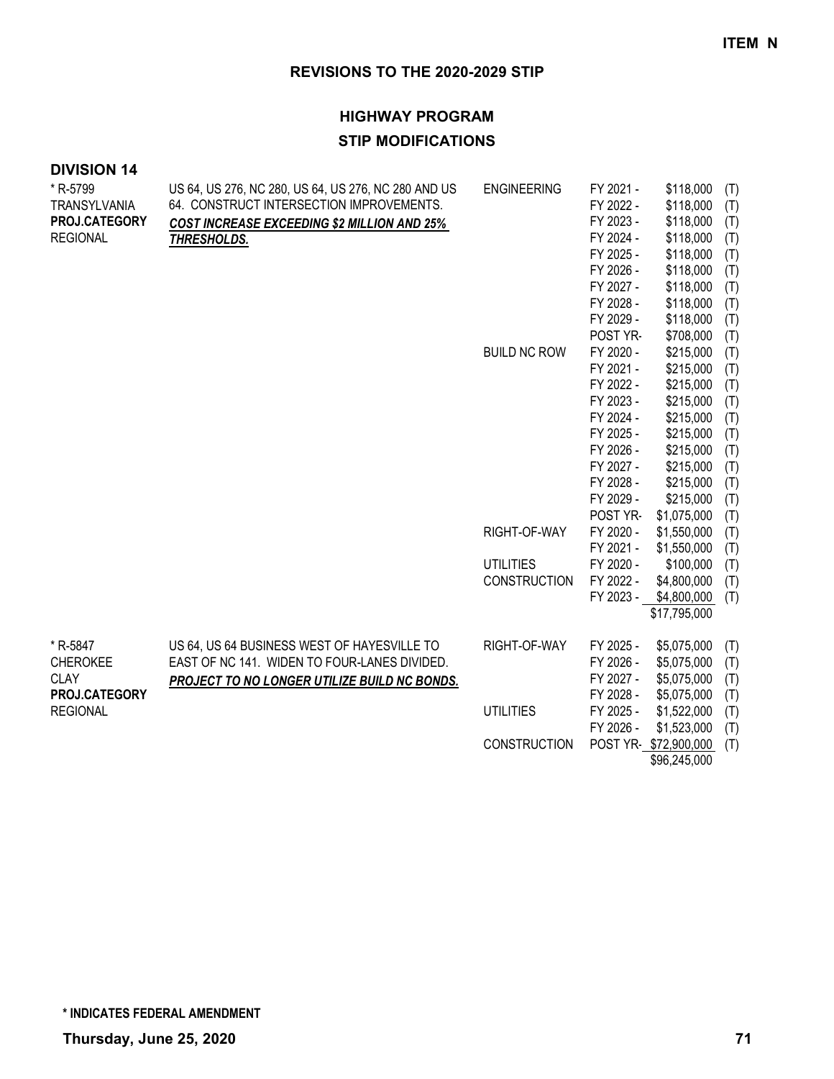| <b>DIVISION 14</b>  |                                                     |                     |                        |                          |     |
|---------------------|-----------------------------------------------------|---------------------|------------------------|--------------------------|-----|
| * R-5799            | US 64, US 276, NC 280, US 64, US 276, NC 280 AND US | <b>ENGINEERING</b>  | FY 2021 -              | \$118,000                | (T) |
| <b>TRANSYLVANIA</b> | 64. CONSTRUCT INTERSECTION IMPROVEMENTS.            |                     | FY 2022 -              | \$118,000                | (T) |
| PROJ.CATEGORY       | <b>COST INCREASE EXCEEDING \$2 MILLION AND 25%</b>  |                     | FY 2023 -              | \$118,000                | (T) |
| <b>REGIONAL</b>     | THRESHOLDS.                                         |                     | FY 2024 -              | \$118,000                | (T) |
|                     |                                                     |                     | FY 2025 -              | \$118,000                | (T) |
|                     |                                                     |                     | FY 2026 -              | \$118,000                | (T) |
|                     |                                                     |                     | FY 2027 -              | \$118,000                | (T) |
|                     |                                                     |                     | FY 2028 -              | \$118,000                | (T) |
|                     |                                                     |                     | FY 2029 -              | \$118,000                | (T) |
|                     |                                                     |                     | POST YR-               | \$708,000                | (T) |
|                     |                                                     | <b>BUILD NC ROW</b> | FY 2020 -              | \$215,000                | (T) |
|                     |                                                     |                     | FY 2021 -              | \$215,000                | (T) |
|                     |                                                     |                     | FY 2022 -              | \$215,000                | (T) |
|                     |                                                     |                     | FY 2023 -              | \$215,000                | (T) |
|                     |                                                     |                     | FY 2024 -              | \$215,000                | (T) |
|                     |                                                     |                     | FY 2025 -              | \$215,000                | (T) |
|                     |                                                     |                     | FY 2026 -              | \$215,000                | (T) |
|                     |                                                     |                     | FY 2027 -              | \$215,000                | (T) |
|                     |                                                     |                     | FY 2028 -              | \$215,000                | (T) |
|                     |                                                     |                     | FY 2029 -              | \$215,000                | (T) |
|                     |                                                     |                     | POST YR-               | \$1,075,000              | (T) |
|                     |                                                     | RIGHT-OF-WAY        | FY 2020 -              | \$1,550,000              | (T) |
|                     |                                                     | <b>UTILITIES</b>    | FY 2021 -              | \$1,550,000              | (T) |
|                     |                                                     | <b>CONSTRUCTION</b> | FY 2020 -<br>FY 2022 - | \$100,000<br>\$4,800,000 | (T) |
|                     |                                                     |                     | FY 2023 -              | \$4,800,000              | (T) |
|                     |                                                     |                     |                        | \$17,795,000             | (T) |
|                     |                                                     |                     |                        |                          |     |
| * R-5847            | US 64, US 64 BUSINESS WEST OF HAYESVILLE TO         | RIGHT-OF-WAY        | FY 2025 -              | \$5,075,000              | (T) |
| <b>CHEROKEE</b>     | EAST OF NC 141. WIDEN TO FOUR-LANES DIVIDED.        |                     | FY 2026 -              | \$5,075,000              | (T) |
| <b>CLAY</b>         | PROJECT TO NO LONGER UTILIZE BUILD NC BONDS.        |                     | FY 2027 -              | \$5,075,000              | (T) |
| PROJ.CATEGORY       |                                                     |                     | FY 2028 -              | \$5,075,000              | (T) |
| <b>REGIONAL</b>     |                                                     | <b>UTILITIES</b>    | FY 2025 -              | \$1,522,000              | (T) |
|                     |                                                     |                     | FY 2026 -              | \$1,523,000              | (T) |
|                     |                                                     | <b>CONSTRUCTION</b> |                        | POST YR-\$72,900,000     | (T) |
|                     |                                                     |                     |                        | \$96,245,000             |     |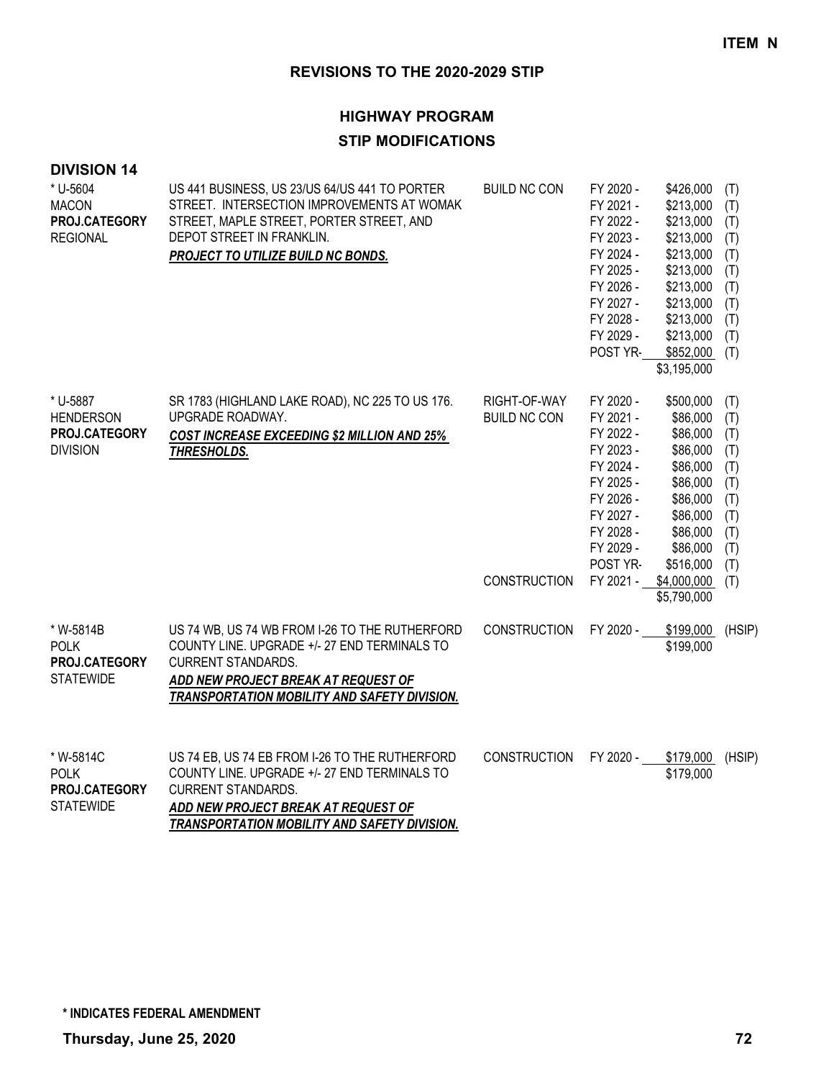### **HIGHWAY PROGRAM**

#### **STIP MODIFICATIONS**

| <b>DIVISION 14</b><br>* U-5604<br><b>MACON</b><br>PROJ.CATEGORY<br><b>REGIONAL</b> | US 441 BUSINESS, US 23/US 64/US 441 TO PORTER<br>STREET. INTERSECTION IMPROVEMENTS AT WOMAK<br>STREET, MAPLE STREET, PORTER STREET, AND<br>DEPOT STREET IN FRANKLIN.<br>PROJECT TO UTILIZE BUILD NC BONDS.         | <b>BUILD NC CON</b>                                        | FY 2020 -<br>FY 2021 -<br>FY 2022 -<br>FY 2023 -<br>FY 2024 -<br>FY 2025 -<br>FY 2026 -<br>FY 2027 -<br>FY 2028 -<br>FY 2029 -<br>POST YR-              | \$426,000<br>\$213,000<br>\$213,000<br>\$213,000<br>\$213,000<br>\$213,000<br>\$213,000<br>\$213,000<br>\$213,000<br>\$213,000<br>\$852,000<br>\$3,195,000 | (T)<br>(T)<br>(T)<br>(T)<br>(T)<br>(T)<br>(T)<br>(T)<br>(T)<br>(T)<br>(T)        |
|------------------------------------------------------------------------------------|--------------------------------------------------------------------------------------------------------------------------------------------------------------------------------------------------------------------|------------------------------------------------------------|---------------------------------------------------------------------------------------------------------------------------------------------------------|------------------------------------------------------------------------------------------------------------------------------------------------------------|----------------------------------------------------------------------------------|
| * U-5887<br><b>HENDERSON</b><br>PROJ.CATEGORY<br><b>DIVISION</b>                   | SR 1783 (HIGHLAND LAKE ROAD), NC 225 TO US 176.<br>UPGRADE ROADWAY.<br><b>COST INCREASE EXCEEDING \$2 MILLION AND 25%</b><br>THRESHOLDS.                                                                           | RIGHT-OF-WAY<br><b>BUILD NC CON</b><br><b>CONSTRUCTION</b> | FY 2020 -<br>FY 2021 -<br>FY 2022 -<br>FY 2023 -<br>FY 2024 -<br>FY 2025 -<br>FY 2026 -<br>FY 2027 -<br>FY 2028 -<br>FY 2029 -<br>POST YR-<br>FY 2021 - | \$500,000<br>\$86,000<br>\$86,000<br>\$86,000<br>\$86,000<br>\$86,000<br>\$86,000<br>\$86,000<br>\$86,000<br>\$86,000<br>\$516,000<br>\$4,000,000          | (T)<br>(T)<br>(T)<br>(T)<br>(T)<br>(T)<br>(T)<br>(T)<br>(T)<br>(T)<br>(T)<br>(T) |
|                                                                                    |                                                                                                                                                                                                                    |                                                            |                                                                                                                                                         | \$5,790,000                                                                                                                                                |                                                                                  |
| * W-5814B<br><b>POLK</b><br>PROJ.CATEGORY<br><b>STATEWIDE</b>                      | US 74 WB, US 74 WB FROM I-26 TO THE RUTHERFORD<br>COUNTY LINE. UPGRADE +/- 27 END TERMINALS TO<br><b>CURRENT STANDARDS.</b><br>ADD NEW PROJECT BREAK AT REQUEST OF<br>TRANSPORTATION MOBILITY AND SAFETY DIVISION. | <b>CONSTRUCTION</b>                                        | FY 2020 -                                                                                                                                               | \$199,000<br>\$199,000                                                                                                                                     | (HSIP)                                                                           |
| * W-5814C<br><b>POLK</b><br>PROJ.CATEGORY<br><b>STATEWIDE</b>                      | US 74 EB, US 74 EB FROM I-26 TO THE RUTHERFORD<br>COUNTY LINE. UPGRADE +/- 27 END TERMINALS TO<br><b>CURRENT STANDARDS.</b><br>ADD NEW PROJECT BREAK AT REQUEST OF                                                 | <b>CONSTRUCTION</b>                                        | FY 2020 -                                                                                                                                               | \$179,000<br>\$179,000                                                                                                                                     | (HSIP)                                                                           |

*ADD NEW PROJECT BREAK AT REQUEST OF TRANSPORTATION MOBILITY AND SAFETY DIVISION.*

**\* INDICATES FEDERAL AMENDMENT**

**Thursday, June 25, 2020 72**